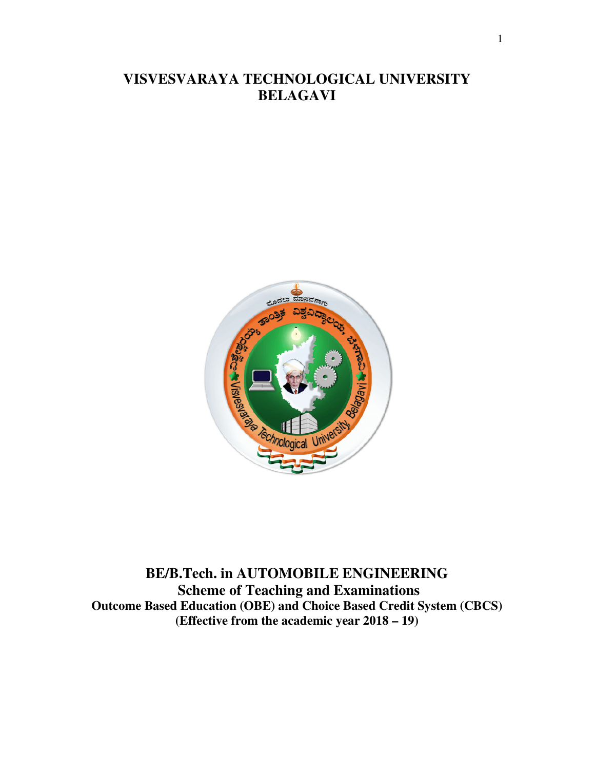# **VISVESVARAYA TECHNOLOGICAL UNIVERSITY BELAGAVI**



**BE/B.Tech. in AUTOMOBILE ENGINEERING Scheme of Teaching and Examinations Outcome Based Education (OBE) and Choice Based Credit System (CBCS) (Effective from the academic year 2018 – 19)**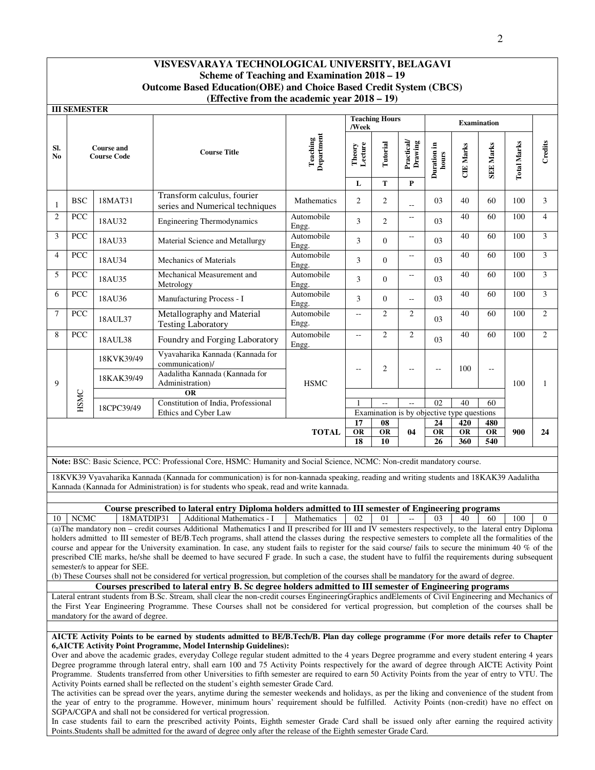|                       | <b>III SEMESTER</b>                                                               |                                         |                                                                |                        |                   |                                                                            |                             |                      |                  |                    |                    |                          |
|-----------------------|-----------------------------------------------------------------------------------|-----------------------------------------|----------------------------------------------------------------|------------------------|-------------------|----------------------------------------------------------------------------|-----------------------------|----------------------|------------------|--------------------|--------------------|--------------------------|
|                       |                                                                                   |                                         |                                                                |                        | /Week             | <b>Teaching Hours</b>                                                      |                             |                      |                  | <b>Examination</b> |                    |                          |
| SI.<br>N <sub>0</sub> |                                                                                   | <b>Course and</b><br><b>Course Code</b> | <b>Course Title</b>                                            | Department<br>Teaching | Theory<br>Lecture | Tutorial                                                                   | <b>Practical</b><br>Drawing | Duration in<br>hours | <b>CIE Marks</b> | <b>SEE Marks</b>   | <b>Total Marks</b> | Credits                  |
|                       |                                                                                   |                                         |                                                                |                        | L                 | T                                                                          | $\mathbf{P}$                |                      |                  |                    |                    |                          |
| 1                     | <b>BSC</b>                                                                        | 18MAT31                                 | Transform calculus, fourier<br>series and Numerical techniques | Mathematics            | $\overline{2}$    | $\overline{2}$                                                             | $-$                         | 03                   | 40               | 60                 | 100                | 3                        |
| $\overline{2}$        | PCC                                                                               | 18AU32                                  | <b>Engineering Thermodynamics</b>                              | Automobile<br>Engg.    | 3                 | 2                                                                          | $-$                         | 03                   | 40               | 60                 | 100                | $\overline{4}$           |
| 3                     | PCC                                                                               | 18AU33                                  | Material Science and Metallurgy                                | Automobile<br>Engg.    | 3                 | $\Omega$                                                                   | $-$                         | 0 <sub>3</sub>       | 40               | 60                 | 100                | 3                        |
| $\overline{4}$        | PCC                                                                               | 18AU34                                  | Mechanics of Materials                                         | Automobile<br>Engg.    | 3                 | $\Omega$                                                                   | $\overline{\phantom{a}}$    | 0 <sub>3</sub>       | 40               | 60                 | 100                | $\overline{\mathcal{L}}$ |
| 5                     | PCC                                                                               | 18AU35                                  | Mechanical Measurement and<br>Metrology                        | Automobile<br>Engg.    | 3                 | $\Omega$                                                                   | $\overline{a}$              | 03                   | 40               | 60                 | 100                | 3                        |
| 6                     | PCC                                                                               | 18AU36                                  | Manufacturing Process - I                                      | Automobile<br>Engg.    | 3                 | $\Omega$                                                                   | $-$                         | 03                   | 40               | 60                 | 100                | 3                        |
| $\tau$                | <b>PCC</b>                                                                        | 18AUL37                                 | Metallography and Material<br><b>Testing Laboratory</b>        | Automobile<br>Engg.    | $-$               | $\overline{2}$                                                             | $\overline{c}$              | 03                   | 40               | 60                 | 100                | $\overline{2}$           |
| 8                     | PCC                                                                               | 18AUL38                                 | Foundry and Forging Laboratory                                 | Automobile<br>Engg.    | $-$               | 2                                                                          | $\overline{2}$              | 03                   | 40               | 60                 | 100                | $\overline{2}$           |
|                       |                                                                                   | 18KVK39/49                              | Vyavaharika Kannada (Kannada for<br>communication)/            |                        |                   | $\overline{2}$                                                             |                             |                      | 100              |                    |                    |                          |
| 9                     |                                                                                   | 18KAK39/49                              | Aadalitha Kannada (Kannada for<br>Administration)              | <b>HSMC</b>            |                   |                                                                            |                             |                      |                  | $-$                | 100                |                          |
|                       |                                                                                   |                                         | <b>OR</b>                                                      |                        |                   |                                                                            |                             |                      |                  |                    |                    |                          |
|                       | HSMC<br>Constitution of India, Professional<br>18CPC39/49<br>Ethics and Cyber Law |                                         |                                                                | $\sim$                 | $\overline{a}$    | 02                                                                         | 40                          | 60                   |                  |                    |                    |                          |
|                       |                                                                                   |                                         |                                                                |                        |                   | Examination is by objective type questions<br>17<br>08<br>24<br>420<br>480 |                             |                      |                  |                    |                    |                          |
|                       |                                                                                   |                                         |                                                                |                        | $\overline{OR}$   | $\overline{OR}$                                                            | 04                          | <b>OR</b>            | $\overline{OR}$  | OR                 | 900                | 24                       |
|                       |                                                                                   |                                         | <b>TOTAL</b>                                                   | 18                     | 10                |                                                                            | 26                          | 360                  | 540              |                    |                    |                          |

**Note:** BSC: Basic Science, PCC: Professional Core, HSMC: Humanity and Social Science, NCMC: Non-credit mandatory course.

18KVK39 Vyavaharika Kannada (Kannada for communication) is for non-kannada speaking, reading and writing students and 18KAK39 Aadalitha Kannada (Kannada for Administration) is for students who speak, read and write kannada.

# **Course prescribed to lateral entry Diploma holders admitted to III semester of Engineering programs**<br>18MATDIP31 Additional Mathematics - I Mathematics | 02 | 01 | -- | 03 | 40 | 60

10 NCMC 18MATDIP31 Additional Mathematics - I Mathematics 02 01 -- 03 40 60 100 (a)The mandatory non – credit courses Additional Mathematics I and II prescribed for III and IV semesters respectively, to the lateral entry Diploma holders admitted to III semester of BE/B.Tech programs, shall attend the classes during the respective semesters to complete all the formalities of the course and appear for the University examination. In case, any student fails to register for the said course/ fails to secure the minimum 40 % of the prescribed CIE marks, he/she shall be deemed to have secured F grade. In such a case, the student have to fulfil the requirements during subsequent semester/s to appear for SEE.

(b) These Courses shall not be considered for vertical progression, but completion of the courses shall be mandatory for the award of degree.

**Courses prescribed to lateral entry B. Sc degree holders admitted to III semester of Engineering programs** Lateral entrant students from B.Sc. Stream, shall clear the non-credit courses EngineeringGraphics andElements of Civil Engineering and Mechanics of the First Year Engineering Programme. These Courses shall not be considered for vertical progression, but completion of the courses shall be mandatory for the award of degree.

#### **AICTE Activity Points to be earned by students admitted to BE/B.Tech/B. Plan day college programme (For more details refer to Chapter 6,AICTE Activity Point Programme, Model Internship Guidelines):**

Over and above the academic grades, everyday College regular student admitted to the 4 years Degree programme and every student entering 4 years Degree programme through lateral entry, shall earn 100 and 75 Activity Points respectively for the award of degree through AICTE Activity Point Programme. Students transferred from other Universities to fifth semester are required to earn 50 Activity Points from the year of entry to VTU. The Activity Points earned shall be reflected on the student's eighth semester Grade Card.

The activities can be spread over the years, anytime during the semester weekends and holidays, as per the liking and convenience of the student from the year of entry to the programme. However, minimum hours' requirement should be fulfilled. Activity Points (non-credit) have no effect on SGPA/CGPA and shall not be considered for vertical progression.

In case students fail to earn the prescribed activity Points, Eighth semester Grade Card shall be issued only after earning the required activity Points.Students shall be admitted for the award of degree only after the release of the Eighth semester Grade Card.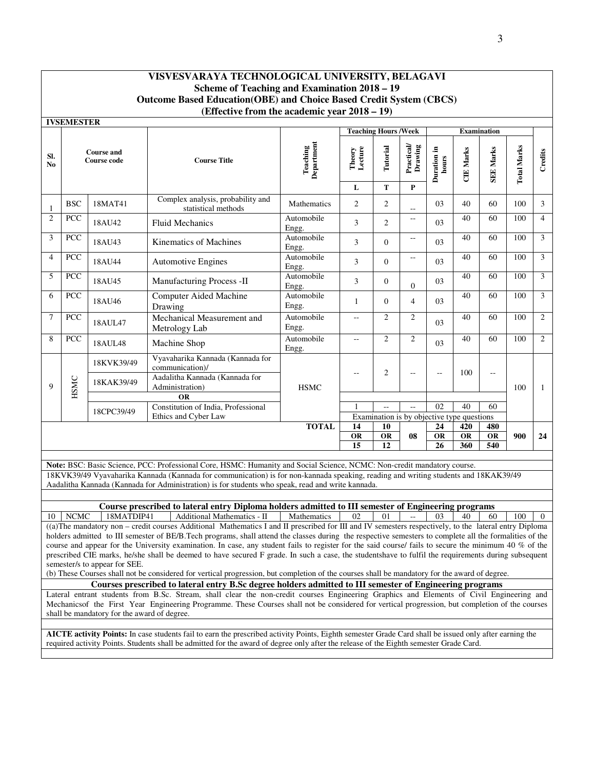**IVSEMESTER** 

|                | 1 у отлитер 1 е в |                                  |                                                                                                                                     |                        |                          | <b>Teaching Hours /Week</b>                |                                                 |                       |                  | <b>Examination</b> |                    |                |
|----------------|-------------------|----------------------------------|-------------------------------------------------------------------------------------------------------------------------------------|------------------------|--------------------------|--------------------------------------------|-------------------------------------------------|-----------------------|------------------|--------------------|--------------------|----------------|
| SI.<br>No      |                   | <b>Course and</b><br>Course code | <b>Course Title</b>                                                                                                                 | Department<br>Teaching | Theory<br>Lecture        | Tutorial                                   | $\frac{ \mathbf{Practical} }{\mathbf{Drawing}}$ | Duration in<br>hours  | <b>CIE Marks</b> | <b>SEE Marks</b>   | <b>Total Marks</b> | Credits        |
|                |                   |                                  |                                                                                                                                     |                        | L                        | T                                          | $\mathbf{P}$                                    |                       |                  |                    |                    |                |
| $\mathbf{1}$   | <b>BSC</b>        | 18MAT41                          | Complex analysis, probability and<br>statistical methods                                                                            | Mathematics            | $\overline{2}$           | $\mathbf{2}$                               | $\overline{\phantom{a}}$                        | 03                    | 40               | 60                 | 100                | $\overline{3}$ |
| $\overline{2}$ | PCC               | 18AU42                           | <b>Fluid Mechanics</b>                                                                                                              | Automobile<br>Engg.    | 3                        | $\overline{c}$                             | $\overline{\phantom{m}}$                        | 03                    | 40               | 60                 | 100                | $\overline{4}$ |
| 3              | PCC               | 18AU43                           | Kinematics of Machines                                                                                                              | Automobile<br>Engg.    | 3                        | $\Omega$                                   | $\overline{\phantom{a}}$                        | 03                    | 40               | 60                 | 100                | 3              |
| $\overline{4}$ | PCC               | 18AU44                           | <b>Automotive Engines</b>                                                                                                           | Automobile<br>Engg.    | 3                        | $\Omega$                                   | $\overline{\phantom{a}}$                        | 03                    | 40               | 60                 | 100                | $\overline{3}$ |
| 5              | PCC               | 18AU45                           | Manufacturing Process -II                                                                                                           | Automobile<br>Engg.    | 3                        | $\Omega$                                   | $\overline{0}$                                  | 03                    | 40               | 60                 | 100                | $\overline{3}$ |
| 6              | <b>PCC</b>        | 18AU46                           | <b>Computer Aided Machine</b><br>Drawing                                                                                            | Automobile<br>Engg.    | 1                        | $\Omega$                                   | $\overline{4}$                                  | 03                    | 40               | 60                 | 100                | $\overline{3}$ |
| $\overline{7}$ | PCC               | 18AUL47                          | Mechanical Measurement and<br>Metrology Lab                                                                                         | Automobile<br>Engg.    | $\overline{\phantom{a}}$ | $\overline{c}$                             | $\overline{c}$                                  | 03                    | 40               | 60                 | 100                | $\overline{c}$ |
| 8              | PCC               | 18AUL48                          | Machine Shop                                                                                                                        | Automobile<br>Engg.    | $-1$                     | $\overline{c}$                             | $\overline{c}$                                  | 03                    | 40               | 60                 | 100                | $\overline{2}$ |
|                |                   | 18KVK39/49                       | Vyavaharika Kannada (Kannada for<br>communication)/                                                                                 |                        |                          | $\overline{c}$                             |                                                 |                       | 100              |                    |                    |                |
| 9              | HSMC              | 18KAK39/49                       | Aadalitha Kannada (Kannada for<br>Administration)                                                                                   | <b>HSMC</b>            | $-$                      |                                            | $\overline{\phantom{a}}$                        | $-$                   |                  | $\sim$ $\sim$      | 100                | 1              |
|                |                   |                                  | <b>OR</b>                                                                                                                           |                        |                          |                                            |                                                 |                       |                  |                    |                    |                |
|                |                   | 18CPC39/49                       | Constitution of India, Professional                                                                                                 |                        |                          | $\overline{a}$                             | $\mathbb{Z}^{\mathbb{Z}}$                       | 0 <sub>2</sub>        | 40               | 60                 |                    |                |
|                |                   |                                  | Ethics and Cyber Law                                                                                                                |                        |                          | Examination is by objective type questions |                                                 |                       |                  |                    |                    |                |
|                |                   |                                  |                                                                                                                                     | <b>TOTAL</b>           | 14                       | 10                                         |                                                 | 24<br>$\overline{OR}$ | 420              | 480                |                    |                |
|                |                   |                                  |                                                                                                                                     |                        | <b>OR</b><br>15          | <b>OR</b><br>12                            | 08                                              | 26                    | OR<br>360        | OR<br>540          | 900                | 24             |
|                |                   |                                  |                                                                                                                                     |                        |                          |                                            |                                                 |                       |                  |                    |                    |                |
|                |                   |                                  | Note: BSC: Basic Science, PCC: Professional Core, HSMC: Humanity and Social Science, NCMC: Non-credit mandatory course.             |                        |                          |                                            |                                                 |                       |                  |                    |                    |                |
|                |                   |                                  | 18KVK39/49 Vyavaharika Kannada (Kannada for communication) is for non-kannada speaking, reading and writing students and 18KAK39/49 |                        |                          |                                            |                                                 |                       |                  |                    |                    |                |
|                |                   |                                  | Aadalitha Kannada (Kannada for Administration) is for students who speak, read and write kannada.                                   |                        |                          |                                            |                                                 |                       |                  |                    |                    |                |
|                |                   |                                  |                                                                                                                                     |                        |                          |                                            |                                                 |                       |                  |                    |                    |                |
|                |                   |                                  |                                                                                                                                     |                        |                          |                                            |                                                 |                       |                  |                    |                    |                |

**Course prescribed to lateral entry Diploma holders admitted to III semester of Engineering programs**<br>18MATDIP41 | Additional Mathematics - II | Mathematics | 02 | 01 | -- | 03 | 40 | 60 10 | NCMC | 18MATDIP41 | Additional Mathematics - II | Mathematics | 02 | 01 | -- | 03 | 40 | 60 | 100 | 0 ((a)The mandatory non – credit courses Additional Mathematics I and II prescribed for III and IV semesters respectively, to the lateral entry Diploma holders admitted to III semester of BE/B.Tech programs, shall attend the classes during the respective semesters to complete all the formalities of the course and appear for the University examination. In case, any student fails to register for the said course/ fails to secure the minimum 40 % of the prescribed CIE marks, he/she shall be deemed to have secured F grade. In such a case, the studentshave to fulfil the requirements during subsequent semester/s to appear for SEE.

(b) These Courses shall not be considered for vertical progression, but completion of the courses shall be mandatory for the award of degree.

**Courses prescribed to lateral entry B.Sc degree holders admitted to III semester of Engineering programs**

Lateral entrant students from B.Sc. Stream, shall clear the non-credit courses Engineering Graphics and Elements of Civil Engineering and Mechanicsof the First Year Engineering Programme. These Courses shall not be considered for vertical progression, but completion of the courses shall be mandatory for the award of degree.

**AICTE activity Points:** In case students fail to earn the prescribed activity Points, Eighth semester Grade Card shall be issued only after earning the required activity Points. Students shall be admitted for the award of degree only after the release of the Eighth semester Grade Card.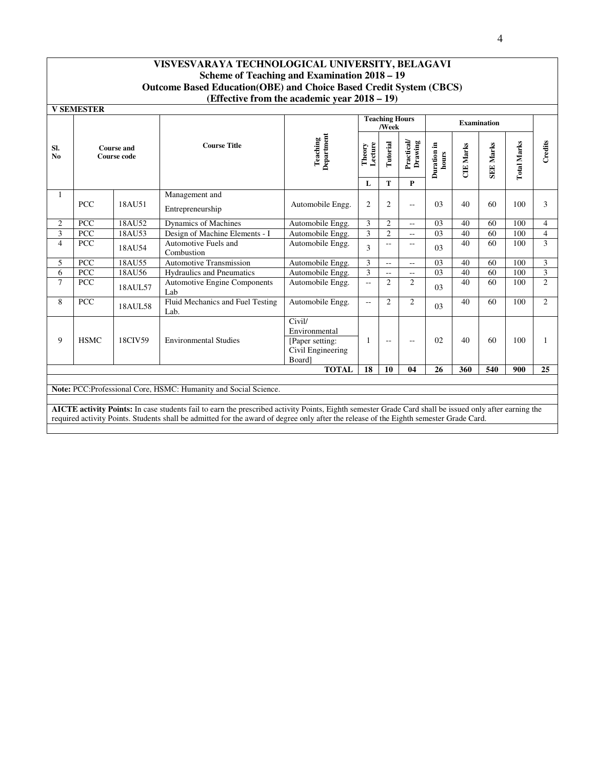| <b>V SEMESTER</b>     |                                                                                                                                                                                                                            |         |                                            |                                                                           |                      | <b>Teaching Hours</b><br>/Week |                  |                  |                    | <b>Examination</b> |     |                |
|-----------------------|----------------------------------------------------------------------------------------------------------------------------------------------------------------------------------------------------------------------------|---------|--------------------------------------------|---------------------------------------------------------------------------|----------------------|--------------------------------|------------------|------------------|--------------------|--------------------|-----|----------------|
| SI.<br>N <sub>0</sub> | Department<br>Teaching<br><b>Course Title</b><br>Theory<br><b>Course and</b><br>Course code                                                                                                                                |         | Lecture                                    | Tutorial                                                                  | Practical<br>Drawing | Duration in<br>hours           | <b>CIE Marks</b> | <b>SEE Marks</b> | <b>Total Marks</b> | Credits            |     |                |
|                       |                                                                                                                                                                                                                            |         |                                            |                                                                           | L                    | T                              | $\mathbf{P}$     |                  |                    |                    |     |                |
| 1                     | <b>PCC</b>                                                                                                                                                                                                                 | 18AU51  | Management and<br>Entrepreneurship         | Automobile Engg.                                                          | $\overline{2}$       | 2                              | $-$              | 03               | 40                 | 60                 | 100 | 3              |
| 2                     | <b>PCC</b>                                                                                                                                                                                                                 | 18AU52  | Dynamics of Machines                       | Automobile Engg.                                                          | 3                    | 2                              | $\overline{a}$   | 03               | 40                 | 60                 | 100 | $\overline{4}$ |
| 3                     | PCC                                                                                                                                                                                                                        | 18AU53  | Design of Machine Elements - I             | Automobile Engg.                                                          | 3                    | $\overline{2}$                 | $-$              | 0 <sub>3</sub>   | 40                 | 60                 | 100 | $\overline{4}$ |
| $\overline{4}$        | <b>PCC</b>                                                                                                                                                                                                                 | 18AU54  | Automotive Fuels and<br>Combustion         | Automobile Engg.                                                          | 3                    | $-$                            | $- -$            | 03               | 40                 | 60                 | 100 | 3              |
| 5                     | <b>PCC</b>                                                                                                                                                                                                                 | 18AU55  | <b>Automotive Transmission</b>             | Automobile Engg.                                                          | 3                    | $\overline{a}$                 | $-$              | 0 <sub>3</sub>   | 40                 | 60                 | 100 | 3              |
| 6                     | <b>PCC</b>                                                                                                                                                                                                                 | 18AU56  | <b>Hydraulics and Pneumatics</b>           | Automobile Engg.                                                          | 3                    | $-$                            | $\overline{a}$   | 03               | 40                 | 60                 | 100 | 3              |
| $\tau$                | <b>PCC</b>                                                                                                                                                                                                                 | 18AUL57 | <b>Automotive Engine Components</b><br>Lab | Automobile Engg.                                                          | $-$                  | 2                              | 2                | 03               | 40                 | 60                 | 100 | $\overline{2}$ |
| 8                     | <b>PCC</b>                                                                                                                                                                                                                 | 18AUL58 | Fluid Mechanics and Fuel Testing<br>Lab.   | Automobile Engg.                                                          | $-$                  | 2                              | $\overline{c}$   | 0 <sub>3</sub>   | 40                 | 60                 | 100 | 2              |
| 9                     | <b>HSMC</b>                                                                                                                                                                                                                | 18CIV59 | <b>Environmental Studies</b>               | Civil/<br>Environmental<br>[Paper setting:<br>Civil Engineering<br>Board] | -1                   | $-$                            | $-$              | 02               | 40                 | 60                 | 100 | -1             |
|                       |                                                                                                                                                                                                                            |         |                                            | <b>TOTAL</b>                                                              | 18                   | 10                             | 04               | 26               | 360                | 540                | 900 | 25             |
|                       | Note: PCC: Professional Core, HSMC: Humanity and Social Science.<br>AICTE activity Points: In case students fail to earn the prescribed activity Points, Eighth semester Grade Card shall be issued only after earning the |         |                                            |                                                                           |                      |                                |                  |                  |                    |                    |     |                |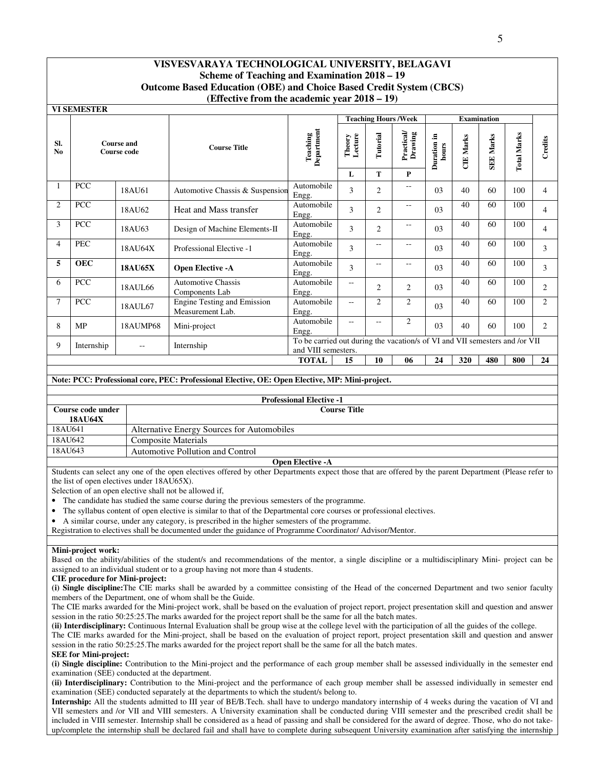|                       | <b>VI SEMESTER</b>                                              |                   |                                                 |                                                                                                    |                          |                |                                                   |                         |                  |                    |                    |                |
|-----------------------|-----------------------------------------------------------------|-------------------|-------------------------------------------------|----------------------------------------------------------------------------------------------------|--------------------------|----------------|---------------------------------------------------|-------------------------|------------------|--------------------|--------------------|----------------|
|                       |                                                                 |                   |                                                 |                                                                                                    |                          |                | <b>Teaching Hours/Week</b>                        |                         |                  | <b>Examination</b> |                    |                |
| SI.<br>N <sub>0</sub> | <b>Course and</b><br>Course code                                |                   | <b>Course Title</b>                             | Department<br>Teaching                                                                             | Lecture<br>Theory        | Tutorial       | $\frac{ \mathbf{Practical} }{ \mathbf{Drawing} }$ | .≘<br>Duration<br>hours | <b>CIE Marks</b> | Marks<br>SEE.      | <b>Total Marks</b> | Credits        |
|                       |                                                                 |                   |                                                 |                                                                                                    | L                        | T              | P                                                 |                         |                  |                    |                    |                |
|                       | <b>PCC</b>                                                      | 18AU61            | Automotive Chassis & Suspension                 | Automobile<br>Engg.                                                                                | 3                        | $\overline{2}$ | --                                                | 03                      | 40               | 60                 | 100                | 4              |
| $\overline{2}$        | PCC                                                             | 18AU62            | Heat and Mass transfer                          | Automobile<br>Engg.                                                                                | 3                        | $\overline{2}$ | $-$                                               | 03                      | 40               | 60                 | 100                | $\overline{4}$ |
| 3                     | PCC                                                             | 18AU63            | Design of Machine Elements-II                   | Automobile<br>Engg.                                                                                | 3                        | $\overline{2}$ | --                                                | 03                      | 40               | 60                 | 100                | $\overline{4}$ |
| $\overline{4}$        | PEC                                                             | 18AU64X           | Professional Elective -1                        | Automobile<br>Engg.                                                                                | 3                        | $-$            | --                                                | 03                      | 40               | 60                 | 100                | 3              |
| 5                     | <b>OEC</b>                                                      | <b>18AU65X</b>    | <b>Open Elective -A</b>                         | Automobile<br>Engg.                                                                                | 3                        | $-$            | --                                                | 03                      | 40               | 60                 | 100                | 3              |
| 6                     | PCC                                                             | 18AUL66           | <b>Automotive Chassis</b><br>Components Lab     | Automobile<br>Engg.                                                                                | $\overline{a}$           | $\overline{2}$ | $\overline{2}$                                    | 03                      | 40               | 60                 | 100                | $\overline{c}$ |
| 7                     | PCC                                                             | 18AUL67           | Engine Testing and Emission<br>Measurement Lab. | Automobile<br>Engg.                                                                                | $\overline{\phantom{a}}$ | $\overline{2}$ | $\overline{2}$                                    | 03                      | 40               | 60                 | 100                | $\overline{2}$ |
| 8                     | <b>MP</b>                                                       | 18AUMP68          | Mini-project                                    | Automobile<br>Engg.                                                                                | $-$                      | $-$            | $\overline{c}$                                    | 03                      | 40               | 60                 | 100                | 2              |
| 9                     | Internship                                                      | $\qquad \qquad -$ | Internship                                      | To be carried out during the vacation/s of VI and VII semesters and /or VII<br>and VIII semesters. |                          |                |                                                   |                         |                  |                    |                    |                |
|                       | 480<br>800<br><b>TOTAL</b><br>15<br>10<br>24<br>320<br>24<br>06 |                   |                                                 |                                                                                                    |                          |                |                                                   |                         |                  |                    |                    |                |

#### **Note: PCC: Professional core, PEC: Professional Elective, OE: Open Elective, MP: Mini-project.**

#### **Professional Elective -1 Course code under 18AU64X Course Title**  Alternative Energy Sources for Automobiles 18AU642 Composite Materials<br>18AU643 Automotive Pollution Automotive Pollution and Control

#### **Open Elective -A**

Students can select any one of the open electives offered by other Departments expect those that are offered by the parent Department (Please refer to the list of open electives under 18AU65X).

Selection of an open elective shall not be allowed if,

- The candidate has studied the same course during the previous semesters of the programme.
- The syllabus content of open elective is similar to that of the Departmental core courses or professional electives.
- A similar course, under any category, is prescribed in the higher semesters of the programme.
- Registration to electives shall be documented under the guidance of Programme Coordinator/ Advisor/Mentor.

#### **Mini-project work:**

Based on the ability/abilities of the student/s and recommendations of the mentor, a single discipline or a multidisciplinary Mini- project can be assigned to an individual student or to a group having not more than 4 students.

#### **CIE procedure for Mini-project:**

**(i) Single discipline:**The CIE marks shall be awarded by a committee consisting of the Head of the concerned Department and two senior faculty members of the Department, one of whom shall be the Guide.

The CIE marks awarded for the Mini-project work, shall be based on the evaluation of project report, project presentation skill and question and answer session in the ratio 50:25:25.The marks awarded for the project report shall be the same for all the batch mates.

**(ii) Interdisciplinary:** Continuous Internal Evaluation shall be group wise at the college level with the participation of all the guides of the college.

The CIE marks awarded for the Mini-project, shall be based on the evaluation of project report, project presentation skill and question and answer session in the ratio 50:25:25.The marks awarded for the project report shall be the same for all the batch mates.

#### **SEE for Mini-project:**

**(i) Single discipline:** Contribution to the Mini-project and the performance of each group member shall be assessed individually in the semester end examination (SEE) conducted at the department.

**(ii) Interdisciplinary:** Contribution to the Mini-project and the performance of each group member shall be assessed individually in semester end examination (SEE) conducted separately at the departments to which the student/s belong to.

**Internship:** All the students admitted to III year of BE/B.Tech. shall have to undergo mandatory internship of 4 weeks during the vacation of VI and VII semesters and /or VII and VIII semesters. A University examination shall be conducted during VIII semester and the prescribed credit shall be included in VIII semester. Internship shall be considered as a head of passing and shall be considered for the award of degree. Those, who do not takeup/complete the internship shall be declared fail and shall have to complete during subsequent University examination after satisfying the internship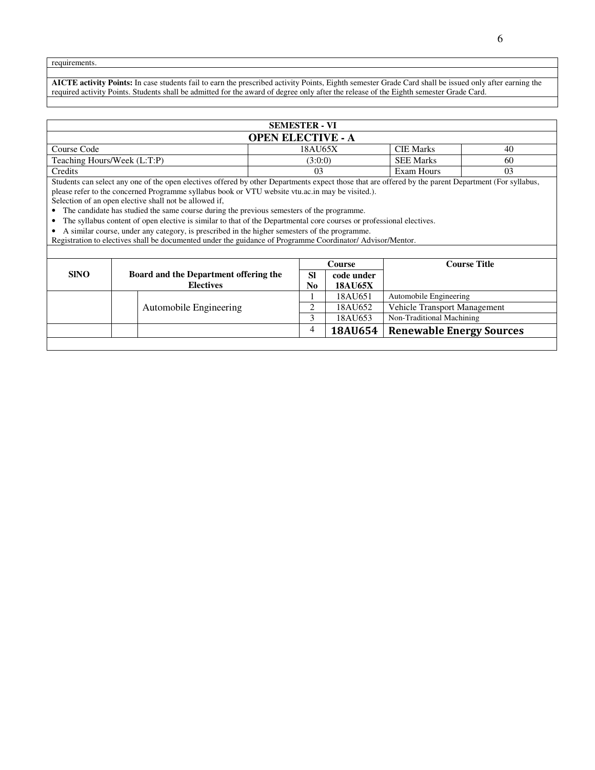requirements.

**AICTE activity Points:** In case students fail to earn the prescribed activity Points, Eighth semester Grade Card shall be issued only after earning the required activity Points. Students shall be admitted for the award of degree only after the release of the Eighth semester Grade Card.

| <b>SEMESTER - VI</b>        |                          |                  |    |  |  |  |
|-----------------------------|--------------------------|------------------|----|--|--|--|
|                             | <b>OPEN ELECTIVE - A</b> |                  |    |  |  |  |
| Course Code                 | 18AU65X                  | <b>CIE Marks</b> | 40 |  |  |  |
| Teaching Hours/Week (L:T:P) | (3:0:0)                  | <b>SEE Marks</b> | 60 |  |  |  |
| Credits                     |                          | Exam Hours       | 03 |  |  |  |

Students can select any one of the open electives offered by other Departments expect those that are offered by the parent Department (For syllabus, please refer to the concerned Programme syllabus book or VTU website vtu.ac.in may be visited.).

Selection of an open elective shall not be allowed if,

• The candidate has studied the same course during the previous semesters of the programme.

• The syllabus content of open elective is similar to that of the Departmental core courses or professional electives.

• A similar course, under any category, is prescribed in the higher semesters of the programme.

Registration to electives shall be documented under the guidance of Programme Coordinator/ Advisor/Mentor.

|             |                                       |           | Course         | <b>Course Title</b>             |
|-------------|---------------------------------------|-----------|----------------|---------------------------------|
| <b>SINO</b> | Board and the Department offering the | <b>SI</b> | code under     |                                 |
|             | <b>Electives</b>                      | No        | <b>18AU65X</b> |                                 |
|             |                                       |           | 18AU651        | Automobile Engineering          |
|             | Automobile Engineering                |           | 18AU652        | Vehicle Transport Management    |
|             |                                       |           | 18AU653        | Non-Traditional Machining       |
|             |                                       |           | <b>18AU654</b> | <b>Renewable Energy Sources</b> |
|             |                                       |           |                |                                 |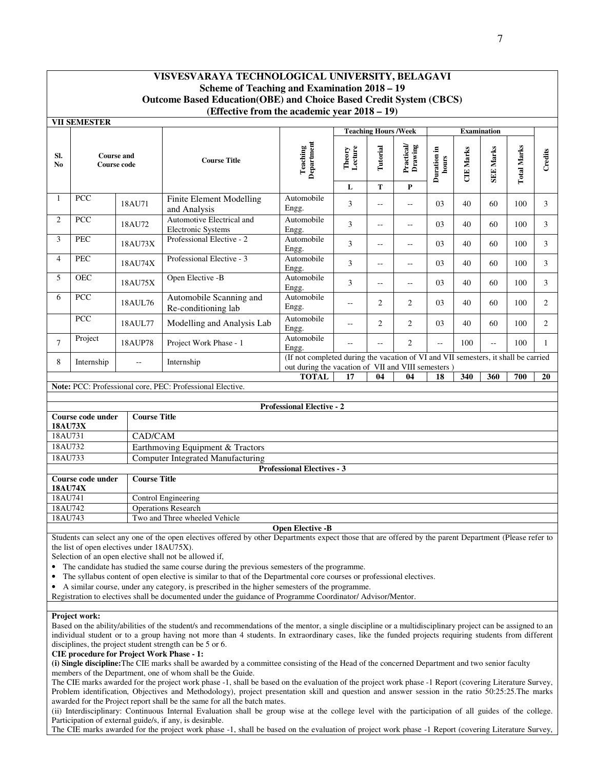|                | <b>VII SEMESTER</b>                      |                                            |                                                                                                                                                        |                                                                                                                                           |                   |                             |                       |                      |                  |                    |                    |                |
|----------------|------------------------------------------|--------------------------------------------|--------------------------------------------------------------------------------------------------------------------------------------------------------|-------------------------------------------------------------------------------------------------------------------------------------------|-------------------|-----------------------------|-----------------------|----------------------|------------------|--------------------|--------------------|----------------|
|                |                                          |                                            |                                                                                                                                                        |                                                                                                                                           |                   | <b>Teaching Hours /Week</b> |                       |                      |                  | <b>Examination</b> |                    |                |
| SI.<br>No.     |                                          | <b>Course and</b><br><b>Course code</b>    | <b>Course Title</b>                                                                                                                                    | <b>Teaching</b><br>Department                                                                                                             | Lecture<br>Theory | Tutorial                    | Practical/<br>Drawing | Duration in<br>hours | <b>CIE</b> Marks | <b>SEE Marks</b>   | <b>Total Marks</b> | Credits        |
|                |                                          |                                            |                                                                                                                                                        |                                                                                                                                           | $\mathbf L$       | T                           | $\mathbf{P}$          |                      |                  |                    |                    |                |
| $\mathbf{1}$   | PCC                                      | 18AU71                                     | <b>Finite Element Modelling</b><br>and Analysis                                                                                                        | Automobile<br>Engg.                                                                                                                       | 3                 | $\overline{\phantom{a}}$    | LL.                   | 0 <sub>3</sub>       | 40               | 60                 | 100                | 3              |
| 2              | PCC                                      | 18AU72                                     | Automotive Electrical and<br><b>Electronic Systems</b>                                                                                                 | Automobile<br>Engg.                                                                                                                       | 3                 | $\sim$                      | $\overline{a}$        | 0 <sub>3</sub>       | 40               | 60                 | 100                | 3              |
| 3              | <b>PEC</b>                               | 18AU73X                                    | Professional Elective - 2                                                                                                                              | Automobile<br>Engg.                                                                                                                       | 3                 | $\overline{\phantom{a}}$    | Щ,                    | 03                   | 40               | 60                 | 100                | 3              |
| $\overline{4}$ | <b>PEC</b>                               | 18AU74X                                    | Professional Elective - 3                                                                                                                              | Automobile<br>Engg.                                                                                                                       | 3                 | $\mathbf{u}$                | $\overline{a}$        | 03                   | 40               | 60                 | 100                | 3              |
| 5              | <b>OEC</b>                               | 18AU75X                                    | Open Elective -B                                                                                                                                       | Automobile<br>Engg.                                                                                                                       | 3                 | $\overline{a}$              | LL.                   | 03                   | 40               | 60                 | 100                | $\overline{3}$ |
| 6              | PCC                                      | 18AUL76                                    | Automobile Scanning and<br>Re-conditioning lab                                                                                                         | Automobile<br>Engg.                                                                                                                       | Щ,                | 2                           | $\overline{c}$        | 03                   | 40               | 60                 | 100                | $\overline{2}$ |
|                | <b>PCC</b>                               | 18AUL77                                    | Modelling and Analysis Lab                                                                                                                             | Automobile<br>Engg.                                                                                                                       | --                | 2                           | $\overline{2}$        | 03                   | 40               | 60                 | 100                | $\overline{2}$ |
| $\tau$         | Project                                  | 18AUP78                                    | Project Work Phase - 1                                                                                                                                 | Automobile<br>Engg.                                                                                                                       | $\rightarrow$     | $\overline{\phantom{a}}$    | $\overline{2}$        | Ξ.                   | 100              | $\sim$             | 100                | $\mathbf{1}$   |
| 8              | Internship                               | $\overline{a}$                             | Internship                                                                                                                                             | (If not completed during the vacation of VI and VII semesters, it shall be carried<br>out during the vacation of VII and VIII semesters ) |                   |                             |                       |                      |                  |                    |                    |                |
|                |                                          |                                            |                                                                                                                                                        | <b>TOTAL</b>                                                                                                                              | 17                | 04                          | 04                    | 18                   | 340              | 360                | 700                | 20             |
|                |                                          |                                            | Note: PCC: Professional core, PEC: Professional Elective.                                                                                              |                                                                                                                                           |                   |                             |                       |                      |                  |                    |                    |                |
|                |                                          |                                            |                                                                                                                                                        |                                                                                                                                           |                   |                             |                       |                      |                  |                    |                    |                |
|                |                                          |                                            |                                                                                                                                                        | <b>Professional Elective - 2</b>                                                                                                          |                   |                             |                       |                      |                  |                    |                    |                |
| <b>18AU73X</b> | Course code under                        | <b>Course Title</b>                        |                                                                                                                                                        |                                                                                                                                           |                   |                             |                       |                      |                  |                    |                    |                |
| 18AU731        |                                          | CAD/CAM                                    |                                                                                                                                                        |                                                                                                                                           |                   |                             |                       |                      |                  |                    |                    |                |
| 18AU732        |                                          |                                            | Earthmoving Equipment & Tractors                                                                                                                       |                                                                                                                                           |                   |                             |                       |                      |                  |                    |                    |                |
| 18AU733        |                                          |                                            | <b>Computer Integrated Manufacturing</b>                                                                                                               |                                                                                                                                           |                   |                             |                       |                      |                  |                    |                    |                |
|                |                                          |                                            |                                                                                                                                                        | <b>Professional Electives - 3</b>                                                                                                         |                   |                             |                       |                      |                  |                    |                    |                |
|                | <b>Course Title</b><br>Course code under |                                            |                                                                                                                                                        |                                                                                                                                           |                   |                             |                       |                      |                  |                    |                    |                |
| <b>18AU74X</b> |                                          |                                            |                                                                                                                                                        |                                                                                                                                           |                   |                             |                       |                      |                  |                    |                    |                |
| 18AU741        |                                          |                                            | Control Engineering                                                                                                                                    |                                                                                                                                           |                   |                             |                       |                      |                  |                    |                    |                |
| 18AU742        |                                          |                                            | <b>Operations Research</b>                                                                                                                             |                                                                                                                                           |                   |                             |                       |                      |                  |                    |                    |                |
| 18AU743        |                                          |                                            | Two and Three wheeled Vehicle                                                                                                                          |                                                                                                                                           |                   |                             |                       |                      |                  |                    |                    |                |
|                |                                          |                                            |                                                                                                                                                        | <b>Open Elective -B</b>                                                                                                                   |                   |                             |                       |                      |                  |                    |                    |                |
|                |                                          |                                            | Students can select any one of the open electives offered by other Departments expect those that are offered by the parent Department (Please refer to |                                                                                                                                           |                   |                             |                       |                      |                  |                    |                    |                |
|                |                                          | the list of open electives under 18AU75X). |                                                                                                                                                        |                                                                                                                                           |                   |                             |                       |                      |                  |                    |                    |                |
|                |                                          |                                            | Selection of an open elective shall not be allowed if,                                                                                                 |                                                                                                                                           |                   |                             |                       |                      |                  |                    |                    |                |

• The candidate has studied the same course during the previous semesters of the programme.

• The syllabus content of open elective is similar to that of the Departmental core courses or professional electives.

• A similar course, under any category, is prescribed in the higher semesters of the programme.

Registration to electives shall be documented under the guidance of Programme Coordinator/ Advisor/Mentor.

#### **Project work:**

Based on the ability/abilities of the student/s and recommendations of the mentor, a single discipline or a multidisciplinary project can be assigned to an individual student or to a group having not more than 4 students. In extraordinary cases, like the funded projects requiring students from different disciplines, the project student strength can be 5 or 6.

**CIE procedure for Project Work Phase - 1:**

**(i) Single discipline:**The CIE marks shall be awarded by a committee consisting of the Head of the concerned Department and two senior faculty members of the Department, one of whom shall be the Guide.

The CIE marks awarded for the project work phase -1, shall be based on the evaluation of the project work phase -1 Report (covering Literature Survey, Problem identification, Objectives and Methodology), project presentation skill and question and answer session in the ratio 50:25:25. The marks awarded for the Project report shall be the same for all the batch mates.

(ii) Interdisciplinary: Continuous Internal Evaluation shall be group wise at the college level with the participation of all guides of the college. Participation of external guide/s, if any, is desirable.

The CIE marks awarded for the project work phase -1, shall be based on the evaluation of project work phase -1 Report (covering Literature Survey,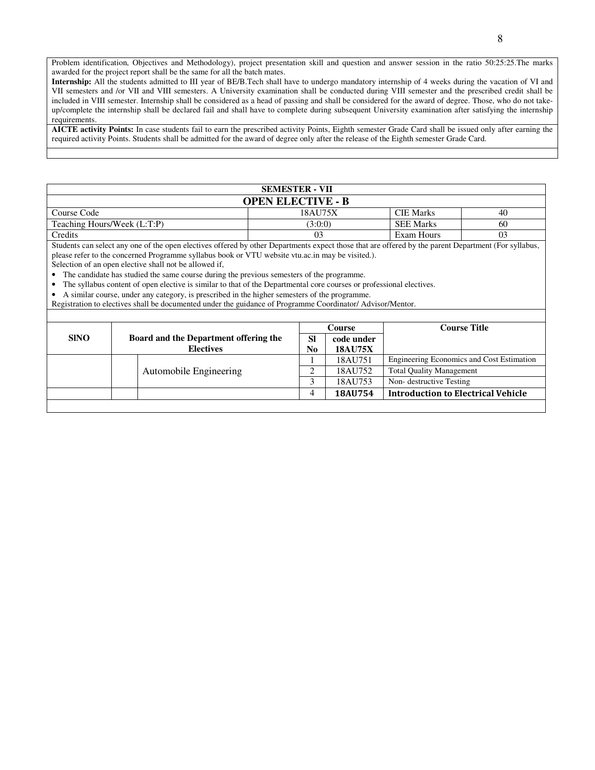Problem identification, Objectives and Methodology), project presentation skill and question and answer session in the ratio 50:25:25.The marks awarded for the project report shall be the same for all the batch mates.

**Internship:** All the students admitted to III year of BE/B.Tech shall have to undergo mandatory internship of 4 weeks during the vacation of VI and VII semesters and /or VII and VIII semesters. A University examination shall be conducted during VIII semester and the prescribed credit shall be included in VIII semester. Internship shall be considered as a head of passing and shall be considered for the award of degree. Those, who do not takeup/complete the internship shall be declared fail and shall have to complete during subsequent University examination after satisfying the internship requirements.

**AICTE activity Points:** In case students fail to earn the prescribed activity Points, Eighth semester Grade Card shall be issued only after earning the required activity Points. Students shall be admitted for the award of degree only after the release of the Eighth semester Grade Card.

| <b>SEMESTER - VII</b>       |                          |                  |    |  |  |  |  |
|-----------------------------|--------------------------|------------------|----|--|--|--|--|
|                             | <b>OPEN ELECTIVE - B</b> |                  |    |  |  |  |  |
| Course Code                 | 18AU75X                  | <b>CIE Marks</b> | 40 |  |  |  |  |
| Teaching Hours/Week (L:T:P) | (3:0:0)                  | <b>SEE Marks</b> | 60 |  |  |  |  |
| Credits                     | 03                       | Exam Hours       | 03 |  |  |  |  |

Students can select any one of the open electives offered by other Departments expect those that are offered by the parent Department (For syllabus, please refer to the concerned Programme syllabus book or VTU website vtu.ac.in may be visited.).

Selection of an open elective shall not be allowed if,

• The candidate has studied the same course during the previous semesters of the programme.

• The syllabus content of open elective is similar to that of the Departmental core courses or professional electives.

• A similar course, under any category, is prescribed in the higher semesters of the programme.

Registration to electives shall be documented under the guidance of Programme Coordinator/ Advisor/Mentor.

|             |                                       |           | Course         | <b>Course Title</b>                       |
|-------------|---------------------------------------|-----------|----------------|-------------------------------------------|
| <b>SINO</b> | Board and the Department offering the | <b>SI</b> | code under     |                                           |
|             | <b>Electives</b>                      | No        | <b>18AU75X</b> |                                           |
|             |                                       |           | 18AU751        | Engineering Economics and Cost Estimation |
|             | Automobile Engineering                | ◠         | 18AU752        | <b>Total Quality Management</b>           |
|             |                                       |           | 18AU753        | Non-destructive Testing                   |
|             |                                       | 4         | 18AU754        | <b>Introduction to Electrical Vehicle</b> |
|             |                                       |           |                |                                           |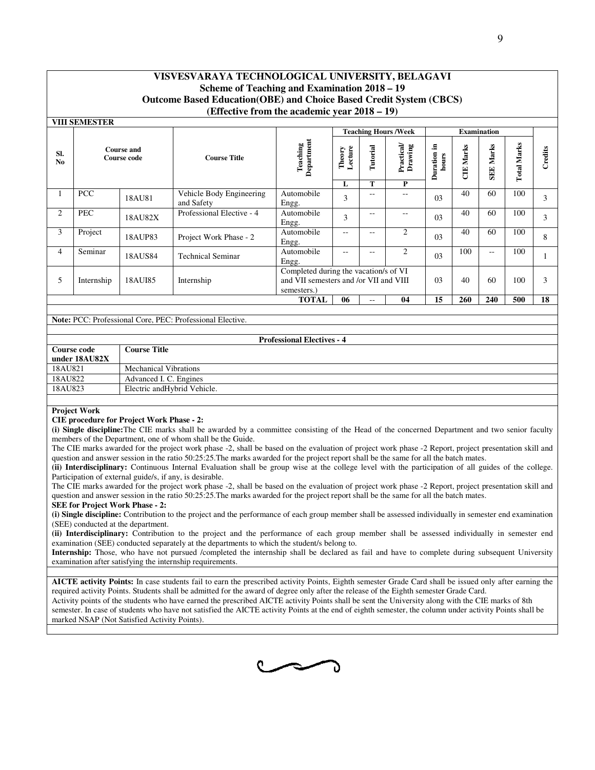|                                                                                                                                                                                                                                            | 9                                                                                                                                                                                                                                                                                                            |                                                  |                                                                                                                                                                                                                                                                                                |                                   |                        |               |                                   |                      |                  |                  |                    |         |
|--------------------------------------------------------------------------------------------------------------------------------------------------------------------------------------------------------------------------------------------|--------------------------------------------------------------------------------------------------------------------------------------------------------------------------------------------------------------------------------------------------------------------------------------------------------------|--------------------------------------------------|------------------------------------------------------------------------------------------------------------------------------------------------------------------------------------------------------------------------------------------------------------------------------------------------|-----------------------------------|------------------------|---------------|-----------------------------------|----------------------|------------------|------------------|--------------------|---------|
|                                                                                                                                                                                                                                            |                                                                                                                                                                                                                                                                                                              |                                                  |                                                                                                                                                                                                                                                                                                |                                   |                        |               |                                   |                      |                  |                  |                    |         |
|                                                                                                                                                                                                                                            | VISVESVARAYA TECHNOLOGICAL UNIVERSITY, BELAGAVI                                                                                                                                                                                                                                                              |                                                  |                                                                                                                                                                                                                                                                                                |                                   |                        |               |                                   |                      |                  |                  |                    |         |
|                                                                                                                                                                                                                                            | Scheme of Teaching and Examination 2018 - 19<br><b>Outcome Based Education(OBE) and Choice Based Credit System (CBCS)</b>                                                                                                                                                                                    |                                                  |                                                                                                                                                                                                                                                                                                |                                   |                        |               |                                   |                      |                  |                  |                    |         |
|                                                                                                                                                                                                                                            |                                                                                                                                                                                                                                                                                                              |                                                  | (Effective from the academic year 2018 – 19)                                                                                                                                                                                                                                                   |                                   |                        |               |                                   |                      |                  |                  |                    |         |
|                                                                                                                                                                                                                                            | <b>VIII SEMESTER</b><br><b>Teaching Hours /Week</b><br><b>Examination</b>                                                                                                                                                                                                                                    |                                                  |                                                                                                                                                                                                                                                                                                |                                   |                        |               |                                   |                      |                  |                  |                    |         |
|                                                                                                                                                                                                                                            |                                                                                                                                                                                                                                                                                                              |                                                  |                                                                                                                                                                                                                                                                                                |                                   |                        |               |                                   |                      |                  |                  |                    |         |
| SI.<br>No                                                                                                                                                                                                                                  |                                                                                                                                                                                                                                                                                                              | <b>Course and</b><br>Course code                 | <b>Course Title</b>                                                                                                                                                                                                                                                                            | Teaching<br>Department            | Theory<br>Lecture<br>L | Tutorial<br>T | Practical<br>Drawing<br>${\bf P}$ | Duration in<br>hours | <b>CIE Marks</b> | <b>SEE Marks</b> | <b>Total Marks</b> | Credits |
| 1                                                                                                                                                                                                                                          | <b>PCC</b>                                                                                                                                                                                                                                                                                                   | 18AU81                                           | Vehicle Body Engineering<br>Automobile<br>40<br>60<br>100<br>$-$<br>$\overline{\phantom{a}}$<br>3<br>03<br>3<br>and Safety<br>Engg.                                                                                                                                                            |                                   |                        |               |                                   |                      |                  |                  |                    |         |
| 2                                                                                                                                                                                                                                          | PEC                                                                                                                                                                                                                                                                                                          | 18AU82X                                          | Professional Elective - 4                                                                                                                                                                                                                                                                      | Automobile<br>Engg.               | 3                      | $-$           | $\overline{\phantom{a}}$          | 03                   | 40               | 60               | 100                | 3       |
| 3                                                                                                                                                                                                                                          | Project<br>Automobile<br>2<br>40<br>60<br>100<br>$\mathord{\hspace{1pt}\text{--}\hspace{1pt}}$<br>Ц.<br>03<br>8<br>18AUP83<br>Project Work Phase - 2<br>Engg.                                                                                                                                                |                                                  |                                                                                                                                                                                                                                                                                                |                                   |                        |               |                                   |                      |                  |                  |                    |         |
| $\overline{4}$                                                                                                                                                                                                                             | Automobile<br>Seminar<br>2<br>100<br>100<br>$\overline{\phantom{m}}$<br>$\overline{\phantom{a}}$<br>$-$<br>03<br>18AUS84<br><b>Technical Seminar</b><br>$\mathbf{1}$<br>Engg.                                                                                                                                |                                                  |                                                                                                                                                                                                                                                                                                |                                   |                        |               |                                   |                      |                  |                  |                    |         |
| 5                                                                                                                                                                                                                                          | Completed during the vacation/s of VI<br>and VII semesters and /or VII and VIII<br>40<br>03<br>60<br>100<br>3<br>Internship<br>18AUI85<br>Internship<br>semesters.)                                                                                                                                          |                                                  |                                                                                                                                                                                                                                                                                                |                                   |                        |               |                                   |                      |                  |                  |                    |         |
|                                                                                                                                                                                                                                            | <b>TOTAL</b><br>15<br>240<br>18<br>06<br>04<br>260<br>500<br>$\overline{\phantom{a}}$                                                                                                                                                                                                                        |                                                  |                                                                                                                                                                                                                                                                                                |                                   |                        |               |                                   |                      |                  |                  |                    |         |
|                                                                                                                                                                                                                                            |                                                                                                                                                                                                                                                                                                              |                                                  | Note: PCC: Professional Core, PEC: Professional Elective.                                                                                                                                                                                                                                      |                                   |                        |               |                                   |                      |                  |                  |                    |         |
|                                                                                                                                                                                                                                            |                                                                                                                                                                                                                                                                                                              |                                                  |                                                                                                                                                                                                                                                                                                |                                   |                        |               |                                   |                      |                  |                  |                    |         |
|                                                                                                                                                                                                                                            | <b>Course code</b><br>under 18AU82X                                                                                                                                                                                                                                                                          | <b>Course Title</b>                              |                                                                                                                                                                                                                                                                                                | <b>Professional Electives - 4</b> |                        |               |                                   |                      |                  |                  |                    |         |
| 18AU821                                                                                                                                                                                                                                    |                                                                                                                                                                                                                                                                                                              | <b>Mechanical Vibrations</b>                     |                                                                                                                                                                                                                                                                                                |                                   |                        |               |                                   |                      |                  |                  |                    |         |
| 18AU822<br>18AU823                                                                                                                                                                                                                         |                                                                                                                                                                                                                                                                                                              | Advanced I. C. Engines                           | Electric andHybrid Vehicle.                                                                                                                                                                                                                                                                    |                                   |                        |               |                                   |                      |                  |                  |                    |         |
|                                                                                                                                                                                                                                            |                                                                                                                                                                                                                                                                                                              |                                                  |                                                                                                                                                                                                                                                                                                |                                   |                        |               |                                   |                      |                  |                  |                    |         |
|                                                                                                                                                                                                                                            | <b>Project Work</b>                                                                                                                                                                                                                                                                                          |                                                  |                                                                                                                                                                                                                                                                                                |                                   |                        |               |                                   |                      |                  |                  |                    |         |
|                                                                                                                                                                                                                                            |                                                                                                                                                                                                                                                                                                              | <b>CIE</b> procedure for Project Work Phase - 2: |                                                                                                                                                                                                                                                                                                |                                   |                        |               |                                   |                      |                  |                  |                    |         |
|                                                                                                                                                                                                                                            |                                                                                                                                                                                                                                                                                                              |                                                  | (i) Single discipline: The CIE marks shall be awarded by a committee consisting of the Head of the concerned Department and two senior faculty<br>members of the Department, one of whom shall be the Guide.                                                                                   |                                   |                        |               |                                   |                      |                  |                  |                    |         |
|                                                                                                                                                                                                                                            |                                                                                                                                                                                                                                                                                                              |                                                  | The CIE marks awarded for the project work phase -2, shall be based on the evaluation of project work phase -2 Report, project presentation skill and                                                                                                                                          |                                   |                        |               |                                   |                      |                  |                  |                    |         |
|                                                                                                                                                                                                                                            |                                                                                                                                                                                                                                                                                                              |                                                  | question and answer session in the ratio 50:25:25. The marks awarded for the project report shall be the same for all the batch mates.<br>(ii) Interdisciplinary: Continuous Internal Evaluation shall be group wise at the college level with the participation of all guides of the college. |                                   |                        |               |                                   |                      |                  |                  |                    |         |
|                                                                                                                                                                                                                                            |                                                                                                                                                                                                                                                                                                              |                                                  | Participation of external guide/s, if any, is desirable.                                                                                                                                                                                                                                       |                                   |                        |               |                                   |                      |                  |                  |                    |         |
|                                                                                                                                                                                                                                            |                                                                                                                                                                                                                                                                                                              |                                                  | The CIE marks awarded for the project work phase -2, shall be based on the evaluation of project work phase -2 Report, project presentation skill and                                                                                                                                          |                                   |                        |               |                                   |                      |                  |                  |                    |         |
|                                                                                                                                                                                                                                            |                                                                                                                                                                                                                                                                                                              |                                                  | question and answer session in the ratio 50:25:25. The marks awarded for the project report shall be the same for all the batch mates.                                                                                                                                                         |                                   |                        |               |                                   |                      |                  |                  |                    |         |
|                                                                                                                                                                                                                                            |                                                                                                                                                                                                                                                                                                              | <b>SEE for Project Work Phase - 2:</b>           |                                                                                                                                                                                                                                                                                                |                                   |                        |               |                                   |                      |                  |                  |                    |         |
|                                                                                                                                                                                                                                            | (i) Single discipline: Contribution to the project and the performance of each group member shall be assessed individually in semester end examination<br>(SEE) conducted at the department.                                                                                                                 |                                                  |                                                                                                                                                                                                                                                                                                |                                   |                        |               |                                   |                      |                  |                  |                    |         |
| (ii) Interdisciplinary: Contribution to the project and the performance of each group member shall be assessed individually in semester end<br>examination (SEE) conducted separately at the departments to which the student/s belong to. |                                                                                                                                                                                                                                                                                                              |                                                  |                                                                                                                                                                                                                                                                                                |                                   |                        |               |                                   |                      |                  |                  |                    |         |
|                                                                                                                                                                                                                                            | Internship: Those, who have not pursued /completed the internship shall be declared as fail and have to complete during subsequent University<br>examination after satisfying the internship requirements.                                                                                                   |                                                  |                                                                                                                                                                                                                                                                                                |                                   |                        |               |                                   |                      |                  |                  |                    |         |
|                                                                                                                                                                                                                                            | AICTE activity Points: In case students fail to earn the prescribed activity Points, Eighth semester Grade Card shall be issued only after earning the                                                                                                                                                       |                                                  |                                                                                                                                                                                                                                                                                                |                                   |                        |               |                                   |                      |                  |                  |                    |         |
|                                                                                                                                                                                                                                            | required activity Points. Students shall be admitted for the award of degree only after the release of the Eighth semester Grade Card.                                                                                                                                                                       |                                                  |                                                                                                                                                                                                                                                                                                |                                   |                        |               |                                   |                      |                  |                  |                    |         |
|                                                                                                                                                                                                                                            | Activity points of the students who have earned the prescribed AICTE activity Points shall be sent the University along with the CIE marks of 8th<br>semester. In case of students who have not satisfied the AICTE activity Points at the end of eighth semester, the column under activity Points shall be |                                                  |                                                                                                                                                                                                                                                                                                |                                   |                        |               |                                   |                      |                  |                  |                    |         |

|               | <b>Professional Electives - 4</b> |  |  |  |  |  |  |
|---------------|-----------------------------------|--|--|--|--|--|--|
| Course code   | Course Title                      |  |  |  |  |  |  |
| under 18AU82X |                                   |  |  |  |  |  |  |
| 18AU821       | <b>Mechanical Vibrations</b>      |  |  |  |  |  |  |
| 18AU822       | Advanced I. C. Engines            |  |  |  |  |  |  |
| 18AU823       | Electric and Hybrid Vehicle.      |  |  |  |  |  |  |

#### **Project Work**

#### **CIE procedure for Project Work Phase - 2:**

#### **SEE for Project Work Phase - 2:**

Activity points of the students who have earned the prescribed AICTE activity Points shall be sent the University along with the CIE marks of 8th Activity points of the students who have earned the prescribed AICTE activity Points shall be sent the University along with the CIE marks of 8th<br>semester. In case of students who have not satisfied the AICTE activity Poin marked NSAP (Not Satisfied Activity Points).

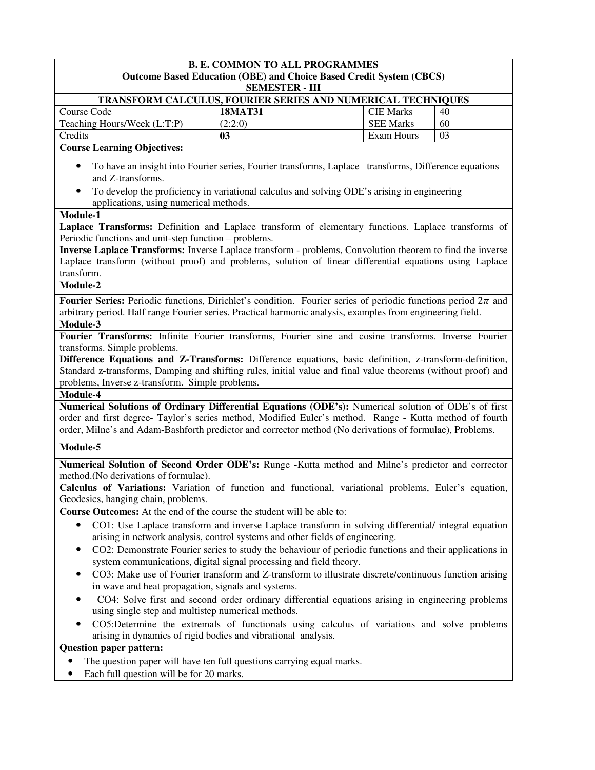|                                                                                                                                                                  | <b>B. E. COMMON TO ALL PROGRAMMES</b>                                                                |                  |    |  |  |  |  |  |  |
|------------------------------------------------------------------------------------------------------------------------------------------------------------------|------------------------------------------------------------------------------------------------------|------------------|----|--|--|--|--|--|--|
|                                                                                                                                                                  | <b>Outcome Based Education (OBE) and Choice Based Credit System (CBCS)</b><br><b>SEMESTER - III</b>  |                  |    |  |  |  |  |  |  |
|                                                                                                                                                                  | TRANSFORM CALCULUS, FOURIER SERIES AND NUMERICAL TECHNIQUES                                          |                  |    |  |  |  |  |  |  |
| Course Code                                                                                                                                                      | <b>18MAT31</b>                                                                                       | <b>CIE Marks</b> | 40 |  |  |  |  |  |  |
| Teaching Hours/Week (L:T:P)                                                                                                                                      | (2:2:0)                                                                                              | <b>SEE Marks</b> | 60 |  |  |  |  |  |  |
| Credits                                                                                                                                                          | 03                                                                                                   | Exam Hours       | 03 |  |  |  |  |  |  |
| <b>Course Learning Objectives:</b>                                                                                                                               |                                                                                                      |                  |    |  |  |  |  |  |  |
| and Z-transforms.                                                                                                                                                | To have an insight into Fourier series, Fourier transforms, Laplace transforms, Difference equations |                  |    |  |  |  |  |  |  |
| applications, using numerical methods.                                                                                                                           | To develop the proficiency in variational calculus and solving ODE's arising in engineering          |                  |    |  |  |  |  |  |  |
| Module-1                                                                                                                                                         |                                                                                                      |                  |    |  |  |  |  |  |  |
| Laplace Transforms: Definition and Laplace transform of elementary functions. Laplace transforms of                                                              |                                                                                                      |                  |    |  |  |  |  |  |  |
| Periodic functions and unit-step function – problems.                                                                                                            |                                                                                                      |                  |    |  |  |  |  |  |  |
| Inverse Laplace Transforms: Inverse Laplace transform - problems, Convolution theorem to find the inverse                                                        |                                                                                                      |                  |    |  |  |  |  |  |  |
| Laplace transform (without proof) and problems, solution of linear differential equations using Laplace<br>transform.                                            |                                                                                                      |                  |    |  |  |  |  |  |  |
| Module-2                                                                                                                                                         |                                                                                                      |                  |    |  |  |  |  |  |  |
| Fourier Series: Periodic functions, Dirichlet's condition. Fourier series of periodic functions period $2\pi$ and                                                |                                                                                                      |                  |    |  |  |  |  |  |  |
| arbitrary period. Half range Fourier series. Practical harmonic analysis, examples from engineering field.                                                       |                                                                                                      |                  |    |  |  |  |  |  |  |
| Module-3                                                                                                                                                         |                                                                                                      |                  |    |  |  |  |  |  |  |
| Fourier Transforms: Infinite Fourier transforms, Fourier sine and cosine transforms. Inverse Fourier                                                             |                                                                                                      |                  |    |  |  |  |  |  |  |
| transforms. Simple problems.                                                                                                                                     |                                                                                                      |                  |    |  |  |  |  |  |  |
| Difference Equations and Z-Transforms: Difference equations, basic definition, z-transform-definition,                                                           |                                                                                                      |                  |    |  |  |  |  |  |  |
| Standard z-transforms, Damping and shifting rules, initial value and final value theorems (without proof) and<br>problems, Inverse z-transform. Simple problems. |                                                                                                      |                  |    |  |  |  |  |  |  |
| Module-4                                                                                                                                                         |                                                                                                      |                  |    |  |  |  |  |  |  |
| Numerical Solutions of Ordinary Differential Equations (ODE's): Numerical solution of ODE's of first                                                             |                                                                                                      |                  |    |  |  |  |  |  |  |
| order and first degree- Taylor's series method, Modified Euler's method. Range - Kutta method of fourth                                                          |                                                                                                      |                  |    |  |  |  |  |  |  |
| order, Milne's and Adam-Bashforth predictor and corrector method (No derivations of formulae), Problems.                                                         |                                                                                                      |                  |    |  |  |  |  |  |  |
| Module-5                                                                                                                                                         |                                                                                                      |                  |    |  |  |  |  |  |  |
| Numerical Solution of Second Order ODE's: Runge -Kutta method and Milne's predictor and corrector                                                                |                                                                                                      |                  |    |  |  |  |  |  |  |
| method.(No derivations of formulae).                                                                                                                             |                                                                                                      |                  |    |  |  |  |  |  |  |
| Calculus of Variations: Variation of function and functional, variational problems, Euler's equation,                                                            |                                                                                                      |                  |    |  |  |  |  |  |  |
| Geodesics, hanging chain, problems.                                                                                                                              |                                                                                                      |                  |    |  |  |  |  |  |  |
| Course Outcomes: At the end of the course the student will be able to:                                                                                           |                                                                                                      |                  |    |  |  |  |  |  |  |
|                                                                                                                                                                  | CO1: Use Laplace transform and inverse Laplace transform in solving differential/ integral equation  |                  |    |  |  |  |  |  |  |
|                                                                                                                                                                  | arising in network analysis, control systems and other fields of engineering.                        |                  |    |  |  |  |  |  |  |
| CO2: Demonstrate Fourier series to study the behaviour of periodic functions and their applications in<br>$\bullet$                                              |                                                                                                      |                  |    |  |  |  |  |  |  |
| system communications, digital signal processing and field theory.                                                                                               |                                                                                                      |                  |    |  |  |  |  |  |  |
| CO3: Make use of Fourier transform and Z-transform to illustrate discrete/continuous function arising<br>in wave and heat propagation, signals and systems.      |                                                                                                      |                  |    |  |  |  |  |  |  |
|                                                                                                                                                                  |                                                                                                      |                  |    |  |  |  |  |  |  |
|                                                                                                                                                                  | CO4: Solve first and second order ordinary differential equations arising in engineering problems    |                  |    |  |  |  |  |  |  |
| using single step and multistep numerical methods.                                                                                                               |                                                                                                      |                  |    |  |  |  |  |  |  |
| CO5:Determine the extremals of functionals using calculus of variations and solve problems<br>arising in dynamics of rigid bodies and vibrational analysis.      |                                                                                                      |                  |    |  |  |  |  |  |  |
| <b>Question paper pattern:</b>                                                                                                                                   |                                                                                                      |                  |    |  |  |  |  |  |  |
|                                                                                                                                                                  |                                                                                                      |                  |    |  |  |  |  |  |  |

- The question paper will have ten full questions carrying equal marks.
- Each full question will be for 20 marks.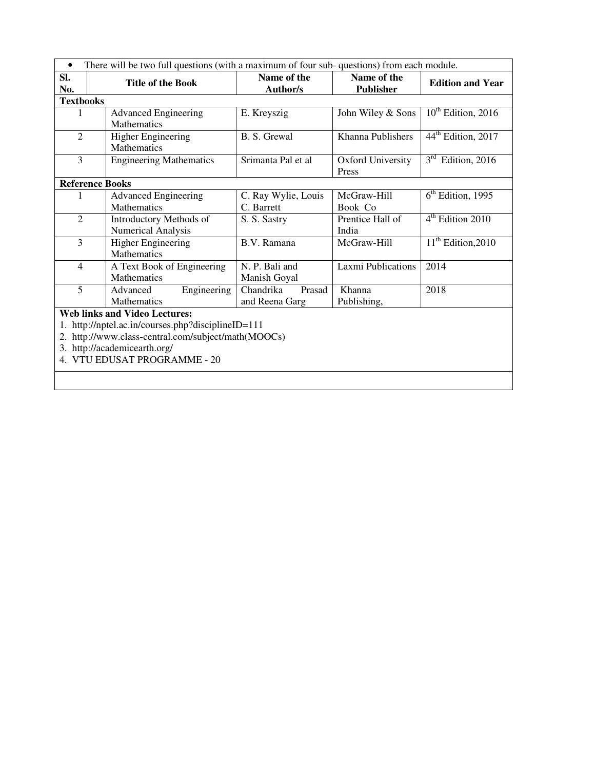| $\bullet$                                                                                                                                                                                                      | There will be two full questions (with a maximum of four sub-questions) from each module. |                                       |                                   |                                |  |  |
|----------------------------------------------------------------------------------------------------------------------------------------------------------------------------------------------------------------|-------------------------------------------------------------------------------------------|---------------------------------------|-----------------------------------|--------------------------------|--|--|
| SI.<br>No.                                                                                                                                                                                                     | <b>Title of the Book</b>                                                                  | Name of the<br><b>Author/s</b>        | Name of the<br><b>Publisher</b>   | <b>Edition and Year</b>        |  |  |
| <b>Textbooks</b>                                                                                                                                                                                               |                                                                                           |                                       |                                   |                                |  |  |
| 1                                                                                                                                                                                                              | <b>Advanced Engineering</b><br>Mathematics                                                | E. Kreyszig                           | John Wiley & Sons                 | $10^{th}$ Edition, 2016        |  |  |
| $\overline{2}$                                                                                                                                                                                                 | Higher Engineering<br><b>Mathematics</b>                                                  | B. S. Grewal                          | Khanna Publishers                 | 44 <sup>th</sup> Edition, 2017 |  |  |
| 3                                                                                                                                                                                                              | <b>Engineering Mathematics</b>                                                            | Srimanta Pal et al                    | <b>Oxford University</b><br>Press | $3rd$ Edition, 2016            |  |  |
|                                                                                                                                                                                                                | <b>Reference Books</b>                                                                    |                                       |                                   |                                |  |  |
| 1                                                                                                                                                                                                              | <b>Advanced Engineering</b><br><b>Mathematics</b>                                         | C. Ray Wylie, Louis<br>C. Barrett     | McGraw-Hill<br>Book Co            | $6th$ Edition, 1995            |  |  |
| $\overline{2}$                                                                                                                                                                                                 | Introductory Methods of<br><b>Numerical Analysis</b>                                      | S. S. Sastry                          | Prentice Hall of<br>India         | 4 <sup>th</sup> Edition 2010   |  |  |
| $\overline{3}$                                                                                                                                                                                                 | <b>Higher Engineering</b><br>Mathematics                                                  | B.V. Ramana                           | McGraw-Hill                       | $11th$ Edition, 2010           |  |  |
| $\overline{4}$                                                                                                                                                                                                 | A Text Book of Engineering<br>Mathematics                                                 | N. P. Bali and<br>Manish Goyal        | <b>Laxmi Publications</b>         | 2014                           |  |  |
| 5                                                                                                                                                                                                              | Engineering<br>Advanced<br><b>Mathematics</b>                                             | Chandrika<br>Prasad<br>and Reena Garg | Khanna<br>Publishing,             | 2018                           |  |  |
| <b>Web links and Video Lectures:</b><br>http://nptel.ac.in/courses.php?disciplineID=111<br>2. http://www.class-central.com/subject/math(MOOCs)<br>3. http://academicearth.org/<br>4. VTU EDUSAT PROGRAMME - 20 |                                                                                           |                                       |                                   |                                |  |  |
|                                                                                                                                                                                                                |                                                                                           |                                       |                                   |                                |  |  |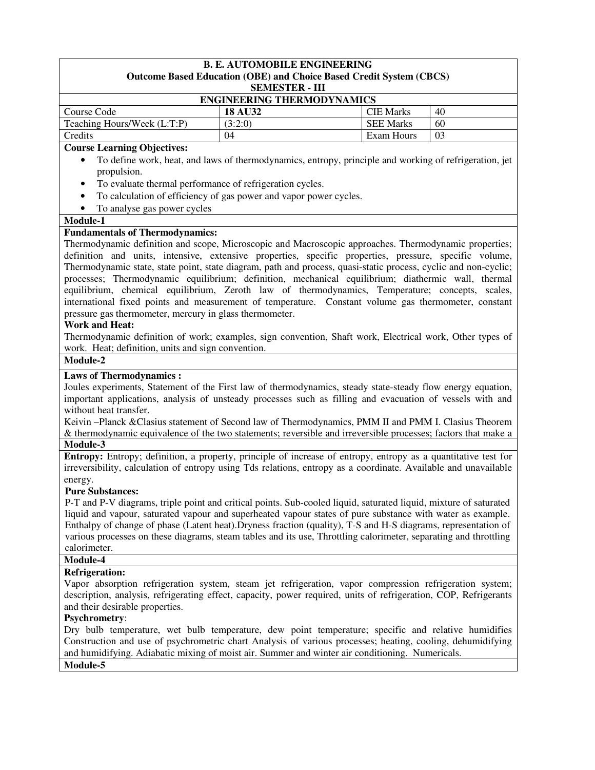### **B. E. AUTOMOBILE ENGINEERING Outcome Based Education (OBE) and Choice Based Credit System (CBCS) SEMESTER - III ENGINEERING THERMODYNAMICS**  Course Code **18 AU32** CIE Marks 40 Teaching Hours/Week (L:T:P) (3:2:0) SEE Marks 60 Credits 104 Exam Hours 103 **Course Learning Objectives:**  • To define work, heat, and laws of thermodynamics, entropy, principle and working of refrigeration, jet propulsion. • To evaluate thermal performance of refrigeration cycles. • To calculation of efficiency of gas power and vapor power cycles. • To analyse gas power cycles **Module-1 Fundamentals of Thermodynamics:**  Thermodynamic definition and scope, Microscopic and Macroscopic approaches. Thermodynamic properties; definition and units, intensive, extensive properties, specific properties, pressure, specific volume, Thermodynamic state, state point, state diagram, path and process, quasi-static process, cyclic and non-cyclic; processes; Thermodynamic equilibrium; definition, mechanical equilibrium; diathermic wall, thermal equilibrium, chemical equilibrium, Zeroth law of thermodynamics, Temperature; concepts, scales, international fixed points and measurement of temperature. Constant volume gas thermometer, constant pressure gas thermometer, mercury in glass thermometer. **Work and Heat:**  Thermodynamic definition of work; examples, sign convention, Shaft work, Electrical work, Other types of work. Heat; definition, units and sign convention. **Module-2 Laws of Thermodynamics :**  Joules experiments, Statement of the First law of thermodynamics, steady state-steady flow energy equation, important applications, analysis of unsteady processes such as filling and evacuation of vessels with and without heat transfer. Keivin –Planck &Clasius statement of Second law of Thermodynamics, PMM II and PMM I. Clasius Theorem & thermodynamic equivalence of the two statements; reversible and irreversible processes; factors that make a **Module-3 Entropy:** Entropy; definition, a property, principle of increase of entropy, entropy as a quantitative test for irreversibility, calculation of entropy using Tds relations, entropy as a coordinate. Available and unavailable energy. **Pure Substances:** P-T and P-V diagrams, triple point and critical points. Sub-cooled liquid, saturated liquid, mixture of saturated liquid and vapour, saturated vapour and superheated vapour states of pure substance with water as example. Enthalpy of change of phase (Latent heat).Dryness fraction (quality), T-S and H-S diagrams, representation of various processes on these diagrams, steam tables and its use, Throttling calorimeter, separating and throttling calorimeter. **Module-4 Refrigeration:**  Vapor absorption refrigeration system, steam jet refrigeration, vapor compression refrigeration system; description, analysis, refrigerating effect, capacity, power required, units of refrigeration, COP, Refrigerants and their desirable properties. **Psychrometry**: Dry bulb temperature, wet bulb temperature, dew point temperature; specific and relative humidifies Construction and use of psychrometric chart Analysis of various processes; heating, cooling, dehumidifying and humidifying. Adiabatic mixing of moist air. Summer and winter air conditioning. Numericals. **Module-5**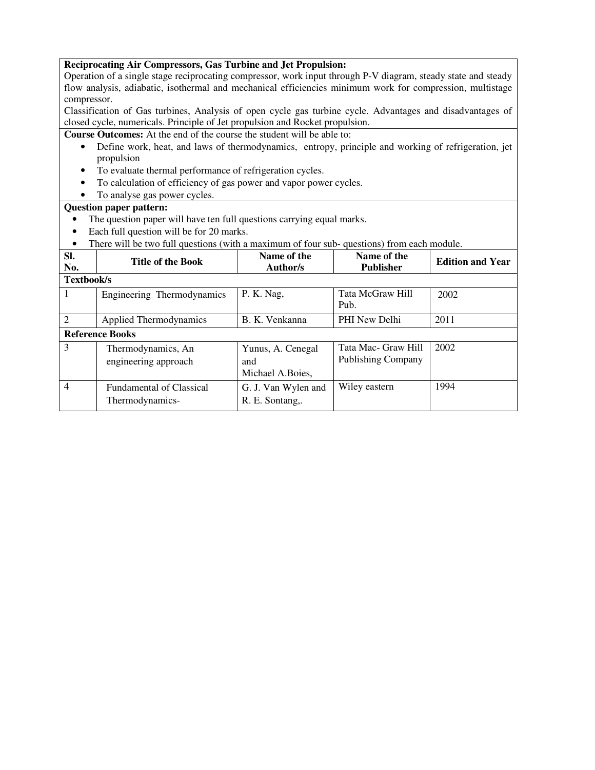#### **Reciprocating Air Compressors, Gas Turbine and Jet Propulsion:**

Operation of a single stage reciprocating compressor, work input through P-V diagram, steady state and steady flow analysis, adiabatic, isothermal and mechanical efficiencies minimum work for compression, multistage compressor.

Classification of Gas turbines, Analysis of open cycle gas turbine cycle. Advantages and disadvantages of closed cycle, numericals. Principle of Jet propulsion and Rocket propulsion.

**Course Outcomes:** At the end of the course the student will be able to:

- Define work, heat, and laws of thermodynamics, entropy, principle and working of refrigeration, jet propulsion
- To evaluate thermal performance of refrigeration cycles.
- To calculation of efficiency of gas power and vapor power cycles.
- To analyse gas power cycles.

- The question paper will have ten full questions carrying equal marks.
- Each full question will be for 20 marks.
- There will be two full questions (with a maximum of four sub-questions) from each module.

| SI.<br>No.     | <b>Title of the Book</b>                           | Name of the<br>Author/s                       | Name of the<br><b>Publisher</b>                  | <b>Edition and Year</b> |  |
|----------------|----------------------------------------------------|-----------------------------------------------|--------------------------------------------------|-------------------------|--|
|                | Textbook/s                                         |                                               |                                                  |                         |  |
| 1              | Engineering Thermodynamics                         | P. K. Nag,                                    | Tata McGraw Hill<br>Pub.                         | 2002                    |  |
| $\mathfrak{D}$ | Applied Thermodynamics                             | B. K. Venkanna                                | PHI New Delhi                                    | 2011                    |  |
|                | <b>Reference Books</b>                             |                                               |                                                  |                         |  |
| 3              | Thermodynamics, An<br>engineering approach         | Yunus, A. Cenegal<br>and<br>Michael A. Boies, | Tata Mac- Graw Hill<br><b>Publishing Company</b> | 2002                    |  |
| $\overline{4}$ | <b>Fundamental of Classical</b><br>Thermodynamics- | G. J. Van Wylen and<br>R. E. Sontang,.        | Wiley eastern                                    | 1994                    |  |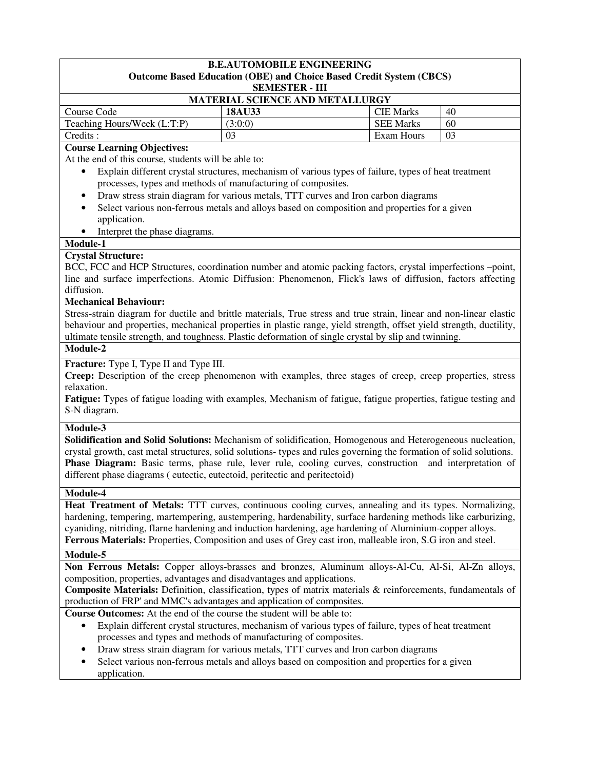#### **B.E.AUTOMOBILE ENGINEERING Outcome Based Education (OBE) and Choice Based Credit System (CBCS) SEMESTER - III**

| <b>MATERIAL SCIENCE AND METALLURGY</b> |         |                  |    |  |
|----------------------------------------|---------|------------------|----|--|
| Course Code                            | 18AU33  | <b>CIE Marks</b> | 40 |  |
| Teaching Hours/Week (L:T:P)            | (3:0:0) | <b>SEE Marks</b> | 60 |  |
| Credits :                              |         | Exam Hours       |    |  |

#### **Course Learning Objectives:**

At the end of this course, students will be able to:

- Explain different crystal structures, mechanism of various types of failure, types of heat treatment processes, types and methods of manufacturing of composites.
- Draw stress strain diagram for various metals, TTT curves and Iron carbon diagrams
- Select various non-ferrous metals and alloys based on composition and properties for a given application.
- Interpret the phase diagrams.

#### **Module-1**

#### **Crystal Structure:**

BCC, FCC and HCP Structures, coordination number and atomic packing factors, crystal imperfections –point, line and surface imperfections. Atomic Diffusion: Phenomenon, Flick's laws of diffusion, factors affecting diffusion.

#### **Mechanical Behaviour:**

Stress-strain diagram for ductile and brittle materials, True stress and true strain, linear and non-linear elastic behaviour and properties, mechanical properties in plastic range, yield strength, offset yield strength, ductility, ultimate tensile strength, and toughness. Plastic deformation of single crystal by slip and twinning.

#### **Module-2**

**Fracture:** Type I, Type II and Type III.

**Creep:** Description of the creep phenomenon with examples, three stages of creep, creep properties, stress relaxation.

**Fatigue:** Types of fatigue loading with examples, Mechanism of fatigue, fatigue properties, fatigue testing and S-N diagram.

#### **Module-3**

**Solidification and Solid Solutions:** Mechanism of solidification, Homogenous and Heterogeneous nucleation, crystal growth, cast metal structures, solid solutions- types and rules governing the formation of solid solutions. Phase Diagram: Basic terms, phase rule, lever rule, cooling curves, construction and interpretation of different phase diagrams ( eutectic, eutectoid, peritectic and peritectoid)

#### **Module-4**

**Heat Treatment of Metals:** TTT curves, continuous cooling curves, annealing and its types. Normalizing, hardening, tempering, martempering, austempering, hardenability, surface hardening methods like carburizing, cyaniding, nitriding, flarne hardening and induction hardening, age hardening of Aluminium-copper alloys. **Ferrous Materials:** Properties, Composition and uses of Grey cast iron, malleable iron, S.G iron and steel.

#### **Module-5**

**Non Ferrous Metals:** Copper alloys-brasses and bronzes, Aluminum alloys-Al-Cu, Al-Si, Al-Zn alloys, composition, properties, advantages and disadvantages and applications.

**Composite Materials:** Definition, classification, types of matrix materials & reinforcements, fundamentals of production of FRP' and MMC's advantages and application of composites.

**Course Outcomes:** At the end of the course the student will be able to:

- Explain different crystal structures, mechanism of various types of failure, types of heat treatment processes and types and methods of manufacturing of composites.
- Draw stress strain diagram for various metals, TTT curves and Iron carbon diagrams
- Select various non-ferrous metals and alloys based on composition and properties for a given application.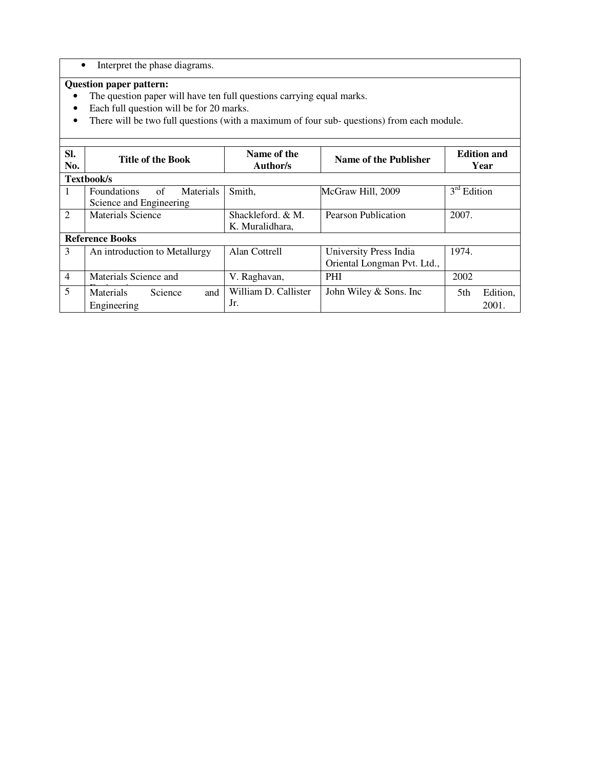### • Interpret the phase diagrams.

- The question paper will have ten full questions carrying equal marks.
- Each full question will be for 20 marks.
- There will be two full questions (with a maximum of four sub- questions) from each module.

| SI.<br>No.     | <b>Title of the Book</b>                                                | Name of the<br>Author/s              | Name of the Publisher                                 | <b>Edition and</b><br>Year |
|----------------|-------------------------------------------------------------------------|--------------------------------------|-------------------------------------------------------|----------------------------|
|                | Textbook/s                                                              |                                      |                                                       |                            |
| 1              | of<br><b>Foundations</b><br><b>Materials</b><br>Science and Engineering | Smith,                               | McGraw Hill, 2009                                     | $3rd$ Edition              |
| $\overline{2}$ | <b>Materials Science</b>                                                | Shackleford, & M.<br>K. Muralidhara, | Pearson Publication                                   | 2007.                      |
|                | <b>Reference Books</b>                                                  |                                      |                                                       |                            |
| 3              | An introduction to Metallurgy                                           | Alan Cottrell                        | University Press India<br>Oriental Longman Pvt. Ltd., | 1974.                      |
| $\overline{4}$ | Materials Science and                                                   | V. Raghavan,                         | <b>PHI</b>                                            | 2002                       |
| 5              | Science<br>Materials<br>and<br>Engineering                              | William D. Callister<br>Jr.          | John Wiley & Sons. Inc                                | Edition,<br>5th<br>2001.   |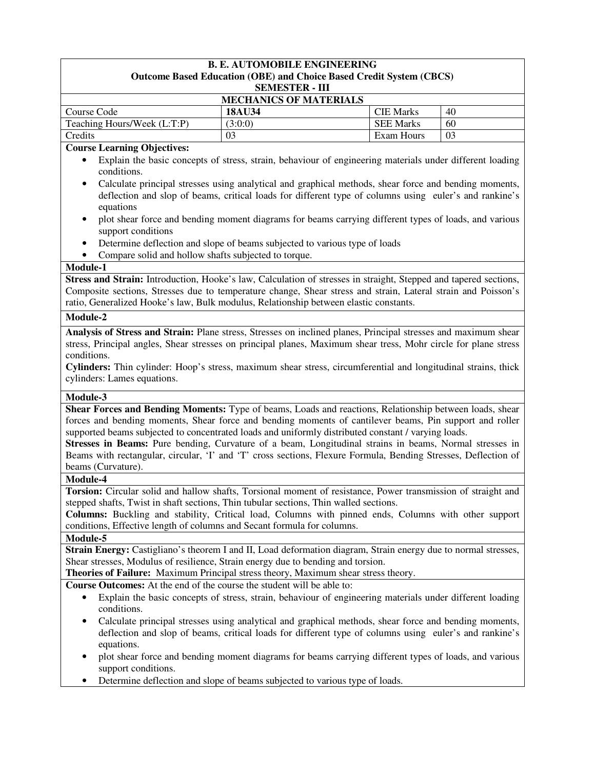### **B. E. AUTOMOBILE ENGINEERING Outcome Based Education (OBE) and Choice Based Credit System (CBCS) SEMESTER - III MECHANICS OF MATERIALS Course Code 18AU34 CIE Marks** 40 Teaching Hours/Week  $(L:T:P)$   $(3:0:0)$  SEE Marks 60 Credits 03 Exam Hours 03 **Course Learning Objectives:**  • Explain the basic concepts of stress, strain, behaviour of engineering materials under different loading conditions. • Calculate principal stresses using analytical and graphical methods, shear force and bending moments, deflection and slop of beams, critical loads for different type of columns using euler's and rankine's equations • plot shear force and bending moment diagrams for beams carrying different types of loads, and various support conditions • Determine deflection and slope of beams subjected to various type of loads • Compare solid and hollow shafts subjected to torque. **Module-1 Stress and Strain:** Introduction, Hooke's law, Calculation of stresses in straight, Stepped and tapered sections, Composite sections, Stresses due to temperature change, Shear stress and strain, Lateral strain and Poisson's ratio, Generalized Hooke's law, Bulk modulus, Relationship between elastic constants. **Module-2 Analysis of Stress and Strain:** Plane stress, Stresses on inclined planes, Principal stresses and maximum shear stress, Principal angles, Shear stresses on principal planes, Maximum shear tress, Mohr circle for plane stress conditions. **Cylinders:** Thin cylinder: Hoop's stress, maximum shear stress, circumferential and longitudinal strains, thick cylinders: Lames equations. **Module-3 Shear Forces and Bending Moments:** Type of beams, Loads and reactions, Relationship between loads, shear forces and bending moments, Shear force and bending moments of cantilever beams, Pin support and roller supported beams subjected to concentrated loads and uniformly distributed constant / varying loads. **Stresses in Beams:** Pure bending, Curvature of a beam, Longitudinal strains in beams, Normal stresses in Beams with rectangular, circular, 'I' and 'T' cross sections, Flexure Formula, Bending Stresses, Deflection of beams (Curvature). **Module-4 Torsion:** Circular solid and hallow shafts, Torsional moment of resistance, Power transmission of straight and stepped shafts, Twist in shaft sections, Thin tubular sections, Thin walled sections. **Columns:** Buckling and stability, Critical load, Columns with pinned ends, Columns with other support conditions, Effective length of columns and Secant formula for columns. **Module-5 Strain Energy:** Castigliano's theorem I and II, Load deformation diagram, Strain energy due to normal stresses, Shear stresses, Modulus of resilience, Strain energy due to bending and torsion. **Theories of Failure:** Maximum Principal stress theory, Maximum shear stress theory. **Course Outcomes:** At the end of the course the student will be able to: • Explain the basic concepts of stress, strain, behaviour of engineering materials under different loading conditions. • Calculate principal stresses using analytical and graphical methods, shear force and bending moments, deflection and slop of beams, critical loads for different type of columns using euler's and rankine's equations. • plot shear force and bending moment diagrams for beams carrying different types of loads, and various support conditions. • Determine deflection and slope of beams subjected to various type of loads.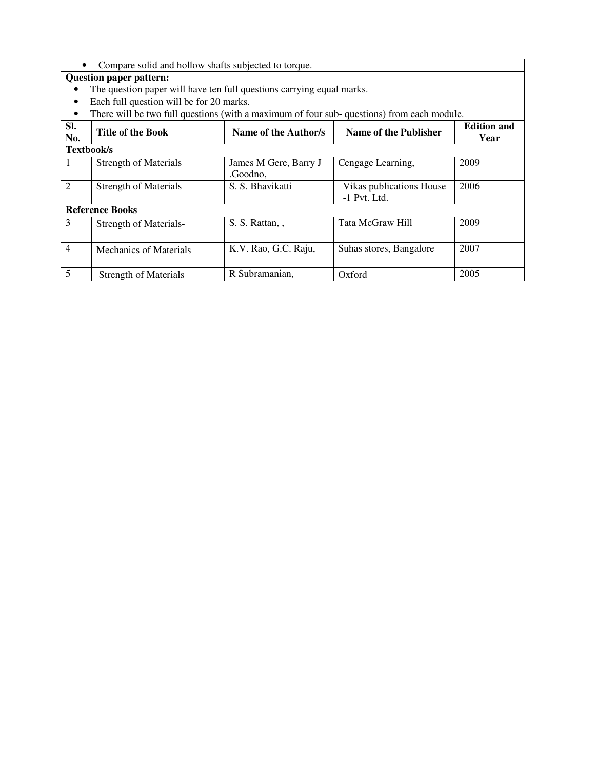|                | Compare solid and hollow shafts subjected to torque.                                      |                       |                          |                            |
|----------------|-------------------------------------------------------------------------------------------|-----------------------|--------------------------|----------------------------|
|                | <b>Question paper pattern:</b>                                                            |                       |                          |                            |
|                | The question paper will have ten full questions carrying equal marks.                     |                       |                          |                            |
|                | Each full question will be for 20 marks.                                                  |                       |                          |                            |
| $\bullet$      | There will be two full questions (with a maximum of four sub-questions) from each module. |                       |                          |                            |
| SI.<br>No.     | <b>Title of the Book</b>                                                                  | Name of the Author/s  | Name of the Publisher    | <b>Edition and</b><br>Year |
| Textbook/s     |                                                                                           |                       |                          |                            |
| 1              | <b>Strength of Materials</b>                                                              | James M Gere, Barry J | Cengage Learning,        | 2009                       |
|                |                                                                                           | .Goodno,              |                          |                            |
| $\overline{2}$ | <b>Strength of Materials</b>                                                              | S. S. Bhavikatti      | Vikas publications House | 2006                       |
|                |                                                                                           |                       | $-1$ Pvt. Ltd.           |                            |
|                | <b>Reference Books</b>                                                                    |                       |                          |                            |
| 3              | Strength of Materials-                                                                    | S. S. Rattan, ,       | Tata McGraw Hill         | 2009                       |
|                |                                                                                           |                       |                          |                            |
| $\overline{4}$ | Mechanics of Materials                                                                    | K.V. Rao, G.C. Raju,  | Suhas stores, Bangalore  | 2007                       |
|                |                                                                                           |                       |                          |                            |
| 5              | <b>Strength of Materials</b>                                                              | R Subramanian,        | Oxford                   | 2005                       |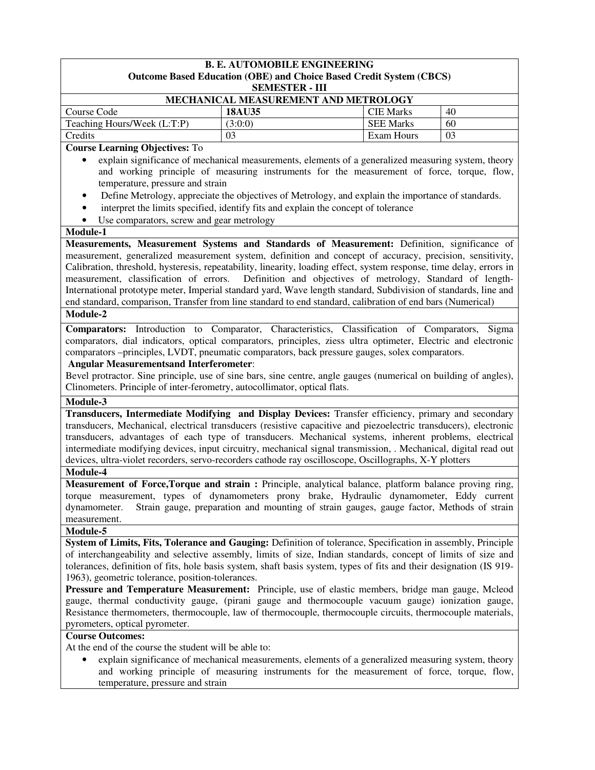| <b>B. E. AUTOMOBILE ENGINEERING</b>                                                                                                                                                                                                                                                                                                                                                                                                                                                                                                                                                                                                                                                                                                                                |                                                                                                                                                                                                   |                   |    |
|--------------------------------------------------------------------------------------------------------------------------------------------------------------------------------------------------------------------------------------------------------------------------------------------------------------------------------------------------------------------------------------------------------------------------------------------------------------------------------------------------------------------------------------------------------------------------------------------------------------------------------------------------------------------------------------------------------------------------------------------------------------------|---------------------------------------------------------------------------------------------------------------------------------------------------------------------------------------------------|-------------------|----|
|                                                                                                                                                                                                                                                                                                                                                                                                                                                                                                                                                                                                                                                                                                                                                                    | <b>Outcome Based Education (OBE) and Choice Based Credit System (CBCS)</b><br><b>SEMESTER - III</b>                                                                                               |                   |    |
|                                                                                                                                                                                                                                                                                                                                                                                                                                                                                                                                                                                                                                                                                                                                                                    | MECHANICAL MEASUREMENT AND METROLOGY                                                                                                                                                              |                   |    |
| Course Code                                                                                                                                                                                                                                                                                                                                                                                                                                                                                                                                                                                                                                                                                                                                                        | 18AU35                                                                                                                                                                                            | <b>CIE Marks</b>  | 40 |
| Teaching Hours/Week (L:T:P)                                                                                                                                                                                                                                                                                                                                                                                                                                                                                                                                                                                                                                                                                                                                        | (3:0:0)                                                                                                                                                                                           | <b>SEE Marks</b>  | 60 |
| Credits                                                                                                                                                                                                                                                                                                                                                                                                                                                                                                                                                                                                                                                                                                                                                            | 03                                                                                                                                                                                                | <b>Exam Hours</b> | 03 |
| <b>Course Learning Objectives: To</b>                                                                                                                                                                                                                                                                                                                                                                                                                                                                                                                                                                                                                                                                                                                              |                                                                                                                                                                                                   |                   |    |
| $\bullet$                                                                                                                                                                                                                                                                                                                                                                                                                                                                                                                                                                                                                                                                                                                                                          | explain significance of mechanical measurements, elements of a generalized measuring system, theory                                                                                               |                   |    |
|                                                                                                                                                                                                                                                                                                                                                                                                                                                                                                                                                                                                                                                                                                                                                                    | and working principle of measuring instruments for the measurement of force, torque, flow,                                                                                                        |                   |    |
| temperature, pressure and strain                                                                                                                                                                                                                                                                                                                                                                                                                                                                                                                                                                                                                                                                                                                                   |                                                                                                                                                                                                   |                   |    |
| $\bullet$                                                                                                                                                                                                                                                                                                                                                                                                                                                                                                                                                                                                                                                                                                                                                          | Define Metrology, appreciate the objectives of Metrology, and explain the importance of standards.                                                                                                |                   |    |
| $\bullet$                                                                                                                                                                                                                                                                                                                                                                                                                                                                                                                                                                                                                                                                                                                                                          | interpret the limits specified, identify fits and explain the concept of tolerance                                                                                                                |                   |    |
| Use comparators, screw and gear metrology<br>٠                                                                                                                                                                                                                                                                                                                                                                                                                                                                                                                                                                                                                                                                                                                     |                                                                                                                                                                                                   |                   |    |
| Module-1                                                                                                                                                                                                                                                                                                                                                                                                                                                                                                                                                                                                                                                                                                                                                           |                                                                                                                                                                                                   |                   |    |
| Measurements, Measurement Systems and Standards of Measurement: Definition, significance of<br>measurement, generalized measurement system, definition and concept of accuracy, precision, sensitivity,<br>Calibration, threshold, hysteresis, repeatability, linearity, loading effect, system response, time delay, errors in<br>measurement, classification of errors.<br>International prototype meter, Imperial standard yard, Wave length standard, Subdivision of standards, line and<br>end standard, comparison, Transfer from line standard to end standard, calibration of end bars (Numerical)                                                                                                                                                         | Definition and objectives of metrology, Standard of length-                                                                                                                                       |                   |    |
| Module-2                                                                                                                                                                                                                                                                                                                                                                                                                                                                                                                                                                                                                                                                                                                                                           |                                                                                                                                                                                                   |                   |    |
| comparators, dial indicators, optical comparators, principles, ziess ultra optimeter, Electric and electronic<br>comparators --principles, LVDT, pneumatic comparators, back pressure gauges, solex comparators.<br><b>Angular Measurementsand Interferometer:</b><br>Bevel protractor. Sine principle, use of sine bars, sine centre, angle gauges (numerical on building of angles),<br>Clinometers. Principle of inter-ferometry, autocollimator, optical flats.                                                                                                                                                                                                                                                                                                |                                                                                                                                                                                                   |                   |    |
| Module-3                                                                                                                                                                                                                                                                                                                                                                                                                                                                                                                                                                                                                                                                                                                                                           |                                                                                                                                                                                                   |                   |    |
| Transducers, Intermediate Modifying and Display Devices: Transfer efficiency, primary and secondary<br>transducers, Mechanical, electrical transducers (resistive capacitive and piezoelectric transducers), electronic<br>transducers, advantages of each type of transducers. Mechanical systems, inherent problems, electrical<br>intermediate modifying devices, input circuitry, mechanical signal transmission, . Mechanical, digital read out<br>devices, ultra-violet recorders, servo-recorders cathode ray oscilloscope, Oscillographs, X-Y plotters                                                                                                                                                                                                     |                                                                                                                                                                                                   |                   |    |
| Module-4                                                                                                                                                                                                                                                                                                                                                                                                                                                                                                                                                                                                                                                                                                                                                           |                                                                                                                                                                                                   |                   |    |
| Measurement of Force, Torque and strain: Principle, analytical balance, platform balance proving ring,<br>torque measurement, types of dynamometers prony brake, Hydraulic dynamometer, Eddy current<br>dynamometer.<br>measurement.                                                                                                                                                                                                                                                                                                                                                                                                                                                                                                                               | Strain gauge, preparation and mounting of strain gauges, gauge factor, Methods of strain                                                                                                          |                   |    |
| Module-5                                                                                                                                                                                                                                                                                                                                                                                                                                                                                                                                                                                                                                                                                                                                                           |                                                                                                                                                                                                   |                   |    |
| System of Limits, Fits, Tolerance and Gauging: Definition of tolerance, Specification in assembly, Principle<br>of interchangeability and selective assembly, limits of size, Indian standards, concept of limits of size and<br>tolerances, definition of fits, hole basis system, shaft basis system, types of fits and their designation (IS 919-<br>1963), geometric tolerance, position-tolerances.<br>Pressure and Temperature Measurement: Principle, use of elastic members, bridge man gauge, Mcleod<br>gauge, thermal conductivity gauge, (pirani gauge and thermocouple vacuum gauge) ionization gauge,<br>Resistance thermometers, thermocouple, law of thermocouple, thermocouple circuits, thermocouple materials,<br>pyrometers, optical pyrometer. |                                                                                                                                                                                                   |                   |    |
| <b>Course Outcomes:</b>                                                                                                                                                                                                                                                                                                                                                                                                                                                                                                                                                                                                                                                                                                                                            |                                                                                                                                                                                                   |                   |    |
| At the end of the course the student will be able to:<br>temperature, pressure and strain                                                                                                                                                                                                                                                                                                                                                                                                                                                                                                                                                                                                                                                                          | explain significance of mechanical measurements, elements of a generalized measuring system, theory<br>and working principle of measuring instruments for the measurement of force, torque, flow, |                   |    |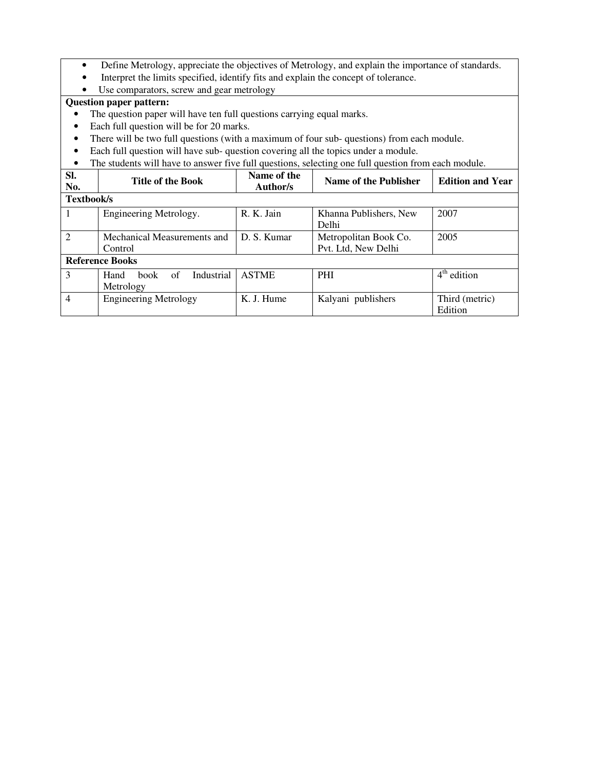- Define Metrology, appreciate the objectives of Metrology, and explain the importance of standards.
- Interpret the limits specified, identify fits and explain the concept of tolerance.
- Use comparators, screw and gear metrology

- The question paper will have ten full questions carrying equal marks.
- Each full question will be for 20 marks.
- There will be two full questions (with a maximum of four sub- questions) from each module.
- Each full question will have sub- question covering all the topics under a module.
- The students will have to answer five full questions, selecting one full question from each module.

| SI.<br>No.     | <b>Title of the Book</b>                             | Name of the<br>Author/s | Name of the Publisher                        | <b>Edition and Year</b>   |
|----------------|------------------------------------------------------|-------------------------|----------------------------------------------|---------------------------|
| Textbook/s     |                                                      |                         |                                              |                           |
|                | Engineering Metrology.                               | R. K. Jain              | Khanna Publishers, New<br>Delhi              | 2007                      |
| $\mathfrak{D}$ | Mechanical Measurements and<br>Control               | D. S. Kumar             | Metropolitan Book Co.<br>Pvt. Ltd, New Delhi | 2005                      |
|                | <b>Reference Books</b>                               |                         |                                              |                           |
| 3              | Industrial<br>Hand<br><b>book</b><br>of<br>Metrology | <b>ASTME</b>            | <b>PHI</b>                                   | $4th$ edition             |
| 4              | <b>Engineering Metrology</b>                         | K. J. Hume              | Kalyani publishers                           | Third (metric)<br>Edition |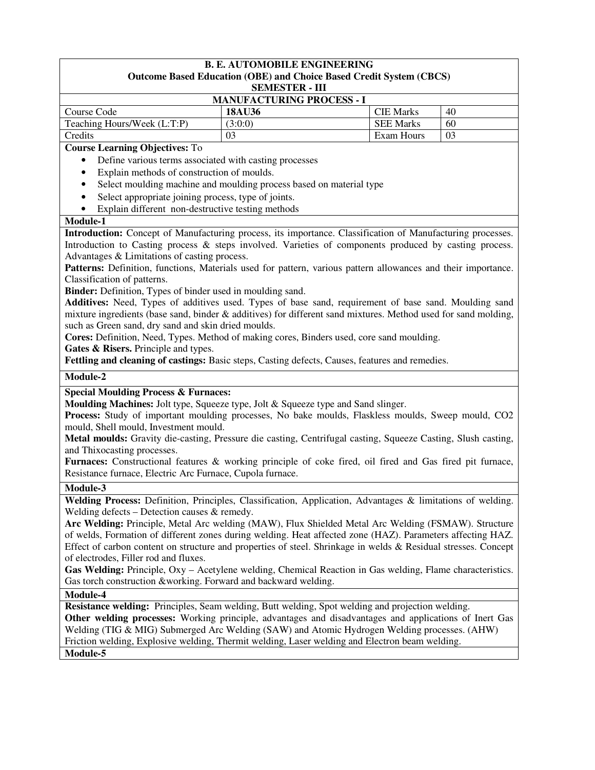# **B. E. AUTOMOBILE ENGINEERING**

### **Outcome Based Education (OBE) and Choice Based Credit System (CBCS)**

**SEMESTER - III**

| <b>MANUFACTURING PROCESS - 1</b> |               |                  |    |  |
|----------------------------------|---------------|------------------|----|--|
| Course Code                      | <b>18AU36</b> | <b>CIE Marks</b> | 40 |  |
| Teaching Hours/Week (L:T:P)      | (3:0:0)       | <b>SEE Marks</b> | 60 |  |
| Credits                          | 03            | Exam Hours       | 03 |  |

#### **Course Learning Objectives:** To

- Define various terms associated with casting processes
- Explain methods of construction of moulds.
- Select moulding machine and moulding process based on material type
- Select appropriate joining process, type of joints.
- Explain different non-destructive testing methods

#### **Module-1**

**Introduction:** Concept of Manufacturing process, its importance. Classification of Manufacturing processes. Introduction to Casting process & steps involved. Varieties of components produced by casting process. Advantages & Limitations of casting process.

Patterns: Definition, functions, Materials used for pattern, various pattern allowances and their importance. Classification of patterns.

**Binder:** Definition, Types of binder used in moulding sand.

**Additives:** Need, Types of additives used. Types of base sand, requirement of base sand. Moulding sand mixture ingredients (base sand, binder & additives) for different sand mixtures. Method used for sand molding, such as Green sand, dry sand and skin dried moulds.

**Cores:** Definition, Need, Types. Method of making cores, Binders used, core sand moulding.

**Gates & Risers.** Principle and types.

**Fettling and cleaning of castings:** Basic steps, Casting defects, Causes, features and remedies.

#### **Module-2**

#### **Special Moulding Process & Furnaces:**

**Moulding Machines:** Jolt type, Squeeze type, Jolt & Squeeze type and Sand slinger.

**Process:** Study of important moulding processes, No bake moulds, Flaskless moulds, Sweep mould, CO2 mould, Shell mould, Investment mould.

**Metal moulds:** Gravity die-casting, Pressure die casting, Centrifugal casting, Squeeze Casting, Slush casting, and Thixocasting processes.

**Furnaces:** Constructional features & working principle of coke fired, oil fired and Gas fired pit furnace, Resistance furnace, Electric Arc Furnace, Cupola furnace.

#### **Module-3**

**Welding Process:** Definition, Principles, Classification, Application, Advantages & limitations of welding. Welding defects – Detection causes & remedy.

**Arc Welding:** Principle, Metal Arc welding (MAW), Flux Shielded Metal Arc Welding (FSMAW). Structure of welds, Formation of different zones during welding. Heat affected zone (HAZ). Parameters affecting HAZ. Effect of carbon content on structure and properties of steel. Shrinkage in welds & Residual stresses. Concept of electrodes, Filler rod and fluxes.

**Gas Welding:** Principle, Oxy – Acetylene welding, Chemical Reaction in Gas welding, Flame characteristics. Gas torch construction &working. Forward and backward welding.

#### **Module-4**

**Resistance welding:** Principles, Seam welding, Butt welding, Spot welding and projection welding.

**Other welding processes:** Working principle, advantages and disadvantages and applications of Inert Gas Welding (TIG & MIG) Submerged Arc Welding (SAW) and Atomic Hydrogen Welding processes. (AHW) Friction welding, Explosive welding, Thermit welding, Laser welding and Electron beam welding. **Module-5**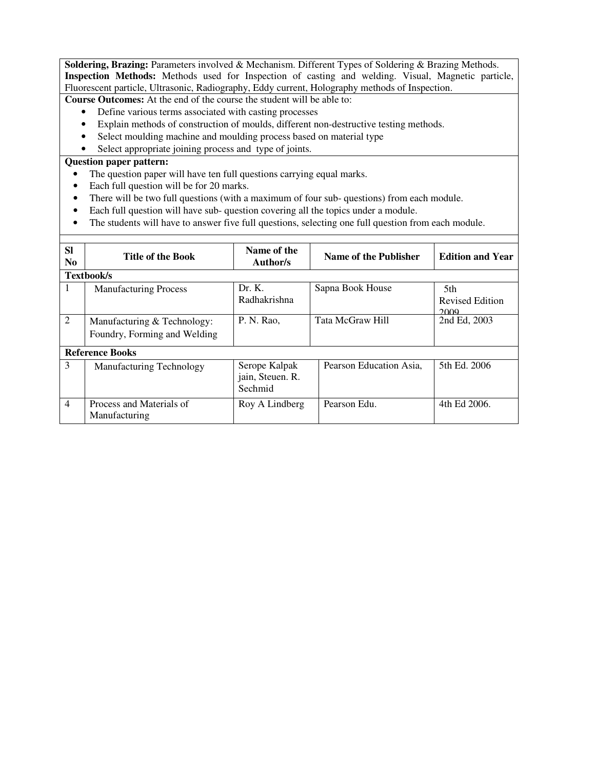**Soldering, Brazing:** Parameters involved & Mechanism. Different Types of Soldering & Brazing Methods. **Inspection Methods:** Methods used for Inspection of casting and welding. Visual, Magnetic particle, Fluorescent particle, Ultrasonic, Radiography, Eddy current, Holography methods of Inspection.

**Course Outcomes:** At the end of the course the student will be able to:

- Define various terms associated with casting processes
- Explain methods of construction of moulds, different non-destructive testing methods.
- Select moulding machine and moulding process based on material type
- Select appropriate joining process and type of joints.

- The question paper will have ten full questions carrying equal marks.
- Each full question will be for 20 marks.
- There will be two full questions (with a maximum of four sub-questions) from each module.
- Each full question will have sub-question covering all the topics under a module.
- The students will have to answer five full questions, selecting one full question from each module.

| <b>SI</b>      |                                                             | Name of the                                  |                         |                                |
|----------------|-------------------------------------------------------------|----------------------------------------------|-------------------------|--------------------------------|
| N <sub>0</sub> | <b>Title of the Book</b>                                    | Author/s                                     | Name of the Publisher   | <b>Edition and Year</b>        |
|                | Textbook/s                                                  |                                              |                         |                                |
| л.             | <b>Manufacturing Process</b>                                | Dr. K.<br>Radhakrishna                       | Sapna Book House        | 5th<br>Revised Edition<br>2009 |
| $\overline{2}$ | Manufacturing & Technology:<br>Foundry, Forming and Welding | P. N. Rao,                                   | <b>Tata McGraw Hill</b> | 2nd Ed, 2003                   |
|                | <b>Reference Books</b>                                      |                                              |                         |                                |
| 3              | <b>Manufacturing Technology</b>                             | Serope Kalpak<br>jain, Steuen. R.<br>Sechmid | Pearson Education Asia. | 5th Ed. 2006                   |
| $\overline{4}$ | Process and Materials of<br>Manufacturing                   | Roy A Lindberg                               | Pearson Edu.            | 4th Ed 2006.                   |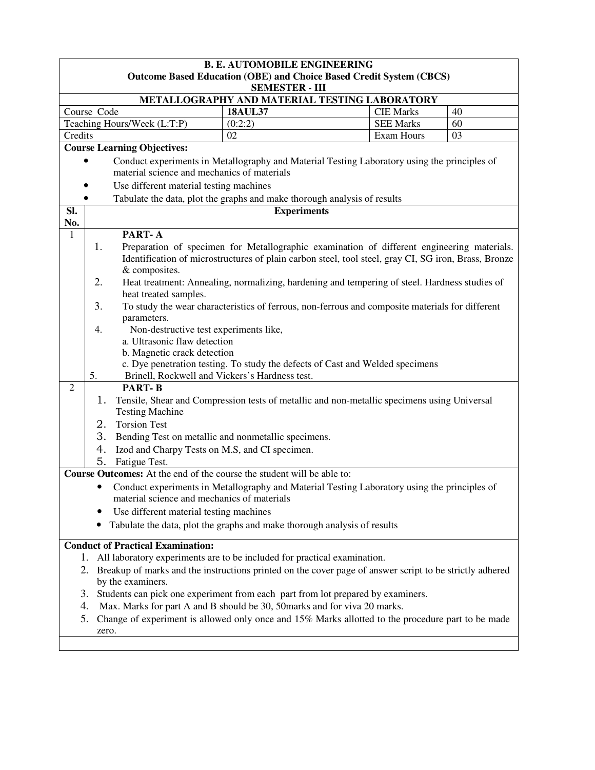|                                          | <b>B. E. AUTOMOBILE ENGINEERING</b>                                                                                                         |                    |                                                                                                      |    |  |  |  |
|------------------------------------------|---------------------------------------------------------------------------------------------------------------------------------------------|--------------------|------------------------------------------------------------------------------------------------------|----|--|--|--|
|                                          | <b>Outcome Based Education (OBE) and Choice Based Credit System (CBCS)</b>                                                                  |                    |                                                                                                      |    |  |  |  |
|                                          | <b>SEMESTER - III</b>                                                                                                                       |                    |                                                                                                      |    |  |  |  |
|                                          | METALLOGRAPHY AND MATERIAL TESTING LABORATORY                                                                                               |                    |                                                                                                      |    |  |  |  |
|                                          | Course Code                                                                                                                                 | <b>18AUL37</b>     | <b>CIE Marks</b>                                                                                     | 40 |  |  |  |
|                                          | Teaching Hours/Week (L:T:P)                                                                                                                 | (0:2:2)            | <b>SEE Marks</b>                                                                                     | 60 |  |  |  |
| Credits                                  |                                                                                                                                             | 02                 | Exam Hours                                                                                           | 03 |  |  |  |
|                                          | <b>Course Learning Objectives:</b>                                                                                                          |                    |                                                                                                      |    |  |  |  |
|                                          | Conduct experiments in Metallography and Material Testing Laboratory using the principles of<br>material science and mechanics of materials |                    |                                                                                                      |    |  |  |  |
|                                          | Use different material testing machines                                                                                                     |                    |                                                                                                      |    |  |  |  |
|                                          | Tabulate the data, plot the graphs and make thorough analysis of results<br>$\bullet$                                                       |                    |                                                                                                      |    |  |  |  |
| SI.                                      |                                                                                                                                             | <b>Experiments</b> |                                                                                                      |    |  |  |  |
| No.                                      |                                                                                                                                             |                    |                                                                                                      |    |  |  |  |
| $\mathbf{1}$                             | PART-A                                                                                                                                      |                    |                                                                                                      |    |  |  |  |
|                                          | 1.                                                                                                                                          |                    | Preparation of specimen for Metallographic examination of different engineering materials.           |    |  |  |  |
|                                          |                                                                                                                                             |                    | Identification of microstructures of plain carbon steel, tool steel, gray CI, SG iron, Brass, Bronze |    |  |  |  |
|                                          | & composites.                                                                                                                               |                    |                                                                                                      |    |  |  |  |
|                                          | 2.                                                                                                                                          |                    | Heat treatment: Annealing, normalizing, hardening and tempering of steel. Hardness studies of        |    |  |  |  |
|                                          | heat treated samples.                                                                                                                       |                    |                                                                                                      |    |  |  |  |
|                                          | 3.                                                                                                                                          |                    | To study the wear characteristics of ferrous, non-ferrous and composite materials for different      |    |  |  |  |
|                                          | parameters.                                                                                                                                 |                    |                                                                                                      |    |  |  |  |
|                                          | Non-destructive test experiments like,<br>4.                                                                                                |                    |                                                                                                      |    |  |  |  |
|                                          | a. Ultrasonic flaw detection                                                                                                                |                    |                                                                                                      |    |  |  |  |
|                                          | b. Magnetic crack detection                                                                                                                 |                    |                                                                                                      |    |  |  |  |
|                                          |                                                                                                                                             |                    | c. Dye penetration testing. To study the defects of Cast and Welded specimens                        |    |  |  |  |
|                                          | 5.<br>Brinell, Rockwell and Vickers's Hardness test.                                                                                        |                    |                                                                                                      |    |  |  |  |
| $\overline{2}$                           | <b>PART-B</b>                                                                                                                               |                    |                                                                                                      |    |  |  |  |
|                                          | 1.                                                                                                                                          |                    | Tensile, Shear and Compression tests of metallic and non-metallic specimens using Universal          |    |  |  |  |
|                                          | <b>Testing Machine</b>                                                                                                                      |                    |                                                                                                      |    |  |  |  |
|                                          | <b>Torsion Test</b><br>2.                                                                                                                   |                    |                                                                                                      |    |  |  |  |
|                                          | 3.<br>Bending Test on metallic and nonmetallic specimens.                                                                                   |                    |                                                                                                      |    |  |  |  |
|                                          | 4.<br>Izod and Charpy Tests on M.S, and CI specimen.                                                                                        |                    |                                                                                                      |    |  |  |  |
|                                          | 5.<br>Fatigue Test.                                                                                                                         |                    |                                                                                                      |    |  |  |  |
|                                          | <b>Course Outcomes:</b> At the end of the course the student will be able to:                                                               |                    |                                                                                                      |    |  |  |  |
|                                          |                                                                                                                                             |                    | Conduct experiments in Metallography and Material Testing Laboratory using the principles of         |    |  |  |  |
|                                          | material science and mechanics of materials                                                                                                 |                    |                                                                                                      |    |  |  |  |
|                                          | Use different material testing machines                                                                                                     |                    |                                                                                                      |    |  |  |  |
|                                          | Tabulate the data, plot the graphs and make thorough analysis of results                                                                    |                    |                                                                                                      |    |  |  |  |
| <b>Conduct of Practical Examination:</b> |                                                                                                                                             |                    |                                                                                                      |    |  |  |  |
|                                          | All laboratory experiments are to be included for practical examination.<br>1.                                                              |                    |                                                                                                      |    |  |  |  |
|                                          | 2. Breakup of marks and the instructions printed on the cover page of answer script to be strictly adhered<br>by the examiners.             |                    |                                                                                                      |    |  |  |  |
|                                          | 3. Students can pick one experiment from each part from lot prepared by examiners.                                                          |                    |                                                                                                      |    |  |  |  |
|                                          | Max. Marks for part A and B should be 30, 50marks and for viva 20 marks.<br>4.                                                              |                    |                                                                                                      |    |  |  |  |
|                                          | 5. Change of experiment is allowed only once and 15% Marks allotted to the procedure part to be made                                        |                    |                                                                                                      |    |  |  |  |
|                                          | zero.                                                                                                                                       |                    |                                                                                                      |    |  |  |  |
|                                          |                                                                                                                                             |                    |                                                                                                      |    |  |  |  |
|                                          |                                                                                                                                             |                    |                                                                                                      |    |  |  |  |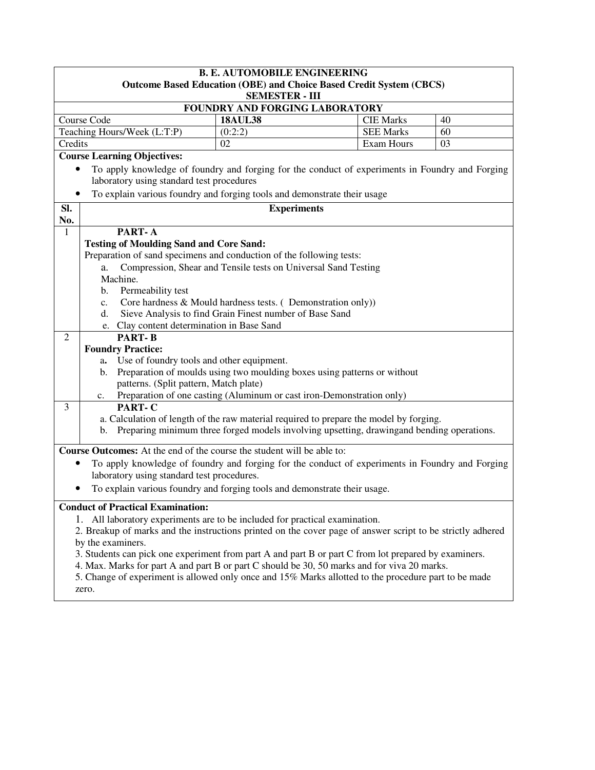|                                                                                                                                                                                                                                                                                                                                                                                                                                                                                                                                                                                                                                                                                                                                                                                                                                                                                                                                                                                                                                                                                                                                                                                                                                                                                                                       |                                                                                                 | <b>B. E. AUTOMOBILE ENGINEERING</b>                            |                                                                            |    |  |  |
|-----------------------------------------------------------------------------------------------------------------------------------------------------------------------------------------------------------------------------------------------------------------------------------------------------------------------------------------------------------------------------------------------------------------------------------------------------------------------------------------------------------------------------------------------------------------------------------------------------------------------------------------------------------------------------------------------------------------------------------------------------------------------------------------------------------------------------------------------------------------------------------------------------------------------------------------------------------------------------------------------------------------------------------------------------------------------------------------------------------------------------------------------------------------------------------------------------------------------------------------------------------------------------------------------------------------------|-------------------------------------------------------------------------------------------------|----------------------------------------------------------------|----------------------------------------------------------------------------|----|--|--|
|                                                                                                                                                                                                                                                                                                                                                                                                                                                                                                                                                                                                                                                                                                                                                                                                                                                                                                                                                                                                                                                                                                                                                                                                                                                                                                                       |                                                                                                 |                                                                | <b>Outcome Based Education (OBE) and Choice Based Credit System (CBCS)</b> |    |  |  |
|                                                                                                                                                                                                                                                                                                                                                                                                                                                                                                                                                                                                                                                                                                                                                                                                                                                                                                                                                                                                                                                                                                                                                                                                                                                                                                                       | <b>SEMESTER - III</b><br>FOUNDRY AND FORGING LABORATORY                                         |                                                                |                                                                            |    |  |  |
|                                                                                                                                                                                                                                                                                                                                                                                                                                                                                                                                                                                                                                                                                                                                                                                                                                                                                                                                                                                                                                                                                                                                                                                                                                                                                                                       | Course Code                                                                                     | <b>18AUL38</b>                                                 | <b>CIE Marks</b>                                                           | 40 |  |  |
|                                                                                                                                                                                                                                                                                                                                                                                                                                                                                                                                                                                                                                                                                                                                                                                                                                                                                                                                                                                                                                                                                                                                                                                                                                                                                                                       | Teaching Hours/Week (L:T:P)                                                                     | (0:2:2)                                                        | <b>SEE Marks</b>                                                           | 60 |  |  |
| Credits                                                                                                                                                                                                                                                                                                                                                                                                                                                                                                                                                                                                                                                                                                                                                                                                                                                                                                                                                                                                                                                                                                                                                                                                                                                                                                               |                                                                                                 | 02                                                             | Exam Hours                                                                 | 03 |  |  |
|                                                                                                                                                                                                                                                                                                                                                                                                                                                                                                                                                                                                                                                                                                                                                                                                                                                                                                                                                                                                                                                                                                                                                                                                                                                                                                                       | <b>Course Learning Objectives:</b>                                                              |                                                                |                                                                            |    |  |  |
| ٠                                                                                                                                                                                                                                                                                                                                                                                                                                                                                                                                                                                                                                                                                                                                                                                                                                                                                                                                                                                                                                                                                                                                                                                                                                                                                                                     | To apply knowledge of foundry and forging for the conduct of experiments in Foundry and Forging |                                                                |                                                                            |    |  |  |
|                                                                                                                                                                                                                                                                                                                                                                                                                                                                                                                                                                                                                                                                                                                                                                                                                                                                                                                                                                                                                                                                                                                                                                                                                                                                                                                       | laboratory using standard test procedures                                                       |                                                                |                                                                            |    |  |  |
|                                                                                                                                                                                                                                                                                                                                                                                                                                                                                                                                                                                                                                                                                                                                                                                                                                                                                                                                                                                                                                                                                                                                                                                                                                                                                                                       | To explain various foundry and forging tools and demonstrate their usage                        |                                                                |                                                                            |    |  |  |
|                                                                                                                                                                                                                                                                                                                                                                                                                                                                                                                                                                                                                                                                                                                                                                                                                                                                                                                                                                                                                                                                                                                                                                                                                                                                                                                       |                                                                                                 |                                                                |                                                                            |    |  |  |
| SI.<br>No.                                                                                                                                                                                                                                                                                                                                                                                                                                                                                                                                                                                                                                                                                                                                                                                                                                                                                                                                                                                                                                                                                                                                                                                                                                                                                                            |                                                                                                 | <b>Experiments</b>                                             |                                                                            |    |  |  |
| 1                                                                                                                                                                                                                                                                                                                                                                                                                                                                                                                                                                                                                                                                                                                                                                                                                                                                                                                                                                                                                                                                                                                                                                                                                                                                                                                     | PART-A                                                                                          |                                                                |                                                                            |    |  |  |
|                                                                                                                                                                                                                                                                                                                                                                                                                                                                                                                                                                                                                                                                                                                                                                                                                                                                                                                                                                                                                                                                                                                                                                                                                                                                                                                       | <b>Testing of Moulding Sand and Core Sand:</b>                                                  |                                                                |                                                                            |    |  |  |
|                                                                                                                                                                                                                                                                                                                                                                                                                                                                                                                                                                                                                                                                                                                                                                                                                                                                                                                                                                                                                                                                                                                                                                                                                                                                                                                       | Preparation of sand specimens and conduction of the following tests:                            |                                                                |                                                                            |    |  |  |
|                                                                                                                                                                                                                                                                                                                                                                                                                                                                                                                                                                                                                                                                                                                                                                                                                                                                                                                                                                                                                                                                                                                                                                                                                                                                                                                       | a.                                                                                              | Compression, Shear and Tensile tests on Universal Sand Testing |                                                                            |    |  |  |
|                                                                                                                                                                                                                                                                                                                                                                                                                                                                                                                                                                                                                                                                                                                                                                                                                                                                                                                                                                                                                                                                                                                                                                                                                                                                                                                       | Machine.                                                                                        |                                                                |                                                                            |    |  |  |
|                                                                                                                                                                                                                                                                                                                                                                                                                                                                                                                                                                                                                                                                                                                                                                                                                                                                                                                                                                                                                                                                                                                                                                                                                                                                                                                       | Permeability test<br>b.                                                                         |                                                                |                                                                            |    |  |  |
|                                                                                                                                                                                                                                                                                                                                                                                                                                                                                                                                                                                                                                                                                                                                                                                                                                                                                                                                                                                                                                                                                                                                                                                                                                                                                                                       | $\mathbf{c}$ .                                                                                  | Core hardness & Mould hardness tests. (Demonstration only))    |                                                                            |    |  |  |
|                                                                                                                                                                                                                                                                                                                                                                                                                                                                                                                                                                                                                                                                                                                                                                                                                                                                                                                                                                                                                                                                                                                                                                                                                                                                                                                       | d.                                                                                              | Sieve Analysis to find Grain Finest number of Base Sand        |                                                                            |    |  |  |
|                                                                                                                                                                                                                                                                                                                                                                                                                                                                                                                                                                                                                                                                                                                                                                                                                                                                                                                                                                                                                                                                                                                                                                                                                                                                                                                       | e. Clay content determination in Base Sand                                                      |                                                                |                                                                            |    |  |  |
| $\overline{2}$                                                                                                                                                                                                                                                                                                                                                                                                                                                                                                                                                                                                                                                                                                                                                                                                                                                                                                                                                                                                                                                                                                                                                                                                                                                                                                        | <b>PART-B</b>                                                                                   |                                                                |                                                                            |    |  |  |
|                                                                                                                                                                                                                                                                                                                                                                                                                                                                                                                                                                                                                                                                                                                                                                                                                                                                                                                                                                                                                                                                                                                                                                                                                                                                                                                       | <b>Foundry Practice:</b>                                                                        |                                                                |                                                                            |    |  |  |
|                                                                                                                                                                                                                                                                                                                                                                                                                                                                                                                                                                                                                                                                                                                                                                                                                                                                                                                                                                                                                                                                                                                                                                                                                                                                                                                       | a. Use of foundry tools and other equipment.                                                    |                                                                |                                                                            |    |  |  |
|                                                                                                                                                                                                                                                                                                                                                                                                                                                                                                                                                                                                                                                                                                                                                                                                                                                                                                                                                                                                                                                                                                                                                                                                                                                                                                                       | $\mathbf{b}$ .                                                                                  |                                                                |                                                                            |    |  |  |
|                                                                                                                                                                                                                                                                                                                                                                                                                                                                                                                                                                                                                                                                                                                                                                                                                                                                                                                                                                                                                                                                                                                                                                                                                                                                                                                       |                                                                                                 |                                                                |                                                                            |    |  |  |
|                                                                                                                                                                                                                                                                                                                                                                                                                                                                                                                                                                                                                                                                                                                                                                                                                                                                                                                                                                                                                                                                                                                                                                                                                                                                                                                       |                                                                                                 |                                                                |                                                                            |    |  |  |
|                                                                                                                                                                                                                                                                                                                                                                                                                                                                                                                                                                                                                                                                                                                                                                                                                                                                                                                                                                                                                                                                                                                                                                                                                                                                                                                       |                                                                                                 |                                                                |                                                                            |    |  |  |
|                                                                                                                                                                                                                                                                                                                                                                                                                                                                                                                                                                                                                                                                                                                                                                                                                                                                                                                                                                                                                                                                                                                                                                                                                                                                                                                       |                                                                                                 |                                                                |                                                                            |    |  |  |
|                                                                                                                                                                                                                                                                                                                                                                                                                                                                                                                                                                                                                                                                                                                                                                                                                                                                                                                                                                                                                                                                                                                                                                                                                                                                                                                       |                                                                                                 |                                                                |                                                                            |    |  |  |
|                                                                                                                                                                                                                                                                                                                                                                                                                                                                                                                                                                                                                                                                                                                                                                                                                                                                                                                                                                                                                                                                                                                                                                                                                                                                                                                       |                                                                                                 |                                                                |                                                                            |    |  |  |
|                                                                                                                                                                                                                                                                                                                                                                                                                                                                                                                                                                                                                                                                                                                                                                                                                                                                                                                                                                                                                                                                                                                                                                                                                                                                                                                       |                                                                                                 |                                                                |                                                                            |    |  |  |
|                                                                                                                                                                                                                                                                                                                                                                                                                                                                                                                                                                                                                                                                                                                                                                                                                                                                                                                                                                                                                                                                                                                                                                                                                                                                                                                       |                                                                                                 |                                                                |                                                                            |    |  |  |
|                                                                                                                                                                                                                                                                                                                                                                                                                                                                                                                                                                                                                                                                                                                                                                                                                                                                                                                                                                                                                                                                                                                                                                                                                                                                                                                       |                                                                                                 |                                                                |                                                                            |    |  |  |
|                                                                                                                                                                                                                                                                                                                                                                                                                                                                                                                                                                                                                                                                                                                                                                                                                                                                                                                                                                                                                                                                                                                                                                                                                                                                                                                       |                                                                                                 |                                                                |                                                                            |    |  |  |
|                                                                                                                                                                                                                                                                                                                                                                                                                                                                                                                                                                                                                                                                                                                                                                                                                                                                                                                                                                                                                                                                                                                                                                                                                                                                                                                       |                                                                                                 |                                                                |                                                                            |    |  |  |
|                                                                                                                                                                                                                                                                                                                                                                                                                                                                                                                                                                                                                                                                                                                                                                                                                                                                                                                                                                                                                                                                                                                                                                                                                                                                                                                       |                                                                                                 |                                                                |                                                                            |    |  |  |
|                                                                                                                                                                                                                                                                                                                                                                                                                                                                                                                                                                                                                                                                                                                                                                                                                                                                                                                                                                                                                                                                                                                                                                                                                                                                                                                       |                                                                                                 |                                                                |                                                                            |    |  |  |
|                                                                                                                                                                                                                                                                                                                                                                                                                                                                                                                                                                                                                                                                                                                                                                                                                                                                                                                                                                                                                                                                                                                                                                                                                                                                                                                       |                                                                                                 |                                                                |                                                                            |    |  |  |
|                                                                                                                                                                                                                                                                                                                                                                                                                                                                                                                                                                                                                                                                                                                                                                                                                                                                                                                                                                                                                                                                                                                                                                                                                                                                                                                       |                                                                                                 |                                                                |                                                                            |    |  |  |
|                                                                                                                                                                                                                                                                                                                                                                                                                                                                                                                                                                                                                                                                                                                                                                                                                                                                                                                                                                                                                                                                                                                                                                                                                                                                                                                       |                                                                                                 |                                                                |                                                                            |    |  |  |
|                                                                                                                                                                                                                                                                                                                                                                                                                                                                                                                                                                                                                                                                                                                                                                                                                                                                                                                                                                                                                                                                                                                                                                                                                                                                                                                       |                                                                                                 |                                                                |                                                                            |    |  |  |
| Preparation of moulds using two moulding boxes using patterns or without<br>patterns. (Split pattern, Match plate)<br>Preparation of one casting (Aluminum or cast iron-Demonstration only)<br>$c_{\cdot}$<br>PART-C<br>3<br>a. Calculation of length of the raw material required to prepare the model by forging.<br>Preparing minimum three forged models involving upsetting, drawing and bending operations.<br>b.<br>Course Outcomes: At the end of the course the student will be able to:<br>To apply knowledge of foundry and forging for the conduct of experiments in Foundry and Forging<br>laboratory using standard test procedures.<br>To explain various foundry and forging tools and demonstrate their usage.<br><b>Conduct of Practical Examination:</b><br>1. All laboratory experiments are to be included for practical examination.<br>2. Breakup of marks and the instructions printed on the cover page of answer script to be strictly adhered<br>by the examiners.<br>3. Students can pick one experiment from part A and part B or part C from lot prepared by examiners.<br>4. Max. Marks for part A and part B or part C should be 30, 50 marks and for viva 20 marks.<br>5. Change of experiment is allowed only once and 15% Marks allotted to the procedure part to be made<br>zero. |                                                                                                 |                                                                |                                                                            |    |  |  |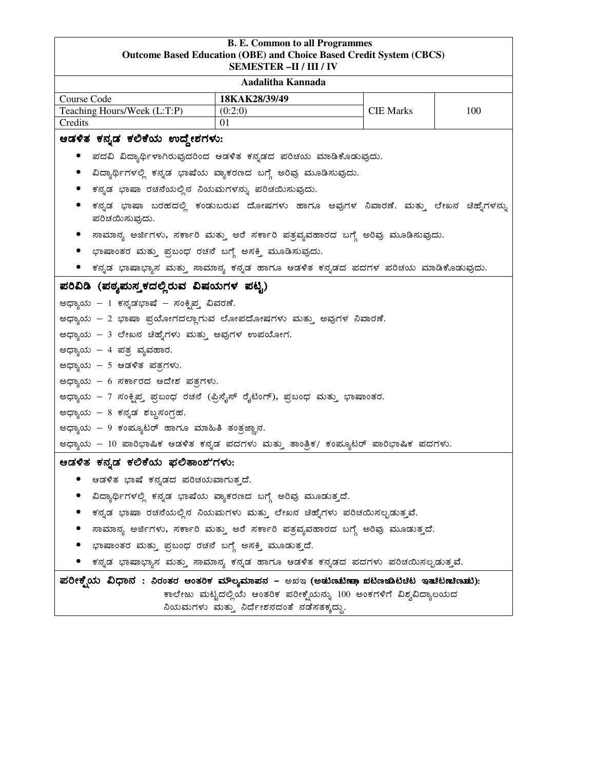# **B. E. Common to all Programmes Outcome Based Education (OBE) and Choice Based Credit System (CBCS) SEMESTER –II / III / IV Aadalitha Kannada**  Course Code **18KAK28/39/49**  Teaching Hours/Week  $(L:T:P)$  (0:2:0) CIE Marks 100 Credits 01 ಅಡಳಿತ ಕನ್ನಡ ಕಲಿಕೆಯ ಉದ್ದೇಶಗಳು: • ಪದವಿ ವಿದ್ಯಾರ್ಥಿಳಾಗಿರುವುದರಿಂದ ಆಡಳಿತ ಕನ್ನಡದ ಪರಿಚಯ ಮಾಡಿಕೊಡುವುದು. • ವಿದ್ಯಾರ್ಥಿಗಳಲ್ಲಿ ಕನ್ನಡ ಭಾಷೆಯ ವ್ಯಾಕರಣದ ಬಗ್ಗೆ ಅರಿವು ಮೂಡಿಸುವುದು. • ಕನ್ನಡ ಭಾಷಾ ರಚನೆಯಲ್ಲಿನ ನಿಯಮಗಳನ್ನು ಪರಿಚಯಿಸುವುದು. • ಕನ್ನಡ ಭಾಷಾ ಬರಹದಲ್ಲಿ ಕಂಡುಬರುವ ದೋಷಗಳು ಹಾಗೂ ಅವುಗಳ ನಿವಾರಣೆ. ಮತ್ತು ಲೇಖನ ಚಿಹ್ನೆಗಳನ್ನು ಪರಿಚಯಿಸುವುದು. • ಸಾಮಾನ್ಯ ಅರ್ಜಿಗಳು, ಸರ್ಕಾರಿ ಮತ್ತು ಅರೆ ಸರ್ಕಾರಿ ಪತ್ರವ್ಯವಹಾರದ ಬಗ್ಗೆ ಅರಿವು ಮೂಡಿಸುವುದು. • ಭಾಷಾಂತರ ಮತ್ತು ಪ್ರಬಂಧ ರಚನೆ ಬಗ್ಗೆ ಅಸಕ್ತಿ ಮೂಡಿಸುವುದು. • ಕನ್ನಡ ಭಾಷಾಭ್ಯಾಸ ಮತ್ತು ಸಾಮಾನ್ಯ ಕನ್ನಡ ಹಾಗೂ ಆಡಳಿತ ಕನ್ನಡದ ಪದಗಳ ಪರಿಚಯ ಮಾಡಿಕೊಡುವುದು. ಹರಿವಿಡಿ (ಪಠ್ಯಮಸ್ಕಕದಲ್ಲಿರುವ ವಿಷಯಗಳ ಪಟ್ಟಿ) ಅಧ್ಯಾಯ – 1 ಕನ್ನಡಭಾಷೆ – ಸಂಕೃಪ್ತ ವಿವರಣೆ. ಅಧ್ಯಾಯ – 2 ಭಾಷಾ ಪ್ರಯೋಗದಲ್ಲಾಗುವ ಲೋಪದೋಷಗಳು ಮತ್ತು ಅವುಗಳ ನಿವಾರಣೆ. ಅಧ್ಯಾಯ – 3 ಲೇಖನ ಚಿಹ್ನೆಗಳು ಮತ್ತು ಅವುಗಳ ಉಪಯೋಗ. ಅಧ್ಯಾಯ – 4 ಪತ್ರ ವ್ಯವಹಾರ. ಅಧ್ಯಾಯ – 5 ಆಡಳಿತ ಪತ್ರಗಳು. ಅಧ್ಯಾಯ – 6 ಸರ್ಕಾರದ ಆದೇಶ ಪತ್ರಗಳು. ಅಧ್ಯಾಯ – 7 ಸಂಕ್ಷಿಪ್ತ ಪ್ರಬಂಧ ರಚನೆ (ಫ್ರಿಸೈಸ್ ರೈಟಿಂಗ್), ಪ್ರಬಂಧ ಮತ್ತು ಭಾಷಾಂತರ. ಅಧ್ಯಾಯ – 8 ಕನ್ನಡ ಶಬ್ದಸಂಗ್ರಹ. ಅಧ್ಯಾಯ – 9 ಕಂಪ್ಯೂಟರ್ ಹಾಗೂ ಮಾಹಿತಿ ತಂತ್ರಜ್ಞಾನ. ಅಧ್ಯಾಯ – 10 ಪಾರಿಭಾಷಿಕ ಆಡಳಿತ ಕನ್ನಡ ಪದಗಳು ಮತ್ತು ತಾಂತ್ರಿಕ/ ಕಂಪ್ಯೂಟರ್ ಪಾರಿಭಾಷಿಕ ಪದಗಳು. ಅಡಳಿತ ಕನ್ನಡ ಕಲಿಕೆಯ ಫಲಿತಾಂಶ'ಗಳು:  $\bullet$  ಆಡಳಿತ ಭಾಷೆ ಕನ್ನಡದ ಪರಿಚಯವಾಗುತ್ತದೆ. • ವಿದ್ಯಾರ್ಥಿಗಳಲ್ಲಿ ಕನ್ನಡ ಭಾಷೆಯ ವ್ಯಾಕರಣದ ಬಗ್ಗೆ ಅರಿವು ಮೂಡುತ್ತದೆ. • ಕನ್ನಡ ಭಾಷಾ ರಚನೆಯಲ್ಲಿನ ನಿಯಮಗಳು ಮತ್ತು ಲೇಖನ ಚಿಹೈಗಳು ಪರಿಚಯಿಸಲ್ಪಡುತ್ತವೆ. • ಸಾಮಾನ್ಯ ಅರ್ಜಿಗಳು, ಸರ್ಕಾರಿ ಮತ್ತು ಅರೆ ಸರ್ಕಾರಿ ಪತ್ರವ್ಯವಹಾರದ ಬಗ್ಗೆ ಅರಿವು ಮೂಡುತ್ತದೆ. • ಭಾಷಾಂತರ ಮತ್ತು ಪ್ರಬಂಧ ರಚನೆ ಬಗ್ಗೆ ಅಸಕ್ಕಿ ಮೂಡುತ್ತದೆ. • ಕನ್ನಡ ಭಾಷಾಭ್ಯಾಸ ಮತ್ತು ಸಾಮಾನ್ಯ ಕನ್ನಡ ಹಾಗೂ ಆಡಳಿತ ಕನ್ನಡದ ಪದಗಳು ಪರಿಚಯಿಸಲ್ಪಡುತ್ತವೆ. ಹರೀಕ್ಷೆಯ ವಿಧಾನ : ನಿರಂತರ ಆಂತರಿಕ ಮೌಲ್ಯಮಾಪನ – ಅಖಇ (ಅಚುಣಬೆಣಣಾ ಪಟಿಣಜಾಟಿಚಿಟ ಇತುಟಣಚಿಣಚು):

ಕಾಲೇಜು ಮಟ್ಟದಲ್ಲಿಯೆ ಆಂತರಿಕ ಪರೀಕ್ಷೆಯನ್ನು 100 ಅಂಕಗಳಿಗೆ ವಿಶ್ವವಿದ್ಯಾಲಯದ ನಿಯಮಗಳು ಮತ್ತು ನಿರ್ದೇಶನದಂತೆ ನಡೆಸತಕ್ಕದ್ದು.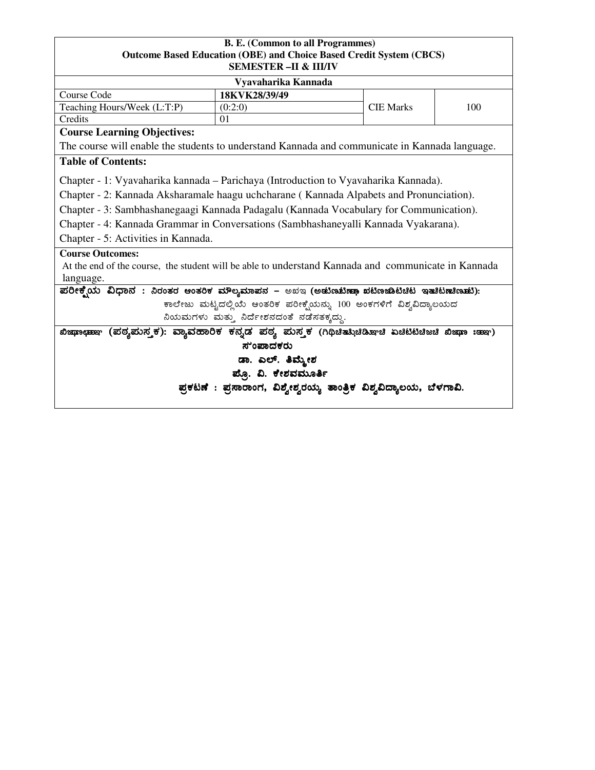### **B. E. (Common to all Programmes) Outcome Based Education (OBE) and Choice Based Credit System (CBCS) SEMESTER –II & III/IV**

| 512011251121X = 11 Q 111/1 V                                                                        |                                                                     |                  |     |  |  |
|-----------------------------------------------------------------------------------------------------|---------------------------------------------------------------------|------------------|-----|--|--|
|                                                                                                     | Vyavaharika Kannada                                                 |                  |     |  |  |
| Course Code                                                                                         | 18KVK28/39/49                                                       |                  |     |  |  |
| Teaching Hours/Week (L:T:P)                                                                         | (0:2:0)                                                             | <b>CIE Marks</b> | 100 |  |  |
| Credits                                                                                             | 01                                                                  |                  |     |  |  |
| <b>Course Learning Objectives:</b>                                                                  |                                                                     |                  |     |  |  |
| The course will enable the students to understand Kannada and communicate in Kannada language.      |                                                                     |                  |     |  |  |
| <b>Table of Contents:</b>                                                                           |                                                                     |                  |     |  |  |
| Chapter - 1: Vyavaharika kannada – Parichaya (Introduction to Vyavaharika Kannada).                 |                                                                     |                  |     |  |  |
| Chapter - 2: Kannada Aksharamale haagu uchcharane (Kannada Alpabets and Pronunciation).             |                                                                     |                  |     |  |  |
| Chapter - 3: Sambhashanegaagi Kannada Padagalu (Kannada Vocabulary for Communication).              |                                                                     |                  |     |  |  |
| Chapter - 4: Kannada Grammar in Conversations (Sambhashaneyalli Kannada Vyakarana).                 |                                                                     |                  |     |  |  |
| Chapter - 5: Activities in Kannada.                                                                 |                                                                     |                  |     |  |  |
| <b>Course Outcomes:</b>                                                                             |                                                                     |                  |     |  |  |
| At the end of the course, the student will be able to understand Kannada and communicate in Kannada |                                                                     |                  |     |  |  |
| language.                                                                                           |                                                                     |                  |     |  |  |
| ಪರೀಕ್ಷೆಯ ವಿಧಾನ : ನಿರಂತರ ಆಂತರಿಕ ಮೌಲ್ಯಮಾಪನ – ಅಖಇ (ಅಡುಣುಟಿಣಾ ಖಟಿಣಜಾಟಿಚಿಟ ಇತುತಟಾಚಿಣಾಟ):                 |                                                                     |                  |     |  |  |
|                                                                                                     | ಕಾಲೇಜು ಮಟ್ಟದಲ್ಲಿಯೆ ಆಂತರಿಕ ಪರೀಕ್ಷೆಯನ್ನು 100 ಅಂಕಗಳಿಗೆ ವಿಶ್ವವಿದ್ಯಾಲಯದ  |                  |     |  |  |
| ನಿಯಮಗಳು ಮತ್ತು ನಿರ್ದೇಶನದಂತೆ ನಡೆಸತಕ್ಕದ್ದು.                                                            |                                                                     |                  |     |  |  |
| (ಪಠ್ಯಮಸ್ತಕ): ವ್ಯಾವಹಾರಿಕ ಕನ್ನಡ ಪಠ್ಯ ಮಸ್ತಕ (ಗಿಥಿಚಿತಸಿಚಿಡಿಷ್  ಏಚಿಟಿಟಿಚಿಜಚಿ ಖಿಷಾ :ಹಾಇ)<br>ಭಿಚುದು ಲೇಹಿಸು |                                                                     |                  |     |  |  |
| ಸುಂಪಾದಕರು                                                                                           |                                                                     |                  |     |  |  |
| ಡಾ. ಎಲ್. ತಿಮ್ಮೇಶ                                                                                    |                                                                     |                  |     |  |  |
| ಪ್ಪೊ. ವಿ. ಕೇಶವಮೂರ್ತಿ                                                                                |                                                                     |                  |     |  |  |
|                                                                                                     | ಪ್ರಕಟಣೆ : ಪ್ರಸಾರಾಂಗ, ವಿಶ್ವೇಶ್ವರಯ್ಯ ತಾಂತ್ರಿಕ ವಿಶ್ವವಿದ್ಯಾಲಯ, ಬೆಳಗಾವಿ. |                  |     |  |  |
|                                                                                                     |                                                                     |                  |     |  |  |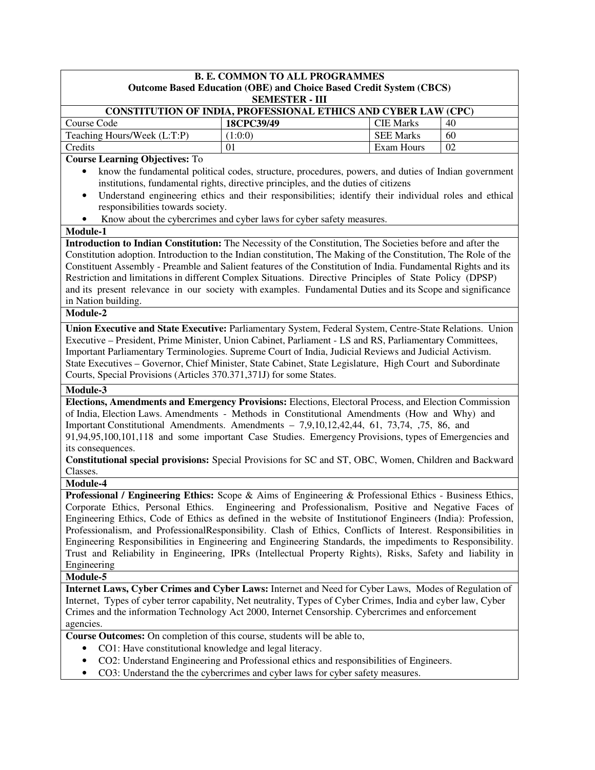| <b>B. E. COMMON TO ALL PROGRAMMES</b>                                                                           |                                                                                                        |                  |    |  |  |  |
|-----------------------------------------------------------------------------------------------------------------|--------------------------------------------------------------------------------------------------------|------------------|----|--|--|--|
| <b>Outcome Based Education (OBE) and Choice Based Credit System (CBCS)</b><br><b>SEMESTER - III</b>             |                                                                                                        |                  |    |  |  |  |
| CONSTITUTION OF INDIA, PROFESSIONAL ETHICS AND CYBER LAW (CPC)                                                  |                                                                                                        |                  |    |  |  |  |
| Course Code                                                                                                     | 18CPC39/49                                                                                             | <b>CIE Marks</b> | 40 |  |  |  |
| Teaching Hours/Week (L:T:P)                                                                                     | (1:0:0)                                                                                                | <b>SEE Marks</b> | 60 |  |  |  |
| Credits                                                                                                         | 01                                                                                                     | Exam Hours       | 02 |  |  |  |
| <b>Course Learning Objectives: To</b>                                                                           |                                                                                                        |                  |    |  |  |  |
| $\bullet$                                                                                                       | know the fundamental political codes, structure, procedures, powers, and duties of Indian government   |                  |    |  |  |  |
|                                                                                                                 | institutions, fundamental rights, directive principles, and the duties of citizens                     |                  |    |  |  |  |
| $\bullet$                                                                                                       | Understand engineering ethics and their responsibilities; identify their individual roles and ethical  |                  |    |  |  |  |
| responsibilities towards society.                                                                               |                                                                                                        |                  |    |  |  |  |
|                                                                                                                 | Know about the cybercrimes and cyber laws for cyber safety measures.                                   |                  |    |  |  |  |
| Module-1                                                                                                        |                                                                                                        |                  |    |  |  |  |
| Introduction to Indian Constitution: The Necessity of the Constitution, The Societies before and after the      |                                                                                                        |                  |    |  |  |  |
| Constitution adoption. Introduction to the Indian constitution, The Making of the Constitution, The Role of the |                                                                                                        |                  |    |  |  |  |
| Constituent Assembly - Preamble and Salient features of the Constitution of India. Fundamental Rights and its   |                                                                                                        |                  |    |  |  |  |
| Restriction and limitations in different Complex Situations. Directive Principles of State Policy (DPSP)        |                                                                                                        |                  |    |  |  |  |
| and its present relevance in our society with examples. Fundamental Duties and its Scope and significance       |                                                                                                        |                  |    |  |  |  |
| in Nation building.                                                                                             |                                                                                                        |                  |    |  |  |  |
| Module-2                                                                                                        |                                                                                                        |                  |    |  |  |  |
| Union Executive and State Executive: Parliamentary System, Federal System, Centre-State Relations. Union        |                                                                                                        |                  |    |  |  |  |
| Executive – President, Prime Minister, Union Cabinet, Parliament - LS and RS, Parliamentary Committees,         |                                                                                                        |                  |    |  |  |  |
| Important Parliamentary Terminologies. Supreme Court of India, Judicial Reviews and Judicial Activism.          |                                                                                                        |                  |    |  |  |  |
| State Executives - Governor, Chief Minister, State Cabinet, State Legislature, High Court and Subordinate       |                                                                                                        |                  |    |  |  |  |
| Courts, Special Provisions (Articles 370.371,371J) for some States.                                             |                                                                                                        |                  |    |  |  |  |
| Module-3                                                                                                        |                                                                                                        |                  |    |  |  |  |
| Elections, Amendments and Emergency Provisions: Elections, Electoral Process, and Election Commission           |                                                                                                        |                  |    |  |  |  |
| of India, Election Laws. Amendments - Methods in Constitutional Amendments (How and Why) and                    |                                                                                                        |                  |    |  |  |  |
| Important Constitutional Amendments. Amendments $-7,9,10,12,42,44, 61, 73,74, 75, 86,$ and                      |                                                                                                        |                  |    |  |  |  |
| 91,94,95,100,101,118 and some important Case Studies. Emergency Provisions, types of Emergencies and            |                                                                                                        |                  |    |  |  |  |
| its consequences.                                                                                               |                                                                                                        |                  |    |  |  |  |
|                                                                                                                 | Constitutional special provisions: Special Provisions for SC and ST, OBC, Women, Children and Backward |                  |    |  |  |  |
| Classes.                                                                                                        |                                                                                                        |                  |    |  |  |  |
| Module-4                                                                                                        |                                                                                                        |                  |    |  |  |  |
| Professional / Engineering Ethics: Scope & Aims of Engineering & Professional Ethics - Business Ethics,         |                                                                                                        |                  |    |  |  |  |
| Corporate Ethics, Personal Ethics. Engineering and Professionalism, Positive and Negative Faces of              |                                                                                                        |                  |    |  |  |  |
| Engineering Ethics, Code of Ethics as defined in the website of Institution f Engineers (India): Profession,    |                                                                                                        |                  |    |  |  |  |
| Professionalism, and ProfessionalResponsibility. Clash of Ethics, Conflicts of Interest. Responsibilities in    |                                                                                                        |                  |    |  |  |  |
| Engineering Responsibilities in Engineering and Engineering Standards, the impediments to Responsibility.       |                                                                                                        |                  |    |  |  |  |
| Trust and Reliability in Engineering, IPRs (Intellectual Property Rights), Risks, Safety and liability in       |                                                                                                        |                  |    |  |  |  |
| Engineering                                                                                                     |                                                                                                        |                  |    |  |  |  |
| Module-5                                                                                                        |                                                                                                        |                  |    |  |  |  |
| Internet Laws, Cyber Crimes and Cyber Laws: Internet and Need for Cyber Laws, Modes of Regulation of            |                                                                                                        |                  |    |  |  |  |
| Internet, Types of cyber terror capability, Net neutrality, Types of Cyber Crimes, India and cyber law, Cyber   |                                                                                                        |                  |    |  |  |  |
| Crimes and the information Technology Act 2000, Internet Censorship. Cybercrimes and enforcement                |                                                                                                        |                  |    |  |  |  |
| agencies.                                                                                                       |                                                                                                        |                  |    |  |  |  |
| Course Outcomes: On completion of this course, students will be able to,                                        |                                                                                                        |                  |    |  |  |  |
| CO1: Have constitutional knowledge and legal literacy.<br>$\bullet$                                             |                                                                                                        |                  |    |  |  |  |
| ٠                                                                                                               | CO2: Understand Engineering and Professional ethics and responsibilities of Engineers.                 |                  |    |  |  |  |
| CO3: Understand the the cybercrimes and cyber laws for cyber safety measures.<br>$\bullet$                      |                                                                                                        |                  |    |  |  |  |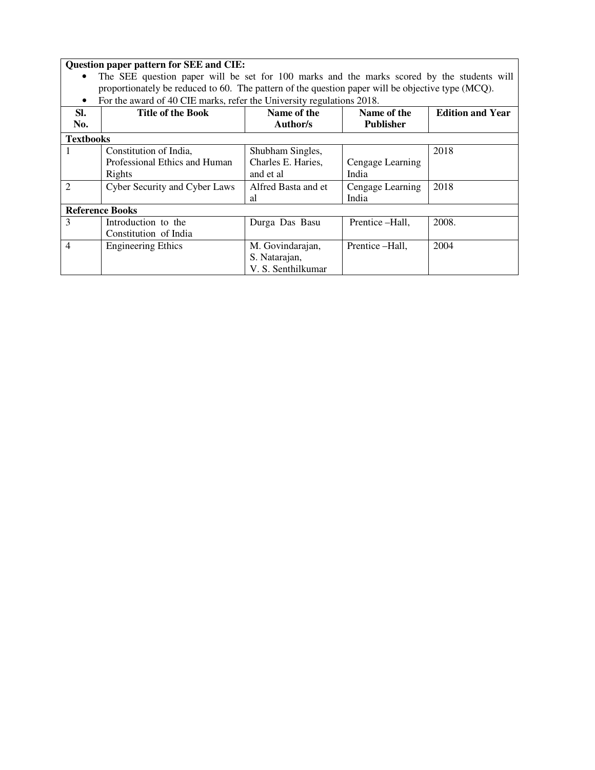#### **Question paper pattern for SEE and CIE:**

- The SEE question paper will be set for 100 marks and the marks scored by the students will proportionately be reduced to 60. The pattern of the question paper will be objective type (MCQ).
- For the award of 40 CIE marks, refer the University regulations 2018.

| SI.<br>No.       | <b>Title of the Book</b>             | Name of the<br>Author/s | Name of the<br><b>Publisher</b> | <b>Edition and Year</b> |
|------------------|--------------------------------------|-------------------------|---------------------------------|-------------------------|
| <b>Textbooks</b> |                                      |                         |                                 |                         |
|                  | Constitution of India,               | Shubham Singles,        |                                 | 2018                    |
|                  | Professional Ethics and Human        | Charles E. Haries,      | Cengage Learning                |                         |
|                  | Rights                               | and et al               | India                           |                         |
| $\mathfrak{D}$   | <b>Cyber Security and Cyber Laws</b> | Alfred Basta and et     | Cengage Learning                | 2018                    |
|                  |                                      | al                      | India                           |                         |
|                  | <b>Reference Books</b>               |                         |                                 |                         |
| 3                | Introduction to the                  | Durga Das Basu          | Prentice - Hall.                | 2008.                   |
|                  | Constitution of India                |                         |                                 |                         |
| $\overline{4}$   | <b>Engineering Ethics</b>            | M. Govindarajan,        | Prentice -Hall,                 | 2004                    |
|                  |                                      | S. Natarajan,           |                                 |                         |
|                  |                                      | V. S. Senthilkumar      |                                 |                         |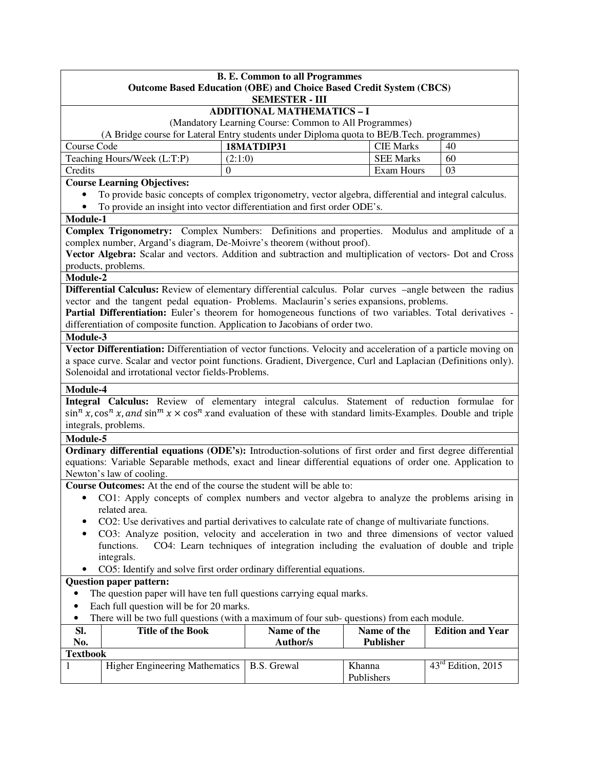|                                                                                                                                   | <b>B. E. Common to all Programmes</b><br><b>Outcome Based Education (OBE) and Choice Based Credit System (CBCS)</b>                     |          |                                                       |                  |                         |  |
|-----------------------------------------------------------------------------------------------------------------------------------|-----------------------------------------------------------------------------------------------------------------------------------------|----------|-------------------------------------------------------|------------------|-------------------------|--|
|                                                                                                                                   |                                                                                                                                         |          | <b>SEMESTER - III</b>                                 |                  |                         |  |
|                                                                                                                                   |                                                                                                                                         |          | <b>ADDITIONAL MATHEMATICS - I</b>                     |                  |                         |  |
|                                                                                                                                   | (A Bridge course for Lateral Entry students under Diploma quota to BE/B.Tech. programmes)                                               |          | (Mandatory Learning Course: Common to All Programmes) |                  |                         |  |
| Course Code                                                                                                                       |                                                                                                                                         |          | 18MATDIP31                                            | <b>CIE Marks</b> | 40                      |  |
|                                                                                                                                   | Teaching Hours/Week (L:T:P)                                                                                                             | (2:1:0)  |                                                       | <b>SEE Marks</b> | 60                      |  |
| Credits                                                                                                                           |                                                                                                                                         | $\Omega$ |                                                       | Exam Hours       | 03                      |  |
|                                                                                                                                   | <b>Course Learning Objectives:</b>                                                                                                      |          |                                                       |                  |                         |  |
| $\bullet$                                                                                                                         | To provide basic concepts of complex trigonometry, vector algebra, differential and integral calculus.                                  |          |                                                       |                  |                         |  |
|                                                                                                                                   | To provide an insight into vector differentiation and first order ODE's.                                                                |          |                                                       |                  |                         |  |
| Module-1                                                                                                                          |                                                                                                                                         |          |                                                       |                  |                         |  |
|                                                                                                                                   | Complex Trigonometry: Complex Numbers: Definitions and properties. Modulus and amplitude of a                                           |          |                                                       |                  |                         |  |
|                                                                                                                                   | complex number, Argand's diagram, De-Moivre's theorem (without proof).                                                                  |          |                                                       |                  |                         |  |
|                                                                                                                                   | Vector Algebra: Scalar and vectors. Addition and subtraction and multiplication of vectors- Dot and Cross                               |          |                                                       |                  |                         |  |
|                                                                                                                                   | products, problems.                                                                                                                     |          |                                                       |                  |                         |  |
| Module-2                                                                                                                          |                                                                                                                                         |          |                                                       |                  |                         |  |
|                                                                                                                                   | Differential Calculus: Review of elementary differential calculus. Polar curves -angle between the radius                               |          |                                                       |                  |                         |  |
|                                                                                                                                   | vector and the tangent pedal equation- Problems. Maclaurin's series expansions, problems.                                               |          |                                                       |                  |                         |  |
|                                                                                                                                   | Partial Differentiation: Euler's theorem for homogeneous functions of two variables. Total derivatives -                                |          |                                                       |                  |                         |  |
|                                                                                                                                   | differentiation of composite function. Application to Jacobians of order two.                                                           |          |                                                       |                  |                         |  |
| Module-3                                                                                                                          | Vector Differentiation: Differentiation of vector functions. Velocity and acceleration of a particle moving on                          |          |                                                       |                  |                         |  |
|                                                                                                                                   | a space curve. Scalar and vector point functions. Gradient, Divergence, Curl and Laplacian (Definitions only).                          |          |                                                       |                  |                         |  |
|                                                                                                                                   | Solenoidal and irrotational vector fields-Problems.                                                                                     |          |                                                       |                  |                         |  |
|                                                                                                                                   |                                                                                                                                         |          |                                                       |                  |                         |  |
| Module-4                                                                                                                          |                                                                                                                                         |          |                                                       |                  |                         |  |
| Integral Calculus: Review of elementary integral calculus. Statement of reduction formulae for                                    |                                                                                                                                         |          |                                                       |                  |                         |  |
| $\sin^n x$ , $\cos^n x$ , and $\sin^m x \times \cos^n x$ and evaluation of these with standard limits-Examples. Double and triple |                                                                                                                                         |          |                                                       |                  |                         |  |
| Module-5                                                                                                                          | integrals, problems.                                                                                                                    |          |                                                       |                  |                         |  |
|                                                                                                                                   | Ordinary differential equations (ODE's): Introduction-solutions of first order and first degree differential                            |          |                                                       |                  |                         |  |
|                                                                                                                                   |                                                                                                                                         |          |                                                       |                  |                         |  |
|                                                                                                                                   | equations: Variable Separable methods, exact and linear differential equations of order one. Application to<br>Newton's law of cooling. |          |                                                       |                  |                         |  |
|                                                                                                                                   | Course Outcomes: At the end of the course the student will be able to:                                                                  |          |                                                       |                  |                         |  |
| $\bullet$                                                                                                                         |                                                                                                                                         |          |                                                       |                  |                         |  |
|                                                                                                                                   | CO1: Apply concepts of complex numbers and vector algebra to analyze the problems arising in<br>related area.                           |          |                                                       |                  |                         |  |
|                                                                                                                                   | CO2: Use derivatives and partial derivatives to calculate rate of change of multivariate functions.                                     |          |                                                       |                  |                         |  |
|                                                                                                                                   | CO3: Analyze position, velocity and acceleration in two and three dimensions of vector valued                                           |          |                                                       |                  |                         |  |
| CO4: Learn techniques of integration including the evaluation of double and triple<br>functions.                                  |                                                                                                                                         |          |                                                       |                  |                         |  |
|                                                                                                                                   | integrals.                                                                                                                              |          |                                                       |                  |                         |  |
|                                                                                                                                   | CO5: Identify and solve first order ordinary differential equations.                                                                    |          |                                                       |                  |                         |  |
| <b>Question paper pattern:</b>                                                                                                    |                                                                                                                                         |          |                                                       |                  |                         |  |
| The question paper will have ten full questions carrying equal marks.                                                             |                                                                                                                                         |          |                                                       |                  |                         |  |
| Each full question will be for 20 marks.<br>$\bullet$                                                                             |                                                                                                                                         |          |                                                       |                  |                         |  |
| There will be two full questions (with a maximum of four sub-questions) from each module.<br>٠                                    |                                                                                                                                         |          |                                                       |                  |                         |  |
| SI.                                                                                                                               | <b>Title of the Book</b>                                                                                                                |          | Name of the                                           | Name of the      | <b>Edition and Year</b> |  |
| No.                                                                                                                               |                                                                                                                                         |          | <b>Author/s</b>                                       | Publisher        |                         |  |
| <b>Textbook</b>                                                                                                                   |                                                                                                                                         |          |                                                       |                  |                         |  |
| 1                                                                                                                                 | <b>Higher Engineering Mathematics</b>                                                                                                   |          | <b>B.S. Grewal</b>                                    | Khanna           | $43rd$ Edition, 2015    |  |

Publishers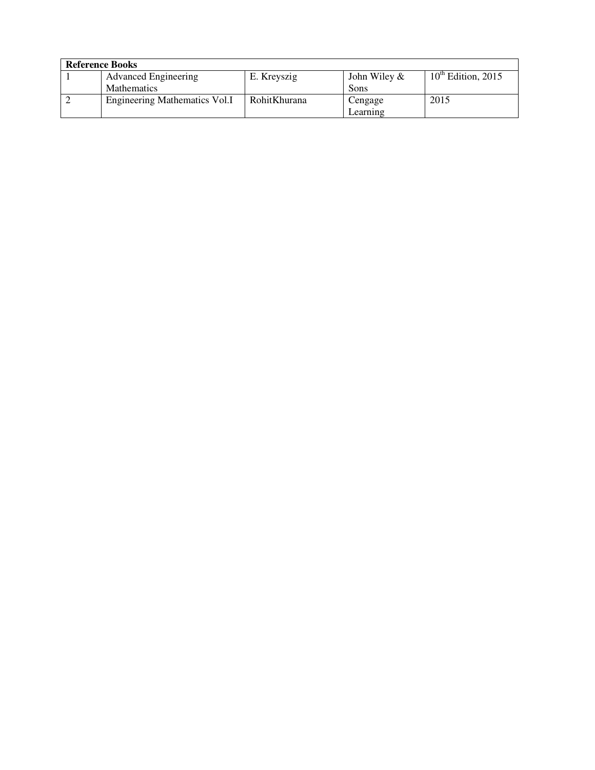| <b>Reference Books</b> |                               |              |                 |                         |  |
|------------------------|-------------------------------|--------------|-----------------|-------------------------|--|
|                        | <b>Advanced Engineering</b>   | E. Kreyszig  | John Wiley $\&$ | $10^{th}$ Edition, 2015 |  |
|                        | <b>Mathematics</b>            |              | Sons            |                         |  |
|                        | Engineering Mathematics Vol.I | RohitKhurana | Cengage         | 2015                    |  |
|                        |                               |              | Learning        |                         |  |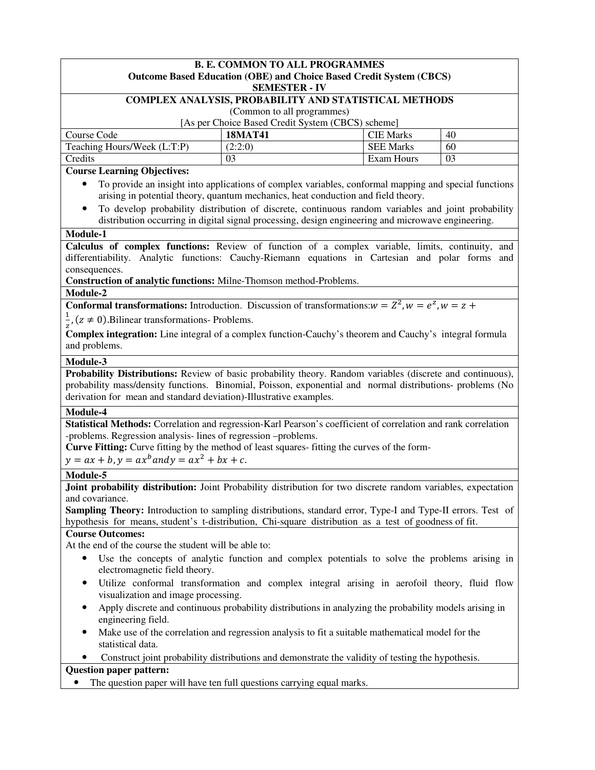| <b>B. E. COMMON TO ALL PROGRAMMES</b><br><b>Outcome Based Education (OBE) and Choice Based Credit System (CBCS)</b><br><b>SEMESTER - IV</b>                                                                                                                                                                                                                     |                                                                                                                                                                                                                                                                                                                                                                                                        |                  |    |  |
|-----------------------------------------------------------------------------------------------------------------------------------------------------------------------------------------------------------------------------------------------------------------------------------------------------------------------------------------------------------------|--------------------------------------------------------------------------------------------------------------------------------------------------------------------------------------------------------------------------------------------------------------------------------------------------------------------------------------------------------------------------------------------------------|------------------|----|--|
|                                                                                                                                                                                                                                                                                                                                                                 | COMPLEX ANALYSIS, PROBABILITY AND STATISTICAL METHODS                                                                                                                                                                                                                                                                                                                                                  |                  |    |  |
|                                                                                                                                                                                                                                                                                                                                                                 | (Common to all programmes)                                                                                                                                                                                                                                                                                                                                                                             |                  |    |  |
|                                                                                                                                                                                                                                                                                                                                                                 | [As per Choice Based Credit System (CBCS) scheme]                                                                                                                                                                                                                                                                                                                                                      |                  |    |  |
| Course Code                                                                                                                                                                                                                                                                                                                                                     | <b>18MAT41</b>                                                                                                                                                                                                                                                                                                                                                                                         | <b>CIE Marks</b> | 40 |  |
| Teaching Hours/Week (L:T:P)                                                                                                                                                                                                                                                                                                                                     | (2:2:0)                                                                                                                                                                                                                                                                                                                                                                                                | <b>SEE Marks</b> | 60 |  |
| Credits                                                                                                                                                                                                                                                                                                                                                         | 03                                                                                                                                                                                                                                                                                                                                                                                                     | Exam Hours       | 03 |  |
| <b>Course Learning Objectives:</b><br>$\bullet$                                                                                                                                                                                                                                                                                                                 | To provide an insight into applications of complex variables, conformal mapping and special functions<br>arising in potential theory, quantum mechanics, heat conduction and field theory.<br>To develop probability distribution of discrete, continuous random variables and joint probability<br>distribution occurring in digital signal processing, design engineering and microwave engineering. |                  |    |  |
| Module-1                                                                                                                                                                                                                                                                                                                                                        |                                                                                                                                                                                                                                                                                                                                                                                                        |                  |    |  |
| Calculus of complex functions: Review of function of a complex variable, limits, continuity, and<br>differentiability. Analytic functions: Cauchy-Riemann equations in Cartesian and polar forms and<br>consequences.<br>Construction of analytic functions: Milne-Thomson method-Problems.<br>Module-2                                                         |                                                                                                                                                                                                                                                                                                                                                                                                        |                  |    |  |
| <b>Conformal transformations:</b> Introduction. Discussion of transformations: $w = Z^2$ , $w = e^z$ , $w = z +$                                                                                                                                                                                                                                                |                                                                                                                                                                                                                                                                                                                                                                                                        |                  |    |  |
|                                                                                                                                                                                                                                                                                                                                                                 |                                                                                                                                                                                                                                                                                                                                                                                                        |                  |    |  |
| $\frac{1}{a}$ , (z $\neq$ 0). Bilinear transformations- Problems.                                                                                                                                                                                                                                                                                               |                                                                                                                                                                                                                                                                                                                                                                                                        |                  |    |  |
| Complex integration: Line integral of a complex function-Cauchy's theorem and Cauchy's integral formula<br>and problems.                                                                                                                                                                                                                                        |                                                                                                                                                                                                                                                                                                                                                                                                        |                  |    |  |
| Module-3                                                                                                                                                                                                                                                                                                                                                        |                                                                                                                                                                                                                                                                                                                                                                                                        |                  |    |  |
| Probability Distributions: Review of basic probability theory. Random variables (discrete and continuous),<br>probability mass/density functions. Binomial, Poisson, exponential and normal distributions- problems (No<br>derivation for mean and standard deviation)-Illustrative examples.                                                                   |                                                                                                                                                                                                                                                                                                                                                                                                        |                  |    |  |
| Module-4                                                                                                                                                                                                                                                                                                                                                        |                                                                                                                                                                                                                                                                                                                                                                                                        |                  |    |  |
| Statistical Methods: Correlation and regression-Karl Pearson's coefficient of correlation and rank correlation<br>-problems. Regression analysis-lines of regression -problems.<br>Curve Fitting: Curve fitting by the method of least squares- fitting the curves of the form-<br>$y = ax + b, y = ax^b$ and $y = ax^2 + bx + c$ .                             |                                                                                                                                                                                                                                                                                                                                                                                                        |                  |    |  |
| Module-5                                                                                                                                                                                                                                                                                                                                                        |                                                                                                                                                                                                                                                                                                                                                                                                        |                  |    |  |
| Joint probability distribution: Joint Probability distribution for two discrete random variables, expectation<br>and covariance.<br><b>Sampling Theory:</b> Introduction to sampling distributions, standard error, Type-I and Type-II errors. Test of<br>hypothesis for means, student's t-distribution, Chi-square distribution as a test of goodness of fit. |                                                                                                                                                                                                                                                                                                                                                                                                        |                  |    |  |
| <b>Course Outcomes:</b>                                                                                                                                                                                                                                                                                                                                         |                                                                                                                                                                                                                                                                                                                                                                                                        |                  |    |  |
| At the end of the course the student will be able to:                                                                                                                                                                                                                                                                                                           |                                                                                                                                                                                                                                                                                                                                                                                                        |                  |    |  |
| Use the concepts of analytic function and complex potentials to solve the problems arising in<br>electromagnetic field theory.                                                                                                                                                                                                                                  |                                                                                                                                                                                                                                                                                                                                                                                                        |                  |    |  |
| Utilize conformal transformation and complex integral arising in aerofoil theory, fluid flow<br>$\bullet$<br>visualization and image processing.                                                                                                                                                                                                                |                                                                                                                                                                                                                                                                                                                                                                                                        |                  |    |  |
| engineering field.                                                                                                                                                                                                                                                                                                                                              | Apply discrete and continuous probability distributions in analyzing the probability models arising in                                                                                                                                                                                                                                                                                                 |                  |    |  |
| Make use of the correlation and regression analysis to fit a suitable mathematical model for the<br>statistical data.                                                                                                                                                                                                                                           |                                                                                                                                                                                                                                                                                                                                                                                                        |                  |    |  |
|                                                                                                                                                                                                                                                                                                                                                                 | Construct joint probability distributions and demonstrate the validity of testing the hypothesis.                                                                                                                                                                                                                                                                                                      |                  |    |  |
| <b>Question paper pattern:</b>                                                                                                                                                                                                                                                                                                                                  |                                                                                                                                                                                                                                                                                                                                                                                                        |                  |    |  |
|                                                                                                                                                                                                                                                                                                                                                                 | The question paper will have ten full questions carrying equal marks.                                                                                                                                                                                                                                                                                                                                  |                  |    |  |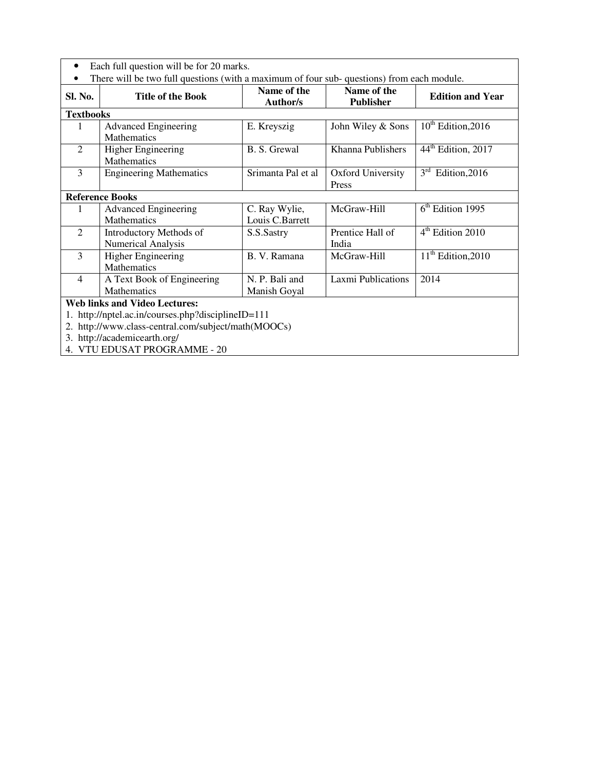| Each full question will be for 20 marks.             |                                  |                                                                                                           |                                                                                           |
|------------------------------------------------------|----------------------------------|-----------------------------------------------------------------------------------------------------------|-------------------------------------------------------------------------------------------|
| <b>Title of the Book</b>                             | Name of the<br>Author/s          | Name of the<br><b>Publisher</b>                                                                           | <b>Edition and Year</b>                                                                   |
| <b>Textbooks</b>                                     |                                  |                                                                                                           |                                                                                           |
| <b>Advanced Engineering</b><br><b>Mathematics</b>    | E. Kreyszig                      | John Wiley & Sons                                                                                         | $10^{th}$ Edition, 2016                                                                   |
| <b>Higher Engineering</b><br>Mathematics             | B. S. Grewal                     | Khanna Publishers                                                                                         | 44 <sup>th</sup> Edition, 2017                                                            |
| <b>Engineering Mathematics</b>                       | Srimanta Pal et al               | <b>Oxford University</b><br>Press                                                                         | $3rd$ Edition, 2016                                                                       |
| <b>Reference Books</b>                               |                                  |                                                                                                           |                                                                                           |
| <b>Advanced Engineering</b><br><b>Mathematics</b>    | C. Ray Wylie,<br>Louis C.Barrett | McGraw-Hill                                                                                               | $6th$ Edition 1995                                                                        |
| Introductory Methods of<br><b>Numerical Analysis</b> | S.S.Sastry                       | Prentice Hall of<br>India                                                                                 | 4 <sup>th</sup> Edition 2010                                                              |
| <b>Higher Engineering</b><br><b>Mathematics</b>      | B. V. Ramana                     | McGraw-Hill                                                                                               | $11th$ Edition, 2010                                                                      |
| A Text Book of Engineering<br>Mathematics            | N. P. Bali and<br>Manish Goyal   | <b>Laxmi Publications</b>                                                                                 | 2014                                                                                      |
| <b>Web links and Video Lectures:</b>                 |                                  |                                                                                                           |                                                                                           |
| 3. http://academicearth.org/                         |                                  |                                                                                                           |                                                                                           |
|                                                      | 4. VTU EDUSAT PROGRAMME - 20     | 1. http://nptel.ac.in/courses.php?disciplineID=111<br>2. http://www.class-central.com/subject/math(MOOCs) | There will be two full questions (with a maximum of four sub-questions) from each module. |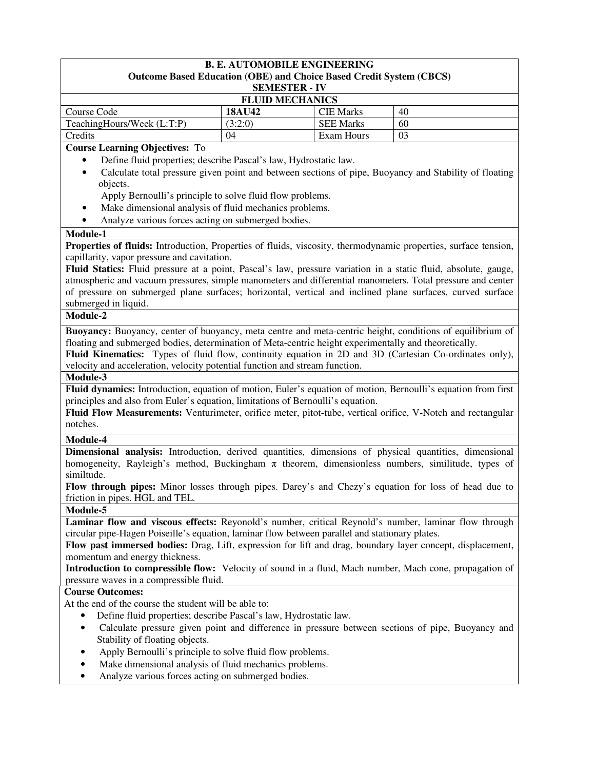### **B. E. AUTOMOBILE ENGINEERING Outcome Based Education (OBE) and Choice Based Credit System (CBCS) SEMESTER - IV FLUID MECHANICS**  Course Code **18AU42** CIE Marks 40 TeachingHours/Week  $(L.T.P)$   $(3:2:0)$  SEE Marks 60 Credits 104 Exam Hours 103 **Course Learning Objectives:** To • Define fluid properties; describe Pascal's law, Hydrostatic law. • Calculate total pressure given point and between sections of pipe, Buoyancy and Stability of floating objects. Apply Bernoulli's principle to solve fluid flow problems. • Make dimensional analysis of fluid mechanics problems. • Analyze various forces acting on submerged bodies. **Module-1 Properties of fluids:** Introduction, Properties of fluids, viscosity, thermodynamic properties, surface tension, capillarity, vapor pressure and cavitation. **Fluid Statics:** Fluid pressure at a point, Pascal's law, pressure variation in a static fluid, absolute, gauge, atmospheric and vacuum pressures, simple manometers and differential manometers. Total pressure and center of pressure on submerged plane surfaces; horizontal, vertical and inclined plane surfaces, curved surface submerged in liquid. **Module-2 Buoyancy:** Buoyancy, center of buoyancy, meta centre and meta-centric height, conditions of equilibrium of floating and submerged bodies, determination of Meta-centric height experimentally and theoretically. **Fluid Kinematics:** Types of fluid flow, continuity equation in 2D and 3D (Cartesian Co-ordinates only), velocity and acceleration, velocity potential function and stream function. **Module-3 Fluid dynamics:** Introduction, equation of motion, Euler's equation of motion, Bernoulli's equation from first principles and also from Euler's equation, limitations of Bernoulli's equation. **Fluid Flow Measurements:** Venturimeter, orifice meter, pitot-tube, vertical orifice, V-Notch and rectangular notches. **Module-4 Dimensional analysis:** Introduction, derived quantities, dimensions of physical quantities, dimensional homogeneity, Rayleigh's method, Buckingham  $\pi$  theorem, dimensionless numbers, similitude, types of similtude. **Flow through pipes:** Minor losses through pipes. Darey's and Chezy's equation for loss of head due to friction in pipes. HGL and TEL. **Module-5 Laminar flow and viscous effects:** Reyonold's number, critical Reynold's number, laminar flow through circular pipe-Hagen Poiseille's equation, laminar flow between parallel and stationary plates. **Flow past immersed bodies:** Drag, Lift, expression for lift and drag, boundary layer concept, displacement, momentum and energy thickness. **Introduction to compressible flow:** Velocity of sound in a fluid, Mach number, Mach cone, propagation of pressure waves in a compressible fluid. **Course Outcomes:**  At the end of the course the student will be able to: • Define fluid properties; describe Pascal's law, Hydrostatic law. • Calculate pressure given point and difference in pressure between sections of pipe, Buoyancy and Stability of floating objects. • Apply Bernoulli's principle to solve fluid flow problems. Make dimensional analysis of fluid mechanics problems.

• Analyze various forces acting on submerged bodies.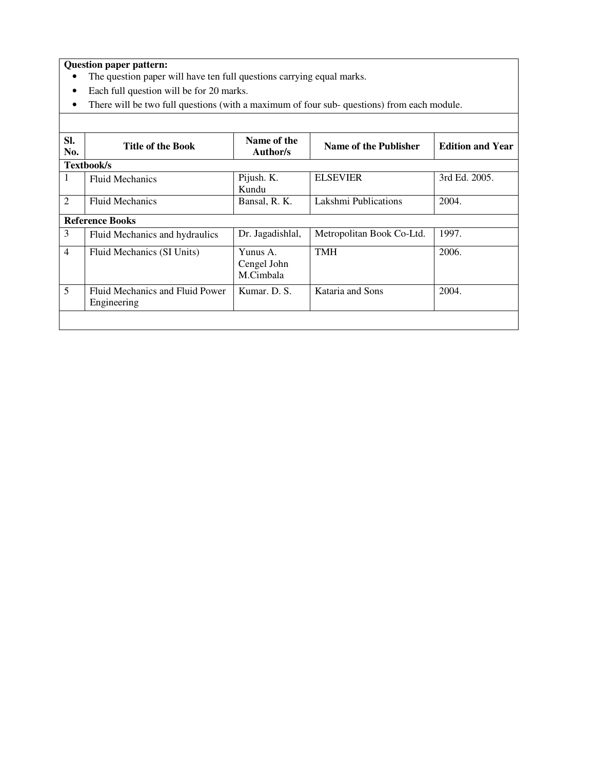- The question paper will have ten full questions carrying equal marks.
- Each full question will be for 20 marks.
- There will be two full questions (with a maximum of four sub- questions) from each module.

| SI.<br>No.     | <b>Title of the Book</b>                       | Name of the<br>Author/s              | Name of the Publisher     | <b>Edition and Year</b> |
|----------------|------------------------------------------------|--------------------------------------|---------------------------|-------------------------|
|                | Textbook/s                                     |                                      |                           |                         |
| 1              | <b>Fluid Mechanics</b>                         | Pijush. K.<br>Kundu                  | <b>ELSEVIER</b>           | 3rd Ed. 2005.           |
| 2              | <b>Fluid Mechanics</b>                         | Bansal, R. K.                        | Lakshmi Publications      | 2004.                   |
|                | <b>Reference Books</b>                         |                                      |                           |                         |
| 3              | Fluid Mechanics and hydraulics                 | Dr. Jagadishlal,                     | Metropolitan Book Co-Ltd. | 1997.                   |
| $\overline{4}$ | Fluid Mechanics (SI Units)                     | Yunus A.<br>Cengel John<br>M.Cimbala | <b>TMH</b>                | 2006.                   |
| 5              | Fluid Mechanics and Fluid Power<br>Engineering | Kumar, D. S.                         | Kataria and Sons          | 2004.                   |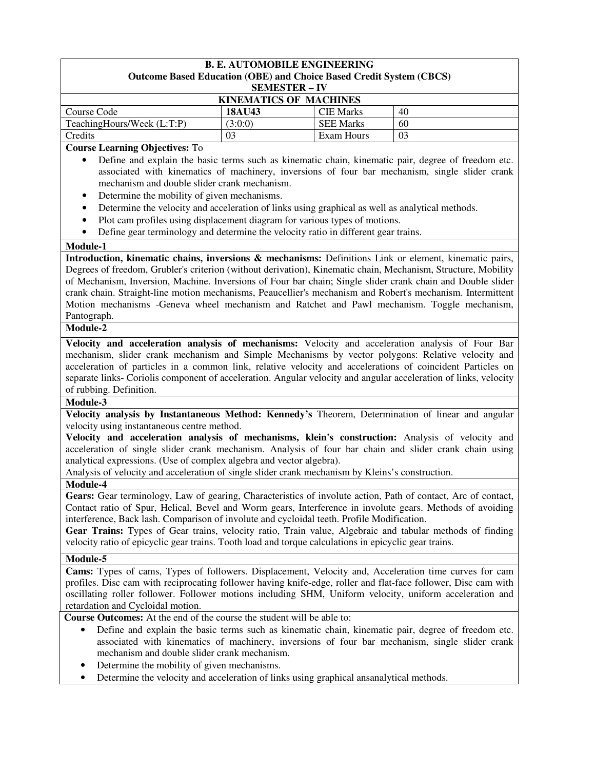### **B. E. AUTOMOBILE ENGINEERING Outcome Based Education (OBE) and Choice Based Credit System (CBCS) SEMESTER – IV KINEMATICS OF MACHINES**  Course Code **18AU43** CIE Marks 40 TeachingHours/Week  $(L:T:P)$  (3:0:0) SEE Marks 60 Credits 1 03 Exam Hours 1 03

**Course Learning Objectives:** To

- Define and explain the basic terms such as kinematic chain, kinematic pair, degree of freedom etc. associated with kinematics of machinery, inversions of four bar mechanism, single slider crank mechanism and double slider crank mechanism.
- Determine the mobility of given mechanisms.
- Determine the velocity and acceleration of links using graphical as well as analytical methods.
- Plot cam profiles using displacement diagram for various types of motions.
- Define gear terminology and determine the velocity ratio in different gear trains.

#### **Module-1**

**Introduction, kinematic chains, inversions & mechanisms:** Definitions Link or element, kinematic pairs, Degrees of freedom, Grubler's criterion (without derivation), Kinematic chain, Mechanism, Structure, Mobility of Mechanism, Inversion, Machine. Inversions of Four bar chain; Single slider crank chain and Double slider crank chain. Straight-line motion mechanisms, Peaucellier's mechanism and Robert's mechanism. Intermittent Motion mechanisms -Geneva wheel mechanism and Ratchet and Pawl mechanism. Toggle mechanism, Pantograph.

### **Module-2**

**Velocity and acceleration analysis of mechanisms:** Velocity and acceleration analysis of Four Bar mechanism, slider crank mechanism and Simple Mechanisms by vector polygons: Relative velocity and acceleration of particles in a common link, relative velocity and accelerations of coincident Particles on separate links- Coriolis component of acceleration. Angular velocity and angular acceleration of links, velocity of rubbing. Definition.

#### **Module-3**

**Velocity analysis by Instantaneous Method: Kennedy's** Theorem, Determination of linear and angular velocity using instantaneous centre method.

**Velocity and acceleration analysis of mechanisms, klein's construction:** Analysis of velocity and acceleration of single slider crank mechanism. Analysis of four bar chain and slider crank chain using analytical expressions. (Use of complex algebra and vector algebra).

Analysis of velocity and acceleration of single slider crank mechanism by Kleins's construction.

### **Module-4**

**Gears:** Gear terminology, Law of gearing, Characteristics of involute action, Path of contact, Arc of contact, Contact ratio of Spur, Helical, Bevel and Worm gears, Interference in involute gears. Methods of avoiding interference, Back lash. Comparison of involute and cycloidal teeth. Profile Modification.

**Gear Trains:** Types of Gear trains, velocity ratio, Train value, Algebraic and tabular methods of finding velocity ratio of epicyclic gear trains. Tooth load and torque calculations in epicyclic gear trains.

### **Module-5**

**Cams:** Types of cams, Types of followers. Displacement, Velocity and, Acceleration time curves for cam profiles. Disc cam with reciprocating follower having knife-edge, roller and flat-face follower, Disc cam with oscillating roller follower. Follower motions including SHM, Uniform velocity, uniform acceleration and retardation and Cycloidal motion.

**Course Outcomes:** At the end of the course the student will be able to:

- Define and explain the basic terms such as kinematic chain, kinematic pair, degree of freedom etc. associated with kinematics of machinery, inversions of four bar mechanism, single slider crank mechanism and double slider crank mechanism.
- Determine the mobility of given mechanisms.
- Determine the velocity and acceleration of links using graphical ansanalytical methods.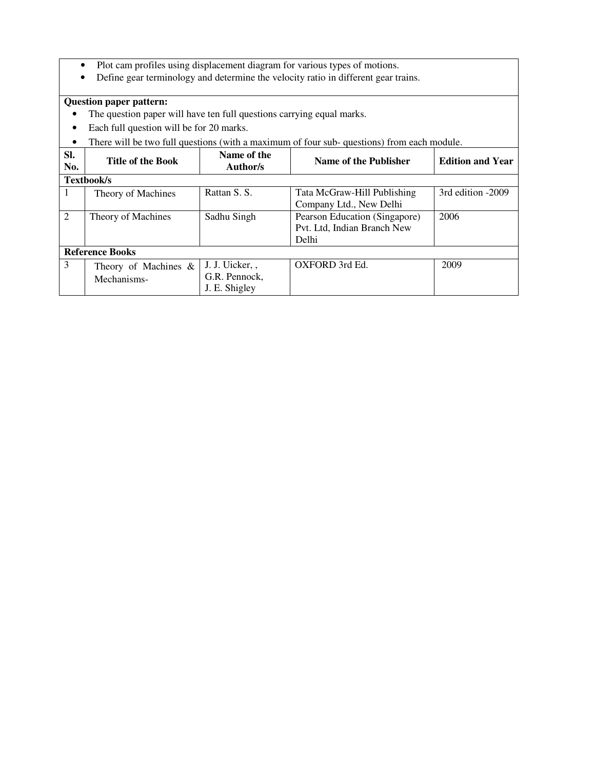- Plot cam profiles using displacement diagram for various types of motions.
- Define gear terminology and determine the velocity ratio in different gear trains.

- The question paper will have ten full questions carrying equal marks.
- Each full question will be for 20 marks.
- There will be two full questions (with a maximum of four sub- questions) from each module.

| Sl.<br>No. | <b>Title of the Book</b>               | Name of the<br>Author/s                           | Name of the Publisher                                                 | <b>Edition and Year</b> |
|------------|----------------------------------------|---------------------------------------------------|-----------------------------------------------------------------------|-------------------------|
|            | Textbook/s                             |                                                   |                                                                       |                         |
| T          | Theory of Machines                     | Rattan S. S.                                      | Tata McGraw-Hill Publishing<br>Company Ltd., New Delhi                | 3rd edition -2009       |
| 2          | Theory of Machines                     | Sadhu Singh                                       | Pearson Education (Singapore)<br>Pvt. Ltd, Indian Branch New<br>Delhi | 2006                    |
|            | <b>Reference Books</b>                 |                                                   |                                                                       |                         |
| 3          | Theory of Machines $\&$<br>Mechanisms- | J. J. Uicker, ,<br>G.R. Pennock,<br>J. E. Shigley | OXFORD 3rd Ed.                                                        | 2009                    |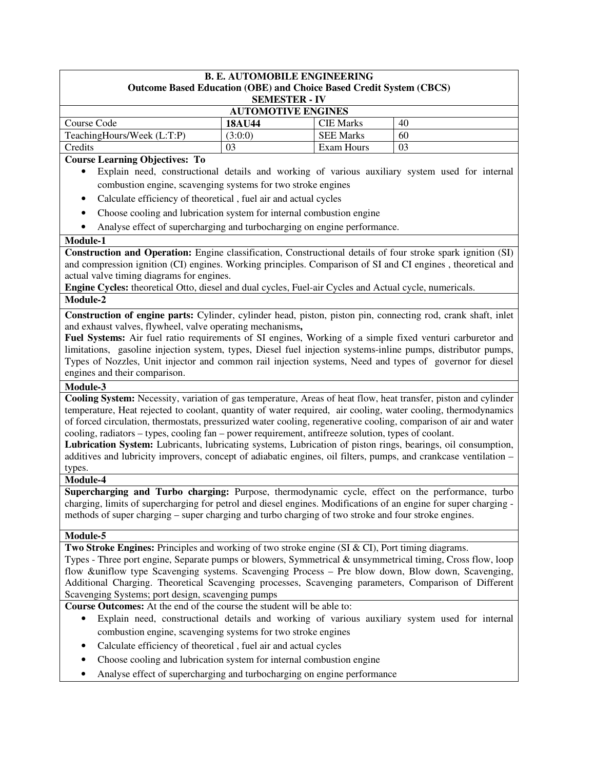#### **B. E. AUTOMOBILE ENGINEERING Outcome Based Education (OBE) and Choice Based Credit System (CBCS) SEMESTER - IV**

| OEWIED LEIN - I V          |         |                  |    |  |
|----------------------------|---------|------------------|----|--|
| <b>AUTOMOTIVE ENGINES</b>  |         |                  |    |  |
| Course Code                | 18AU44  | <b>CIE Marks</b> | 40 |  |
| TeachingHours/Week (L:T:P) | (3:0:0) | <b>SEE Marks</b> | 60 |  |
| Credits                    |         | Exam Hours       | 03 |  |

### **Course Learning Objectives: To**

- Explain need, constructional details and working of various auxiliary system used for internal combustion engine, scavenging systems for two stroke engines
- Calculate efficiency of theoretical , fuel air and actual cycles
- Choose cooling and lubrication system for internal combustion engine
- Analyse effect of supercharging and turbocharging on engine performance.

### **Module-1**

**Construction and Operation:** Engine classification, Constructional details of four stroke spark ignition (SI) and compression ignition (CI) engines. Working principles. Comparison of SI and CI engines , theoretical and actual valve timing diagrams for engines.

**Engine Cycles:** theoretical Otto, diesel and dual cycles, Fuel-air Cycles and Actual cycle, numericals. **Module-2** 

**Construction of engine parts:** Cylinder, cylinder head, piston, piston pin, connecting rod, crank shaft, inlet and exhaust valves, flywheel, valve operating mechanisms**,** 

**Fuel Systems:** Air fuel ratio requirements of SI engines, Working of a simple fixed venturi carburetor and limitations, gasoline injection system, types, Diesel fuel injection systems-inline pumps, distributor pumps, Types of Nozzles, Unit injector and common rail injection systems, Need and types of governor for diesel engines and their comparison.

#### **Module-3**

**Cooling System:** Necessity, variation of gas temperature, Areas of heat flow, heat transfer, piston and cylinder temperature, Heat rejected to coolant, quantity of water required, air cooling, water cooling, thermodynamics of forced circulation, thermostats, pressurized water cooling, regenerative cooling, comparison of air and water cooling, radiators – types, cooling fan – power requirement, antifreeze solution, types of coolant.

**Lubrication System:** Lubricants, lubricating systems, Lubrication of piston rings, bearings, oil consumption, additives and lubricity improvers, concept of adiabatic engines, oil filters, pumps, and crankcase ventilation – types.

#### **Module-4**

**Supercharging and Turbo charging:** Purpose, thermodynamic cycle, effect on the performance, turbo charging, limits of supercharging for petrol and diesel engines. Modifications of an engine for super charging methods of super charging – super charging and turbo charging of two stroke and four stroke engines.

#### **Module-5**

**Two Stroke Engines:** Principles and working of two stroke engine (SI & CI), Port timing diagrams.

Types - Three port engine, Separate pumps or blowers, Symmetrical & unsymmetrical timing, Cross flow, loop flow &uniflow type Scavenging systems. Scavenging Process – Pre blow down, Blow down, Scavenging, Additional Charging. Theoretical Scavenging processes, Scavenging parameters, Comparison of Different Scavenging Systems; port design, scavenging pumps

**Course Outcomes:** At the end of the course the student will be able to:

- Explain need, constructional details and working of various auxiliary system used for internal combustion engine, scavenging systems for two stroke engines
- Calculate efficiency of theoretical , fuel air and actual cycles
- Choose cooling and lubrication system for internal combustion engine
- Analyse effect of supercharging and turbocharging on engine performance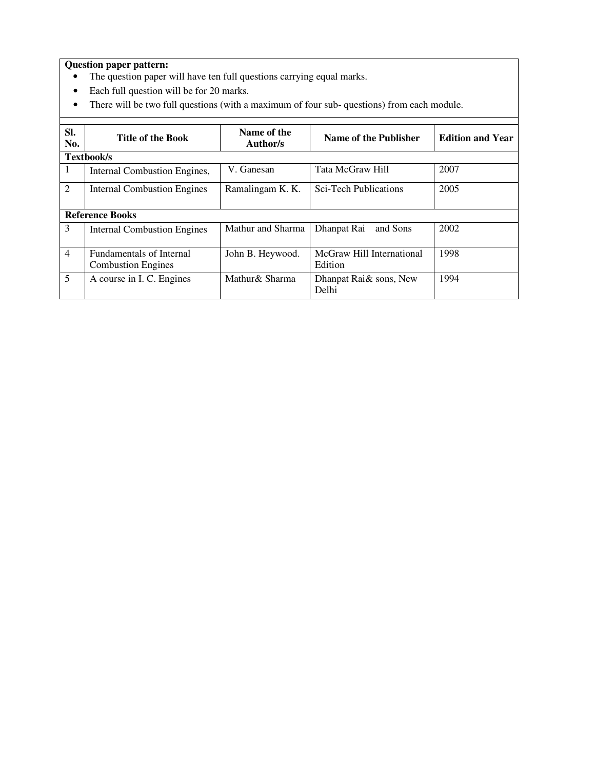- The question paper will have ten full questions carrying equal marks.
- Each full question will be for 20 marks.
- There will be two full questions (with a maximum of four sub- questions) from each module.

| SI.<br>No.     | <b>Title of the Book</b>                                     | Name of the<br>Author/s | Name of the Publisher                | <b>Edition and Year</b> |
|----------------|--------------------------------------------------------------|-------------------------|--------------------------------------|-------------------------|
|                | <b>Textbook/s</b>                                            |                         |                                      |                         |
| 1              | Internal Combustion Engines,                                 | V. Ganesan              | Tata McGraw Hill                     | 2007                    |
| $\overline{2}$ | Internal Combustion Engines                                  | Ramalingam K. K.        | <b>Sci-Tech Publications</b>         | 2005                    |
|                | <b>Reference Books</b>                                       |                         |                                      |                         |
| 3              | <b>Internal Combustion Engines</b>                           | Mathur and Sharma       | Dhanpat Rai<br>and Sons              | 2002                    |
| $\overline{4}$ | <b>Fundamentals of Internal</b><br><b>Combustion Engines</b> | John B. Heywood.        | McGraw Hill International<br>Edition | 1998                    |
| 5              | A course in I. C. Engines                                    | Mathur& Sharma          | Dhanpat Rai& sons, New<br>Delhi      | 1994                    |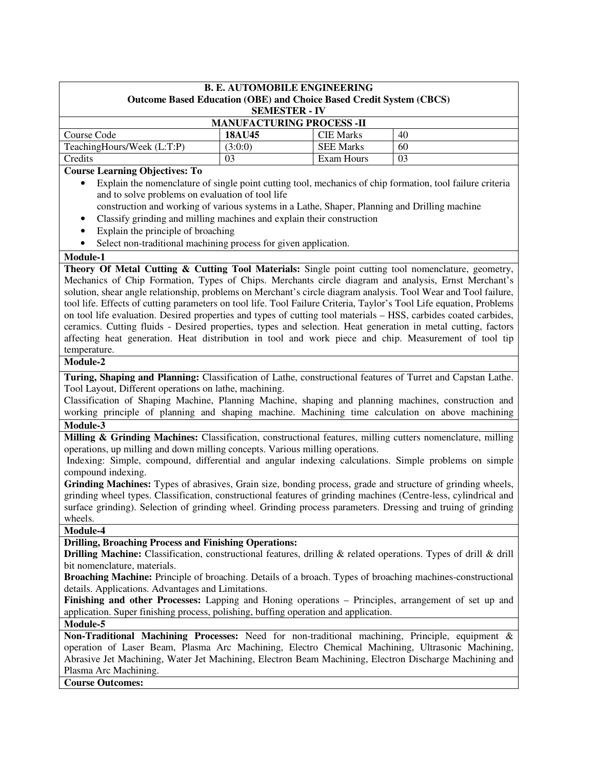| <b>B. E. AUTOMOBILE ENGINEERING</b><br><b>Outcome Based Education (OBE) and Choice Based Credit System (CBCS)</b><br><b>SEMESTER - IV</b> |                                  |                  |    |
|-------------------------------------------------------------------------------------------------------------------------------------------|----------------------------------|------------------|----|
|                                                                                                                                           | <b>MANUFACTURING PROCESS -II</b> |                  |    |
| Course Code                                                                                                                               | <b>18AU45</b>                    | <b>CIE Marks</b> | 40 |
| TeachingHours/Week (L:T:P)                                                                                                                | (3:0:0)                          | <b>SEE Marks</b> | 60 |
| Credits                                                                                                                                   | 03                               | Exam Hours       | 03 |

## **Course Learning Objectives: To**

- Explain the nomenclature of single point cutting tool, mechanics of chip formation, tool failure criteria and to solve problems on evaluation of tool life
- construction and working of various systems in a Lathe, Shaper, Planning and Drilling machine
- Classify grinding and milling machines and explain their construction
- Explain the principle of broaching
- Select non-traditional machining process for given application.

## **Module-1**

**Theory Of Metal Cutting & Cutting Tool Materials:** Single point cutting tool nomenclature, geometry, Mechanics of Chip Formation, Types of Chips. Merchants circle diagram and analysis, Ernst Merchant's solution, shear angle relationship, problems on Merchant's circle diagram analysis. Tool Wear and Tool failure, tool life. Effects of cutting parameters on tool life. Tool Failure Criteria, Taylor's Tool Life equation, Problems on tool life evaluation. Desired properties and types of cutting tool materials – HSS, carbides coated carbides, ceramics. Cutting fluids - Desired properties, types and selection. Heat generation in metal cutting, factors affecting heat generation. Heat distribution in tool and work piece and chip. Measurement of tool tip temperature.

## **Module-2**

**Turing, Shaping and Planning:** Classification of Lathe, constructional features of Turret and Capstan Lathe. Tool Layout, Different operations on lathe, machining.

Classification of Shaping Machine, Planning Machine, shaping and planning machines, construction and working principle of planning and shaping machine. Machining time calculation on above machining Module-3

**Milling & Grinding Machines:** Classification, constructional features, milling cutters nomenclature, milling operations, up milling and down milling concepts. Various milling operations.

 Indexing: Simple, compound, differential and angular indexing calculations. Simple problems on simple compound indexing.

**Grinding Machines:** Types of abrasives, Grain size, bonding process, grade and structure of grinding wheels, grinding wheel types. Classification, constructional features of grinding machines (Centre-less, cylindrical and surface grinding). Selection of grinding wheel. Grinding process parameters. Dressing and truing of grinding wheels.

## **Module-4**

## **Drilling, Broaching Process and Finishing Operations:**

**Drilling Machine:** Classification, constructional features, drilling & related operations. Types of drill & drill bit nomenclature, materials.

**Broaching Machine:** Principle of broaching. Details of a broach. Types of broaching machines-constructional details. Applications. Advantages and Limitations.

**Finishing and other Processes:** Lapping and Honing operations – Principles, arrangement of set up and application. Super finishing process, polishing, buffing operation and application.

## **Module-5**

**Non-Traditional Machining Processes:** Need for non-traditional machining, Principle, equipment & operation of Laser Beam, Plasma Arc Machining, Electro Chemical Machining, Ultrasonic Machining, Abrasive Jet Machining, Water Jet Machining, Electron Beam Machining, Electron Discharge Machining and Plasma Arc Machining.

# **Course Outcomes:**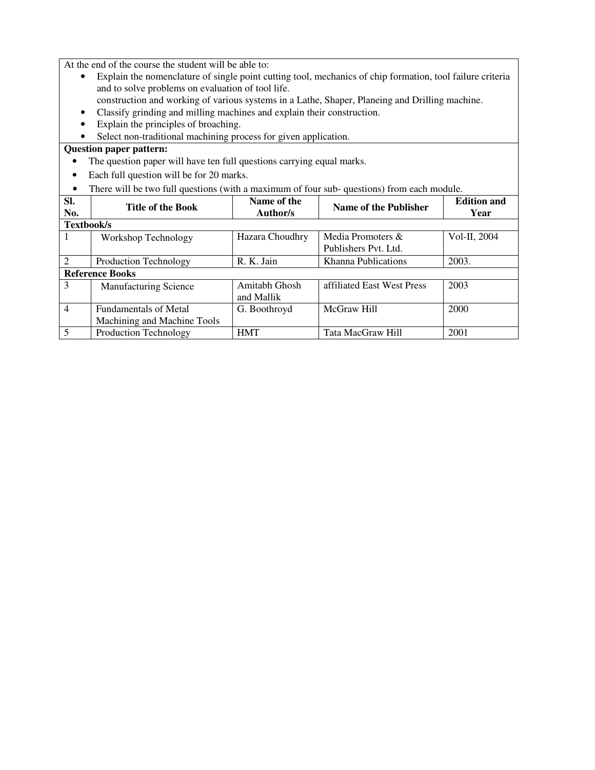At the end of the course the student will be able to:

- Explain the nomenclature of single point cutting tool, mechanics of chip formation, tool failure criteria and to solve problems on evaluation of tool life.
	- construction and working of various systems in a Lathe, Shaper, Planeing and Drilling machine.
- Classify grinding and milling machines and explain their construction.
- Explain the principles of broaching.
- Select non-traditional machining process for given application.

- The question paper will have ten full questions carrying equal marks.
- Each full question will be for 20 marks.
- There will be two full questions (with a maximum of four sub- questions) from each module.

| Sl.<br>No.     | <b>Title of the Book</b>     | Name of the<br>Author/s | Name of the Publisher      | <b>Edition and</b><br>Year |
|----------------|------------------------------|-------------------------|----------------------------|----------------------------|
| Textbook/s     |                              |                         |                            |                            |
|                | Workshop Technology          | Hazara Choudhry         | Media Promoters &          | Vol-II, 2004               |
|                |                              |                         | Publishers Pvt. Ltd.       |                            |
|                | Production Technology        | R. K. Jain              | Khanna Publications        | 2003.                      |
|                | <b>Reference Books</b>       |                         |                            |                            |
| 3              | <b>Manufacturing Science</b> | Amitabh Ghosh           | affiliated East West Press | 2003                       |
|                |                              | and Mallik              |                            |                            |
| $\overline{4}$ | <b>Fundamentals of Metal</b> | G. Boothroyd            | McGraw Hill                | 2000                       |
|                | Machining and Machine Tools  |                         |                            |                            |
| 5              | Production Technology        | <b>HMT</b>              | Tata MacGraw Hill          | 2001                       |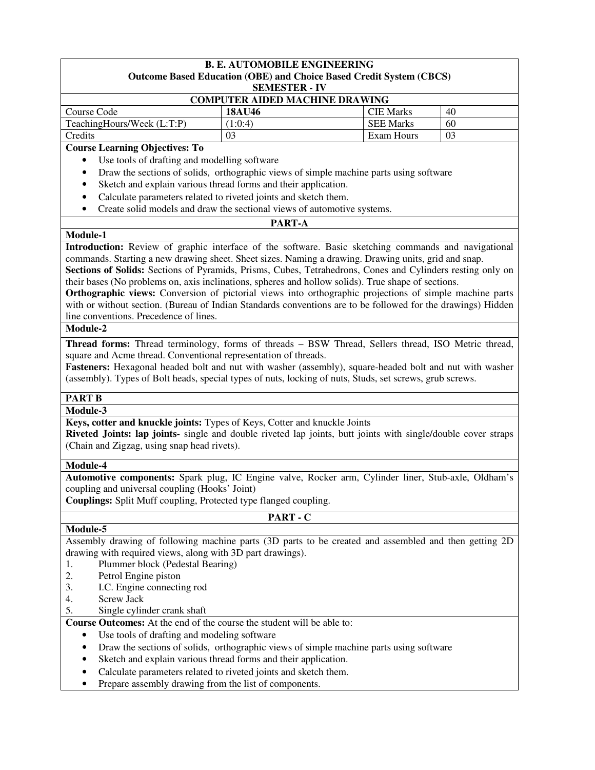# **B. E. AUTOMOBILE ENGINEERING**

## **Outcome Based Education (OBE) and Choice Based Credit System (CBCS)**

**SEMESTER - IV**

| <b>COMPUTER AIDED MACHINE DRAWING</b> |        |                  |    |  |
|---------------------------------------|--------|------------------|----|--|
| Course Code                           | 18AU46 | <b>CIE Marks</b> | 40 |  |
| TeachingHours/Week (L:T:P)            | 1:0:4  | <b>SEE Marks</b> | 60 |  |
| Credits                               | 03     | Exam Hours       | 03 |  |

#### **Course Learning Objectives: To**

- Use tools of drafting and modelling software
- Draw the sections of solids, orthographic views of simple machine parts using software
- Sketch and explain various thread forms and their application.
- Calculate parameters related to riveted joints and sketch them.
- Create solid models and draw the sectional views of automotive systems.

# **PART-A**

## **Module-1**

**Introduction:** Review of graphic interface of the software. Basic sketching commands and navigational commands. Starting a new drawing sheet. Sheet sizes. Naming a drawing. Drawing units, grid and snap.

**Sections of Solids:** Sections of Pyramids, Prisms, Cubes, Tetrahedrons, Cones and Cylinders resting only on their bases (No problems on, axis inclinations, spheres and hollow solids). True shape of sections.

**Orthographic views:** Conversion of pictorial views into orthographic projections of simple machine parts with or without section. (Bureau of Indian Standards conventions are to be followed for the drawings) Hidden line conventions. Precedence of lines.

## **Module-2**

**Thread forms:** Thread terminology, forms of threads – BSW Thread, Sellers thread, ISO Metric thread, square and Acme thread. Conventional representation of threads.

**Fasteners:** Hexagonal headed bolt and nut with washer (assembly), square-headed bolt and nut with washer (assembly). Types of Bolt heads, special types of nuts, locking of nuts, Studs, set screws, grub screws.

# **PART B**

**Module-3**

**Keys, cotter and knuckle joints:** Types of Keys, Cotter and knuckle Joints

**Riveted Joints: lap joints-** single and double riveted lap joints, butt joints with single/double cover straps (Chain and Zigzag, using snap head rivets).

## **Module-4**

**Module-5**

**Automotive components:** Spark plug, IC Engine valve, Rocker arm, Cylinder liner, Stub-axle, Oldham's coupling and universal coupling (Hooks' Joint)

**Couplings:** Split Muff coupling, Protected type flanged coupling.

# **PART - C**

Assembly drawing of following machine parts (3D parts to be created and assembled and then getting 2D drawing with required views, along with 3D part drawings).

- 1. Plummer block (Pedestal Bearing)
- 2. Petrol Engine piston
- 3. I.C. Engine connecting rod
- 4. Screw Jack
- 5. Single cylinder crank shaft

**Course Outcomes:** At the end of the course the student will be able to:

- Use tools of drafting and modeling software
	- Draw the sections of solids, orthographic views of simple machine parts using software
	- Sketch and explain various thread forms and their application.
	- Calculate parameters related to riveted joints and sketch them.
	- Prepare assembly drawing from the list of components.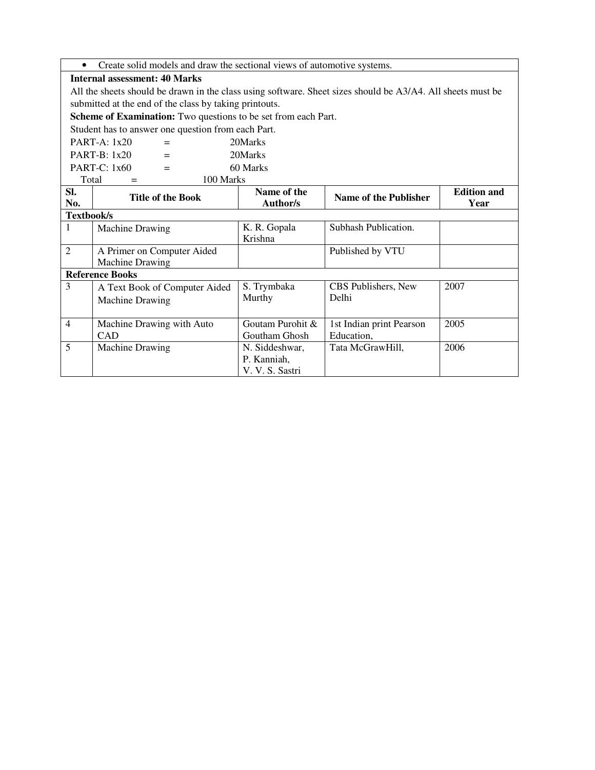• Create solid models and draw the sectional views of automotive systems.

## **Internal assessment: 40 Marks**

All the sheets should be drawn in the class using software. Sheet sizes should be A3/A4. All sheets must be submitted at the end of the class by taking printouts.

**Scheme of Examination:** Two questions to be set from each Part.

Student has to answer one question from each Part.

| $PART-A: 1x20$            | $=$ | 20Marks     |
|---------------------------|-----|-------------|
| $PART-B: 1x20$            | $=$ | 20Marks     |
| PART-C: $1x60$            | $=$ | 60 Marks    |
| $T_{\alpha \tau \alpha}1$ |     | $100$ Morks |

|                | 1 otal<br>TUU MATKS           |                         |                          |                            |
|----------------|-------------------------------|-------------------------|--------------------------|----------------------------|
| SI.<br>No.     | <b>Title of the Book</b>      | Name of the<br>Author/s | Name of the Publisher    | <b>Edition and</b><br>Year |
| Textbook/s     |                               |                         |                          |                            |
| 1              | <b>Machine Drawing</b>        | K. R. Gopala            | Subhash Publication.     |                            |
|                |                               | Krishna                 |                          |                            |
| $\overline{2}$ | A Primer on Computer Aided    |                         | Published by VTU         |                            |
|                | Machine Drawing               |                         |                          |                            |
|                | <b>Reference Books</b>        |                         |                          |                            |
| 3              | A Text Book of Computer Aided | S. Trymbaka             | CBS Publishers, New      | 2007                       |
|                | Machine Drawing               | Murthy                  | Delhi                    |                            |
|                |                               |                         |                          |                            |
| $\overline{4}$ | Machine Drawing with Auto     | Goutam Purohit &        | 1st Indian print Pearson | 2005                       |
|                | <b>CAD</b>                    | Goutham Ghosh           | Education,               |                            |
| 5              | <b>Machine Drawing</b>        | N. Siddeshwar,          | Tata McGrawHill,         | 2006                       |
|                |                               | P. Kanniah,             |                          |                            |
|                |                               | V. V. S. Sastri         |                          |                            |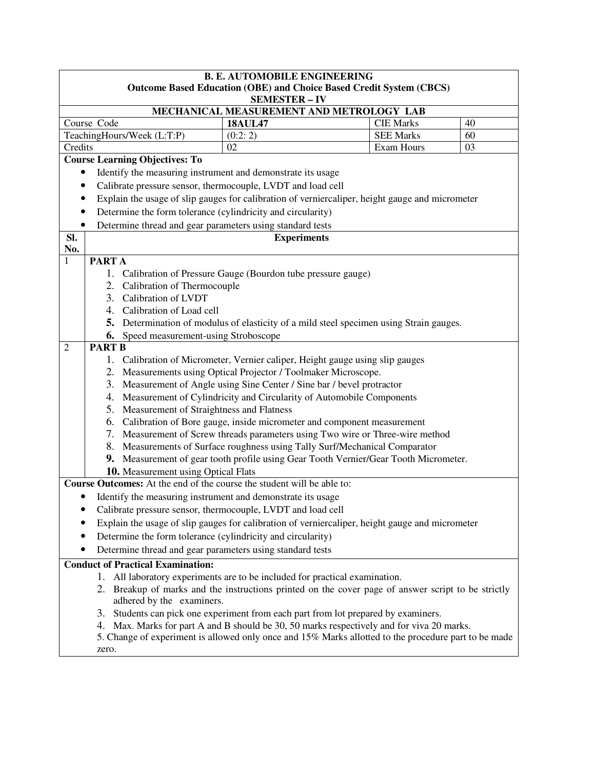|                | <b>B. E. AUTOMOBILE ENGINEERING</b>                                                                                             |                                               |                                                                                                                                                    |                  |    |  |
|----------------|---------------------------------------------------------------------------------------------------------------------------------|-----------------------------------------------|----------------------------------------------------------------------------------------------------------------------------------------------------|------------------|----|--|
|                | <b>Outcome Based Education (OBE) and Choice Based Credit System (CBCS)</b>                                                      |                                               |                                                                                                                                                    |                  |    |  |
|                |                                                                                                                                 |                                               | <b>SEMESTER - IV</b>                                                                                                                               |                  |    |  |
|                |                                                                                                                                 |                                               | MECHANICAL MEASUREMENT AND METROLOGY LAB                                                                                                           |                  |    |  |
|                | Course Code                                                                                                                     |                                               | <b>18AUL47</b>                                                                                                                                     | <b>CIE Marks</b> | 40 |  |
|                |                                                                                                                                 | TeachingHours/Week (L:T:P)                    | (0:2:2)                                                                                                                                            | <b>SEE Marks</b> | 60 |  |
| Credits        |                                                                                                                                 |                                               | 02                                                                                                                                                 | Exam Hours       | 03 |  |
|                |                                                                                                                                 | <b>Course Learning Objectives: To</b>         |                                                                                                                                                    |                  |    |  |
| $\bullet$      |                                                                                                                                 |                                               | Identify the measuring instrument and demonstrate its usage                                                                                        |                  |    |  |
| $\bullet$      |                                                                                                                                 |                                               | Calibrate pressure sensor, thermocouple, LVDT and load cell                                                                                        |                  |    |  |
| $\bullet$      |                                                                                                                                 |                                               | Explain the usage of slip gauges for calibration of verniercaliper, height gauge and micrometer                                                    |                  |    |  |
| $\bullet$      |                                                                                                                                 |                                               | Determine the form tolerance (cylindricity and circularity)                                                                                        |                  |    |  |
| $\bullet$      |                                                                                                                                 |                                               | Determine thread and gear parameters using standard tests                                                                                          |                  |    |  |
| SI.            |                                                                                                                                 |                                               | <b>Experiments</b>                                                                                                                                 |                  |    |  |
| No.            |                                                                                                                                 |                                               |                                                                                                                                                    |                  |    |  |
| $\mathbf{1}$   | <b>PARTA</b>                                                                                                                    |                                               |                                                                                                                                                    |                  |    |  |
|                |                                                                                                                                 |                                               | 1. Calibration of Pressure Gauge (Bourdon tube pressure gauge)                                                                                     |                  |    |  |
|                |                                                                                                                                 | 2. Calibration of Thermocouple                |                                                                                                                                                    |                  |    |  |
|                |                                                                                                                                 | 3. Calibration of LVDT                        |                                                                                                                                                    |                  |    |  |
|                |                                                                                                                                 | 4. Calibration of Load cell                   |                                                                                                                                                    |                  |    |  |
|                |                                                                                                                                 |                                               | 5. Determination of modulus of elasticity of a mild steel specimen using Strain gauges.                                                            |                  |    |  |
| $\overline{2}$ |                                                                                                                                 | <b>6.</b> Speed measurement-using Stroboscope |                                                                                                                                                    |                  |    |  |
|                | <b>PART B</b>                                                                                                                   |                                               |                                                                                                                                                    |                  |    |  |
|                |                                                                                                                                 |                                               | 1. Calibration of Micrometer, Vernier caliper, Height gauge using slip gauges                                                                      |                  |    |  |
|                |                                                                                                                                 |                                               | 2. Measurements using Optical Projector / Toolmaker Microscope.                                                                                    |                  |    |  |
|                |                                                                                                                                 |                                               | 3. Measurement of Angle using Sine Center / Sine bar / bevel protractor<br>4. Measurement of Cylindricity and Circularity of Automobile Components |                  |    |  |
|                |                                                                                                                                 | 5. Measurement of Straightness and Flatness   |                                                                                                                                                    |                  |    |  |
|                |                                                                                                                                 |                                               | 6. Calibration of Bore gauge, inside micrometer and component measurement                                                                          |                  |    |  |
|                |                                                                                                                                 |                                               | 7. Measurement of Screw threads parameters using Two wire or Three-wire method                                                                     |                  |    |  |
|                |                                                                                                                                 |                                               | 8. Measurements of Surface roughness using Tally Surf/Mechanical Comparator                                                                        |                  |    |  |
|                |                                                                                                                                 |                                               | 9. Measurement of gear tooth profile using Gear Tooth Vernier/Gear Tooth Micrometer.                                                               |                  |    |  |
|                |                                                                                                                                 | 10. Measurement using Optical Flats           |                                                                                                                                                    |                  |    |  |
|                |                                                                                                                                 |                                               | <b>Course Outcomes:</b> At the end of the course the student will be able to:                                                                      |                  |    |  |
|                |                                                                                                                                 |                                               | Identify the measuring instrument and demonstrate its usage                                                                                        |                  |    |  |
|                |                                                                                                                                 |                                               | Calibrate pressure sensor, thermocouple, LVDT and load cell                                                                                        |                  |    |  |
|                |                                                                                                                                 |                                               | Explain the usage of slip gauges for calibration of verniercaliper, height gauge and micrometer                                                    |                  |    |  |
|                |                                                                                                                                 |                                               | Determine the form tolerance (cylindricity and circularity)                                                                                        |                  |    |  |
|                |                                                                                                                                 |                                               |                                                                                                                                                    |                  |    |  |
|                | Determine thread and gear parameters using standard tests<br><b>Conduct of Practical Examination:</b>                           |                                               |                                                                                                                                                    |                  |    |  |
|                |                                                                                                                                 |                                               |                                                                                                                                                    |                  |    |  |
|                | 1. All laboratory experiments are to be included for practical examination.                                                     |                                               |                                                                                                                                                    |                  |    |  |
|                | 2. Breakup of marks and the instructions printed on the cover page of answer script to be strictly<br>adhered by the examiners. |                                               |                                                                                                                                                    |                  |    |  |
|                | 3.                                                                                                                              |                                               | Students can pick one experiment from each part from lot prepared by examiners.                                                                    |                  |    |  |
|                |                                                                                                                                 |                                               | 4. Max. Marks for part A and B should be 30, 50 marks respectively and for viva 20 marks.                                                          |                  |    |  |
|                |                                                                                                                                 |                                               | 5. Change of experiment is allowed only once and 15% Marks allotted to the procedure part to be made                                               |                  |    |  |
|                | zero.                                                                                                                           |                                               |                                                                                                                                                    |                  |    |  |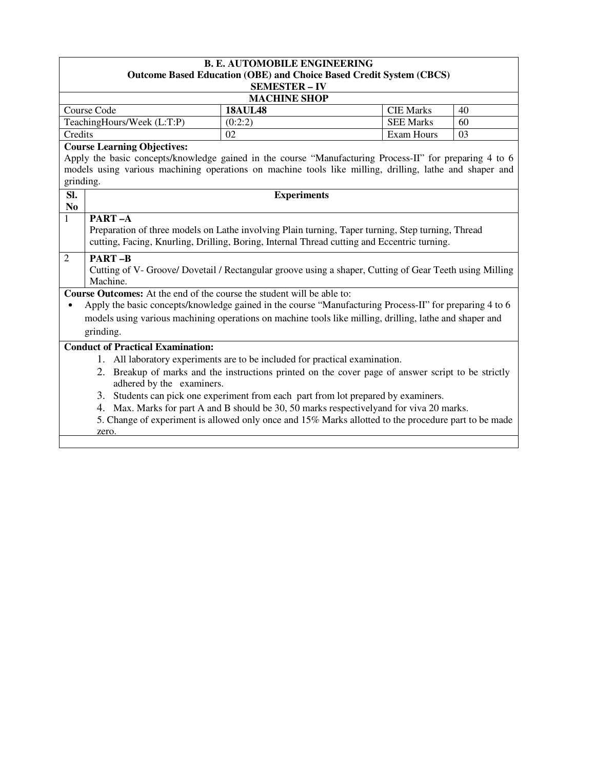| <b>B. E. AUTOMOBILE ENGINEERING</b><br><b>Outcome Based Education (OBE) and Choice Based Credit System (CBCS)</b>               |                                                                                    |                   |    |  |  |
|---------------------------------------------------------------------------------------------------------------------------------|------------------------------------------------------------------------------------|-------------------|----|--|--|
|                                                                                                                                 | <b>SEMESTER - IV</b>                                                               |                   |    |  |  |
|                                                                                                                                 | <b>MACHINE SHOP</b>                                                                |                   |    |  |  |
| <b>Course Code</b>                                                                                                              | <b>18AUL48</b>                                                                     | <b>CIE Marks</b>  | 40 |  |  |
| TeachingHours/Week (L:T:P)                                                                                                      | (0:2:2)                                                                            | <b>SEE Marks</b>  | 60 |  |  |
| Credits                                                                                                                         | 02                                                                                 | <b>Exam Hours</b> | 03 |  |  |
| <b>Course Learning Objectives:</b>                                                                                              |                                                                                    |                   |    |  |  |
| Apply the basic concepts/knowledge gained in the course "Manufacturing Process-II" for preparing 4 to 6                         |                                                                                    |                   |    |  |  |
| models using various machining operations on machine tools like milling, drilling, lathe and shaper and                         |                                                                                    |                   |    |  |  |
| grinding.                                                                                                                       |                                                                                    |                   |    |  |  |
| SI.                                                                                                                             | <b>Experiments</b>                                                                 |                   |    |  |  |
| N <sub>0</sub>                                                                                                                  |                                                                                    |                   |    |  |  |
| PART-A<br>$\mathbf{1}$                                                                                                          |                                                                                    |                   |    |  |  |
| Preparation of three models on Lathe involving Plain turning, Taper turning, Step turning, Thread                               |                                                                                    |                   |    |  |  |
| cutting, Facing, Knurling, Drilling, Boring, Internal Thread cutting and Eccentric turning.                                     |                                                                                    |                   |    |  |  |
| <b>PART-B</b><br>$\overline{2}$                                                                                                 |                                                                                    |                   |    |  |  |
| Cutting of V- Groove/ Dovetail / Rectangular groove using a shaper, Cutting of Gear Teeth using Milling<br>Machine.             |                                                                                    |                   |    |  |  |
| <b>Course Outcomes:</b> At the end of the course the student will be able to:                                                   |                                                                                    |                   |    |  |  |
| Apply the basic concepts/knowledge gained in the course "Manufacturing Process-II" for preparing 4 to 6<br>$\bullet$            |                                                                                    |                   |    |  |  |
| models using various machining operations on machine tools like milling, drilling, lathe and shaper and                         |                                                                                    |                   |    |  |  |
| grinding.                                                                                                                       |                                                                                    |                   |    |  |  |
| <b>Conduct of Practical Examination:</b>                                                                                        |                                                                                    |                   |    |  |  |
|                                                                                                                                 |                                                                                    |                   |    |  |  |
|                                                                                                                                 | 1. All laboratory experiments are to be included for practical examination.        |                   |    |  |  |
| 2. Breakup of marks and the instructions printed on the cover page of answer script to be strictly<br>adhered by the examiners. |                                                                                    |                   |    |  |  |
|                                                                                                                                 | 3. Students can pick one experiment from each part from lot prepared by examiners. |                   |    |  |  |
| 4. Max. Marks for part A and B should be 30, 50 marks respectively and for viva 20 marks.                                       |                                                                                    |                   |    |  |  |
| 5. Change of experiment is allowed only once and 15% Marks allotted to the procedure part to be made                            |                                                                                    |                   |    |  |  |
| zero.                                                                                                                           |                                                                                    |                   |    |  |  |
|                                                                                                                                 |                                                                                    |                   |    |  |  |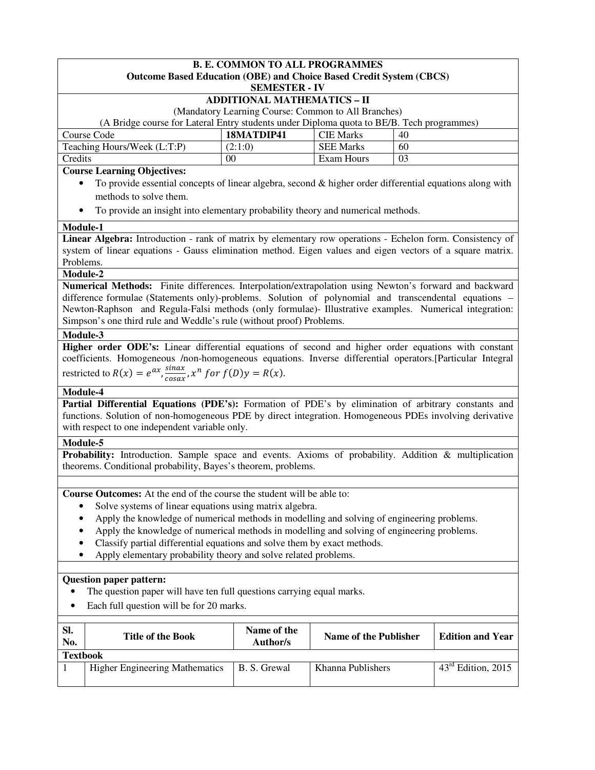|                                                                                                                    |                                          | <b>B. E. COMMON TO ALL PROGRAMMES</b>                                    | <b>Outcome Based Education (OBE) and Choice Based Credit System (CBCS)</b>                                  |    |                  |
|--------------------------------------------------------------------------------------------------------------------|------------------------------------------|--------------------------------------------------------------------------|-------------------------------------------------------------------------------------------------------------|----|------------------|
|                                                                                                                    |                                          | <b>SEMESTER - IV</b>                                                     |                                                                                                             |    |                  |
|                                                                                                                    |                                          | <b>ADDITIONAL MATHEMATICS - II</b>                                       |                                                                                                             |    |                  |
|                                                                                                                    |                                          |                                                                          | (Mandatory Learning Course: Common to All Branches)                                                         |    |                  |
|                                                                                                                    |                                          |                                                                          | (A Bridge course for Lateral Entry students under Diploma quota to BE/B. Tech programmes)                   |    |                  |
| Course Code                                                                                                        |                                          | 18MATDIP41                                                               | <b>CIE Marks</b>                                                                                            | 40 |                  |
| Teaching Hours/Week (L:T:P)                                                                                        |                                          | (2:1:0)                                                                  | <b>SEE Marks</b>                                                                                            | 60 |                  |
| Credits                                                                                                            |                                          | 00                                                                       | Exam Hours                                                                                                  | 03 |                  |
| <b>Course Learning Objectives:</b>                                                                                 |                                          |                                                                          |                                                                                                             |    |                  |
|                                                                                                                    |                                          |                                                                          | To provide essential concepts of linear algebra, second $\&$ higher order differential equations along with |    |                  |
| methods to solve them.                                                                                             |                                          |                                                                          |                                                                                                             |    |                  |
|                                                                                                                    |                                          |                                                                          | To provide an insight into elementary probability theory and numerical methods.                             |    |                  |
| Module-1                                                                                                           |                                          |                                                                          |                                                                                                             |    |                  |
| Linear Algebra: Introduction - rank of matrix by elementary row operations - Echelon form. Consistency of          |                                          |                                                                          |                                                                                                             |    |                  |
| system of linear equations - Gauss elimination method. Eigen values and eigen vectors of a square matrix.          |                                          |                                                                          |                                                                                                             |    |                  |
| Problems.                                                                                                          |                                          |                                                                          |                                                                                                             |    |                  |
| Module-2<br>Numerical Methods: Finite differences. Interpolation/extrapolation using Newton's forward and backward |                                          |                                                                          |                                                                                                             |    |                  |
| difference formulae (Statements only)-problems. Solution of polynomial and transcendental equations -              |                                          |                                                                          |                                                                                                             |    |                  |
| Newton-Raphson and Regula-Falsi methods (only formulae)- Illustrative examples. Numerical integration:             |                                          |                                                                          |                                                                                                             |    |                  |
| Simpson's one third rule and Weddle's rule (without proof) Problems.                                               |                                          |                                                                          |                                                                                                             |    |                  |
| Module-3                                                                                                           |                                          |                                                                          |                                                                                                             |    |                  |
| Higher order ODE's: Linear differential equations of second and higher order equations with constant               |                                          |                                                                          |                                                                                                             |    |                  |
| coefficients. Homogeneous /non-homogeneous equations. Inverse differential operators.[Particular Integral          |                                          |                                                                          |                                                                                                             |    |                  |
| restricted to $R(x) = e^{ax}$ , $\frac{\sin ax}{\cos ax}$ , $x^n$ for $f(D)y = R(x)$ .                             |                                          |                                                                          |                                                                                                             |    |                  |
| Module-4                                                                                                           |                                          |                                                                          |                                                                                                             |    |                  |
| Partial Differential Equations (PDE's): Formation of PDE's by elimination of arbitrary constants and               |                                          |                                                                          |                                                                                                             |    |                  |
| functions. Solution of non-homogeneous PDE by direct integration. Homogeneous PDEs involving derivative            |                                          |                                                                          |                                                                                                             |    |                  |
| with respect to one independent variable only.                                                                     |                                          |                                                                          |                                                                                                             |    |                  |
| Module-5                                                                                                           |                                          |                                                                          |                                                                                                             |    |                  |
| Probability: Introduction. Sample space and events. Axioms of probability. Addition & multiplication               |                                          |                                                                          |                                                                                                             |    |                  |
| theorems. Conditional probability, Bayes's theorem, problems.                                                      |                                          |                                                                          |                                                                                                             |    |                  |
|                                                                                                                    |                                          |                                                                          |                                                                                                             |    |                  |
| Course Outcomes: At the end of the course the student will be able to:                                             |                                          |                                                                          |                                                                                                             |    |                  |
| ٠                                                                                                                  |                                          | Solve systems of linear equations using matrix algebra.                  |                                                                                                             |    |                  |
|                                                                                                                    |                                          |                                                                          | Apply the knowledge of numerical methods in modelling and solving of engineering problems.                  |    |                  |
|                                                                                                                    |                                          |                                                                          | Apply the knowledge of numerical methods in modelling and solving of engineering problems.                  |    |                  |
|                                                                                                                    |                                          | Classify partial differential equations and solve them by exact methods. |                                                                                                             |    |                  |
| ٠                                                                                                                  |                                          | Apply elementary probability theory and solve related problems.          |                                                                                                             |    |                  |
|                                                                                                                    |                                          |                                                                          |                                                                                                             |    |                  |
| <b>Question paper pattern:</b>                                                                                     |                                          |                                                                          |                                                                                                             |    |                  |
|                                                                                                                    |                                          | The question paper will have ten full questions carrying equal marks.    |                                                                                                             |    |                  |
|                                                                                                                    | Each full question will be for 20 marks. |                                                                          |                                                                                                             |    |                  |
|                                                                                                                    |                                          |                                                                          |                                                                                                             |    |                  |
| Sl.                                                                                                                | Title of the Dools                       | Name of the                                                              | Name of the Dublisher                                                                                       |    | Edition and Voor |

| -SI.<br>No.     | <b>Title of the Book</b>              | Name of the<br>Author/s | Name of the Publisher | <b>Edition and Year</b>        |
|-----------------|---------------------------------------|-------------------------|-----------------------|--------------------------------|
| <b>Textbook</b> |                                       |                         |                       |                                |
|                 | <b>Higher Engineering Mathematics</b> | B. S. Grewal            | Khanna Publishers     | $43^{\text{rd}}$ Edition, 2015 |
|                 |                                       |                         |                       |                                |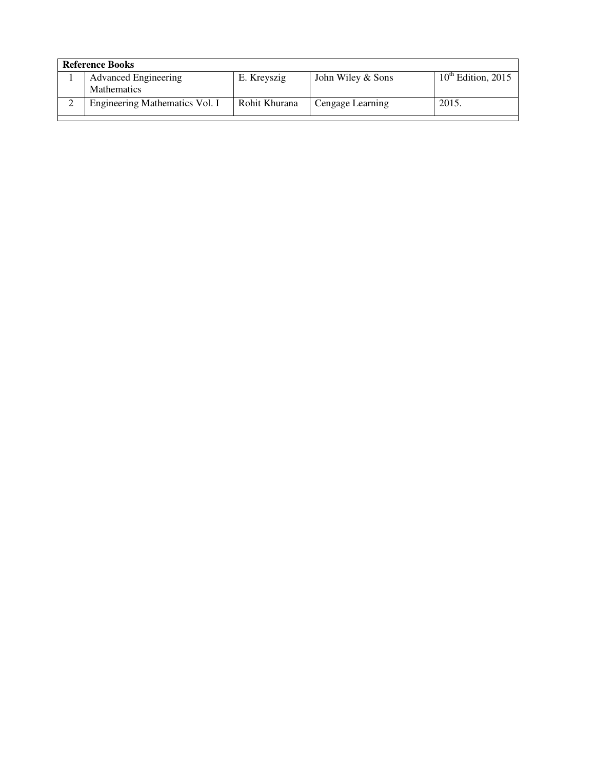| <b>Reference Books</b> |                                |               |                   |                         |  |
|------------------------|--------------------------------|---------------|-------------------|-------------------------|--|
|                        | <b>Advanced Engineering</b>    | E. Kreyszig   | John Wiley & Sons | $10^{th}$ Edition, 2015 |  |
|                        | <b>Mathematics</b>             |               |                   |                         |  |
| ↵                      | Engineering Mathematics Vol. I | Rohit Khurana | Cengage Learning  | 2015.                   |  |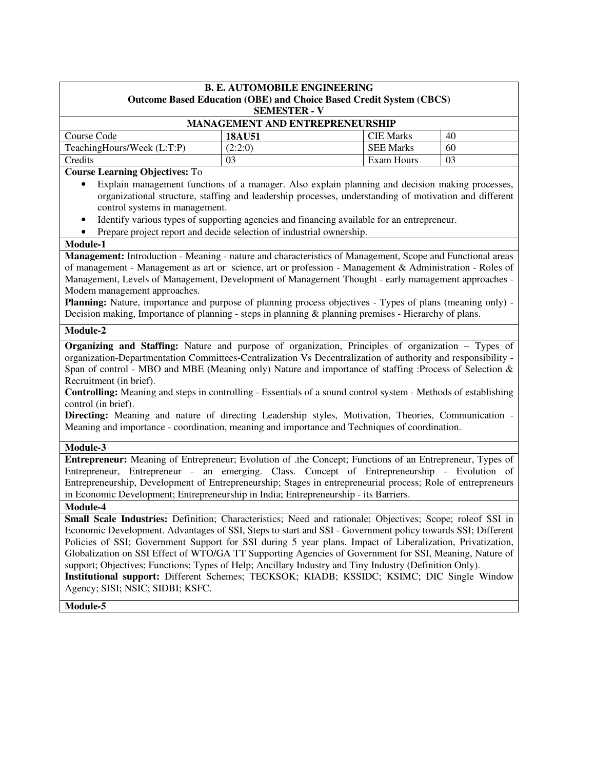| <b>B. E. AUTOMOBILE ENGINEERING</b>                                                                                                                                                                                                                                                                                                                                                                                                                                                                                                                                                                                |                                                                                                                                                                                                                                                                                                                                                                                                                                                                                                                                                                                                                                                        |                  |    |  |
|--------------------------------------------------------------------------------------------------------------------------------------------------------------------------------------------------------------------------------------------------------------------------------------------------------------------------------------------------------------------------------------------------------------------------------------------------------------------------------------------------------------------------------------------------------------------------------------------------------------------|--------------------------------------------------------------------------------------------------------------------------------------------------------------------------------------------------------------------------------------------------------------------------------------------------------------------------------------------------------------------------------------------------------------------------------------------------------------------------------------------------------------------------------------------------------------------------------------------------------------------------------------------------------|------------------|----|--|
| <b>Outcome Based Education (OBE) and Choice Based Credit System (CBCS)</b><br><b>SEMESTER - V</b>                                                                                                                                                                                                                                                                                                                                                                                                                                                                                                                  |                                                                                                                                                                                                                                                                                                                                                                                                                                                                                                                                                                                                                                                        |                  |    |  |
|                                                                                                                                                                                                                                                                                                                                                                                                                                                                                                                                                                                                                    | <b>MANAGEMENT AND ENTREPRENEURSHIP</b>                                                                                                                                                                                                                                                                                                                                                                                                                                                                                                                                                                                                                 |                  |    |  |
| Course Code                                                                                                                                                                                                                                                                                                                                                                                                                                                                                                                                                                                                        | <b>18AU51</b>                                                                                                                                                                                                                                                                                                                                                                                                                                                                                                                                                                                                                                          | <b>CIE Marks</b> | 40 |  |
| TeachingHours/Week (L:T:P)                                                                                                                                                                                                                                                                                                                                                                                                                                                                                                                                                                                         | (2:2:0)                                                                                                                                                                                                                                                                                                                                                                                                                                                                                                                                                                                                                                                | <b>SEE Marks</b> | 60 |  |
| Credits                                                                                                                                                                                                                                                                                                                                                                                                                                                                                                                                                                                                            | 0 <sub>3</sub>                                                                                                                                                                                                                                                                                                                                                                                                                                                                                                                                                                                                                                         | Exam Hours       | 03 |  |
| <b>Course Learning Objectives: To</b><br>Explain management functions of a manager. Also explain planning and decision making processes,<br>٠<br>organizational structure, staffing and leadership processes, understanding of motivation and different<br>control systems in management.                                                                                                                                                                                                                                                                                                                          |                                                                                                                                                                                                                                                                                                                                                                                                                                                                                                                                                                                                                                                        |                  |    |  |
| $\bullet$                                                                                                                                                                                                                                                                                                                                                                                                                                                                                                                                                                                                          | Identify various types of supporting agencies and financing available for an entrepreneur.<br>Prepare project report and decide selection of industrial ownership.                                                                                                                                                                                                                                                                                                                                                                                                                                                                                     |                  |    |  |
| Module-1                                                                                                                                                                                                                                                                                                                                                                                                                                                                                                                                                                                                           |                                                                                                                                                                                                                                                                                                                                                                                                                                                                                                                                                                                                                                                        |                  |    |  |
| Management: Introduction - Meaning - nature and characteristics of Management, Scope and Functional areas<br>of management - Management as art or science, art or profession - Management & Administration - Roles of<br>Management, Levels of Management, Development of Management Thought - early management approaches -<br>Modem management approaches.<br>Planning: Nature, importance and purpose of planning process objectives - Types of plans (meaning only) -<br>Decision making, Importance of planning - steps in planning $\&$ planning premises - Hierarchy of plans.                              |                                                                                                                                                                                                                                                                                                                                                                                                                                                                                                                                                                                                                                                        |                  |    |  |
| Module-2                                                                                                                                                                                                                                                                                                                                                                                                                                                                                                                                                                                                           |                                                                                                                                                                                                                                                                                                                                                                                                                                                                                                                                                                                                                                                        |                  |    |  |
| Organizing and Staffing: Nature and purpose of organization, Principles of organization - Types of<br>organization-Departmentation Committees-Centralization Vs Decentralization of authority and responsibility -<br>Span of control - MBO and MBE (Meaning only) Nature and importance of staffing : Process of Selection $\&$<br>Recruitment (in brief).<br><b>Controlling:</b> Meaning and steps in controlling - Essentials of a sound control system - Methods of establishing<br>control (in brief).<br>Directing: Meaning and nature of directing Leadership styles, Motivation, Theories, Communication - |                                                                                                                                                                                                                                                                                                                                                                                                                                                                                                                                                                                                                                                        |                  |    |  |
| Meaning and importance - coordination, meaning and importance and Techniques of coordination.                                                                                                                                                                                                                                                                                                                                                                                                                                                                                                                      |                                                                                                                                                                                                                                                                                                                                                                                                                                                                                                                                                                                                                                                        |                  |    |  |
| Module-3                                                                                                                                                                                                                                                                                                                                                                                                                                                                                                                                                                                                           |                                                                                                                                                                                                                                                                                                                                                                                                                                                                                                                                                                                                                                                        |                  |    |  |
| Entrepreneur: Meaning of Entrepreneur; Evolution of .the Concept; Functions of an Entrepreneur, Types of<br>Entrepreneur, Entrepreneur - an emerging. Class. Concept of Entrepreneurship - Evolution of<br>Entrepreneurship, Development of Entrepreneurship; Stages in entrepreneurial process; Role of entrepreneurs<br>in Economic Development; Entrepreneurship in India; Entrepreneurship - its Barriers.                                                                                                                                                                                                     |                                                                                                                                                                                                                                                                                                                                                                                                                                                                                                                                                                                                                                                        |                  |    |  |
| Module-4                                                                                                                                                                                                                                                                                                                                                                                                                                                                                                                                                                                                           |                                                                                                                                                                                                                                                                                                                                                                                                                                                                                                                                                                                                                                                        |                  |    |  |
| Agency; SISI; NSIC; SIDBI; KSFC.                                                                                                                                                                                                                                                                                                                                                                                                                                                                                                                                                                                   | Small Scale Industries: Definition; Characteristics; Need and rationale; Objectives; Scope; roleof SSI in<br>Economic Development. Advantages of SSI, Steps to start and SSI - Government policy towards SSI; Different<br>Policies of SSI; Government Support for SSI during 5 year plans. Impact of Liberalization, Privatization,<br>Globalization on SSI Effect of WTO/GA TT Supporting Agencies of Government for SSI, Meaning, Nature of<br>support; Objectives; Functions; Types of Help; Ancillary Industry and Tiny Industry (Definition Only).<br>Institutional support: Different Schemes; TECKSOK; KIADB; KSSIDC; KSIMC; DIC Single Window |                  |    |  |
| Module-5                                                                                                                                                                                                                                                                                                                                                                                                                                                                                                                                                                                                           |                                                                                                                                                                                                                                                                                                                                                                                                                                                                                                                                                                                                                                                        |                  |    |  |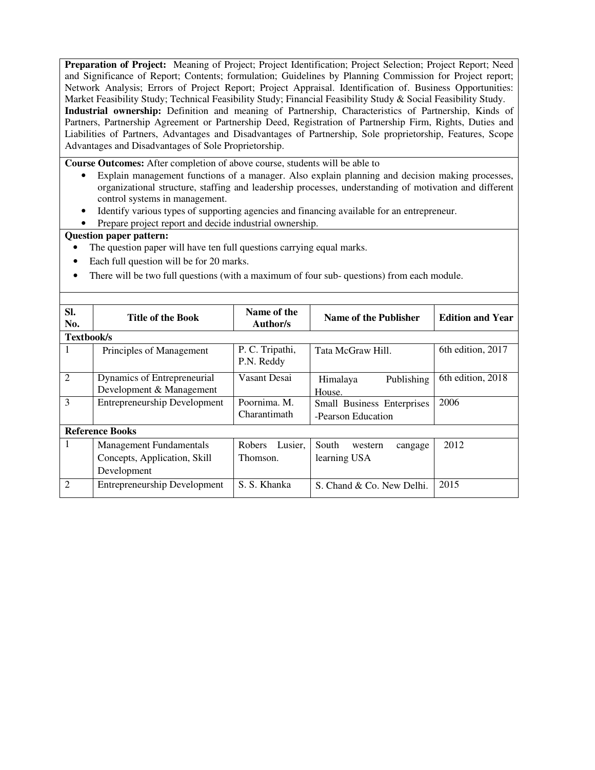**Preparation of Project:** Meaning of Project; Project Identification; Project Selection; Project Report; Need and Significance of Report; Contents; formulation; Guidelines by Planning Commission for Project report; Network Analysis; Errors of Project Report; Project Appraisal. Identification of. Business Opportunities: Market Feasibility Study; Technical Feasibility Study; Financial Feasibility Study & Social Feasibility Study. **Industrial ownership:** Definition and meaning of Partnership, Characteristics of Partnership, Kinds of Partners, Partnership Agreement or Partnership Deed, Registration of Partnership Firm, Rights, Duties and Liabilities of Partners, Advantages and Disadvantages of Partnership, Sole proprietorship, Features, Scope Advantages and Disadvantages of Sole Proprietorship.

**Course Outcomes:** After completion of above course, students will be able to

- Explain management functions of a manager. Also explain planning and decision making processes, organizational structure, staffing and leadership processes, understanding of motivation and different control systems in management.
- Identify various types of supporting agencies and financing available for an entrepreneur.
- Prepare project report and decide industrial ownership.

- The question paper will have ten full questions carrying equal marks.
- Each full question will be for 20 marks.
- There will be two full questions (with a maximum of four sub- questions) from each module.

| SI.<br>No.        | Title of the Book                                                             | Name of the<br>Author/s       | Name of the Publisher                                   | <b>Edition and Year</b> |
|-------------------|-------------------------------------------------------------------------------|-------------------------------|---------------------------------------------------------|-------------------------|
| <b>Textbook/s</b> |                                                                               |                               |                                                         |                         |
|                   | Principles of Management                                                      | P. C. Tripathi,<br>P.N. Reddy | Tata McGraw Hill.                                       | 6th edition, 2017       |
| $\overline{2}$    | Dynamics of Entrepreneurial<br>Development & Management                       | Vasant Desai                  | Publishing<br>Himalaya<br>House.                        | 6th edition, 2018       |
| 3                 | <b>Entrepreneurship Development</b>                                           | Poornima. M.<br>Charantimath  | <b>Small Business Enterprises</b><br>-Pearson Education | 2006                    |
|                   | <b>Reference Books</b>                                                        |                               |                                                         |                         |
| 1                 | <b>Management Fundamentals</b><br>Concepts, Application, Skill<br>Development | Robers<br>Lusier.<br>Thomson. | South<br>western<br>cangage<br>learning USA             | 2012                    |
| $\overline{2}$    | <b>Entrepreneurship Development</b>                                           | S. S. Khanka                  | S. Chand & Co. New Delhi.                               | 2015                    |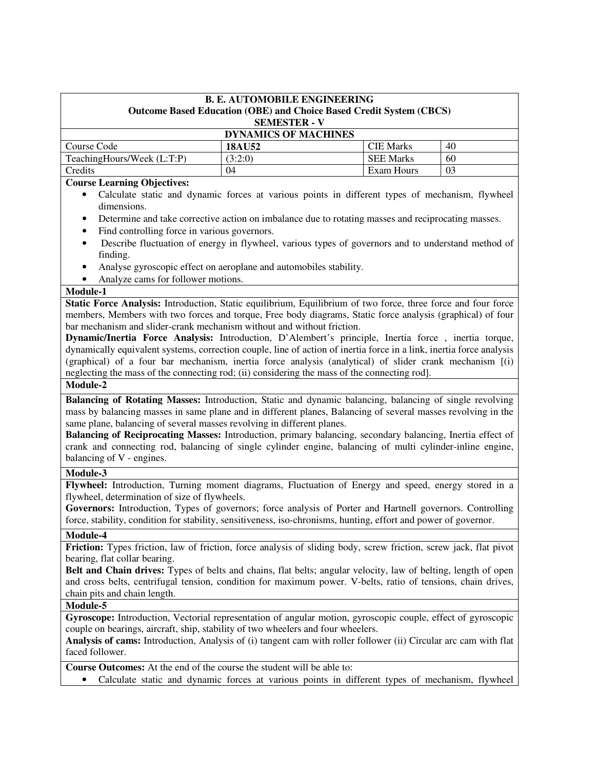### **B. E. AUTOMOBILE ENGINEERING Outcome Based Education (OBE) and Choice Based Credit System (CBCS) SEMESTER - V**

## **DYNAMICS OF MACHINES Course Code 18AU52 COUR 18AU52 CIE Marks** 40  $TeachingHouse (L: T:P)$  (3:2:0) SEE Marks 60 Credits 104 Exam Hours 103

#### **Course Learning Objectives:**

- Calculate static and dynamic forces at various points in different types of mechanism, flywheel dimensions.
- Determine and take corrective action on imbalance due to rotating masses and reciprocating masses.
- Find controlling force in various governors.
- Describe fluctuation of energy in flywheel, various types of governors and to understand method of finding.
- Analyse gyroscopic effect on aeroplane and automobiles stability.
- Analyze cams for follower motions.

## **Module-1**

**Static Force Analysis:** Introduction, Static equilibrium, Equilibrium of two force, three force and four force members, Members with two forces and torque, Free body diagrams, Static force analysis (graphical) of four bar mechanism and slider-crank mechanism without and without friction.

**Dynamic/Inertia Force Analysis:** Introduction, D'Alembert's principle, Inertia force , inertia torque, dynamically equivalent systems, correction couple, line of action of inertia force in a link, inertia force analysis (graphical) of a four bar mechanism, inertia force analysis (analytical) of slider crank mechanism [(i) neglecting the mass of the connecting rod; (ii) considering the mass of the connecting rod].

#### **Module-2**

**Balancing of Rotating Masses:** Introduction, Static and dynamic balancing, balancing of single revolving mass by balancing masses in same plane and in different planes, Balancing of several masses revolving in the same plane, balancing of several masses revolving in different planes.

**Balancing of Reciprocating Masses:** Introduction, primary balancing, secondary balancing, Inertia effect of crank and connecting rod, balancing of single cylinder engine, balancing of multi cylinder-inline engine, balancing of V - engines.

#### **Module-3**

**Flywheel:** Introduction, Turning moment diagrams, Fluctuation of Energy and speed, energy stored in a flywheel, determination of size of flywheels.

**Governors:** Introduction, Types of governors; force analysis of Porter and Hartnell governors. Controlling force, stability, condition for stability, sensitiveness, iso-chronisms, hunting, effort and power of governor.

## **Module-4**

**Friction:** Types friction, law of friction, force analysis of sliding body, screw friction, screw jack, flat pivot bearing, flat collar bearing.

**Belt and Chain drives:** Types of belts and chains, flat belts; angular velocity, law of belting, length of open and cross belts, centrifugal tension, condition for maximum power. V-belts, ratio of tensions, chain drives, chain pits and chain length.

#### **Module-5**

**Gyroscope:** Introduction, Vectorial representation of angular motion, gyroscopic couple, effect of gyroscopic couple on bearings, aircraft, ship, stability of two wheelers and four wheelers.

**Analysis of cams:** Introduction, Analysis of (i) tangent cam with roller follower (ii) Circular arc cam with flat faced follower.

**Course Outcomes:** At the end of the course the student will be able to:

• Calculate static and dynamic forces at various points in different types of mechanism, flywheel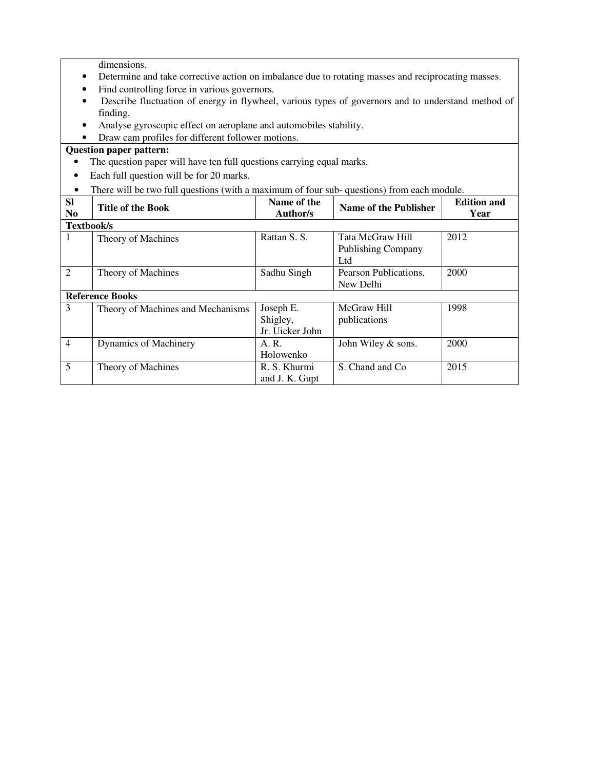dimensions.

- Determine and take corrective action on imbalance due to rotating masses and reciprocating masses.
- Find controlling force in various governors.
- Describe fluctuation of energy in flywheel, various types of governors and to understand method of finding.
- Analyse gyroscopic effect on aeroplane and automobiles stability.
- Draw cam profiles for different follower motions.

- The question paper will have ten full questions carrying equal marks.
- Each full question will be for 20 marks.
- There will be two full questions (with a maximum of four sub- questions) from each module.

| <b>SI</b><br>N <sub>0</sub> | <b>Title of the Book</b>          | Name of the<br>Author/s | Name of the Publisher     | <b>Edition and</b><br>Year |
|-----------------------------|-----------------------------------|-------------------------|---------------------------|----------------------------|
| Textbook/s                  |                                   |                         |                           |                            |
| 1                           | Theory of Machines                | Rattan S. S.            | Tata McGraw Hill          | 2012                       |
|                             |                                   |                         | <b>Publishing Company</b> |                            |
|                             |                                   |                         | Ltd                       |                            |
| $\overline{2}$              | Theory of Machines                | Sadhu Singh             | Pearson Publications,     | 2000                       |
|                             |                                   |                         | New Delhi                 |                            |
|                             | <b>Reference Books</b>            |                         |                           |                            |
| 3                           | Theory of Machines and Mechanisms | Joseph E.               | McGraw Hill               | 1998                       |
|                             |                                   | Shigley,                | publications              |                            |
|                             |                                   | Jr. Uicker John         |                           |                            |
| $\overline{4}$              | Dynamics of Machinery             | A.R.                    | John Wiley & sons.        | 2000                       |
|                             |                                   | Holowenko               |                           |                            |
| 5                           | Theory of Machines                | R. S. Khurmi            | S. Chand and Co.          | 2015                       |
|                             |                                   | and J. K. Gupt          |                           |                            |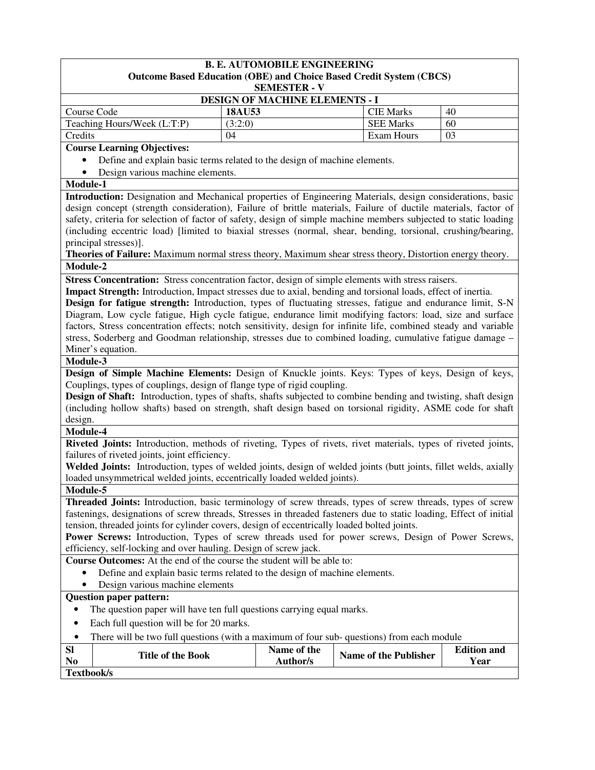| <b>B. E. AUTOMOBILE ENGINEERING</b><br><b>Outcome Based Education (OBE) and Choice Based Credit System (CBCS)</b>                                                                                                                      |               |                                |                                      |                            |  |  |
|----------------------------------------------------------------------------------------------------------------------------------------------------------------------------------------------------------------------------------------|---------------|--------------------------------|--------------------------------------|----------------------------|--|--|
| <b>SEMESTER - V</b><br><b>DESIGN OF MACHINE ELEMENTS - I</b>                                                                                                                                                                           |               |                                |                                      |                            |  |  |
|                                                                                                                                                                                                                                        |               |                                |                                      |                            |  |  |
| Course Code<br>Teaching Hours/Week (L:T:P)                                                                                                                                                                                             | 18AU53        |                                | <b>CIE Marks</b><br><b>SEE Marks</b> | 40<br>60                   |  |  |
| Credits                                                                                                                                                                                                                                | (3:2:0)<br>04 |                                | Exam Hours                           | 03                         |  |  |
|                                                                                                                                                                                                                                        |               |                                |                                      |                            |  |  |
| <b>Course Learning Objectives:</b>                                                                                                                                                                                                     |               |                                |                                      |                            |  |  |
| Define and explain basic terms related to the design of machine elements.<br>Design various machine elements.                                                                                                                          |               |                                |                                      |                            |  |  |
| Module-1                                                                                                                                                                                                                               |               |                                |                                      |                            |  |  |
| Introduction: Designation and Mechanical properties of Engineering Materials, design considerations, basic                                                                                                                             |               |                                |                                      |                            |  |  |
| design concept (strength consideration), Failure of brittle materials, Failure of ductile materials, factor of                                                                                                                         |               |                                |                                      |                            |  |  |
| safety, criteria for selection of factor of safety, design of simple machine members subjected to static loading                                                                                                                       |               |                                |                                      |                            |  |  |
| (including eccentric load) [limited to biaxial stresses (normal, shear, bending, torsional, crushing/bearing,                                                                                                                          |               |                                |                                      |                            |  |  |
| principal stresses)].                                                                                                                                                                                                                  |               |                                |                                      |                            |  |  |
| Theories of Failure: Maximum normal stress theory, Maximum shear stress theory, Distortion energy theory.                                                                                                                              |               |                                |                                      |                            |  |  |
| Module-2                                                                                                                                                                                                                               |               |                                |                                      |                            |  |  |
| Stress Concentration: Stress concentration factor, design of simple elements with stress raisers.                                                                                                                                      |               |                                |                                      |                            |  |  |
| Impact Strength: Introduction, Impact stresses due to axial, bending and torsional loads, effect of inertia.                                                                                                                           |               |                                |                                      |                            |  |  |
| Design for fatigue strength: Introduction, types of fluctuating stresses, fatigue and endurance limit, S-N                                                                                                                             |               |                                |                                      |                            |  |  |
| Diagram, Low cycle fatigue, High cycle fatigue, endurance limit modifying factors: load, size and surface                                                                                                                              |               |                                |                                      |                            |  |  |
| factors, Stress concentration effects; notch sensitivity, design for infinite life, combined steady and variable                                                                                                                       |               |                                |                                      |                            |  |  |
| stress, Soderberg and Goodman relationship, stresses due to combined loading, cumulative fatigue damage -                                                                                                                              |               |                                |                                      |                            |  |  |
| Miner's equation.                                                                                                                                                                                                                      |               |                                |                                      |                            |  |  |
| Module-3                                                                                                                                                                                                                               |               |                                |                                      |                            |  |  |
| Design of Simple Machine Elements: Design of Knuckle joints. Keys: Types of keys, Design of keys,                                                                                                                                      |               |                                |                                      |                            |  |  |
| Couplings, types of couplings, design of flange type of rigid coupling.                                                                                                                                                                |               |                                |                                      |                            |  |  |
| Design of Shaft: Introduction, types of shafts, shafts subjected to combine bending and twisting, shaft design                                                                                                                         |               |                                |                                      |                            |  |  |
| (including hollow shafts) based on strength, shaft design based on torsional rigidity, ASME code for shaft                                                                                                                             |               |                                |                                      |                            |  |  |
| design.                                                                                                                                                                                                                                |               |                                |                                      |                            |  |  |
| Module-4                                                                                                                                                                                                                               |               |                                |                                      |                            |  |  |
| Riveted Joints: Introduction, methods of riveting, Types of rivets, rivet materials, types of riveted joints,                                                                                                                          |               |                                |                                      |                            |  |  |
| failures of riveted joints, joint efficiency.                                                                                                                                                                                          |               |                                |                                      |                            |  |  |
| Welded Joints: Introduction, types of welded joints, design of welded joints (butt joints, fillet welds, axially                                                                                                                       |               |                                |                                      |                            |  |  |
| loaded unsymmetrical welded joints, eccentrically loaded welded joints).                                                                                                                                                               |               |                                |                                      |                            |  |  |
| Module-5                                                                                                                                                                                                                               |               |                                |                                      |                            |  |  |
| <b>Threaded Joints:</b> Introduction, basic terminology of screw threads, types of screw threads, types of screw<br>fastenings, designations of screw threads, Stresses in threaded fasteners due to static loading, Effect of initial |               |                                |                                      |                            |  |  |
| tension, threaded joints for cylinder covers, design of eccentrically loaded bolted joints.                                                                                                                                            |               |                                |                                      |                            |  |  |
|                                                                                                                                                                                                                                        |               |                                |                                      |                            |  |  |
| <b>Power Screws:</b> Introduction, Types of screw threads used for power screws, Design of Power Screws,<br>efficiency, self-locking and over hauling. Design of screw jack.                                                           |               |                                |                                      |                            |  |  |
|                                                                                                                                                                                                                                        |               |                                |                                      |                            |  |  |
| <b>Course Outcomes:</b> At the end of the course the student will be able to:<br>Define and explain basic terms related to the design of machine elements.                                                                             |               |                                |                                      |                            |  |  |
| Design various machine elements                                                                                                                                                                                                        |               |                                |                                      |                            |  |  |
| <b>Question paper pattern:</b>                                                                                                                                                                                                         |               |                                |                                      |                            |  |  |
| The question paper will have ten full questions carrying equal marks.                                                                                                                                                                  |               |                                |                                      |                            |  |  |
|                                                                                                                                                                                                                                        |               |                                |                                      |                            |  |  |
| Each full question will be for 20 marks.<br>$\bullet$                                                                                                                                                                                  |               |                                |                                      |                            |  |  |
| There will be two full questions (with a maximum of four sub- questions) from each module<br>$\bullet$                                                                                                                                 |               |                                |                                      |                            |  |  |
| <b>Sl</b><br><b>Title of the Book</b><br>N <sub>0</sub>                                                                                                                                                                                |               | Name of the<br><b>Author/s</b> | <b>Name of the Publisher</b>         | <b>Edition and</b><br>Year |  |  |
| Textbook/s                                                                                                                                                                                                                             |               |                                |                                      |                            |  |  |
|                                                                                                                                                                                                                                        |               |                                |                                      |                            |  |  |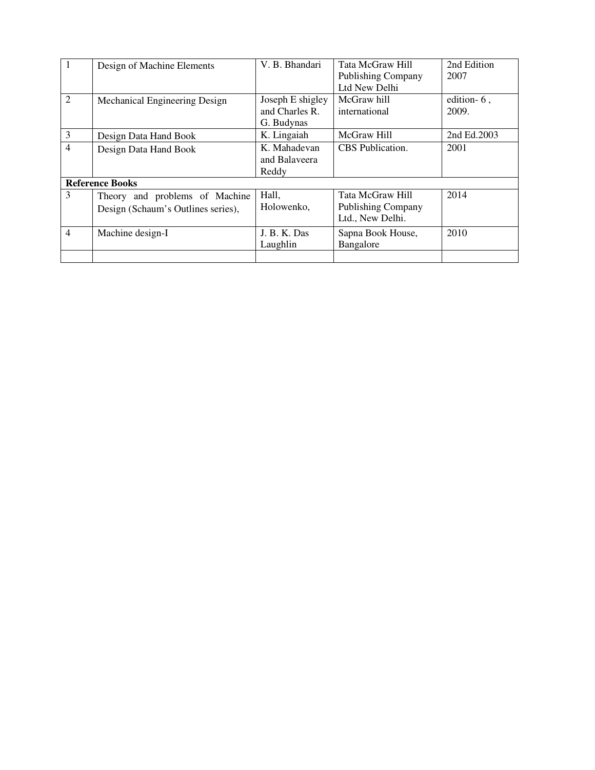|                | Design of Machine Elements         | V. B. Bhandari   | Tata McGraw Hill          | 2nd Edition |
|----------------|------------------------------------|------------------|---------------------------|-------------|
|                |                                    |                  | <b>Publishing Company</b> | 2007        |
|                |                                    |                  | Ltd New Delhi             |             |
| $\overline{2}$ | Mechanical Engineering Design      | Joseph E shigley | McGraw hill               | edition-6,  |
|                |                                    | and Charles R.   | international             | 2009.       |
|                |                                    | G. Budynas       |                           |             |
| 3              | Design Data Hand Book              | K. Lingaiah      | McGraw Hill               | 2nd Ed.2003 |
| $\overline{4}$ | Design Data Hand Book              | K. Mahadevan     | CBS Publication.          | 2001        |
|                |                                    | and Balaveera    |                           |             |
|                |                                    | Reddy            |                           |             |
|                | <b>Reference Books</b>             |                  |                           |             |
| 3              | Theory and problems of Machine     | Hall,            | Tata McGraw Hill          | 2014        |
|                | Design (Schaum's Outlines series), | Holowenko.       | <b>Publishing Company</b> |             |
|                |                                    |                  | Ltd., New Delhi.          |             |
| $\overline{4}$ | Machine design-I                   | J. B. K. Das     | Sapna Book House,         | 2010        |
|                |                                    | Laughlin         | Bangalore                 |             |
|                |                                    |                  |                           |             |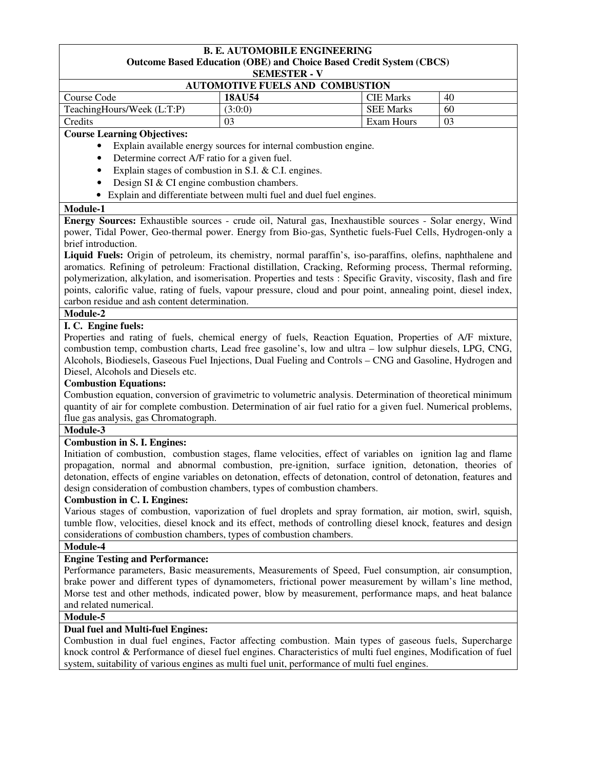#### **B. E. AUTOMOBILE ENGINEERING Outcome Based Education (OBE) and Choice Based Credit System (CBCS) SEMESTER - V**

#### **AUTOMOTIVE FUELS AND COMBUSTION**

| AUTOMOTIVE FUELS AND COMBUSTION |               |                  |    |  |
|---------------------------------|---------------|------------------|----|--|
| Course Code                     | <b>18AU54</b> | <b>CIE</b> Marks | 40 |  |
| TeachingHours/Week (L:T:P)      | (3:0:0)       | <b>SEE Marks</b> | 60 |  |
| <b>Credits</b>                  |               | Exam Hours       | 03 |  |

## **Course Learning Objectives:**

- Explain available energy sources for internal combustion engine.
- Determine correct A/F ratio for a given fuel.
- Explain stages of combustion in S.I. & C.I. engines.
- Design SI & CI engine combustion chambers.
- Explain and differentiate between multi fuel and duel fuel engines.

#### **Module-1**

**Energy Sources:** Exhaustible sources - crude oil, Natural gas, Inexhaustible sources - Solar energy, Wind power, Tidal Power, Geo-thermal power. Energy from Bio-gas, Synthetic fuels-Fuel Cells, Hydrogen-only a brief introduction.

**Liquid Fuels:** Origin of petroleum, its chemistry, normal paraffin's, iso-paraffins, olefins, naphthalene and aromatics. Refining of petroleum: Fractional distillation, Cracking, Reforming process, Thermal reforming, polymerization, alkylation, and isomerisation. Properties and tests : Specific Gravity, viscosity, flash and fire points, calorific value, rating of fuels, vapour pressure, cloud and pour point, annealing point, diesel index, carbon residue and ash content determination.

#### **Module-2**

#### **I. C. Engine fuels:**

Properties and rating of fuels, chemical energy of fuels, Reaction Equation, Properties of A/F mixture, combustion temp, combustion charts, Lead free gasoline's, low and ultra – low sulphur diesels, LPG, CNG, Alcohols, Biodiesels, Gaseous Fuel Injections, Dual Fueling and Controls – CNG and Gasoline, Hydrogen and Diesel, Alcohols and Diesels etc.

#### **Combustion Equations:**

Combustion equation, conversion of gravimetric to volumetric analysis. Determination of theoretical minimum quantity of air for complete combustion. Determination of air fuel ratio for a given fuel. Numerical problems, flue gas analysis, gas Chromatograph.

#### **Module-3**

## **Combustion in S. I. Engines:**

Initiation of combustion, combustion stages, flame velocities, effect of variables on ignition lag and flame propagation, normal and abnormal combustion, pre-ignition, surface ignition, detonation, theories of detonation, effects of engine variables on detonation, effects of detonation, control of detonation, features and design consideration of combustion chambers, types of combustion chambers.

#### **Combustion in C. I. Engines:**

Various stages of combustion, vaporization of fuel droplets and spray formation, air motion, swirl, squish, tumble flow, velocities, diesel knock and its effect, methods of controlling diesel knock, features and design considerations of combustion chambers, types of combustion chambers.

## **Module-4**

## **Engine Testing and Performance:**

Performance parameters, Basic measurements, Measurements of Speed, Fuel consumption, air consumption, brake power and different types of dynamometers, frictional power measurement by willam's line method, Morse test and other methods, indicated power, blow by measurement, performance maps, and heat balance and related numerical.

#### **Module-5**

## **Dual fuel and Multi-fuel Engines:**

Combustion in dual fuel engines, Factor affecting combustion. Main types of gaseous fuels, Supercharge knock control & Performance of diesel fuel engines. Characteristics of multi fuel engines, Modification of fuel system, suitability of various engines as multi fuel unit, performance of multi fuel engines.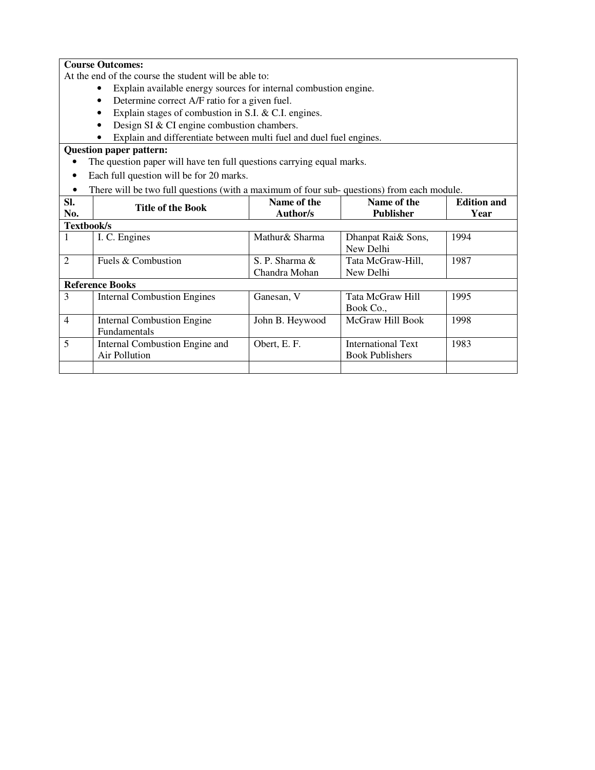## **Course Outcomes:**

At the end of the course the student will be able to:

- Explain available energy sources for internal combustion engine.
- Determine correct A/F ratio for a given fuel.
- Explain stages of combustion in S.I. & C.I. engines.
- Design SI & CI engine combustion chambers.
- Explain and differentiate between multi fuel and duel fuel engines.

- The question paper will have ten full questions carrying equal marks.
- Each full question will be for 20 marks.
- There will be two full questions (with a maximum of four sub- questions) from each module.

| SI.<br>No.             | <b>Title of the Book</b>                          | Name of the<br>Author/s         | Name of the<br><b>Publisher</b>                     | <b>Edition and</b><br>Year |
|------------------------|---------------------------------------------------|---------------------------------|-----------------------------------------------------|----------------------------|
| Textbook/s             |                                                   |                                 |                                                     |                            |
| 1                      | I. C. Engines                                     | Mathur& Sharma                  | Dhanpat Rai& Sons,<br>New Delhi                     | 1994                       |
| $\overline{2}$         | Fuels & Combustion                                | S. P. Sharma &<br>Chandra Mohan | Tata McGraw-Hill,<br>New Delhi                      | 1987                       |
| <b>Reference Books</b> |                                                   |                                 |                                                     |                            |
| 3                      | <b>Internal Combustion Engines</b>                | Ganesan, V                      | Tata McGraw Hill<br>Book Co.,                       | 1995                       |
| $\overline{4}$         | <b>Internal Combustion Engine</b><br>Fundamentals | John B. Heywood                 | McGraw Hill Book                                    | 1998                       |
| 5                      | Internal Combustion Engine and<br>Air Pollution   | Obert, E. F.                    | <b>International Text</b><br><b>Book Publishers</b> | 1983                       |
|                        |                                                   |                                 |                                                     |                            |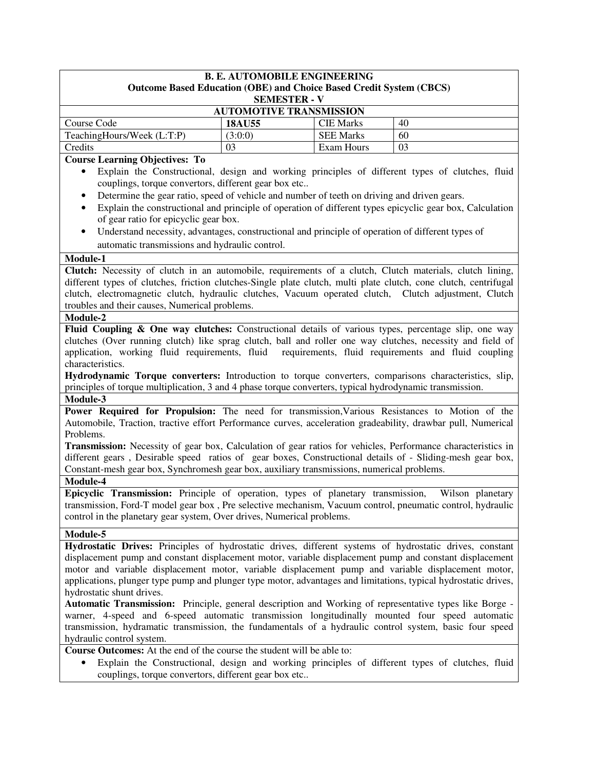| <b>B. E. AUTOMOBILE ENGINEERING</b>                                                               |               |                  |    |  |  |  |  |
|---------------------------------------------------------------------------------------------------|---------------|------------------|----|--|--|--|--|
| <b>Outcome Based Education (OBE) and Choice Based Credit System (CBCS)</b><br><b>SEMESTER - V</b> |               |                  |    |  |  |  |  |
| <b>AUTOMOTIVE TRANSMISSION</b>                                                                    |               |                  |    |  |  |  |  |
| Course Code                                                                                       | <b>18AU55</b> | <b>CIE Marks</b> | 40 |  |  |  |  |
| TeachingHours/Week (L:T:P)                                                                        | (3:0:0)       | <b>SEE Marks</b> | 60 |  |  |  |  |
| Credits                                                                                           | 03            | Exam Hours       | 03 |  |  |  |  |
| $\alpha$ r $\alpha$ i<br>$\mathbf{r}$                                                             |               |                  |    |  |  |  |  |

**Course Learning Objectives: To** 

- Explain the Constructional, design and working principles of different types of clutches, fluid couplings, torque convertors, different gear box etc..
- Determine the gear ratio, speed of vehicle and number of teeth on driving and driven gears.
- Explain the constructional and principle of operation of different types epicyclic gear box, Calculation of gear ratio for epicyclic gear box.
- Understand necessity, advantages, constructional and principle of operation of different types of automatic transmissions and hydraulic control.

#### **Module-1**

**Clutch:** Necessity of clutch in an automobile, requirements of a clutch, Clutch materials, clutch lining, different types of clutches, friction clutches-Single plate clutch, multi plate clutch, cone clutch, centrifugal clutch, electromagnetic clutch, hydraulic clutches, Vacuum operated clutch, Clutch adjustment, Clutch troubles and their causes, Numerical problems.

#### **Module-2**

Fluid Coupling & One way clutches: Constructional details of various types, percentage slip, one way clutches (Over running clutch) like sprag clutch, ball and roller one way clutches, necessity and field of application, working fluid requirements, fluid requirements, fluid requirements and fluid coupling characteristics.

**Hydrodynamic Torque converters:** Introduction to torque converters, comparisons characteristics, slip, principles of torque multiplication, 3 and 4 phase torque converters, typical hydrodynamic transmission.

#### **Module-3**

**Power Required for Propulsion:** The need for transmission,Various Resistances to Motion of the Automobile, Traction, tractive effort Performance curves, acceleration gradeability, drawbar pull, Numerical Problems.

**Transmission:** Necessity of gear box, Calculation of gear ratios for vehicles, Performance characteristics in different gears , Desirable speed ratios of gear boxes, Constructional details of - Sliding-mesh gear box, Constant-mesh gear box, Synchromesh gear box, auxiliary transmissions, numerical problems.

# **Module-4**

**Epicyclic Transmission:** Principle of operation, types of planetary transmission, Wilson planetary transmission, Ford-T model gear box , Pre selective mechanism, Vacuum control, pneumatic control, hydraulic control in the planetary gear system, Over drives, Numerical problems.

## **Module-5**

**Hydrostatic Drives:** Principles of hydrostatic drives, different systems of hydrostatic drives, constant displacement pump and constant displacement motor, variable displacement pump and constant displacement motor and variable displacement motor, variable displacement pump and variable displacement motor, applications, plunger type pump and plunger type motor, advantages and limitations, typical hydrostatic drives, hydrostatic shunt drives.

**Automatic Transmission:** Principle, general description and Working of representative types like Borge warner, 4-speed and 6-speed automatic transmission longitudinally mounted four speed automatic transmission, hydramatic transmission, the fundamentals of a hydraulic control system, basic four speed hydraulic control system.

**Course Outcomes:** At the end of the course the student will be able to:

• Explain the Constructional, design and working principles of different types of clutches, fluid couplings, torque convertors, different gear box etc..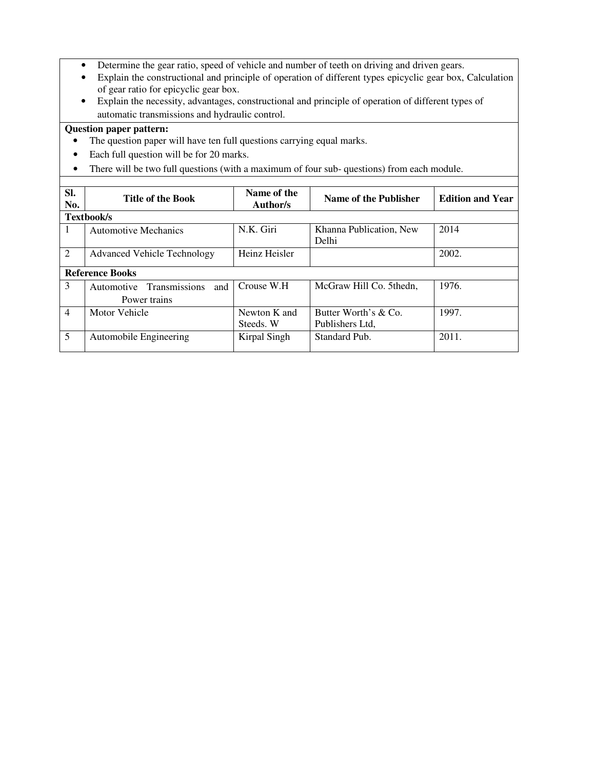- Determine the gear ratio, speed of vehicle and number of teeth on driving and driven gears.
- Explain the constructional and principle of operation of different types epicyclic gear box, Calculation of gear ratio for epicyclic gear box.
- Explain the necessity, advantages, constructional and principle of operation of different types of automatic transmissions and hydraulic control.

- The question paper will have ten full questions carrying equal marks.
- Each full question will be for 20 marks.
- There will be two full questions (with a maximum of four sub- questions) from each module.

| SI.<br>No.     | <b>Title of the Book</b>                                  | Name of the<br>Author/s   | Name of the Publisher                   | <b>Edition and Year</b> |
|----------------|-----------------------------------------------------------|---------------------------|-----------------------------------------|-------------------------|
|                | <b>Textbook/s</b>                                         |                           |                                         |                         |
|                | <b>Automotive Mechanics</b>                               | N.K. Giri                 | Khanna Publication, New<br>Delhi        | 2014                    |
| 2              | <b>Advanced Vehicle Technology</b>                        | Heinz Heisler             |                                         | 2002.                   |
|                | <b>Reference Books</b>                                    |                           |                                         |                         |
| 3              | <b>Transmissions</b><br>and<br>Automotive<br>Power trains | Crouse W.H.               | McGraw Hill Co. 5thedn.                 | 1976.                   |
| $\overline{4}$ | Motor Vehicle                                             | Newton K and<br>Steeds. W | Butter Worth's & Co.<br>Publishers Ltd. | 1997.                   |
|                |                                                           |                           |                                         |                         |
| 5              | Automobile Engineering                                    | Kirpal Singh              | Standard Pub.                           | 2011.                   |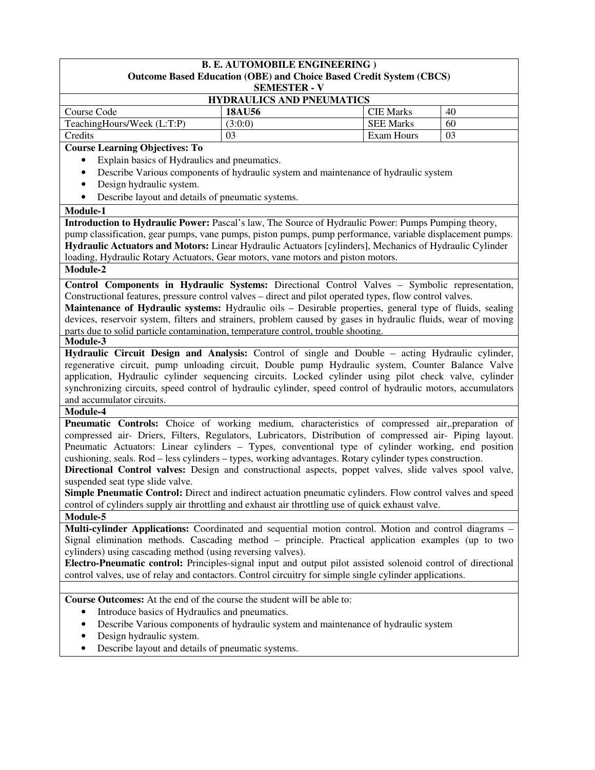| <b>B. E. AUTOMOBILE ENGINEERING</b> )<br><b>Outcome Based Education (OBE) and Choice Based Credit System (CBCS)</b>                                                                                   |                                                                                                     |                  |    |  |  |  |
|-------------------------------------------------------------------------------------------------------------------------------------------------------------------------------------------------------|-----------------------------------------------------------------------------------------------------|------------------|----|--|--|--|
|                                                                                                                                                                                                       | <b>SEMESTER - V</b>                                                                                 |                  |    |  |  |  |
| HYDRAULICS AND PNEUMATICS                                                                                                                                                                             |                                                                                                     |                  |    |  |  |  |
| Course Code                                                                                                                                                                                           | <b>18AU56</b>                                                                                       | <b>CIE</b> Marks | 40 |  |  |  |
| TeachingHours/Week (L:T:P)                                                                                                                                                                            | (3:0:0)                                                                                             | <b>SEE Marks</b> | 60 |  |  |  |
| Credits                                                                                                                                                                                               | 03                                                                                                  | Exam Hours       | 03 |  |  |  |
| <b>Course Learning Objectives: To</b>                                                                                                                                                                 |                                                                                                     |                  |    |  |  |  |
| Explain basics of Hydraulics and pneumatics.                                                                                                                                                          |                                                                                                     |                  |    |  |  |  |
| $\bullet$                                                                                                                                                                                             | Describe Various components of hydraulic system and maintenance of hydraulic system                 |                  |    |  |  |  |
| Design hydraulic system.<br>$\bullet$                                                                                                                                                                 |                                                                                                     |                  |    |  |  |  |
| Describe layout and details of pneumatic systems.<br>٠                                                                                                                                                |                                                                                                     |                  |    |  |  |  |
| Module-1                                                                                                                                                                                              |                                                                                                     |                  |    |  |  |  |
| Introduction to Hydraulic Power: Pascal's law, The Source of Hydraulic Power: Pumps Pumping theory,                                                                                                   |                                                                                                     |                  |    |  |  |  |
| pump classification, gear pumps, vane pumps, piston pumps, pump performance, variable displacement pumps.                                                                                             |                                                                                                     |                  |    |  |  |  |
| Hydraulic Actuators and Motors: Linear Hydraulic Actuators [cylinders], Mechanics of Hydraulic Cylinder                                                                                               |                                                                                                     |                  |    |  |  |  |
| loading, Hydraulic Rotary Actuators, Gear motors, vane motors and piston motors.                                                                                                                      |                                                                                                     |                  |    |  |  |  |
| Module-2                                                                                                                                                                                              |                                                                                                     |                  |    |  |  |  |
| Control Components in Hydraulic Systems: Directional Control Valves - Symbolic representation,                                                                                                        |                                                                                                     |                  |    |  |  |  |
| Constructional features, pressure control valves - direct and pilot operated types, flow control valves.                                                                                              |                                                                                                     |                  |    |  |  |  |
| Maintenance of Hydraulic systems: Hydraulic oils – Desirable properties, general type of fluids, sealing                                                                                              |                                                                                                     |                  |    |  |  |  |
| devices, reservoir system, filters and strainers, problem caused by gases in hydraulic fluids, wear of moving                                                                                         |                                                                                                     |                  |    |  |  |  |
| parts due to solid particle contamination, temperature control, trouble shooting.                                                                                                                     |                                                                                                     |                  |    |  |  |  |
| Module-3                                                                                                                                                                                              |                                                                                                     |                  |    |  |  |  |
| Hydraulic Circuit Design and Analysis: Control of single and Double - acting Hydraulic cylinder,<br>regenerative circuit, pump unloading circuit, Double pump Hydraulic system, Counter Balance Valve |                                                                                                     |                  |    |  |  |  |
| application, Hydraulic cylinder sequencing circuits. Locked cylinder using pilot check valve, cylinder                                                                                                |                                                                                                     |                  |    |  |  |  |
| synchronizing circuits, speed control of hydraulic cylinder, speed control of hydraulic motors, accumulators                                                                                          |                                                                                                     |                  |    |  |  |  |
| and accumulator circuits.                                                                                                                                                                             |                                                                                                     |                  |    |  |  |  |
| Module-4                                                                                                                                                                                              |                                                                                                     |                  |    |  |  |  |
| <b>Pneumatic Controls:</b> Choice of working medium, characteristics of compressed air, preparation of                                                                                                |                                                                                                     |                  |    |  |  |  |
| compressed air- Driers, Filters, Regulators, Lubricators, Distribution of compressed air- Piping layout.                                                                                              |                                                                                                     |                  |    |  |  |  |
| Pneumatic Actuators: Linear cylinders – Types, conventional type of cylinder working, end position                                                                                                    |                                                                                                     |                  |    |  |  |  |
| cushioning, seals. Rod - less cylinders - types, working advantages. Rotary cylinder types construction.                                                                                              |                                                                                                     |                  |    |  |  |  |
| Directional Control valves: Design and constructional aspects, poppet valves, slide valves spool valve,                                                                                               |                                                                                                     |                  |    |  |  |  |
| suspended seat type slide valve.                                                                                                                                                                      |                                                                                                     |                  |    |  |  |  |
| Simple Pneumatic Control: Direct and indirect actuation pneumatic cylinders. Flow control valves and speed                                                                                            |                                                                                                     |                  |    |  |  |  |
| control of cylinders supply air throttling and exhaust air throttling use of quick exhaust valve.                                                                                                     |                                                                                                     |                  |    |  |  |  |
| Module-5                                                                                                                                                                                              |                                                                                                     |                  |    |  |  |  |
| Multi-cylinder Applications: Coordinated and sequential motion control. Motion and control diagrams -                                                                                                 |                                                                                                     |                  |    |  |  |  |
|                                                                                                                                                                                                       | Signal elimination methods. Cascading method – principle. Practical application examples (up to two |                  |    |  |  |  |
| cylinders) using cascading method (using reversing valves).                                                                                                                                           |                                                                                                     |                  |    |  |  |  |
| Electro-Pneumatic control: Principles-signal input and output pilot assisted solenoid control of directional                                                                                          |                                                                                                     |                  |    |  |  |  |
| control valves, use of relay and contactors. Control circuitry for simple single cylinder applications.                                                                                               |                                                                                                     |                  |    |  |  |  |
|                                                                                                                                                                                                       |                                                                                                     |                  |    |  |  |  |
| Course Outcomes: At the end of the course the student will be able to:                                                                                                                                |                                                                                                     |                  |    |  |  |  |
| Introduce basics of Hydraulics and pneumatics.<br>٠                                                                                                                                                   |                                                                                                     |                  |    |  |  |  |
| ٠                                                                                                                                                                                                     | Describe Various components of hydraulic system and maintenance of hydraulic system                 |                  |    |  |  |  |
| Design hydraulic system.<br>$\bullet$                                                                                                                                                                 |                                                                                                     |                  |    |  |  |  |
| Describe layout and details of pneumatic systems.<br>٠                                                                                                                                                |                                                                                                     |                  |    |  |  |  |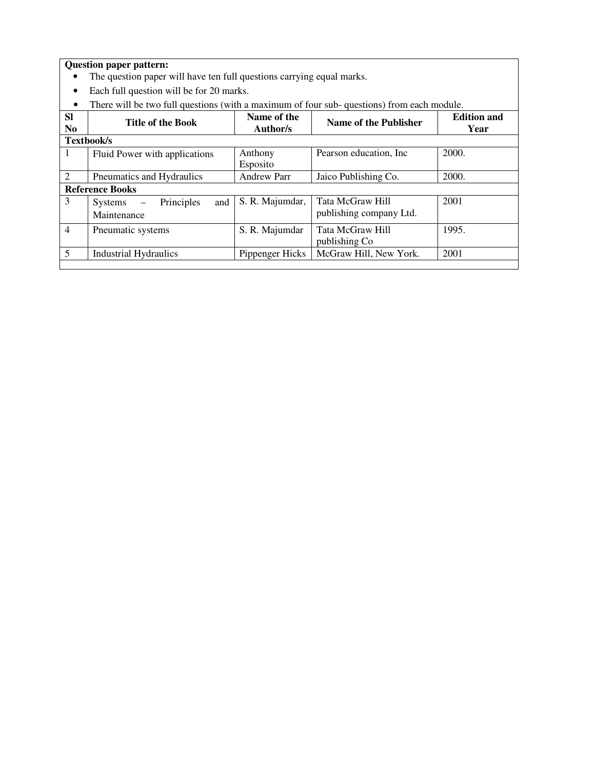- The question paper will have ten full questions carrying equal marks.
- Each full question will be for 20 marks.
- There will be two full questions (with a maximum of four sub- questions) from each module.

| <b>Sl</b><br>N <sub>0</sub> | <b>Title of the Book</b>                           | Name of the<br>Author/s | Name of the Publisher                       | <b>Edition and</b><br>Year |
|-----------------------------|----------------------------------------------------|-------------------------|---------------------------------------------|----------------------------|
|                             | Textbook/s                                         |                         |                                             |                            |
| -1                          | Fluid Power with applications                      | Anthony<br>Esposito     | Pearson education, Inc.                     | 2000.                      |
| $\overline{2}$              | Pneumatics and Hydraulics                          | <b>Andrew Parr</b>      | Jaico Publishing Co.                        | 2000.                      |
|                             | <b>Reference Books</b>                             |                         |                                             |                            |
| 3                           | and<br>Principles<br>$S$ ystems $-$<br>Maintenance | S. R. Majumdar,         | Tata McGraw Hill<br>publishing company Ltd. | 2001                       |
| $\overline{4}$              | Pneumatic systems                                  | S. R. Majumdar          | Tata McGraw Hill<br>publishing Co           | 1995.                      |
| 5                           | <b>Industrial Hydraulics</b>                       | Pippenger Hicks         | McGraw Hill, New York.                      | 2001                       |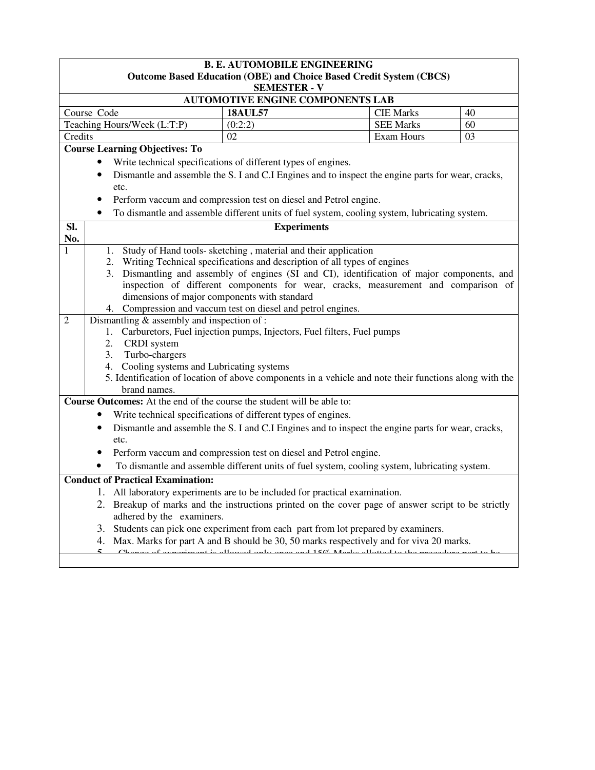| <b>B. E. AUTOMOBILE ENGINEERING</b><br><b>Outcome Based Education (OBE) and Choice Based Credit System (CBCS)</b>                                                                                                                                                                                                                                                                                                                                                                                                                                                                                                                                                                                                                                                                                                             |                                                                                                                                                                   |                  |    |  |  |  |
|-------------------------------------------------------------------------------------------------------------------------------------------------------------------------------------------------------------------------------------------------------------------------------------------------------------------------------------------------------------------------------------------------------------------------------------------------------------------------------------------------------------------------------------------------------------------------------------------------------------------------------------------------------------------------------------------------------------------------------------------------------------------------------------------------------------------------------|-------------------------------------------------------------------------------------------------------------------------------------------------------------------|------------------|----|--|--|--|
|                                                                                                                                                                                                                                                                                                                                                                                                                                                                                                                                                                                                                                                                                                                                                                                                                               | <b>SEMESTER - V</b>                                                                                                                                               |                  |    |  |  |  |
|                                                                                                                                                                                                                                                                                                                                                                                                                                                                                                                                                                                                                                                                                                                                                                                                                               | <b>AUTOMOTIVE ENGINE COMPONENTS LAB</b>                                                                                                                           |                  |    |  |  |  |
| Course Code                                                                                                                                                                                                                                                                                                                                                                                                                                                                                                                                                                                                                                                                                                                                                                                                                   | <b>18AUL57</b>                                                                                                                                                    | <b>CIE Marks</b> | 40 |  |  |  |
| Teaching Hours/Week (L:T:P)                                                                                                                                                                                                                                                                                                                                                                                                                                                                                                                                                                                                                                                                                                                                                                                                   | (0:2:2)                                                                                                                                                           | <b>SEE Marks</b> | 60 |  |  |  |
| Credits                                                                                                                                                                                                                                                                                                                                                                                                                                                                                                                                                                                                                                                                                                                                                                                                                       | 02                                                                                                                                                                | Exam Hours       | 03 |  |  |  |
| <b>Course Learning Objectives: To</b>                                                                                                                                                                                                                                                                                                                                                                                                                                                                                                                                                                                                                                                                                                                                                                                         |                                                                                                                                                                   |                  |    |  |  |  |
|                                                                                                                                                                                                                                                                                                                                                                                                                                                                                                                                                                                                                                                                                                                                                                                                                               | Write technical specifications of different types of engines.                                                                                                     |                  |    |  |  |  |
| $\bullet$<br>etc.                                                                                                                                                                                                                                                                                                                                                                                                                                                                                                                                                                                                                                                                                                                                                                                                             | Dismantle and assemble the S. I and C.I Engines and to inspect the engine parts for wear, cracks,                                                                 |                  |    |  |  |  |
|                                                                                                                                                                                                                                                                                                                                                                                                                                                                                                                                                                                                                                                                                                                                                                                                                               | Perform vaccum and compression test on diesel and Petrol engine.                                                                                                  |                  |    |  |  |  |
| $\bullet$                                                                                                                                                                                                                                                                                                                                                                                                                                                                                                                                                                                                                                                                                                                                                                                                                     | To dismantle and assemble different units of fuel system, cooling system, lubricating system.                                                                     |                  |    |  |  |  |
| SI.<br>No.                                                                                                                                                                                                                                                                                                                                                                                                                                                                                                                                                                                                                                                                                                                                                                                                                    | <b>Experiments</b>                                                                                                                                                |                  |    |  |  |  |
| Study of Hand tools- sketching, material and their application<br>1<br>1.<br>Writing Technical specifications and description of all types of engines<br>2.<br>Dismantling and assembly of engines (SI and CI), identification of major components, and<br>3.<br>inspection of different components for wear, cracks, measurement and comparison of<br>dimensions of major components with standard<br>4. Compression and vaccum test on diesel and petrol engines.<br>Dismantling $&$ assembly and inspection of :<br>$\overline{2}$<br>Carburetors, Fuel injection pumps, Injectors, Fuel filters, Fuel pumps<br>1.<br>2.<br>CRDI system<br>Turbo-chargers<br>3.<br>Cooling systems and Lubricating systems<br>4.<br>5. Identification of location of above components in a vehicle and note their functions along with the |                                                                                                                                                                   |                  |    |  |  |  |
| brand names.<br>Course Outcomes: At the end of the course the student will be able to:                                                                                                                                                                                                                                                                                                                                                                                                                                                                                                                                                                                                                                                                                                                                        | Write technical specifications of different types of engines.                                                                                                     |                  |    |  |  |  |
| Dismantle and assemble the S. I and C.I Engines and to inspect the engine parts for wear, cracks,<br>etc.                                                                                                                                                                                                                                                                                                                                                                                                                                                                                                                                                                                                                                                                                                                     |                                                                                                                                                                   |                  |    |  |  |  |
|                                                                                                                                                                                                                                                                                                                                                                                                                                                                                                                                                                                                                                                                                                                                                                                                                               | Perform vaccum and compression test on diesel and Petrol engine.                                                                                                  |                  |    |  |  |  |
| To dismantle and assemble different units of fuel system, cooling system, lubricating system.                                                                                                                                                                                                                                                                                                                                                                                                                                                                                                                                                                                                                                                                                                                                 |                                                                                                                                                                   |                  |    |  |  |  |
| <b>Conduct of Practical Examination:</b>                                                                                                                                                                                                                                                                                                                                                                                                                                                                                                                                                                                                                                                                                                                                                                                      |                                                                                                                                                                   |                  |    |  |  |  |
|                                                                                                                                                                                                                                                                                                                                                                                                                                                                                                                                                                                                                                                                                                                                                                                                                               | 1. All laboratory experiments are to be included for practical examination                                                                                        |                  |    |  |  |  |
|                                                                                                                                                                                                                                                                                                                                                                                                                                                                                                                                                                                                                                                                                                                                                                                                                               | 2. Breakup of marks and the instructions printed on the cover page of answer script to be strictly                                                                |                  |    |  |  |  |
| adhered by the examiners.                                                                                                                                                                                                                                                                                                                                                                                                                                                                                                                                                                                                                                                                                                                                                                                                     |                                                                                                                                                                   |                  |    |  |  |  |
| 3.                                                                                                                                                                                                                                                                                                                                                                                                                                                                                                                                                                                                                                                                                                                                                                                                                            | Students can pick one experiment from each part from lot prepared by examiners.                                                                                   |                  |    |  |  |  |
| 4.                                                                                                                                                                                                                                                                                                                                                                                                                                                                                                                                                                                                                                                                                                                                                                                                                            | Max. Marks for part A and B should be 30, 50 marks respectively and for viva 20 marks.<br>requirement is allowed only once and $150^{\circ}$ . Monkey allotted to |                  |    |  |  |  |
|                                                                                                                                                                                                                                                                                                                                                                                                                                                                                                                                                                                                                                                                                                                                                                                                                               |                                                                                                                                                                   |                  |    |  |  |  |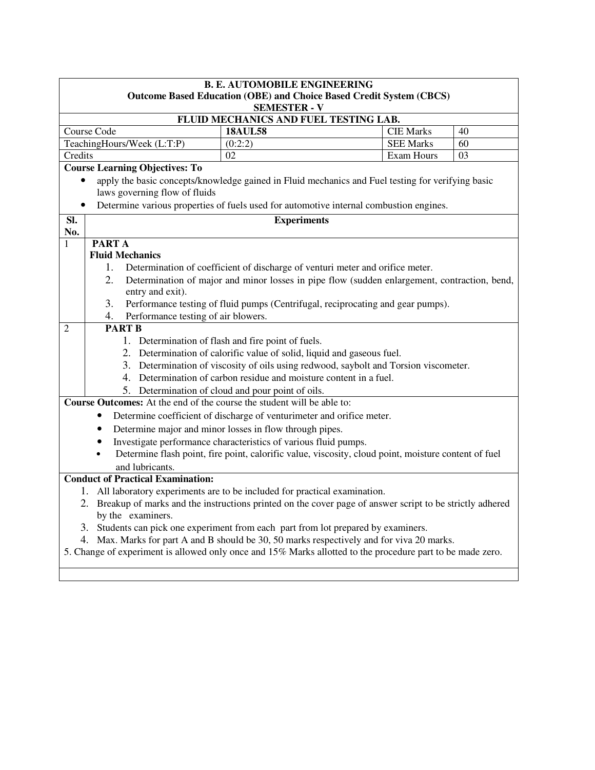| <b>B. E. AUTOMOBILE ENGINEERING</b><br><b>Outcome Based Education (OBE) and Choice Based Credit System (CBCS)</b><br><b>SEMESTER - V</b>                                |  |  |  |  |  |
|-------------------------------------------------------------------------------------------------------------------------------------------------------------------------|--|--|--|--|--|
| FLUID MECHANICS AND FUEL TESTING LAB.                                                                                                                                   |  |  |  |  |  |
| Course Code<br><b>18AUL58</b><br><b>CIE Marks</b><br>40                                                                                                                 |  |  |  |  |  |
| TeachingHours/Week (L:T:P)<br><b>SEE Marks</b><br>(0:2:2)<br>60                                                                                                         |  |  |  |  |  |
| 03<br>Credits<br>02<br>Exam Hours                                                                                                                                       |  |  |  |  |  |
| <b>Course Learning Objectives: To</b>                                                                                                                                   |  |  |  |  |  |
| apply the basic concepts/knowledge gained in Fluid mechanics and Fuel testing for verifying basic<br>$\bullet$                                                          |  |  |  |  |  |
| laws governing flow of fluids                                                                                                                                           |  |  |  |  |  |
| Determine various properties of fuels used for automotive internal combustion engines.<br>٠                                                                             |  |  |  |  |  |
| <b>Experiments</b><br>SI.                                                                                                                                               |  |  |  |  |  |
| No.                                                                                                                                                                     |  |  |  |  |  |
| <b>PARTA</b><br>1                                                                                                                                                       |  |  |  |  |  |
| <b>Fluid Mechanics</b>                                                                                                                                                  |  |  |  |  |  |
| Determination of coefficient of discharge of venturi meter and orifice meter.<br>1.                                                                                     |  |  |  |  |  |
| 2.<br>Determination of major and minor losses in pipe flow (sudden enlargement, contraction, bend,                                                                      |  |  |  |  |  |
| entry and exit).                                                                                                                                                        |  |  |  |  |  |
| 3.<br>Performance testing of fluid pumps (Centrifugal, reciprocating and gear pumps).                                                                                   |  |  |  |  |  |
| Performance testing of air blowers.<br>4.<br><b>PART B</b>                                                                                                              |  |  |  |  |  |
| $\overline{2}$                                                                                                                                                          |  |  |  |  |  |
| 1. Determination of flash and fire point of fuels.                                                                                                                      |  |  |  |  |  |
| 2. Determination of calorific value of solid, liquid and gaseous fuel.                                                                                                  |  |  |  |  |  |
| 3. Determination of viscosity of oils using redwood, saybolt and Torsion viscometer.<br>4. Determination of carbon residue and moisture content in a fuel.              |  |  |  |  |  |
| 5. Determination of cloud and pour point of oils.                                                                                                                       |  |  |  |  |  |
| <b>Course Outcomes:</b> At the end of the course the student will be able to:                                                                                           |  |  |  |  |  |
| Determine coefficient of discharge of venturimeter and orifice meter.                                                                                                   |  |  |  |  |  |
|                                                                                                                                                                         |  |  |  |  |  |
| Determine major and minor losses in flow through pipes.                                                                                                                 |  |  |  |  |  |
| Investigate performance characteristics of various fluid pumps.<br>Determine flash point, fire point, calorific value, viscosity, cloud point, moisture content of fuel |  |  |  |  |  |
|                                                                                                                                                                         |  |  |  |  |  |
| and lubricants.<br><b>Conduct of Practical Examination:</b>                                                                                                             |  |  |  |  |  |
| 1. All laboratory experiments are to be included for practical examination.                                                                                             |  |  |  |  |  |
| 2. Breakup of marks and the instructions printed on the cover page of answer script to be strictly adhered                                                              |  |  |  |  |  |
| by the examiners.                                                                                                                                                       |  |  |  |  |  |
| 3. Students can pick one experiment from each part from lot prepared by examiners.                                                                                      |  |  |  |  |  |
| 4. Max. Marks for part A and B should be 30, 50 marks respectively and for viva 20 marks.                                                                               |  |  |  |  |  |
| 5. Change of experiment is allowed only once and 15% Marks allotted to the procedure part to be made zero.                                                              |  |  |  |  |  |
|                                                                                                                                                                         |  |  |  |  |  |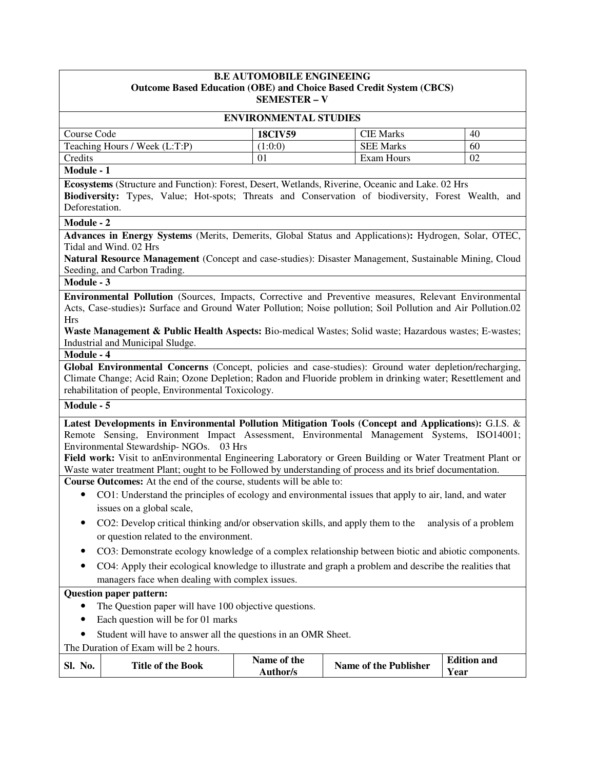| <b>B.E AUTOMOBILE ENGINEEING</b><br><b>Outcome Based Education (OBE) and Choice Based Credit System (CBCS)</b><br><b>SEMESTER - V</b> |                                                                                                                                                                                                                                                                                                                                                                                                                                                                                                                                                    |                                |                              |                            |
|---------------------------------------------------------------------------------------------------------------------------------------|----------------------------------------------------------------------------------------------------------------------------------------------------------------------------------------------------------------------------------------------------------------------------------------------------------------------------------------------------------------------------------------------------------------------------------------------------------------------------------------------------------------------------------------------------|--------------------------------|------------------------------|----------------------------|
|                                                                                                                                       |                                                                                                                                                                                                                                                                                                                                                                                                                                                                                                                                                    | <b>ENVIRONMENTAL STUDIES</b>   |                              |                            |
| Course Code                                                                                                                           |                                                                                                                                                                                                                                                                                                                                                                                                                                                                                                                                                    | <b>18CIV59</b>                 | <b>CIE Marks</b>             | 40                         |
|                                                                                                                                       | Teaching Hours / Week (L:T:P)                                                                                                                                                                                                                                                                                                                                                                                                                                                                                                                      | (1:0:0)                        | <b>SEE Marks</b>             | 60                         |
| Credits                                                                                                                               |                                                                                                                                                                                                                                                                                                                                                                                                                                                                                                                                                    | 01                             | <b>Exam Hours</b>            | 02                         |
| Module - 1                                                                                                                            |                                                                                                                                                                                                                                                                                                                                                                                                                                                                                                                                                    |                                |                              |                            |
| Deforestation.                                                                                                                        | Ecosystems (Structure and Function): Forest, Desert, Wetlands, Riverine, Oceanic and Lake. 02 Hrs<br>Biodiversity: Types, Value; Hot-spots; Threats and Conservation of biodiversity, Forest Wealth, and                                                                                                                                                                                                                                                                                                                                           |                                |                              |                            |
| Module - 2                                                                                                                            |                                                                                                                                                                                                                                                                                                                                                                                                                                                                                                                                                    |                                |                              |                            |
|                                                                                                                                       | Advances in Energy Systems (Merits, Demerits, Global Status and Applications): Hydrogen, Solar, OTEC,<br>Tidal and Wind. 02 Hrs<br>Natural Resource Management (Concept and case-studies): Disaster Management, Sustainable Mining, Cloud<br>Seeding, and Carbon Trading.                                                                                                                                                                                                                                                                          |                                |                              |                            |
| Module - 3                                                                                                                            |                                                                                                                                                                                                                                                                                                                                                                                                                                                                                                                                                    |                                |                              |                            |
| <b>Hrs</b>                                                                                                                            | Environmental Pollution (Sources, Impacts, Corrective and Preventive measures, Relevant Environmental<br>Acts, Case-studies): Surface and Ground Water Pollution; Noise pollution; Soil Pollution and Air Pollution.02<br>Waste Management & Public Health Aspects: Bio-medical Wastes; Solid waste; Hazardous wastes; E-wastes;<br>Industrial and Municipal Sludge.                                                                                                                                                                               |                                |                              |                            |
| Module - 4                                                                                                                            |                                                                                                                                                                                                                                                                                                                                                                                                                                                                                                                                                    |                                |                              |                            |
|                                                                                                                                       | Global Environmental Concerns (Concept, policies and case-studies): Ground water depletion/recharging,<br>Climate Change; Acid Rain; Ozone Depletion; Radon and Fluoride problem in drinking water; Resettlement and<br>rehabilitation of people, Environmental Toxicology.                                                                                                                                                                                                                                                                        |                                |                              |                            |
| Module - 5                                                                                                                            |                                                                                                                                                                                                                                                                                                                                                                                                                                                                                                                                                    |                                |                              |                            |
|                                                                                                                                       | Latest Developments in Environmental Pollution Mitigation Tools (Concept and Applications): G.I.S. &<br>Remote Sensing, Environment Impact Assessment, Environmental Management Systems, ISO14001;<br>Environmental Stewardship-NGOs.<br>03 Hrs<br>Field work: Visit to anEnvironmental Engineering Laboratory or Green Building or Water Treatment Plant or<br>Waste water treatment Plant; ought to be Followed by understanding of process and its brief documentation.<br>Course Outcomes: At the end of the course, students will be able to: |                                |                              |                            |
| $\bullet$                                                                                                                             | CO1: Understand the principles of ecology and environmental issues that apply to air, land, and water<br>issues on a global scale,                                                                                                                                                                                                                                                                                                                                                                                                                 |                                |                              |                            |
|                                                                                                                                       | CO2: Develop critical thinking and/or observation skills, and apply them to the<br>or question related to the environment.                                                                                                                                                                                                                                                                                                                                                                                                                         |                                |                              | analysis of a problem      |
|                                                                                                                                       | CO3: Demonstrate ecology knowledge of a complex relationship between biotic and abiotic components.<br>CO4: Apply their ecological knowledge to illustrate and graph a problem and describe the realities that                                                                                                                                                                                                                                                                                                                                     |                                |                              |                            |
|                                                                                                                                       | managers face when dealing with complex issues.                                                                                                                                                                                                                                                                                                                                                                                                                                                                                                    |                                |                              |                            |
|                                                                                                                                       | <b>Question paper pattern:</b><br>The Question paper will have 100 objective questions.<br>Each question will be for 01 marks<br>Student will have to answer all the questions in an OMR Sheet.                                                                                                                                                                                                                                                                                                                                                    |                                |                              |                            |
|                                                                                                                                       | The Duration of Exam will be 2 hours.                                                                                                                                                                                                                                                                                                                                                                                                                                                                                                              |                                |                              |                            |
| Sl. No.                                                                                                                               | <b>Title of the Book</b>                                                                                                                                                                                                                                                                                                                                                                                                                                                                                                                           | Name of the<br><b>Author/s</b> | <b>Name of the Publisher</b> | <b>Edition and</b><br>Year |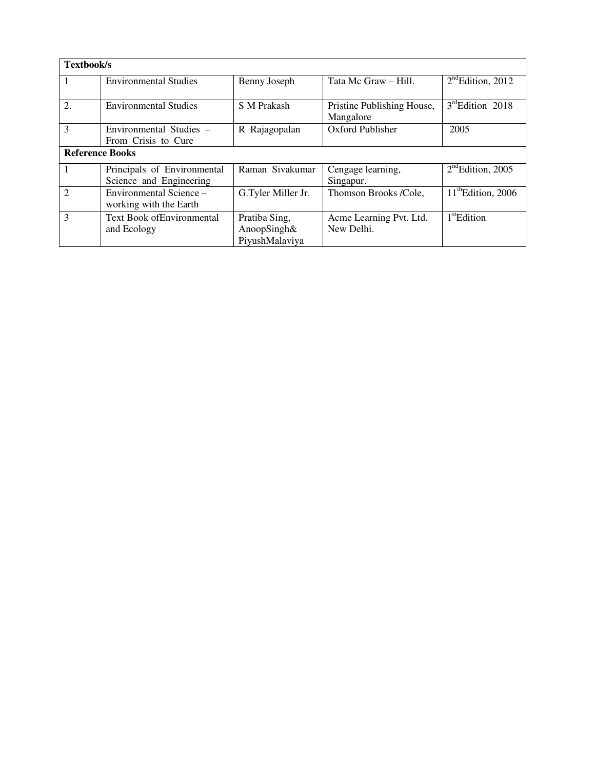| <b>Textbook/s</b>      |                              |                    |                                         |                                |
|------------------------|------------------------------|--------------------|-----------------------------------------|--------------------------------|
|                        | <b>Environmental Studies</b> | Benny Joseph       | Tata Mc Graw - Hill.                    | $2nd$ Edition, 2012            |
| 2.                     | <b>Environmental Studies</b> | S M Prakash        | Pristine Publishing House,<br>Mangalore | $3^{\text{rd}}$ Edition' 2018  |
| $\mathcal{E}$          | Environmental Studies -      | R Rajagopalan      | Oxford Publisher                        | 2005                           |
|                        | From Crisis to Cure          |                    |                                         |                                |
| <b>Reference Books</b> |                              |                    |                                         |                                |
| 1                      | Principals of Environmental  | Raman Sivakumar    | Cengage learning,                       | $2nd$ Edition, 2005            |
|                        | Science and Engineering      |                    | Singapur.                               |                                |
| $\overline{2}$         | Environmental Science -      | G.Tyler Miller Jr. | Thomson Brooks /Cole,                   | $11^{\text{th}}$ Edition, 2006 |
|                        | working with the Earth       |                    |                                         |                                |
| 3                      | Text Book of Environmental   | Pratiba Sing,      | Acme Learning Pvt. Ltd.                 | 1 <sup>st</sup> Edition        |
|                        | and Ecology                  | AnoopSingh&        | New Delhi.                              |                                |
|                        |                              | PiyushMalaviya     |                                         |                                |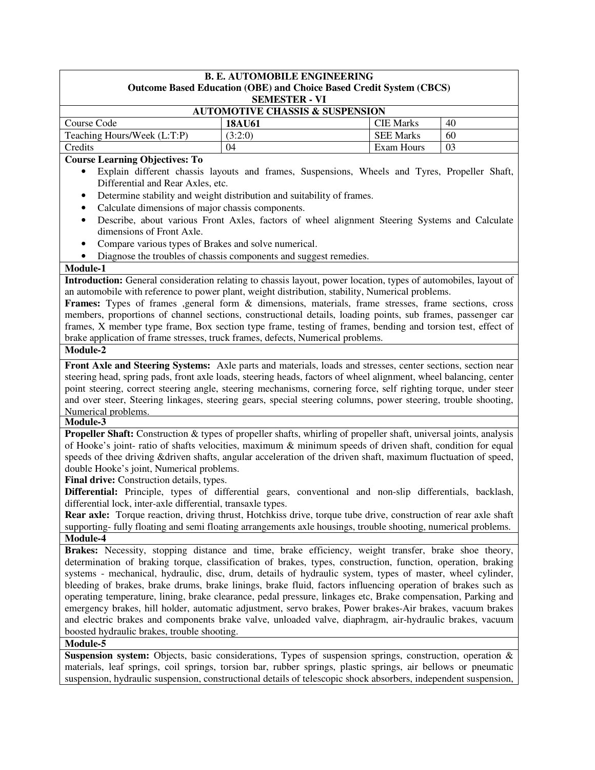| <b>B. E. AUTOMOBILE ENGINEERING</b>        |                      |                                                                            |    |  |  |
|--------------------------------------------|----------------------|----------------------------------------------------------------------------|----|--|--|
|                                            |                      | <b>Outcome Based Education (OBE) and Choice Based Credit System (CBCS)</b> |    |  |  |
|                                            | <b>SEMESTER - VI</b> |                                                                            |    |  |  |
| <b>AUTOMOTIVE CHASSIS &amp; SUSPENSION</b> |                      |                                                                            |    |  |  |
| Course Code                                | <b>18AU61</b>        | <b>CIE Marks</b>                                                           | 40 |  |  |
| Teaching Hours/Week (L:T:P)                | (3:2:0)              | <b>SEE Marks</b>                                                           | 60 |  |  |
| Credits<br>Exam Hours<br>03<br>04          |                      |                                                                            |    |  |  |
| Course Learning Objectives: To             |                      |                                                                            |    |  |  |

#### **Course Learning Objectives: To**

- Explain different chassis layouts and frames, Suspensions, Wheels and Tyres, Propeller Shaft, Differential and Rear Axles, etc.
- Determine stability and weight distribution and suitability of frames.
- Calculate dimensions of major chassis components.
- Describe, about various Front Axles, factors of wheel alignment Steering Systems and Calculate dimensions of Front Axle.
- Compare various types of Brakes and solve numerical.
- Diagnose the troubles of chassis components and suggest remedies.

#### **Module-1**

**Introduction:** General consideration relating to chassis layout, power location, types of automobiles, layout of an automobile with reference to power plant, weight distribution, stability, Numerical problems.

**Frames:** Types of frames ,general form & dimensions, materials, frame stresses, frame sections, cross members, proportions of channel sections, constructional details, loading points, sub frames, passenger car frames, X member type frame, Box section type frame, testing of frames, bending and torsion test, effect of brake application of frame stresses, truck frames, defects, Numerical problems.

## **Module-2**

**Front Axle and Steering Systems:** Axle parts and materials, loads and stresses, center sections, section near steering head, spring pads, front axle loads, steering heads, factors of wheel alignment, wheel balancing, center point steering, correct steering angle, steering mechanisms, cornering force, self righting torque, under steer and over steer, Steering linkages, steering gears, special steering columns, power steering, trouble shooting, Numerical problems.

#### **Module-3**

**Propeller Shaft:** Construction & types of propeller shafts, whirling of propeller shaft, universal joints, analysis of Hooke's joint- ratio of shafts velocities, maximum & minimum speeds of driven shaft, condition for equal speeds of thee driving &driven shafts, angular acceleration of the driven shaft, maximum fluctuation of speed, double Hooke's joint, Numerical problems.

Final drive: Construction details, types.

**Differential:** Principle, types of differential gears, conventional and non-slip differentials, backlash, differential lock, inter-axle differential, transaxle types.

**Rear axle:** Torque reaction, driving thrust, Hotchkiss drive, torque tube drive, construction of rear axle shaft supporting- fully floating and semi floating arrangements axle housings, trouble shooting, numerical problems. **Module-4**

**Brakes:** Necessity, stopping distance and time, brake efficiency, weight transfer, brake shoe theory, determination of braking torque, classification of brakes, types, construction, function, operation, braking systems - mechanical, hydraulic, disc, drum, details of hydraulic system, types of master, wheel cylinder, bleeding of brakes, brake drums, brake linings, brake fluid, factors influencing operation of brakes such as operating temperature, lining, brake clearance, pedal pressure, linkages etc, Brake compensation, Parking and emergency brakes, hill holder, automatic adjustment, servo brakes, Power brakes-Air brakes, vacuum brakes and electric brakes and components brake valve, unloaded valve, diaphragm, air-hydraulic brakes, vacuum boosted hydraulic brakes, trouble shooting.

## **Module-5**

**Suspension system:** Objects, basic considerations, Types of suspension springs, construction, operation & materials, leaf springs, coil springs, torsion bar, rubber springs, plastic springs, air bellows or pneumatic suspension, hydraulic suspension, constructional details of telescopic shock absorbers, independent suspension,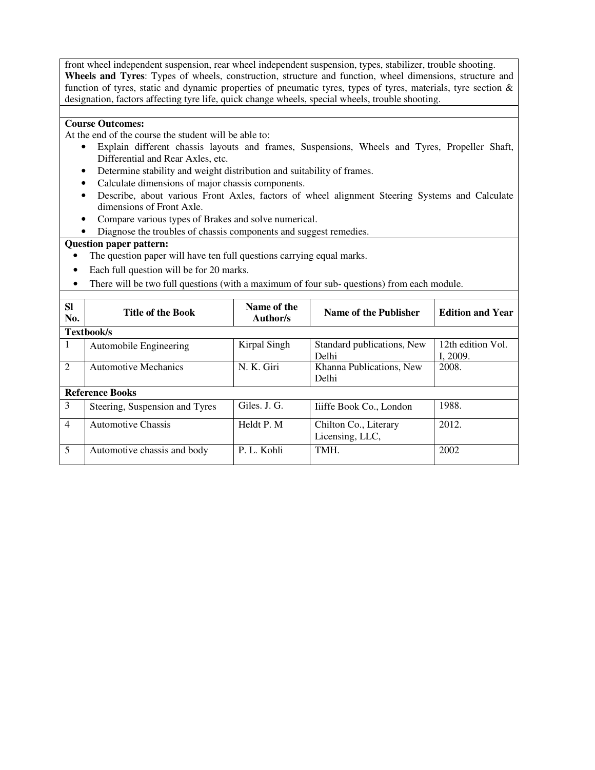front wheel independent suspension, rear wheel independent suspension, types, stabilizer, trouble shooting. **Wheels and Tyres**: Types of wheels, construction, structure and function, wheel dimensions, structure and function of tyres, static and dynamic properties of pneumatic tyres, types of tyres, materials, tyre section & designation, factors affecting tyre life, quick change wheels, special wheels, trouble shooting.

#### **Course Outcomes:**

At the end of the course the student will be able to:

- Explain different chassis layouts and frames, Suspensions, Wheels and Tyres, Propeller Shaft, Differential and Rear Axles, etc.
- Determine stability and weight distribution and suitability of frames.
- Calculate dimensions of major chassis components.
- Describe, about various Front Axles, factors of wheel alignment Steering Systems and Calculate dimensions of Front Axle.
- Compare various types of Brakes and solve numerical.
- Diagnose the troubles of chassis components and suggest remedies.

- The question paper will have ten full questions carrying equal marks.
- Each full question will be for 20 marks.
- There will be two full questions (with a maximum of four sub- questions) from each module.

| <b>Sl</b><br>No. | <b>Title of the Book</b>       | Name of the<br><b>Author/s</b> | Name of the Publisher                    | <b>Edition and Year</b>       |
|------------------|--------------------------------|--------------------------------|------------------------------------------|-------------------------------|
|                  | Textbook/s                     |                                |                                          |                               |
| 1                | Automobile Engineering         | Kirpal Singh                   | Standard publications, New<br>Delhi      | 12th edition Vol.<br>I. 2009. |
| 2                | <b>Automotive Mechanics</b>    | N. K. Giri                     | Khanna Publications, New<br>Delhi        | 2008.                         |
|                  | <b>Reference Books</b>         |                                |                                          |                               |
| 3                | Steering, Suspension and Tyres | Giles. J. G.                   | Tiiffe Book Co., London                  | 1988.                         |
| $\overline{4}$   | <b>Automotive Chassis</b>      | Heldt P. M.                    | Chilton Co., Literary<br>Licensing, LLC, | 2012.                         |
| 5                | Automotive chassis and body    | P. L. Kohli                    | TMH.                                     | 2002                          |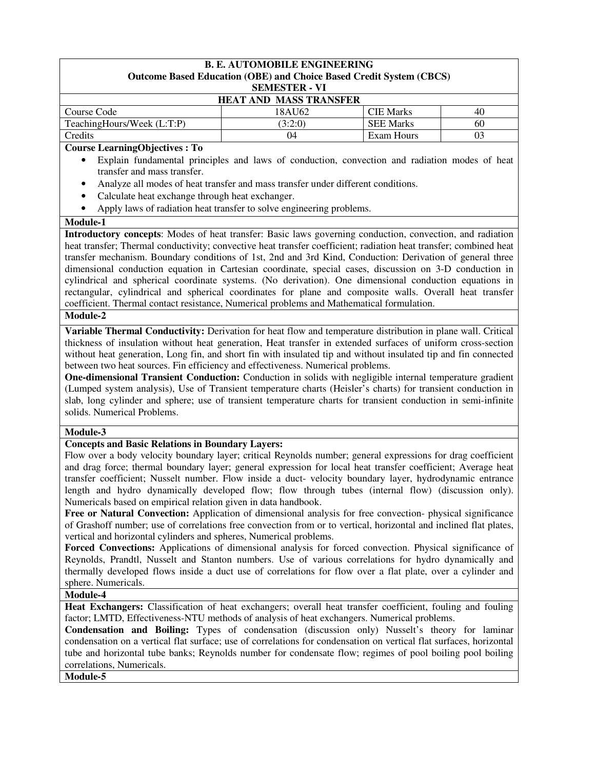|                               | <b>B. E. AUTOMOBILE ENGINEERING</b><br><b>Outcome Based Education (OBE) and Choice Based Credit System (CBCS)</b> |                  |    |  |
|-------------------------------|-------------------------------------------------------------------------------------------------------------------|------------------|----|--|
|                               | <b>SEMESTER - VI</b>                                                                                              |                  |    |  |
| <b>HEAT AND MASS TRANSFER</b> |                                                                                                                   |                  |    |  |
| Course Code                   | 18AU62                                                                                                            | <b>CIE Marks</b> | 40 |  |
| TeachingHours/Week (L:T:P)    | (3:2:0)                                                                                                           | <b>SEE Marks</b> | 60 |  |
| Credits                       | 04                                                                                                                | Exam Hours       | 03 |  |

**Course LearningObjectives : To** 

- Explain fundamental principles and laws of conduction, convection and radiation modes of heat transfer and mass transfer.
- Analyze all modes of heat transfer and mass transfer under different conditions.
- Calculate heat exchange through heat exchanger.
- Apply laws of radiation heat transfer to solve engineering problems.

#### **Module-1**

**Introductory concepts**: Modes of heat transfer: Basic laws governing conduction, convection, and radiation heat transfer; Thermal conductivity; convective heat transfer coefficient; radiation heat transfer; combined heat transfer mechanism. Boundary conditions of 1st, 2nd and 3rd Kind, Conduction: Derivation of general three dimensional conduction equation in Cartesian coordinate, special cases, discussion on 3-D conduction in cylindrical and spherical coordinate systems. (No derivation). One dimensional conduction equations in rectangular, cylindrical and spherical coordinates for plane and composite walls. Overall heat transfer coefficient. Thermal contact resistance, Numerical problems and Mathematical formulation.

## **Module-2**

**Variable Thermal Conductivity:** Derivation for heat flow and temperature distribution in plane wall. Critical thickness of insulation without heat generation, Heat transfer in extended surfaces of uniform cross-section without heat generation, Long fin, and short fin with insulated tip and without insulated tip and fin connected between two heat sources. Fin efficiency and effectiveness. Numerical problems.

**One-dimensional Transient Conduction:** Conduction in solids with negligible internal temperature gradient (Lumped system analysis), Use of Transient temperature charts (Heisler's charts) for transient conduction in slab, long cylinder and sphere; use of transient temperature charts for transient conduction in semi-infinite solids. Numerical Problems.

#### **Module-3**

## **Concepts and Basic Relations in Boundary Layers:**

Flow over a body velocity boundary layer; critical Reynolds number; general expressions for drag coefficient and drag force; thermal boundary layer; general expression for local heat transfer coefficient; Average heat transfer coefficient; Nusselt number. Flow inside a duct- velocity boundary layer, hydrodynamic entrance length and hydro dynamically developed flow; flow through tubes (internal flow) (discussion only). Numericals based on empirical relation given in data handbook.

Free or Natural Convection: Application of dimensional analysis for free convection- physical significance of Grashoff number; use of correlations free convection from or to vertical, horizontal and inclined flat plates, vertical and horizontal cylinders and spheres, Numerical problems.

**Forced Convections:** Applications of dimensional analysis for forced convection. Physical significance of Reynolds, Prandtl, Nusselt and Stanton numbers. Use of various correlations for hydro dynamically and thermally developed flows inside a duct use of correlations for flow over a flat plate, over a cylinder and sphere. Numericals.

## **Module-4**

**Heat Exchangers:** Classification of heat exchangers; overall heat transfer coefficient, fouling and fouling factor; LMTD, Effectiveness-NTU methods of analysis of heat exchangers. Numerical problems.

**Condensation and Boiling:** Types of condensation (discussion only) Nusselt's theory for laminar condensation on a vertical flat surface; use of correlations for condensation on vertical flat surfaces, horizontal tube and horizontal tube banks; Reynolds number for condensate flow; regimes of pool boiling pool boiling correlations, Numericals.

**Module-5**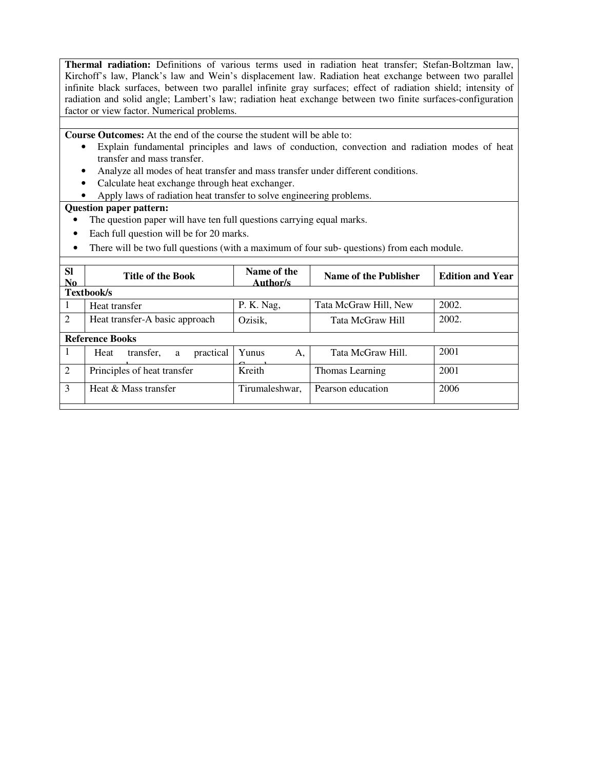**Thermal radiation:** Definitions of various terms used in radiation heat transfer; Stefan-Boltzman law, Kirchoff's law, Planck's law and Wein's displacement law. Radiation heat exchange between two parallel infinite black surfaces, between two parallel infinite gray surfaces; effect of radiation shield; intensity of radiation and solid angle; Lambert's law; radiation heat exchange between two finite surfaces-configuration factor or view factor. Numerical problems.

**Course Outcomes:** At the end of the course the student will be able to:

- Explain fundamental principles and laws of conduction, convection and radiation modes of heat transfer and mass transfer.
- Analyze all modes of heat transfer and mass transfer under different conditions.
- Calculate heat exchange through heat exchanger.
- Apply laws of radiation heat transfer to solve engineering problems.

- The question paper will have ten full questions carrying equal marks.
- Each full question will be for 20 marks.
- There will be two full questions (with a maximum of four sub-questions) from each module.

| <b>SI</b><br>N <sub>0</sub> | <b>Title of the Book</b>            | Name of the<br>Author/s | Name of the Publisher | <b>Edition and Year</b> |
|-----------------------------|-------------------------------------|-------------------------|-----------------------|-------------------------|
|                             | Textbook/s                          |                         |                       |                         |
| -1                          | Heat transfer                       | P. K. Nag,              | Tata McGraw Hill, New | 2002.                   |
| 2                           | Heat transfer-A basic approach      | Ozisik,                 | Tata McGraw Hill      | 2002.                   |
|                             | <b>Reference Books</b>              |                         |                       |                         |
| 1                           | transfer,<br>practical<br>Heat<br>a | Yunus<br>А,             | Tata McGraw Hill.     | 2001                    |
| 2                           | Principles of heat transfer         | Kreith                  | Thomas Learning       | 2001                    |
| 3                           | Heat & Mass transfer                | Tirumaleshwar,          | Pearson education     | 2006                    |
|                             |                                     |                         |                       |                         |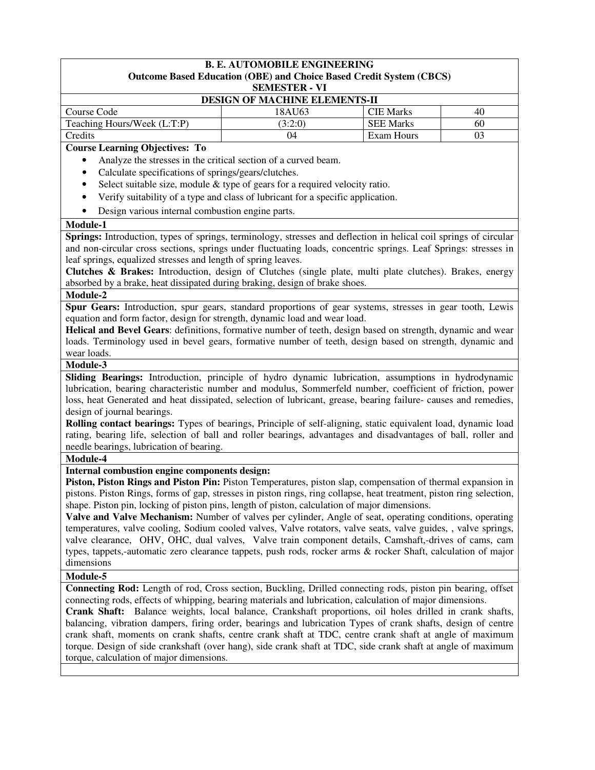#### **B. E. AUTOMOBILE ENGINEERING Outcome Based Education (OBE) and Choice Based Credit System (CBCS)**

**SEMESTER - VI**

| <b>DESIGN OF MACHINE ELEMENTS-II</b> |         |                  |    |  |
|--------------------------------------|---------|------------------|----|--|
| Course Code                          | 18AU63  | <b>CIE Marks</b> | 40 |  |
| Teaching Hours/Week (L:T:P)          | (3:2:0) | <b>SEE Marks</b> | 60 |  |
| Credits                              | 04      | Exam Hours       | 03 |  |

**Course Learning Objectives: To** 

- Analyze the stresses in the critical section of a curved beam.
- Calculate specifications of springs/gears/clutches.
- Select suitable size, module & type of gears for a required velocity ratio.
- Verify suitability of a type and class of lubricant for a specific application.
- Design various internal combustion engine parts.

#### **Module-1**

**Springs:** Introduction, types of springs, terminology, stresses and deflection in helical coil springs of circular and non-circular cross sections, springs under fluctuating loads, concentric springs. Leaf Springs: stresses in leaf springs, equalized stresses and length of spring leaves.

**Clutches & Brakes:** Introduction, design of Clutches (single plate, multi plate clutches). Brakes, energy absorbed by a brake, heat dissipated during braking, design of brake shoes.

#### **Module-2**

**Spur Gears:** Introduction, spur gears, standard proportions of gear systems, stresses in gear tooth, Lewis equation and form factor, design for strength, dynamic load and wear load.

**Helical and Bevel Gears**: definitions, formative number of teeth, design based on strength, dynamic and wear loads. Terminology used in bevel gears, formative number of teeth, design based on strength, dynamic and wear loads.

#### **Module-3**

**Sliding Bearings:** Introduction, principle of hydro dynamic lubrication, assumptions in hydrodynamic lubrication, bearing characteristic number and modulus, Sommerfeld number, coefficient of friction, power loss, heat Generated and heat dissipated, selection of lubricant, grease, bearing failure- causes and remedies, design of journal bearings.

**Rolling contact bearings:** Types of bearings, Principle of self-aligning, static equivalent load, dynamic load rating, bearing life, selection of ball and roller bearings, advantages and disadvantages of ball, roller and needle bearings, lubrication of bearing.

#### **Module-4**

# **Internal combustion engine components design:**

**Piston, Piston Rings and Piston Pin:** Piston Temperatures, piston slap, compensation of thermal expansion in pistons. Piston Rings, forms of gap, stresses in piston rings, ring collapse, heat treatment, piston ring selection, shape. Piston pin, locking of piston pins, length of piston, calculation of major dimensions.

**Valve and Valve Mechanism:** Number of valves per cylinder, Angle of seat, operating conditions, operating temperatures, valve cooling, Sodium cooled valves, Valve rotators, valve seats, valve guides, , valve springs, valve clearance, OHV, OHC, dual valves, Valve train component details, Camshaft,-drives of cams, cam types, tappets,-automatic zero clearance tappets, push rods, rocker arms & rocker Shaft, calculation of major dimensions

#### **Module-5**

**Connecting Rod:** Length of rod, Cross section, Buckling, Drilled connecting rods, piston pin bearing, offset connecting rods, effects of whipping, bearing materials and lubrication, calculation of major dimensions.

**Crank Shaft:** Balance weights, local balance, Crankshaft proportions, oil holes drilled in crank shafts, balancing, vibration dampers, firing order, bearings and lubrication Types of crank shafts, design of centre crank shaft, moments on crank shafts, centre crank shaft at TDC, centre crank shaft at angle of maximum torque. Design of side crankshaft (over hang), side crank shaft at TDC, side crank shaft at angle of maximum torque, calculation of major dimensions.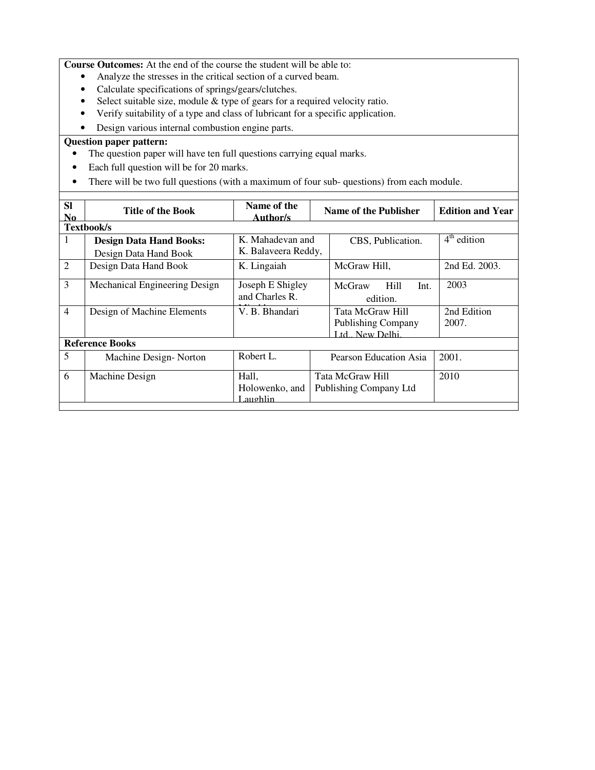**Course Outcomes:** At the end of the course the student will be able to:

- Analyze the stresses in the critical section of a curved beam.
- Calculate specifications of springs/gears/clutches.
- Select suitable size, module & type of gears for a required velocity ratio.
- Verify suitability of a type and class of lubricant for a specific application.
- Design various internal combustion engine parts.

- The question paper will have ten full questions carrying equal marks.
- Each full question will be for 20 marks.
- There will be two full questions (with a maximum of four sub- questions) from each module.

| <b>SI</b><br>N <sub>0</sub> | <b>Title of the Book</b>                                | Name of the<br>Author/s                 | Name of the Publisher                                          |              | <b>Edition and Year</b> |
|-----------------------------|---------------------------------------------------------|-----------------------------------------|----------------------------------------------------------------|--------------|-------------------------|
|                             | <b>Textbook/s</b>                                       |                                         |                                                                |              |                         |
| 1                           | <b>Design Data Hand Books:</b><br>Design Data Hand Book | K. Mahadevan and<br>K. Balaveera Reddy, | CBS, Publication.                                              |              | $4th$ edition           |
| $\overline{2}$              | Design Data Hand Book                                   | K. Lingaiah                             | McGraw Hill,                                                   |              | 2nd Ed. 2003.           |
| 3                           | Mechanical Engineering Design                           | Joseph E Shigley<br>and Charles R.      | McGraw<br>edition.                                             | Hill<br>Int. | 2003                    |
| $\overline{4}$              | Design of Machine Elements                              | V. B. Bhandari                          | Tata McGraw Hill<br><b>Publishing Company</b><br>Ltd New Delhi |              | 2nd Edition<br>2007.    |
|                             | <b>Reference Books</b>                                  |                                         |                                                                |              |                         |
| 5                           | Machine Design-Norton                                   | Robert L.                               | Pearson Education Asia                                         |              | 2001.                   |
| 6                           | Machine Design                                          | Hall,<br>Holowenko, and<br>Laughlin     | Tata McGraw Hill<br>Publishing Company Ltd                     |              | 2010                    |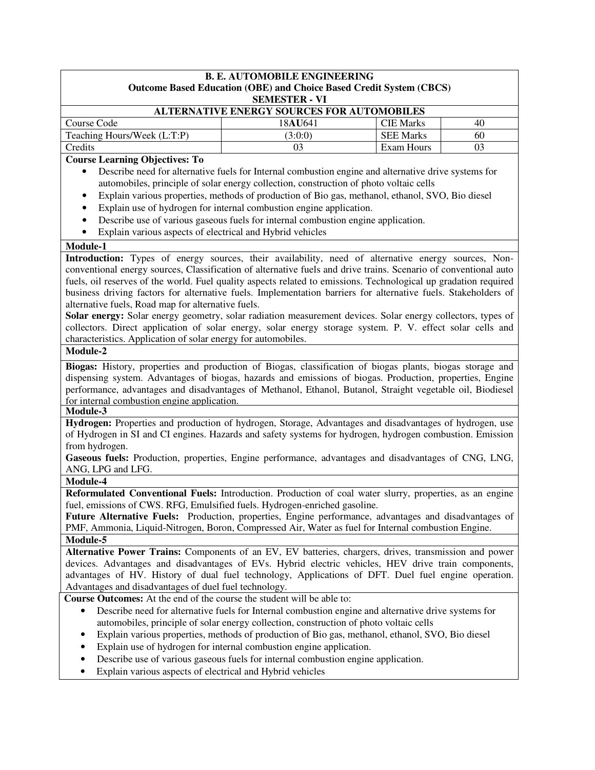|                                                                                                                   | <b>B. E. AUTOMOBILE ENGINEERING</b>                                                                  |                   |    |  |  |
|-------------------------------------------------------------------------------------------------------------------|------------------------------------------------------------------------------------------------------|-------------------|----|--|--|
| Outcome Based Education (OBE) and Choice Based Credit System (CBCS)                                               |                                                                                                      |                   |    |  |  |
| <b>SEMESTER - VI</b><br><b>ALTERNATIVE ENERGY SOURCES FOR AUTOMOBILES</b>                                         |                                                                                                      |                   |    |  |  |
| Course Code                                                                                                       | 18AU641                                                                                              | <b>CIE Marks</b>  | 40 |  |  |
| Teaching Hours/Week (L:T:P)                                                                                       | (3:0:0)                                                                                              | <b>SEE Marks</b>  | 60 |  |  |
| Credits                                                                                                           | 03                                                                                                   | <b>Exam Hours</b> | 03 |  |  |
| <b>Course Learning Objectives: To</b>                                                                             |                                                                                                      |                   |    |  |  |
|                                                                                                                   | Describe need for alternative fuels for Internal combustion engine and alternative drive systems for |                   |    |  |  |
|                                                                                                                   | automobiles, principle of solar energy collection, construction of photo voltaic cells               |                   |    |  |  |
| $\bullet$                                                                                                         | Explain various properties, methods of production of Bio gas, methanol, ethanol, SVO, Bio diesel     |                   |    |  |  |
| $\bullet$                                                                                                         | Explain use of hydrogen for internal combustion engine application.                                  |                   |    |  |  |
| $\bullet$                                                                                                         | Describe use of various gaseous fuels for internal combustion engine application.                    |                   |    |  |  |
| Explain various aspects of electrical and Hybrid vehicles<br>$\bullet$                                            |                                                                                                      |                   |    |  |  |
| Module-1                                                                                                          |                                                                                                      |                   |    |  |  |
| Introduction: Types of energy sources, their availability, need of alternative energy sources, Non-               |                                                                                                      |                   |    |  |  |
| conventional energy sources, Classification of alternative fuels and drive trains. Scenario of conventional auto  |                                                                                                      |                   |    |  |  |
| fuels, oil reserves of the world. Fuel quality aspects related to emissions. Technological up gradation required  |                                                                                                      |                   |    |  |  |
| business driving factors for alternative fuels. Implementation barriers for alternative fuels. Stakeholders of    |                                                                                                      |                   |    |  |  |
| alternative fuels, Road map for alternative fuels.                                                                |                                                                                                      |                   |    |  |  |
| Solar energy: Solar energy geometry, solar radiation measurement devices. Solar energy collectors, types of       |                                                                                                      |                   |    |  |  |
| collectors. Direct application of solar energy, solar energy storage system. P. V. effect solar cells and         |                                                                                                      |                   |    |  |  |
| characteristics. Application of solar energy for automobiles.                                                     |                                                                                                      |                   |    |  |  |
| Module-2                                                                                                          |                                                                                                      |                   |    |  |  |
| Biogas: History, properties and production of Biogas, classification of biogas plants, biogas storage and         |                                                                                                      |                   |    |  |  |
| dispensing system. Advantages of biogas, hazards and emissions of biogas. Production, properties, Engine          |                                                                                                      |                   |    |  |  |
| performance, advantages and disadvantages of Methanol, Ethanol, Butanol, Straight vegetable oil, Biodiesel        |                                                                                                      |                   |    |  |  |
| for internal combustion engine application.                                                                       |                                                                                                      |                   |    |  |  |
| Module-3                                                                                                          |                                                                                                      |                   |    |  |  |
| Hydrogen: Properties and production of hydrogen, Storage, Advantages and disadvantages of hydrogen, use           |                                                                                                      |                   |    |  |  |
| of Hydrogen in SI and CI engines. Hazards and safety systems for hydrogen, hydrogen combustion. Emission          |                                                                                                      |                   |    |  |  |
| from hydrogen.                                                                                                    |                                                                                                      |                   |    |  |  |
| Gaseous fuels: Production, properties, Engine performance, advantages and disadvantages of CNG, LNG,              |                                                                                                      |                   |    |  |  |
| ANG, LPG and LFG.                                                                                                 |                                                                                                      |                   |    |  |  |
| Module-4                                                                                                          |                                                                                                      |                   |    |  |  |
| Reformulated Conventional Fuels: Introduction. Production of coal water slurry, properties, as an engine          |                                                                                                      |                   |    |  |  |
| fuel, emissions of CWS. RFG, Emulsified fuels. Hydrogen-enriched gasoline.                                        |                                                                                                      |                   |    |  |  |
| Future Alternative Fuels: Production, properties, Engine performance, advantages and disadvantages of             |                                                                                                      |                   |    |  |  |
| PMF, Ammonia, Liquid-Nitrogen, Boron, Compressed Air, Water as fuel for Internal combustion Engine.               |                                                                                                      |                   |    |  |  |
| Module-5<br>Alternative Power Trains: Components of an EV, EV batteries, chargers, drives, transmission and power |                                                                                                      |                   |    |  |  |
| devices. Advantages and disadvantages of EVs. Hybrid electric vehicles, HEV drive train components,               |                                                                                                      |                   |    |  |  |
| advantages of HV. History of dual fuel technology, Applications of DFT. Duel fuel engine operation.               |                                                                                                      |                   |    |  |  |
| Advantages and disadvantages of duel fuel technology.                                                             |                                                                                                      |                   |    |  |  |
| Course Outcomes: At the end of the course the student will be able to:                                            |                                                                                                      |                   |    |  |  |
| $\bullet$                                                                                                         | Describe need for alternative fuels for Internal combustion engine and alternative drive systems for |                   |    |  |  |
|                                                                                                                   | automobiles, principle of solar energy collection, construction of photo voltaic cells               |                   |    |  |  |
| ٠                                                                                                                 | Explain various properties, methods of production of Bio gas, methanol, ethanol, SVO, Bio diesel     |                   |    |  |  |
|                                                                                                                   | Explain use of hydrogen for internal combustion engine application.                                  |                   |    |  |  |
|                                                                                                                   | Describe use of various gaseous fuels for internal combustion engine application.                    |                   |    |  |  |
| Explain various aspects of electrical and Hybrid vehicles                                                         |                                                                                                      |                   |    |  |  |
|                                                                                                                   |                                                                                                      |                   |    |  |  |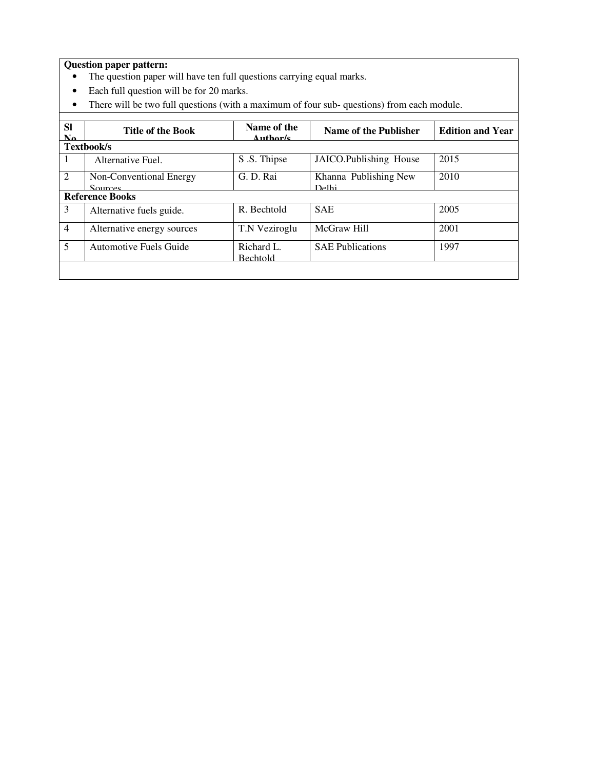- The question paper will have ten full questions carrying equal marks.
- Each full question will be for 20 marks.
- There will be two full questions (with a maximum of four sub- questions) from each module.

| <b>Sl</b><br>No. | <b>Title of the Book</b>           | Name of the<br>Author/s       | Name of the Publisher                       | <b>Edition and Year</b> |
|------------------|------------------------------------|-------------------------------|---------------------------------------------|-------------------------|
|                  | <b>Textbook/s</b>                  |                               |                                             |                         |
| -1               | Alternative Fuel.                  | S.S. Thipse                   | JAICO.Publishing House                      | 2015                    |
| 2                | Non-Conventional Energy<br>Sources | G.D.Rai                       | Khanna Publishing New<br>D <sub>e</sub> 1hi | 2010                    |
|                  | <b>Reference Books</b>             |                               |                                             |                         |
| 3                | Alternative fuels guide.           | R. Bechtold                   | <b>SAE</b>                                  | 2005                    |
| $\overline{4}$   | Alternative energy sources         | T.N Veziroglu                 | McGraw Hill                                 | 2001                    |
| 5                | <b>Automotive Fuels Guide</b>      | Richard L.<br><b>Bechtold</b> | <b>SAE Publications</b>                     | 1997                    |
|                  |                                    |                               |                                             |                         |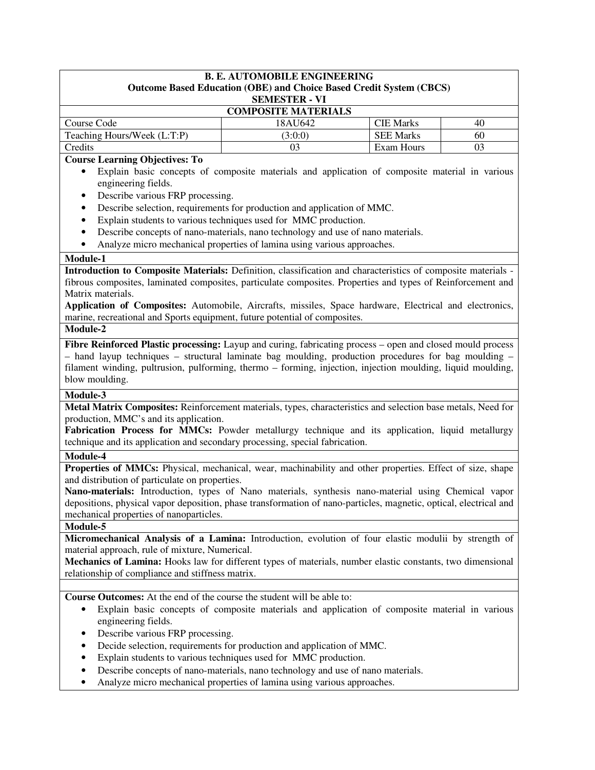| <b>Outcome Based Education (OBE) and Choice Based Credit System (CBCS)</b><br><b>SEMESTER - VI</b>                                                    |
|-------------------------------------------------------------------------------------------------------------------------------------------------------|
|                                                                                                                                                       |
|                                                                                                                                                       |
| <b>COMPOSITE MATERIALS</b><br>Course Code<br>18AU642<br><b>CIE Marks</b><br>40                                                                        |
| Teaching Hours/Week (L:T:P)<br><b>SEE Marks</b><br>60<br>(3:0:0)                                                                                      |
| Credits<br>03<br>03<br>Exam Hours                                                                                                                     |
| <b>Course Learning Objectives: To</b>                                                                                                                 |
| Explain basic concepts of composite materials and application of composite material in various                                                        |
| engineering fields.                                                                                                                                   |
| Describe various FRP processing.<br>$\bullet$                                                                                                         |
| Describe selection, requirements for production and application of MMC.<br>$\bullet$                                                                  |
| Explain students to various techniques used for MMC production.<br>$\bullet$                                                                          |
| Describe concepts of nano-materials, nano technology and use of nano materials.<br>$\bullet$                                                          |
| Analyze micro mechanical properties of lamina using various approaches.<br>$\bullet$                                                                  |
| Module-1                                                                                                                                              |
| Introduction to Composite Materials: Definition, classification and characteristics of composite materials -                                          |
| fibrous composites, laminated composites, particulate composites. Properties and types of Reinforcement and                                           |
| Matrix materials.                                                                                                                                     |
| Application of Composites: Automobile, Aircrafts, missiles, Space hardware, Electrical and electronics,                                               |
| marine, recreational and Sports equipment, future potential of composites.                                                                            |
| Module-2                                                                                                                                              |
| Fibre Reinforced Plastic processing: Layup and curing, fabricating process – open and closed mould process                                            |
| - hand layup techniques - structural laminate bag moulding, production procedures for bag moulding -                                                  |
| filament winding, pultrusion, pulforming, thermo - forming, injection, injection moulding, liquid moulding,                                           |
| blow moulding.                                                                                                                                        |
| Module-3                                                                                                                                              |
| Metal Matrix Composites: Reinforcement materials, types, characteristics and selection base metals, Need for                                          |
| production, MMC's and its application.                                                                                                                |
| Fabrication Process for MMCs: Powder metallurgy technique and its application, liquid metallurgy                                                      |
| technique and its application and secondary processing, special fabrication.                                                                          |
| Module-4                                                                                                                                              |
| Properties of MMCs: Physical, mechanical, wear, machinability and other properties. Effect of size, shape                                             |
| and distribution of particulate on properties.<br>Nano-materials: Introduction, types of Nano materials, synthesis nano-material using Chemical vapor |
| depositions, physical vapor deposition, phase transformation of nano-particles, magnetic, optical, electrical and                                     |
| mechanical properties of nanoparticles.                                                                                                               |
| Module-5                                                                                                                                              |
| Micromechanical Analysis of a Lamina: Introduction, evolution of four elastic modulii by strength of                                                  |
| material approach, rule of mixture, Numerical.                                                                                                        |
| Mechanics of Lamina: Hooks law for different types of materials, number elastic constants, two dimensional                                            |
| relationship of compliance and stiffness matrix.                                                                                                      |
|                                                                                                                                                       |
| Course Outcomes: At the end of the course the student will be able to:                                                                                |
| Explain basic concepts of composite materials and application of composite material in various<br>$\bullet$                                           |
| engineering fields.                                                                                                                                   |
| Describe various FRP processing.<br>٠                                                                                                                 |
| Decide selection, requirements for production and application of MMC.<br>٠                                                                            |
| Explain students to various techniques used for MMC production.<br>$\bullet$                                                                          |
| Describe concepts of nano-materials, nano technology and use of nano materials.                                                                       |
| Analyze micro mechanical properties of lamina using various approaches.                                                                               |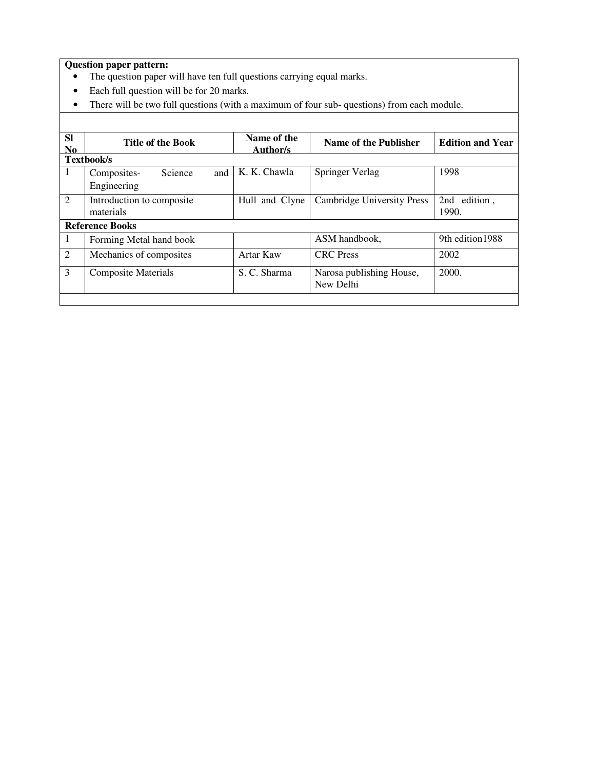- The question paper will have ten full questions carrying equal marks.
- Each full question will be for 20 marks.
- There will be two full questions (with a maximum of four sub- questions) from each module.

| <b>SI</b><br>N <sub>0</sub> | <b>Title of the Book</b>               |     | Name of the<br>Author/s | Name of the Publisher                 | <b>Edition and Year</b> |
|-----------------------------|----------------------------------------|-----|-------------------------|---------------------------------------|-------------------------|
|                             | Textbook/s                             |     |                         |                                       |                         |
| 1                           | Science<br>Composites-<br>Engineering  | and | K. K. Chawla            | Springer Verlag                       | 1998                    |
| $\overline{2}$              | Introduction to composite<br>materials |     | Hull and Clyne          | Cambridge University Press            | 2nd edition,<br>1990.   |
|                             | <b>Reference Books</b>                 |     |                         |                                       |                         |
| 1                           | Forming Metal hand book                |     |                         | ASM handbook,                         | 9th edition 1988        |
| 2                           | Mechanics of composites                |     | Artar Kaw               | <b>CRC</b> Press                      | 2002                    |
| 3                           | Composite Materials                    |     | S. C. Sharma            | Narosa publishing House,<br>New Delhi | 2000.                   |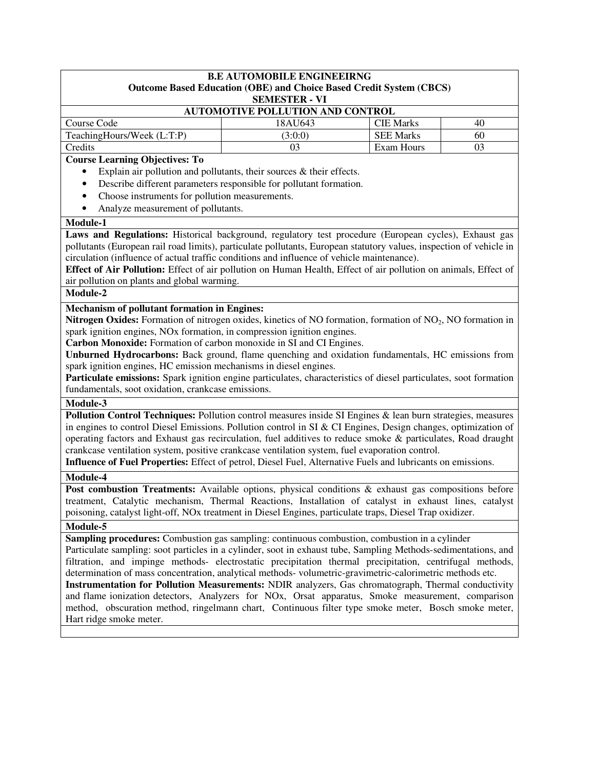| <b>B.E AUTOMOBILE ENGINEEIRNG</b><br><b>Outcome Based Education (OBE) and Choice Based Credit System (CBCS)</b><br><b>SEMESTER - VI</b>                                                                                                                                                                                                                                                                                                                                                                                                                                                                                                                                                                                                                                                                                                                                                                                                                                                                                                                                                                                                                                                                                          |         |                  |    |
|----------------------------------------------------------------------------------------------------------------------------------------------------------------------------------------------------------------------------------------------------------------------------------------------------------------------------------------------------------------------------------------------------------------------------------------------------------------------------------------------------------------------------------------------------------------------------------------------------------------------------------------------------------------------------------------------------------------------------------------------------------------------------------------------------------------------------------------------------------------------------------------------------------------------------------------------------------------------------------------------------------------------------------------------------------------------------------------------------------------------------------------------------------------------------------------------------------------------------------|---------|------------------|----|
| AUTOMOTIVE POLLUTION AND CONTROL                                                                                                                                                                                                                                                                                                                                                                                                                                                                                                                                                                                                                                                                                                                                                                                                                                                                                                                                                                                                                                                                                                                                                                                                 |         |                  |    |
| Course Code                                                                                                                                                                                                                                                                                                                                                                                                                                                                                                                                                                                                                                                                                                                                                                                                                                                                                                                                                                                                                                                                                                                                                                                                                      | 18AU643 | <b>CIE Marks</b> | 40 |
| TeachingHours/Week (L:T:P)                                                                                                                                                                                                                                                                                                                                                                                                                                                                                                                                                                                                                                                                                                                                                                                                                                                                                                                                                                                                                                                                                                                                                                                                       | (3:0:0) | <b>SEE Marks</b> | 60 |
| Credits                                                                                                                                                                                                                                                                                                                                                                                                                                                                                                                                                                                                                                                                                                                                                                                                                                                                                                                                                                                                                                                                                                                                                                                                                          | 03      | Exam Hours       | 03 |
| <b>Course Learning Objectives: To</b>                                                                                                                                                                                                                                                                                                                                                                                                                                                                                                                                                                                                                                                                                                                                                                                                                                                                                                                                                                                                                                                                                                                                                                                            |         |                  |    |
| Explain air pollution and pollutants, their sources $\&$ their effects.<br>$\bullet$                                                                                                                                                                                                                                                                                                                                                                                                                                                                                                                                                                                                                                                                                                                                                                                                                                                                                                                                                                                                                                                                                                                                             |         |                  |    |
| Describe different parameters responsible for pollutant formation.<br>$\bullet$                                                                                                                                                                                                                                                                                                                                                                                                                                                                                                                                                                                                                                                                                                                                                                                                                                                                                                                                                                                                                                                                                                                                                  |         |                  |    |
| Choose instruments for pollution measurements.<br>٠                                                                                                                                                                                                                                                                                                                                                                                                                                                                                                                                                                                                                                                                                                                                                                                                                                                                                                                                                                                                                                                                                                                                                                              |         |                  |    |
| Analyze measurement of pollutants.<br>$\bullet$                                                                                                                                                                                                                                                                                                                                                                                                                                                                                                                                                                                                                                                                                                                                                                                                                                                                                                                                                                                                                                                                                                                                                                                  |         |                  |    |
| Module-1                                                                                                                                                                                                                                                                                                                                                                                                                                                                                                                                                                                                                                                                                                                                                                                                                                                                                                                                                                                                                                                                                                                                                                                                                         |         |                  |    |
| Laws and Regulations: Historical background, regulatory test procedure (European cycles), Exhaust gas                                                                                                                                                                                                                                                                                                                                                                                                                                                                                                                                                                                                                                                                                                                                                                                                                                                                                                                                                                                                                                                                                                                            |         |                  |    |
| pollutants (European rail road limits), particulate pollutants, European statutory values, inspection of vehicle in                                                                                                                                                                                                                                                                                                                                                                                                                                                                                                                                                                                                                                                                                                                                                                                                                                                                                                                                                                                                                                                                                                              |         |                  |    |
| circulation (influence of actual traffic conditions and influence of vehicle maintenance).                                                                                                                                                                                                                                                                                                                                                                                                                                                                                                                                                                                                                                                                                                                                                                                                                                                                                                                                                                                                                                                                                                                                       |         |                  |    |
| Effect of Air Pollution: Effect of air pollution on Human Health, Effect of air pollution on animals, Effect of                                                                                                                                                                                                                                                                                                                                                                                                                                                                                                                                                                                                                                                                                                                                                                                                                                                                                                                                                                                                                                                                                                                  |         |                  |    |
| air pollution on plants and global warming.                                                                                                                                                                                                                                                                                                                                                                                                                                                                                                                                                                                                                                                                                                                                                                                                                                                                                                                                                                                                                                                                                                                                                                                      |         |                  |    |
| Module-2                                                                                                                                                                                                                                                                                                                                                                                                                                                                                                                                                                                                                                                                                                                                                                                                                                                                                                                                                                                                                                                                                                                                                                                                                         |         |                  |    |
| <b>Nitrogen Oxides:</b> Formation of nitrogen oxides, kinetics of NO formation, formation of $NO2$ , NO formation in<br>spark ignition engines, NO <sub>x</sub> formation, in compression ignition engines.<br>Carbon Monoxide: Formation of carbon monoxide in SI and CI Engines.<br>Unburned Hydrocarbons: Back ground, flame quenching and oxidation fundamentals, HC emissions from<br>spark ignition engines, HC emission mechanisms in diesel engines.<br>Particulate emissions: Spark ignition engine particulates, characteristics of diesel particulates, soot formation<br>fundamentals, soot oxidation, crankcase emissions.<br>Module-3<br>Pollution Control Techniques: Pollution control measures inside SI Engines & lean burn strategies, measures<br>in engines to control Diesel Emissions. Pollution control in SI & CI Engines, Design changes, optimization of<br>operating factors and Exhaust gas recirculation, fuel additives to reduce smoke & particulates, Road draught<br>crankcase ventilation system, positive crankcase ventilation system, fuel evaporation control.<br>Influence of Fuel Properties: Effect of petrol, Diesel Fuel, Alternative Fuels and lubricants on emissions.<br>Module-4 |         |                  |    |
|                                                                                                                                                                                                                                                                                                                                                                                                                                                                                                                                                                                                                                                                                                                                                                                                                                                                                                                                                                                                                                                                                                                                                                                                                                  |         |                  |    |
| <b>Post combustion Treatments:</b> Available options, physical conditions & exhaust gas compositions before<br>treatment, Catalytic mechanism, Thermal Reactions, Installation of catalyst in exhaust lines, catalyst                                                                                                                                                                                                                                                                                                                                                                                                                                                                                                                                                                                                                                                                                                                                                                                                                                                                                                                                                                                                            |         |                  |    |
| poisoning, catalyst light-off, NOx treatment in Diesel Engines, particulate traps, Diesel Trap oxidizer.                                                                                                                                                                                                                                                                                                                                                                                                                                                                                                                                                                                                                                                                                                                                                                                                                                                                                                                                                                                                                                                                                                                         |         |                  |    |
| Module-5                                                                                                                                                                                                                                                                                                                                                                                                                                                                                                                                                                                                                                                                                                                                                                                                                                                                                                                                                                                                                                                                                                                                                                                                                         |         |                  |    |
| Sampling procedures: Combustion gas sampling: continuous combustion, combustion in a cylinder                                                                                                                                                                                                                                                                                                                                                                                                                                                                                                                                                                                                                                                                                                                                                                                                                                                                                                                                                                                                                                                                                                                                    |         |                  |    |
| Particulate sampling: soot particles in a cylinder, soot in exhaust tube, Sampling Methods-sedimentations, and                                                                                                                                                                                                                                                                                                                                                                                                                                                                                                                                                                                                                                                                                                                                                                                                                                                                                                                                                                                                                                                                                                                   |         |                  |    |
| filtration, and impinge methods- electrostatic precipitation thermal precipitation, centrifugal methods,                                                                                                                                                                                                                                                                                                                                                                                                                                                                                                                                                                                                                                                                                                                                                                                                                                                                                                                                                                                                                                                                                                                         |         |                  |    |
| determination of mass concentration, analytical methods-volumetric-gravimetric-calorimetric methods etc.                                                                                                                                                                                                                                                                                                                                                                                                                                                                                                                                                                                                                                                                                                                                                                                                                                                                                                                                                                                                                                                                                                                         |         |                  |    |
| Instrumentation for Pollution Measurements: NDIR analyzers, Gas chromatograph, Thermal conductivity                                                                                                                                                                                                                                                                                                                                                                                                                                                                                                                                                                                                                                                                                                                                                                                                                                                                                                                                                                                                                                                                                                                              |         |                  |    |
| and flame ionization detectors, Analyzers for NOx, Orsat apparatus, Smoke measurement, comparison                                                                                                                                                                                                                                                                                                                                                                                                                                                                                                                                                                                                                                                                                                                                                                                                                                                                                                                                                                                                                                                                                                                                |         |                  |    |
| method, obscuration method, ringelmann chart, Continuous filter type smoke meter, Bosch smoke meter,                                                                                                                                                                                                                                                                                                                                                                                                                                                                                                                                                                                                                                                                                                                                                                                                                                                                                                                                                                                                                                                                                                                             |         |                  |    |
| Hart ridge smoke meter.                                                                                                                                                                                                                                                                                                                                                                                                                                                                                                                                                                                                                                                                                                                                                                                                                                                                                                                                                                                                                                                                                                                                                                                                          |         |                  |    |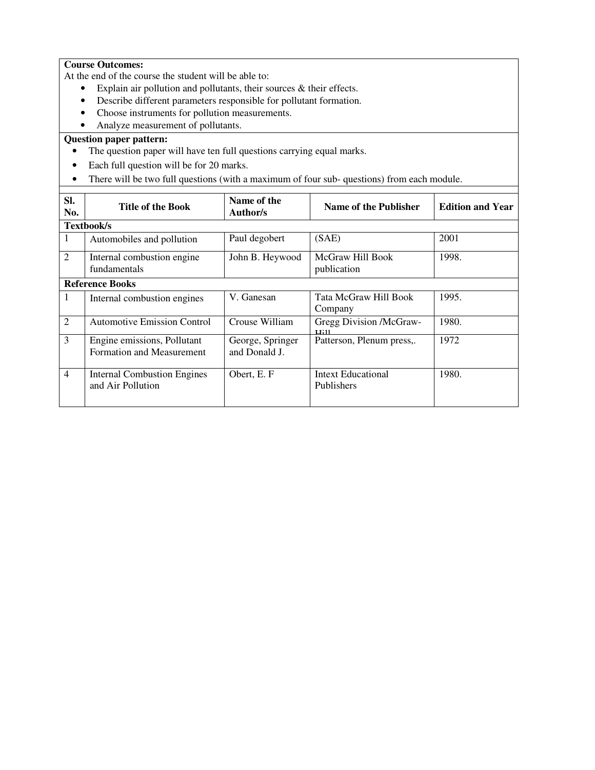### **Course Outcomes:**

At the end of the course the student will be able to:

- Explain air pollution and pollutants, their sources & their effects.
- Describe different parameters responsible for pollutant formation.
- Choose instruments for pollution measurements.
- Analyze measurement of pollutants.

- The question paper will have ten full questions carrying equal marks.
- Each full question will be for 20 marks.
- There will be two full questions (with a maximum of four sub- questions) from each module.

| SI.<br>No.     | <b>Title of the Book</b>                                 | Name of the<br>Author/s           | Name of the Publisher                   | <b>Edition and Year</b> |
|----------------|----------------------------------------------------------|-----------------------------------|-----------------------------------------|-------------------------|
|                | <b>Textbook/s</b>                                        |                                   |                                         |                         |
| 1              | Automobiles and pollution                                | Paul degobert                     | (SAE)                                   | 2001                    |
| $\overline{2}$ | Internal combustion engine<br>fundamentals               | John B. Heywood                   | McGraw Hill Book<br>publication         | 1998.                   |
|                | <b>Reference Books</b>                                   |                                   |                                         |                         |
| 1              | Internal combustion engines                              | V. Ganesan                        | Tata McGraw Hill Book<br>Company        | 1995.                   |
| $\overline{2}$ | <b>Automotive Emission Control</b>                       | Crouse William                    | Gregg Division /McGraw-<br>11:11        | 1980.                   |
| 3              | Engine emissions, Pollutant<br>Formation and Measurement | George, Springer<br>and Donald J. | Patterson, Plenum press,.               | 1972                    |
| $\overline{4}$ | <b>Internal Combustion Engines</b><br>and Air Pollution  | Obert, E. F                       | <b>Intext Educational</b><br>Publishers | 1980.                   |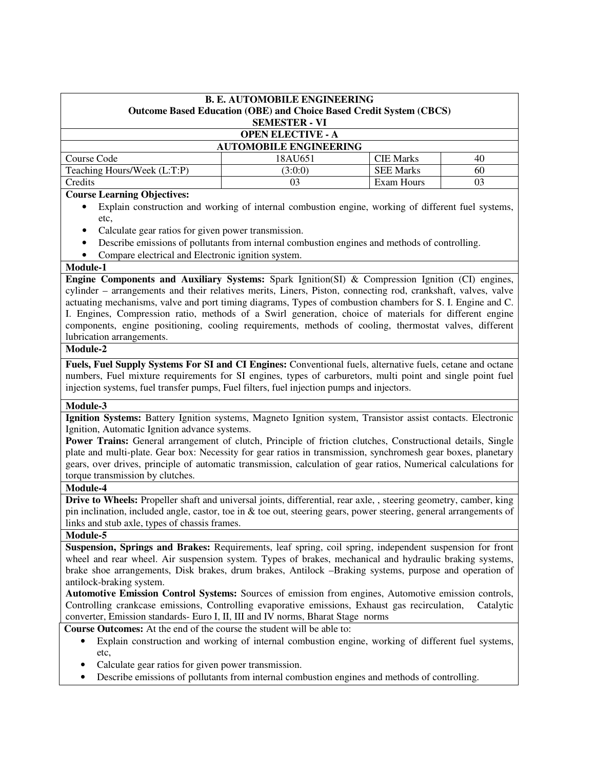| <b>B. E. AUTOMOBILE ENGINEERING</b><br><b>Outcome Based Education (OBE) and Choice Based Credit System (CBCS)</b><br><b>SEMESTER - VI</b> |                               |                  |    |  |  |
|-------------------------------------------------------------------------------------------------------------------------------------------|-------------------------------|------------------|----|--|--|
| <b>OPEN ELECTIVE - A</b>                                                                                                                  |                               |                  |    |  |  |
|                                                                                                                                           | <b>AUTOMOBILE ENGINEERING</b> |                  |    |  |  |
| Course Code                                                                                                                               | 18AU651                       | <b>CIE Marks</b> | 40 |  |  |
| Teaching Hours/Week (L:T:P)                                                                                                               | (3:0:0)                       | <b>SEE Marks</b> | 60 |  |  |
| Credits                                                                                                                                   | 03                            | Exam Hours       | 03 |  |  |

### **Course Learning Objectives:**

- Explain construction and working of internal combustion engine, working of different fuel systems, etc,
- Calculate gear ratios for given power transmission.
- Describe emissions of pollutants from internal combustion engines and methods of controlling.
- Compare electrical and Electronic ignition system.

#### **Module-1**

**Engine Components and Auxiliary Systems:** Spark Ignition(SI) & Compression Ignition (CI) engines, cylinder – arrangements and their relatives merits, Liners, Piston, connecting rod, crankshaft, valves, valve actuating mechanisms, valve and port timing diagrams, Types of combustion chambers for S. I. Engine and C. I. Engines, Compression ratio, methods of a Swirl generation, choice of materials for different engine components, engine positioning, cooling requirements, methods of cooling, thermostat valves, different lubrication arrangements.

### **Module-2**

**Fuels, Fuel Supply Systems For SI and CI Engines:** Conventional fuels, alternative fuels, cetane and octane numbers, Fuel mixture requirements for SI engines, types of carburetors, multi point and single point fuel injection systems, fuel transfer pumps, Fuel filters, fuel injection pumps and injectors.

### **Module-3**

**Ignition Systems:** Battery Ignition systems, Magneto Ignition system, Transistor assist contacts. Electronic Ignition, Automatic Ignition advance systems.

**Power Trains:** General arrangement of clutch, Principle of friction clutches, Constructional details, Single plate and multi-plate. Gear box: Necessity for gear ratios in transmission, synchromesh gear boxes, planetary gears, over drives, principle of automatic transmission, calculation of gear ratios, Numerical calculations for torque transmission by clutches.

### **Module-4**

**Drive to Wheels:** Propeller shaft and universal joints, differential, rear axle, , steering geometry, camber, king pin inclination, included angle, castor, toe in  $\&$  toe out, steering gears, power steering, general arrangements of links and stub axle, types of chassis frames.

## **Module-5**

**Suspension, Springs and Brakes:** Requirements, leaf spring, coil spring, independent suspension for front wheel and rear wheel. Air suspension system. Types of brakes, mechanical and hydraulic braking systems, brake shoe arrangements, Disk brakes, drum brakes, Antilock –Braking systems, purpose and operation of antilock-braking system.

**Automotive Emission Control Systems:** Sources of emission from engines, Automotive emission controls, Controlling crankcase emissions, Controlling evaporative emissions, Exhaust gas recirculation, Catalytic converter, Emission standards- Euro I, II, III and IV norms, Bharat Stage norms

**Course Outcomes:** At the end of the course the student will be able to:

- Explain construction and working of internal combustion engine, working of different fuel systems, etc,
- Calculate gear ratios for given power transmission.
- Describe emissions of pollutants from internal combustion engines and methods of controlling.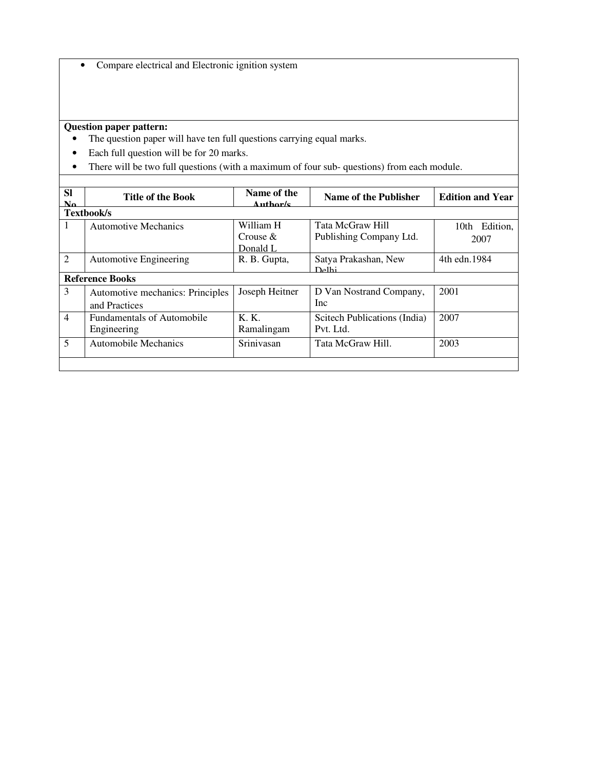• Compare electrical and Electronic ignition system

- The question paper will have ten full questions carrying equal marks.
- Each full question will be for 20 marks.
- There will be two full questions (with a maximum of four sub- questions) from each module.

| <b>SI</b><br>$\mathbf{N}\mathbf{a}$ | <b>Title of the Book</b>                          | Name of the<br>Author/s              | Name of the Publisher                       | <b>Edition and Year</b> |
|-------------------------------------|---------------------------------------------------|--------------------------------------|---------------------------------------------|-------------------------|
|                                     | <b>Textbook/s</b>                                 |                                      |                                             |                         |
| 1                                   | <b>Automotive Mechanics</b>                       | William H<br>Crouse $\&$<br>Donald L | Tata McGraw Hill<br>Publishing Company Ltd. | 10th Edition,<br>2007   |
| 2                                   | <b>Automotive Engineering</b>                     | R. B. Gupta,                         | Satya Prakashan, New<br>D <sub>e</sub> 1hi  | 4th edn. 1984           |
|                                     | <b>Reference Books</b>                            |                                      |                                             |                         |
| 3                                   | Automotive mechanics: Principles<br>and Practices | Joseph Heitner                       | D Van Nostrand Company,<br><b>Inc</b>       | 2001                    |
| $\overline{4}$                      | <b>Fundamentals of Automobile</b><br>Engineering  | K. K.<br>Ramalingam                  | Scitech Publications (India)<br>Pvt. Ltd.   | 2007                    |
| 5                                   | <b>Automobile Mechanics</b>                       | Srinivasan                           | Tata McGraw Hill.                           | 2003                    |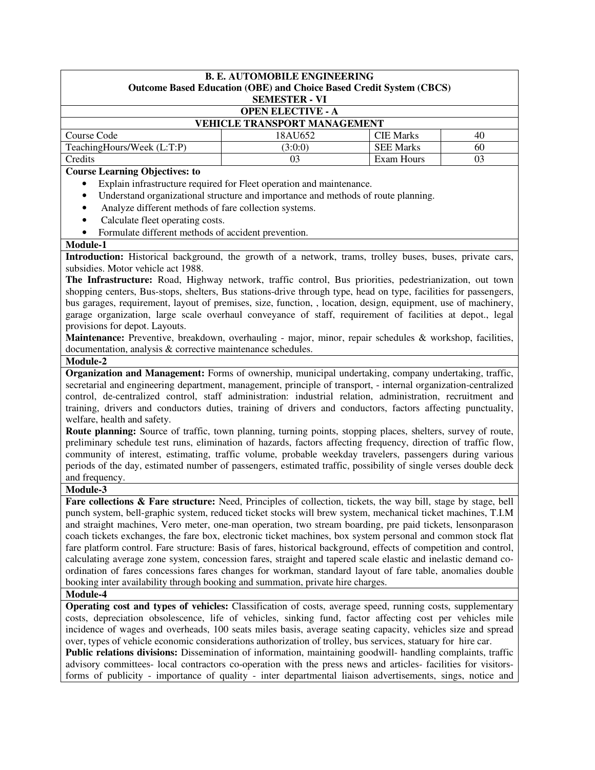| <b>B. E. AUTOMOBILE ENGINEERING</b>   |                                                                            |                  |    |  |  |  |
|---------------------------------------|----------------------------------------------------------------------------|------------------|----|--|--|--|
|                                       | <b>Outcome Based Education (OBE) and Choice Based Credit System (CBCS)</b> |                  |    |  |  |  |
|                                       | <b>SEMESTER - VI</b>                                                       |                  |    |  |  |  |
| <b>OPEN ELECTIVE - A</b>              |                                                                            |                  |    |  |  |  |
| <b>VEHICLE TRANSPORT MANAGEMENT</b>   |                                                                            |                  |    |  |  |  |
| Course Code                           | 18AU652                                                                    | <b>CIE Marks</b> | 40 |  |  |  |
| TeachingHours/Week (L:T:P)            | (3:0:0)                                                                    | <b>SEE Marks</b> | 60 |  |  |  |
| Exam Hours<br>Credits<br>03<br>03     |                                                                            |                  |    |  |  |  |
| <b>Course Learning Objectives: to</b> |                                                                            |                  |    |  |  |  |

- Explain infrastructure required for Fleet operation and maintenance.
- Understand organizational structure and importance and methods of route planning.
- Analyze different methods of fare collection systems.
- Calculate fleet operating costs.
- Formulate different methods of accident prevention.

#### **Module-1**

**Introduction:** Historical background, the growth of a network, trams, trolley buses, buses, private cars, subsidies. Motor vehicle act 1988.

**The Infrastructure:** Road, Highway network, traffic control, Bus priorities, pedestrianization, out town shopping centers, Bus-stops, shelters, Bus stations-drive through type, head on type, facilities for passengers, bus garages, requirement, layout of premises, size, function, , location, design, equipment, use of machinery, garage organization, large scale overhaul conveyance of staff, requirement of facilities at depot., legal provisions for depot. Layouts.

**Maintenance:** Preventive, breakdown, overhauling - major, minor, repair schedules & workshop, facilities, documentation, analysis & corrective maintenance schedules.

#### **Module-2**

**Organization and Management:** Forms of ownership, municipal undertaking, company undertaking, traffic, secretarial and engineering department, management, principle of transport, - internal organization-centralized control, de-centralized control, staff administration: industrial relation, administration, recruitment and training, drivers and conductors duties, training of drivers and conductors, factors affecting punctuality, welfare, health and safety.

**Route planning:** Source of traffic, town planning, turning points, stopping places, shelters, survey of route, preliminary schedule test runs, elimination of hazards, factors affecting frequency, direction of traffic flow, community of interest, estimating, traffic volume, probable weekday travelers, passengers during various periods of the day, estimated number of passengers, estimated traffic, possibility of single verses double deck and frequency.

#### **Module-3**

Fare collections & Fare structure: Need, Principles of collection, tickets, the way bill, stage by stage, bell punch system, bell-graphic system, reduced ticket stocks will brew system, mechanical ticket machines, T.I.M and straight machines, Vero meter, one-man operation, two stream boarding, pre paid tickets, lensonparason coach tickets exchanges, the fare box, electronic ticket machines, box system personal and common stock flat fare platform control. Fare structure: Basis of fares, historical background, effects of competition and control, calculating average zone system, concession fares, straight and tapered scale elastic and inelastic demand coordination of fares concessions fares changes for workman, standard layout of fare table, anomalies double booking inter availability through booking and summation, private hire charges.

### **Module-4**

**Operating cost and types of vehicles:** Classification of costs, average speed, running costs, supplementary costs, depreciation obsolescence, life of vehicles, sinking fund, factor affecting cost per vehicles mile incidence of wages and overheads, 100 seats miles basis, average seating capacity, vehicles size and spread over, types of vehicle economic considerations authorization of trolley, bus services, statuary for hire car.

**Public relations divisions:** Dissemination of information, maintaining goodwill- handling complaints, traffic advisory committees- local contractors co-operation with the press news and articles- facilities for visitorsforms of publicity - importance of quality - inter departmental liaison advertisements, sings, notice and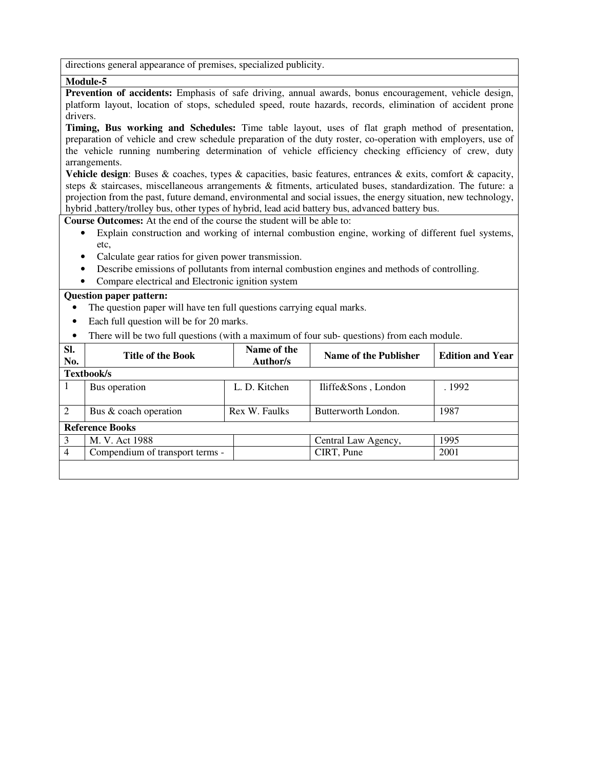directions general appearance of premises, specialized publicity.

## **Module-5**

**Prevention of accidents:** Emphasis of safe driving, annual awards, bonus encouragement, vehicle design, platform layout, location of stops, scheduled speed, route hazards, records, elimination of accident prone drivers.

**Timing, Bus working and Schedules:** Time table layout, uses of flat graph method of presentation, preparation of vehicle and crew schedule preparation of the duty roster, co-operation with employers, use of the vehicle running numbering determination of vehicle efficiency checking efficiency of crew, duty arrangements.

**Vehicle design**: Buses & coaches, types & capacities, basic features, entrances & exits, comfort & capacity, steps & staircases, miscellaneous arrangements & fitments, articulated buses, standardization. The future: a projection from the past, future demand, environmental and social issues, the energy situation, new technology, hybrid ,battery/trolley bus, other types of hybrid, lead acid battery bus, advanced battery bus.

**Course Outcomes:** At the end of the course the student will be able to:

- Explain construction and working of internal combustion engine, working of different fuel systems, etc,
- Calculate gear ratios for given power transmission.
- Describe emissions of pollutants from internal combustion engines and methods of controlling.
- Compare electrical and Electronic ignition system

- The question paper will have ten full questions carrying equal marks.
- Each full question will be for 20 marks.
- There will be two full questions (with a maximum of four sub- questions) from each module.

| SI.<br>No.     | <b>Title of the Book</b>        | Name of the<br>Author/s | Name of the Publisher | <b>Edition and Year</b> |
|----------------|---------------------------------|-------------------------|-----------------------|-------------------------|
| Textbook/s     |                                 |                         |                       |                         |
|                | Bus operation                   | L. D. Kitchen           | Iliffe&Sons, London   | . 1992                  |
| 2              | Bus & coach operation           | Rex W. Faulks           | Butterworth London.   | 1987                    |
|                | <b>Reference Books</b>          |                         |                       |                         |
| 3              | M. V. Act 1988                  |                         | Central Law Agency,   | 1995                    |
| $\overline{4}$ | Compendium of transport terms - |                         | CIRT, Pune            | 2001                    |
|                |                                 |                         |                       |                         |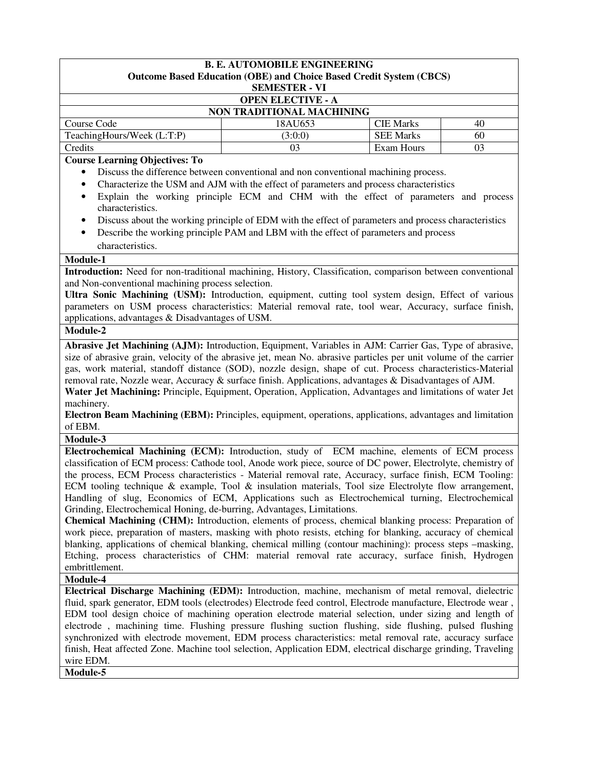| <b>OPEN ELECTIVE - A</b><br><b>NON TRADITIONAL MACHINING</b><br>Course Code<br><b>CIE Marks</b><br>18AU653<br>40<br>TeachingHours/Week (L:T:P)<br><b>SEE Marks</b><br>(3:0:0)<br>60<br>Exam Hours<br>Credits<br>03<br>03<br><b>Course Learning Objectives: To</b><br>Discuss the difference between conventional and non conventional machining process.<br>$\bullet$<br>Characterize the USM and AJM with the effect of parameters and process characteristics<br>$\bullet$<br>Explain the working principle ECM and CHM with the effect of parameters and process<br>٠<br>characteristics.<br>Discuss about the working principle of EDM with the effect of parameters and process characteristics<br>$\bullet$<br>Describe the working principle PAM and LBM with the effect of parameters and process<br>$\bullet$<br>characteristics.<br>Module-1<br>Introduction: Need for non-traditional machining, History, Classification, comparison between conventional<br>and Non-conventional machining process selection.<br>Ultra Sonic Machining (USM): Introduction, equipment, cutting tool system design, Effect of various<br>parameters on USM process characteristics: Material removal rate, tool wear, Accuracy, surface finish,<br>applications, advantages & Disadvantages of USM.<br>Module-2<br>Abrasive Jet Machining (AJM): Introduction, Equipment, Variables in AJM: Carrier Gas, Type of abrasive,<br>size of abrasive grain, velocity of the abrasive jet, mean No. abrasive particles per unit volume of the carrier<br>gas, work material, standoff distance (SOD), nozzle design, shape of cut. Process characteristics-Material<br>removal rate, Nozzle wear, Accuracy & surface finish. Applications, advantages & Disadvantages of AJM.<br>Water Jet Machining: Principle, Equipment, Operation, Application, Advantages and limitations of water Jet<br>machinery.<br>Electron Beam Machining (EBM): Principles, equipment, operations, applications, advantages and limitation<br>of EBM.<br>Module-3<br>Electrochemical Machining (ECM): Introduction, study of ECM machine, elements of ECM process<br>classification of ECM process: Cathode tool, Anode work piece, source of DC power, Electrolyte, chemistry of<br>the process, ECM Process characteristics - Material removal rate, Accuracy, surface finish, ECM Tooling:<br>ECM tooling technique & example, Tool & insulation materials, Tool size Electrolyte flow arrangement,<br>Handling of slug, Economics of ECM, Applications such as Electrochemical turning, Electrochemical<br>Grinding, Electrochemical Honing, de-burring, Advantages, Limitations.<br>Chemical Machining (CHM): Introduction, elements of process, chemical blanking process: Preparation of<br>work piece, preparation of masters, masking with photo resists, etching for blanking, accuracy of chemical<br>blanking, applications of chemical blanking, chemical milling (contour machining): process steps -masking,<br>Etching, process characteristics of CHM: material removal rate accuracy, surface finish, Hydrogen<br>embrittlement.<br>Module-4<br>Electrical Discharge Machining (EDM): Introduction, machine, mechanism of metal removal, dielectric<br>fluid, spark generator, EDM tools (electrodes) Electrode feed control, Electrode manufacture, Electrode wear,<br>EDM tool design choice of machining operation electrode material selection, under sizing and length of<br>electrode, machining time. Flushing pressure flushing suction flushing, side flushing, pulsed flushing<br>synchronized with electrode movement, EDM process characteristics: metal removal rate, accuracy surface<br>finish, Heat affected Zone. Machine tool selection, Application EDM, electrical discharge grinding, Traveling<br>wire EDM.<br>Module-5 | <b>B. E. AUTOMOBILE ENGINEERING</b><br>Outcome Based Education (OBE) and Choice Based Credit System (CBCS)<br><b>SEMESTER - VI</b> |  |  |  |
|---------------------------------------------------------------------------------------------------------------------------------------------------------------------------------------------------------------------------------------------------------------------------------------------------------------------------------------------------------------------------------------------------------------------------------------------------------------------------------------------------------------------------------------------------------------------------------------------------------------------------------------------------------------------------------------------------------------------------------------------------------------------------------------------------------------------------------------------------------------------------------------------------------------------------------------------------------------------------------------------------------------------------------------------------------------------------------------------------------------------------------------------------------------------------------------------------------------------------------------------------------------------------------------------------------------------------------------------------------------------------------------------------------------------------------------------------------------------------------------------------------------------------------------------------------------------------------------------------------------------------------------------------------------------------------------------------------------------------------------------------------------------------------------------------------------------------------------------------------------------------------------------------------------------------------------------------------------------------------------------------------------------------------------------------------------------------------------------------------------------------------------------------------------------------------------------------------------------------------------------------------------------------------------------------------------------------------------------------------------------------------------------------------------------------------------------------------------------------------------------------------------------------------------------------------------------------------------------------------------------------------------------------------------------------------------------------------------------------------------------------------------------------------------------------------------------------------------------------------------------------------------------------------------------------------------------------------------------------------------------------------------------------------------------------------------------------------------------------------------------------------------------------------------------------------------------------------------------------------------------------------------------------------------------------------------------------------------------------------------------------------------------------------------------------------------------------------------------------------------------------------------------------------------------------------------------------------------------------------------------------------------------------------------------------------------------------------------------------------------------------------------------------------------------------------------------------------|------------------------------------------------------------------------------------------------------------------------------------|--|--|--|
|                                                                                                                                                                                                                                                                                                                                                                                                                                                                                                                                                                                                                                                                                                                                                                                                                                                                                                                                                                                                                                                                                                                                                                                                                                                                                                                                                                                                                                                                                                                                                                                                                                                                                                                                                                                                                                                                                                                                                                                                                                                                                                                                                                                                                                                                                                                                                                                                                                                                                                                                                                                                                                                                                                                                                                                                                                                                                                                                                                                                                                                                                                                                                                                                                                                                                                                                                                                                                                                                                                                                                                                                                                                                                                                                                                                                                                 |                                                                                                                                    |  |  |  |
|                                                                                                                                                                                                                                                                                                                                                                                                                                                                                                                                                                                                                                                                                                                                                                                                                                                                                                                                                                                                                                                                                                                                                                                                                                                                                                                                                                                                                                                                                                                                                                                                                                                                                                                                                                                                                                                                                                                                                                                                                                                                                                                                                                                                                                                                                                                                                                                                                                                                                                                                                                                                                                                                                                                                                                                                                                                                                                                                                                                                                                                                                                                                                                                                                                                                                                                                                                                                                                                                                                                                                                                                                                                                                                                                                                                                                                 |                                                                                                                                    |  |  |  |
|                                                                                                                                                                                                                                                                                                                                                                                                                                                                                                                                                                                                                                                                                                                                                                                                                                                                                                                                                                                                                                                                                                                                                                                                                                                                                                                                                                                                                                                                                                                                                                                                                                                                                                                                                                                                                                                                                                                                                                                                                                                                                                                                                                                                                                                                                                                                                                                                                                                                                                                                                                                                                                                                                                                                                                                                                                                                                                                                                                                                                                                                                                                                                                                                                                                                                                                                                                                                                                                                                                                                                                                                                                                                                                                                                                                                                                 |                                                                                                                                    |  |  |  |
|                                                                                                                                                                                                                                                                                                                                                                                                                                                                                                                                                                                                                                                                                                                                                                                                                                                                                                                                                                                                                                                                                                                                                                                                                                                                                                                                                                                                                                                                                                                                                                                                                                                                                                                                                                                                                                                                                                                                                                                                                                                                                                                                                                                                                                                                                                                                                                                                                                                                                                                                                                                                                                                                                                                                                                                                                                                                                                                                                                                                                                                                                                                                                                                                                                                                                                                                                                                                                                                                                                                                                                                                                                                                                                                                                                                                                                 |                                                                                                                                    |  |  |  |
|                                                                                                                                                                                                                                                                                                                                                                                                                                                                                                                                                                                                                                                                                                                                                                                                                                                                                                                                                                                                                                                                                                                                                                                                                                                                                                                                                                                                                                                                                                                                                                                                                                                                                                                                                                                                                                                                                                                                                                                                                                                                                                                                                                                                                                                                                                                                                                                                                                                                                                                                                                                                                                                                                                                                                                                                                                                                                                                                                                                                                                                                                                                                                                                                                                                                                                                                                                                                                                                                                                                                                                                                                                                                                                                                                                                                                                 |                                                                                                                                    |  |  |  |
|                                                                                                                                                                                                                                                                                                                                                                                                                                                                                                                                                                                                                                                                                                                                                                                                                                                                                                                                                                                                                                                                                                                                                                                                                                                                                                                                                                                                                                                                                                                                                                                                                                                                                                                                                                                                                                                                                                                                                                                                                                                                                                                                                                                                                                                                                                                                                                                                                                                                                                                                                                                                                                                                                                                                                                                                                                                                                                                                                                                                                                                                                                                                                                                                                                                                                                                                                                                                                                                                                                                                                                                                                                                                                                                                                                                                                                 |                                                                                                                                    |  |  |  |
|                                                                                                                                                                                                                                                                                                                                                                                                                                                                                                                                                                                                                                                                                                                                                                                                                                                                                                                                                                                                                                                                                                                                                                                                                                                                                                                                                                                                                                                                                                                                                                                                                                                                                                                                                                                                                                                                                                                                                                                                                                                                                                                                                                                                                                                                                                                                                                                                                                                                                                                                                                                                                                                                                                                                                                                                                                                                                                                                                                                                                                                                                                                                                                                                                                                                                                                                                                                                                                                                                                                                                                                                                                                                                                                                                                                                                                 |                                                                                                                                    |  |  |  |
|                                                                                                                                                                                                                                                                                                                                                                                                                                                                                                                                                                                                                                                                                                                                                                                                                                                                                                                                                                                                                                                                                                                                                                                                                                                                                                                                                                                                                                                                                                                                                                                                                                                                                                                                                                                                                                                                                                                                                                                                                                                                                                                                                                                                                                                                                                                                                                                                                                                                                                                                                                                                                                                                                                                                                                                                                                                                                                                                                                                                                                                                                                                                                                                                                                                                                                                                                                                                                                                                                                                                                                                                                                                                                                                                                                                                                                 |                                                                                                                                    |  |  |  |
|                                                                                                                                                                                                                                                                                                                                                                                                                                                                                                                                                                                                                                                                                                                                                                                                                                                                                                                                                                                                                                                                                                                                                                                                                                                                                                                                                                                                                                                                                                                                                                                                                                                                                                                                                                                                                                                                                                                                                                                                                                                                                                                                                                                                                                                                                                                                                                                                                                                                                                                                                                                                                                                                                                                                                                                                                                                                                                                                                                                                                                                                                                                                                                                                                                                                                                                                                                                                                                                                                                                                                                                                                                                                                                                                                                                                                                 |                                                                                                                                    |  |  |  |
|                                                                                                                                                                                                                                                                                                                                                                                                                                                                                                                                                                                                                                                                                                                                                                                                                                                                                                                                                                                                                                                                                                                                                                                                                                                                                                                                                                                                                                                                                                                                                                                                                                                                                                                                                                                                                                                                                                                                                                                                                                                                                                                                                                                                                                                                                                                                                                                                                                                                                                                                                                                                                                                                                                                                                                                                                                                                                                                                                                                                                                                                                                                                                                                                                                                                                                                                                                                                                                                                                                                                                                                                                                                                                                                                                                                                                                 |                                                                                                                                    |  |  |  |
|                                                                                                                                                                                                                                                                                                                                                                                                                                                                                                                                                                                                                                                                                                                                                                                                                                                                                                                                                                                                                                                                                                                                                                                                                                                                                                                                                                                                                                                                                                                                                                                                                                                                                                                                                                                                                                                                                                                                                                                                                                                                                                                                                                                                                                                                                                                                                                                                                                                                                                                                                                                                                                                                                                                                                                                                                                                                                                                                                                                                                                                                                                                                                                                                                                                                                                                                                                                                                                                                                                                                                                                                                                                                                                                                                                                                                                 |                                                                                                                                    |  |  |  |
|                                                                                                                                                                                                                                                                                                                                                                                                                                                                                                                                                                                                                                                                                                                                                                                                                                                                                                                                                                                                                                                                                                                                                                                                                                                                                                                                                                                                                                                                                                                                                                                                                                                                                                                                                                                                                                                                                                                                                                                                                                                                                                                                                                                                                                                                                                                                                                                                                                                                                                                                                                                                                                                                                                                                                                                                                                                                                                                                                                                                                                                                                                                                                                                                                                                                                                                                                                                                                                                                                                                                                                                                                                                                                                                                                                                                                                 |                                                                                                                                    |  |  |  |
|                                                                                                                                                                                                                                                                                                                                                                                                                                                                                                                                                                                                                                                                                                                                                                                                                                                                                                                                                                                                                                                                                                                                                                                                                                                                                                                                                                                                                                                                                                                                                                                                                                                                                                                                                                                                                                                                                                                                                                                                                                                                                                                                                                                                                                                                                                                                                                                                                                                                                                                                                                                                                                                                                                                                                                                                                                                                                                                                                                                                                                                                                                                                                                                                                                                                                                                                                                                                                                                                                                                                                                                                                                                                                                                                                                                                                                 |                                                                                                                                    |  |  |  |
|                                                                                                                                                                                                                                                                                                                                                                                                                                                                                                                                                                                                                                                                                                                                                                                                                                                                                                                                                                                                                                                                                                                                                                                                                                                                                                                                                                                                                                                                                                                                                                                                                                                                                                                                                                                                                                                                                                                                                                                                                                                                                                                                                                                                                                                                                                                                                                                                                                                                                                                                                                                                                                                                                                                                                                                                                                                                                                                                                                                                                                                                                                                                                                                                                                                                                                                                                                                                                                                                                                                                                                                                                                                                                                                                                                                                                                 |                                                                                                                                    |  |  |  |
|                                                                                                                                                                                                                                                                                                                                                                                                                                                                                                                                                                                                                                                                                                                                                                                                                                                                                                                                                                                                                                                                                                                                                                                                                                                                                                                                                                                                                                                                                                                                                                                                                                                                                                                                                                                                                                                                                                                                                                                                                                                                                                                                                                                                                                                                                                                                                                                                                                                                                                                                                                                                                                                                                                                                                                                                                                                                                                                                                                                                                                                                                                                                                                                                                                                                                                                                                                                                                                                                                                                                                                                                                                                                                                                                                                                                                                 |                                                                                                                                    |  |  |  |
|                                                                                                                                                                                                                                                                                                                                                                                                                                                                                                                                                                                                                                                                                                                                                                                                                                                                                                                                                                                                                                                                                                                                                                                                                                                                                                                                                                                                                                                                                                                                                                                                                                                                                                                                                                                                                                                                                                                                                                                                                                                                                                                                                                                                                                                                                                                                                                                                                                                                                                                                                                                                                                                                                                                                                                                                                                                                                                                                                                                                                                                                                                                                                                                                                                                                                                                                                                                                                                                                                                                                                                                                                                                                                                                                                                                                                                 |                                                                                                                                    |  |  |  |
|                                                                                                                                                                                                                                                                                                                                                                                                                                                                                                                                                                                                                                                                                                                                                                                                                                                                                                                                                                                                                                                                                                                                                                                                                                                                                                                                                                                                                                                                                                                                                                                                                                                                                                                                                                                                                                                                                                                                                                                                                                                                                                                                                                                                                                                                                                                                                                                                                                                                                                                                                                                                                                                                                                                                                                                                                                                                                                                                                                                                                                                                                                                                                                                                                                                                                                                                                                                                                                                                                                                                                                                                                                                                                                                                                                                                                                 |                                                                                                                                    |  |  |  |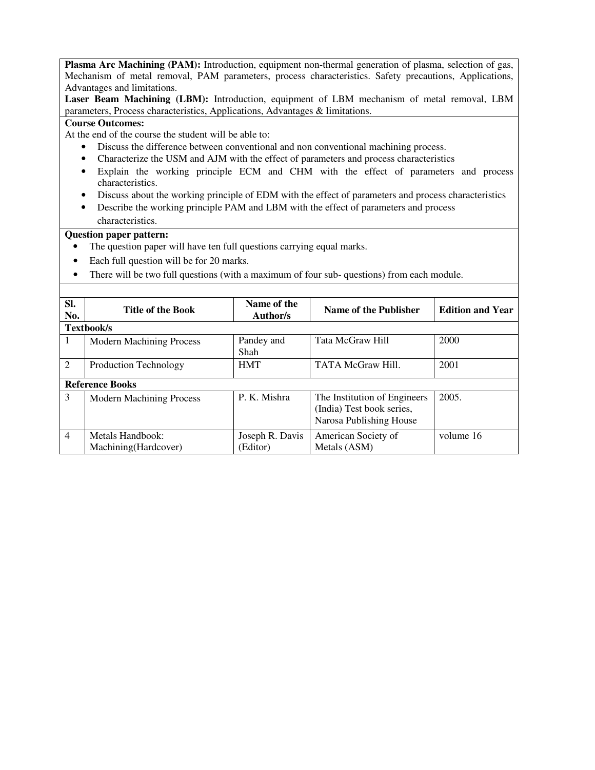**Plasma Arc Machining (PAM):** Introduction, equipment non-thermal generation of plasma, selection of gas, Mechanism of metal removal, PAM parameters, process characteristics. Safety precautions, Applications, Advantages and limitations.

**Laser Beam Machining (LBM):** Introduction, equipment of LBM mechanism of metal removal, LBM parameters, Process characteristics, Applications, Advantages & limitations.

#### **Course Outcomes:**

At the end of the course the student will be able to:

- Discuss the difference between conventional and non conventional machining process.
- Characterize the USM and AJM with the effect of parameters and process characteristics
- Explain the working principle ECM and CHM with the effect of parameters and process characteristics.
- Discuss about the working principle of EDM with the effect of parameters and process characteristics
- Describe the working principle PAM and LBM with the effect of parameters and process characteristics.

- The question paper will have ten full questions carrying equal marks.
- Each full question will be for 20 marks.
- There will be two full questions (with a maximum of four sub-questions) from each module.

| SI.<br>No.     | <b>Title of the Book</b>                  | Name of the<br>Author/s     | Name of the Publisher                                                                | <b>Edition and Year</b> |  |
|----------------|-------------------------------------------|-----------------------------|--------------------------------------------------------------------------------------|-------------------------|--|
|                | Textbook/s                                |                             |                                                                                      |                         |  |
|                | <b>Modern Machining Process</b>           | Pandey and<br>Shah          | <b>Tata McGraw Hill</b>                                                              | 2000                    |  |
| 2              | Production Technology                     | <b>HMT</b>                  | <b>TATA McGraw Hill.</b>                                                             | 2001                    |  |
|                | <b>Reference Books</b>                    |                             |                                                                                      |                         |  |
| 3              | <b>Modern Machining Process</b>           | P. K. Mishra                | The Institution of Engineers<br>(India) Test book series,<br>Narosa Publishing House | 2005.                   |  |
| $\overline{4}$ | Metals Handbook:<br>Machining (Hardcover) | Joseph R. Davis<br>(Editor) | American Society of<br>Metals (ASM)                                                  | volume 16               |  |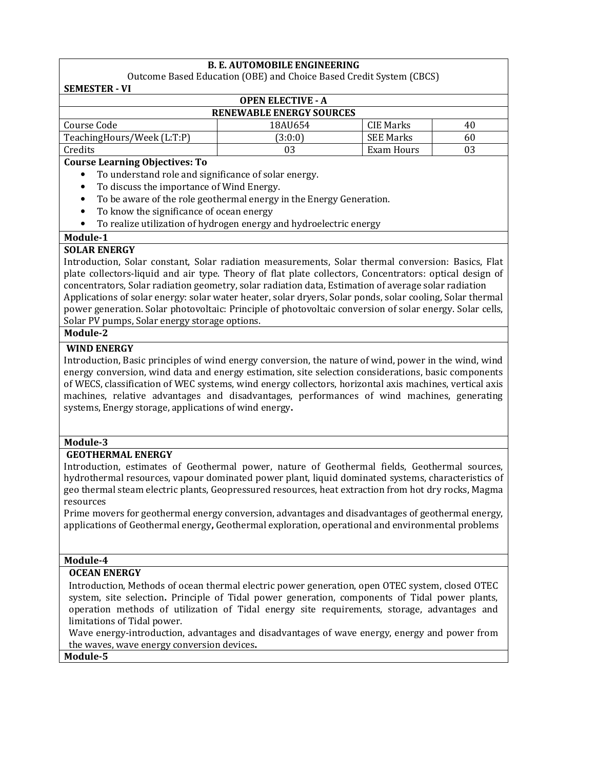# **B. E. AUTOMOBILE ENGINEERING**

Outcome Based Education (OBE) and Choice Based Credit System (CBCS) **SEMESTER - VI**

| <b>OPEN ELECTIVE - A</b>        |         |            |    |  |
|---------------------------------|---------|------------|----|--|
| <b>RENEWABLE ENERGY SOURCES</b> |         |            |    |  |
| Course Code                     | 18AU654 | CIE Marks  | 40 |  |
| TeachingHours/Week (L:T:P)      | (3:0:0) | SEE Marks  | 60 |  |
| Credits                         | 03      | Exam Hours |    |  |

### **Course Learning Objectives: To**

- To understand role and significance of solar energy.
- To discuss the importance of Wind Energy.
- To be aware of the role geothermal energy in the Energy Generation.
- To know the significance of ocean energy
- To realize utilization of hydrogen energy and hydroelectric energy

## **Module-1**

## **SOLAR ENERGY**

Introduction, Solar constant, Solar radiation measurements, Solar thermal conversion: Basics, Flat plate collectors-liquid and air type. Theory of flat plate collectors, Concentrators: optical design of concentrators, Solar radiation geometry, solar radiation data, Estimation of average solar radiation Applications of solar energy: solar water heater, solar dryers, Solar ponds, solar cooling, Solar thermal power generation. Solar photovoltaic: Principle of photovoltaic conversion of solar energy. Solar cells, Solar PV pumps, Solar energy storage options.

## **Module-2**

## **WIND ENERGY**

Introduction, Basic principles of wind energy conversion, the nature of wind, power in the wind, wind energy conversion, wind data and energy estimation, site selection considerations, basic components of WECS, classification of WEC systems, wind energy collectors, horizontal axis machines, vertical axis machines, relative advantages and disadvantages, performances of wind machines, generating systems, Energy storage, applications of wind energy**.**

### **Module-3**

## **GEOTHERMAL ENERGY**

Introduction, estimates of Geothermal power, nature of Geothermal fields, Geothermal sources, hydrothermal resources, vapour dominated power plant, liquid dominated systems, characteristics of geo thermal steam electric plants, Geopressured resources, heat extraction from hot dry rocks, Magma resources

Prime movers for geothermal energy conversion, advantages and disadvantages of geothermal energy, applications of Geothermal energy**,** Geothermal exploration, operational and environmental problems

### **Module-4**

### **OCEAN ENERGY**

Introduction, Methods of ocean thermal electric power generation, open OTEC system, closed OTEC system, site selection**.** Principle of Tidal power generation, components of Tidal power plants, operation methods of utilization of Tidal energy site requirements, storage, advantages and limitations of Tidal power.

Wave energy-introduction, advantages and disadvantages of wave energy, energy and power from the waves, wave energy conversion devices**.**

**Module-5**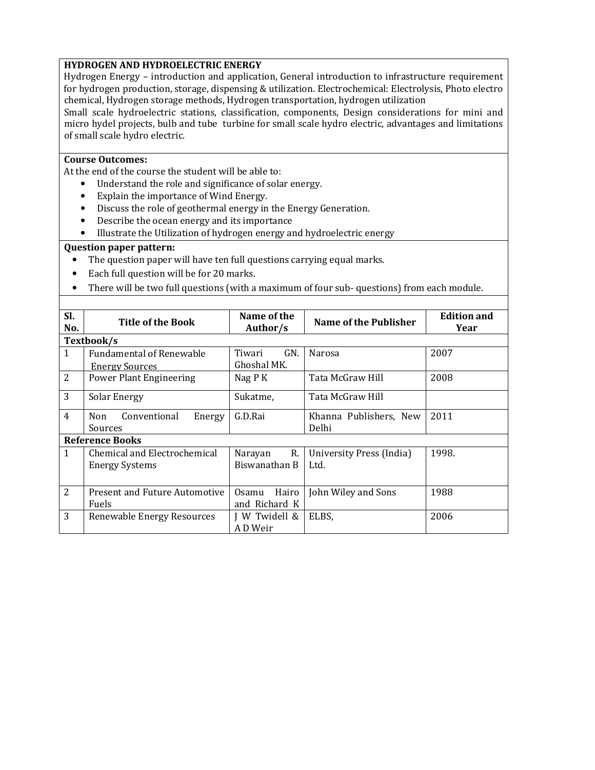## **HYDROGEN AND HYDROELECTRIC ENERGY**

Hydrogen Energy – introduction and application, General introduction to infrastructure requirement for hydrogen production, storage, dispensing & utilization. Electrochemical: Electrolysis, Photo electro chemical, Hydrogen storage methods, Hydrogen transportation, hydrogen utilization

Small scale hydroelectric stations, classification, components, Design considerations for mini and micro hydel projects, bulb and tube turbine for small scale hydro electric, advantages and limitations of small scale hydro electric.

## **Course Outcomes:**

At the end of the course the student will be able to:

- Understand the role and significance of solar energy.
- Explain the importance of Wind Energy.
- Discuss the role of geothermal energy in the Energy Generation.
- Describe the ocean energy and its importance
- Illustrate the Utilization of hydrogen energy and hydroelectric energy

- The question paper will have ten full questions carrying equal marks.
- Each full question will be for 20 marks.
- There will be two full questions (with a maximum of four sub- questions) from each module.

| SI.<br>No.     | Title of the Book                                        | Name of the<br>Author/s         | Name of the Publisher            | <b>Edition and</b><br>Year |
|----------------|----------------------------------------------------------|---------------------------------|----------------------------------|----------------------------|
|                | Textbook/s                                               |                                 |                                  |                            |
| $\mathbf{1}$   | <b>Fundamental of Renewable</b><br><b>Energy Sources</b> | Tiwari<br>GN.<br>Ghoshal MK.    | Narosa                           | 2007                       |
| 2              | Power Plant Engineering                                  | Nag P K                         | Tata McGraw Hill                 | 2008                       |
| 3              | <b>Solar Energy</b>                                      | Sukatme,                        | Tata McGraw Hill                 |                            |
| $\overline{4}$ | Conventional<br>Non<br>Energy<br>Sources                 | G.D.Rai                         | Khanna Publishers, New<br>Delhi  | 2011                       |
|                | <b>Reference Books</b>                                   |                                 |                                  |                            |
| 1              | Chemical and Electrochemical<br><b>Energy Systems</b>    | R.<br>Narayan<br>Biswanathan B  | University Press (India)<br>Ltd. | 1998.                      |
| 2              | Present and Future Automotive<br><b>Fuels</b>            | Hairo<br>0samu<br>and Richard K | John Wiley and Sons              | 1988                       |
| 3              | Renewable Energy Resources                               | W Twidell &<br>A D Weir         | ELBS,                            | 2006                       |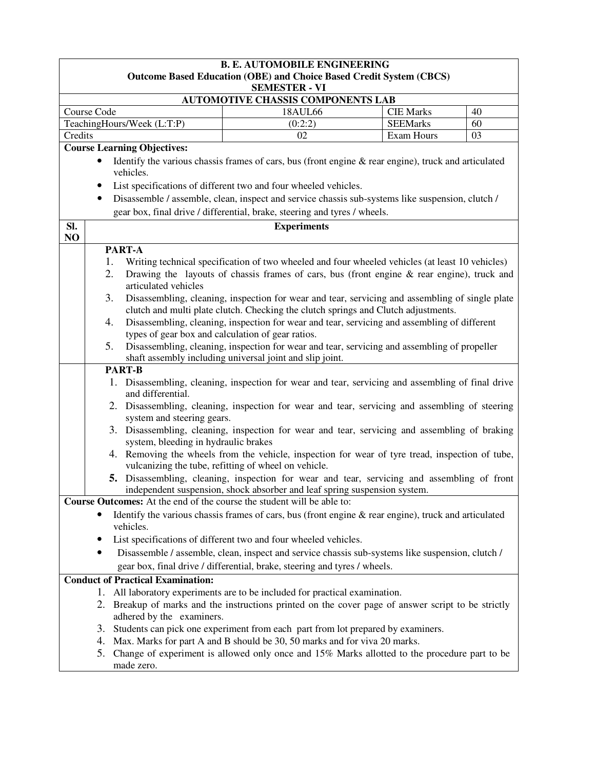|           | <b>B. E. AUTOMOBILE ENGINEERING</b>                                                                                                                                                   |                                                                                                                                                                          |                                     |          |  |  |
|-----------|---------------------------------------------------------------------------------------------------------------------------------------------------------------------------------------|--------------------------------------------------------------------------------------------------------------------------------------------------------------------------|-------------------------------------|----------|--|--|
|           | <b>Outcome Based Education (OBE) and Choice Based Credit System (CBCS)</b>                                                                                                            |                                                                                                                                                                          |                                     |          |  |  |
|           |                                                                                                                                                                                       | <b>SEMESTER - VI</b>                                                                                                                                                     |                                     |          |  |  |
|           | Course Code                                                                                                                                                                           | <b>AUTOMOTIVE CHASSIS COMPONENTS LAB</b>                                                                                                                                 |                                     |          |  |  |
|           | TeachingHours/Week (L:T:P)                                                                                                                                                            | 18AUL66<br>(0:2:2)                                                                                                                                                       | <b>CIE Marks</b><br><b>SEEMarks</b> | 40<br>60 |  |  |
| Credits   |                                                                                                                                                                                       | 02                                                                                                                                                                       | Exam Hours                          | 03       |  |  |
|           | <b>Course Learning Objectives:</b>                                                                                                                                                    |                                                                                                                                                                          |                                     |          |  |  |
|           |                                                                                                                                                                                       | Identify the various chassis frames of cars, bus (front engine $\&$ rear engine), truck and articulated                                                                  |                                     |          |  |  |
|           | vehicles.                                                                                                                                                                             |                                                                                                                                                                          |                                     |          |  |  |
|           |                                                                                                                                                                                       | List specifications of different two and four wheeled vehicles.                                                                                                          |                                     |          |  |  |
|           | ٠                                                                                                                                                                                     | Disassemble / assemble, clean, inspect and service chassis sub-systems like suspension, clutch /                                                                         |                                     |          |  |  |
|           |                                                                                                                                                                                       | gear box, final drive / differential, brake, steering and tyres / wheels.                                                                                                |                                     |          |  |  |
| SI.<br>NO |                                                                                                                                                                                       | <b>Experiments</b>                                                                                                                                                       |                                     |          |  |  |
|           | PART-A                                                                                                                                                                                |                                                                                                                                                                          |                                     |          |  |  |
|           | 1.                                                                                                                                                                                    | Writing technical specification of two wheeled and four wheeled vehicles (at least 10 vehicles)                                                                          |                                     |          |  |  |
|           | 2.<br>articulated vehicles                                                                                                                                                            | Drawing the layouts of chassis frames of cars, bus (front engine $\&$ rear engine), truck and                                                                            |                                     |          |  |  |
|           | 3.                                                                                                                                                                                    |                                                                                                                                                                          |                                     |          |  |  |
|           | Disassembling, cleaning, inspection for wear and tear, servicing and assembling of single plate<br>clutch and multi plate clutch. Checking the clutch springs and Clutch adjustments. |                                                                                                                                                                          |                                     |          |  |  |
|           | Disassembling, cleaning, inspection for wear and tear, servicing and assembling of different<br>4.                                                                                    |                                                                                                                                                                          |                                     |          |  |  |
|           | types of gear box and calculation of gear ratios.                                                                                                                                     |                                                                                                                                                                          |                                     |          |  |  |
|           | Disassembling, cleaning, inspection for wear and tear, servicing and assembling of propeller<br>5.<br>shaft assembly including universal joint and slip joint.                        |                                                                                                                                                                          |                                     |          |  |  |
|           | <b>PART-B</b>                                                                                                                                                                         |                                                                                                                                                                          |                                     |          |  |  |
|           | and differential.                                                                                                                                                                     | 1. Disassembling, cleaning, inspection for wear and tear, servicing and assembling of final drive                                                                        |                                     |          |  |  |
|           | system and steering gears.                                                                                                                                                            | 2. Disassembling, cleaning, inspection for wear and tear, servicing and assembling of steering                                                                           |                                     |          |  |  |
|           | system, bleeding in hydraulic brakes                                                                                                                                                  | 3. Disassembling, cleaning, inspection for wear and tear, servicing and assembling of braking                                                                            |                                     |          |  |  |
|           |                                                                                                                                                                                       | 4. Removing the wheels from the vehicle, inspection for wear of tyre tread, inspection of tube,                                                                          |                                     |          |  |  |
|           |                                                                                                                                                                                       | vulcanizing the tube, refitting of wheel on vehicle.                                                                                                                     |                                     |          |  |  |
|           |                                                                                                                                                                                       | 5. Disassembling, cleaning, inspection for wear and tear, servicing and assembling of front<br>independent suspension, shock absorber and leaf spring suspension system. |                                     |          |  |  |
|           | Course Outcomes: At the end of the course the student will be able to:                                                                                                                |                                                                                                                                                                          |                                     |          |  |  |
|           |                                                                                                                                                                                       | Identify the various chassis frames of cars, bus (front engine $\&$ rear engine), truck and articulated                                                                  |                                     |          |  |  |
|           | vehicles.                                                                                                                                                                             |                                                                                                                                                                          |                                     |          |  |  |
|           | List specifications of different two and four wheeled vehicles.                                                                                                                       |                                                                                                                                                                          |                                     |          |  |  |
|           | Disassemble / assemble, clean, inspect and service chassis sub-systems like suspension, clutch /                                                                                      |                                                                                                                                                                          |                                     |          |  |  |
|           | gear box, final drive / differential, brake, steering and tyres / wheels.                                                                                                             |                                                                                                                                                                          |                                     |          |  |  |
|           | <b>Conduct of Practical Examination:</b>                                                                                                                                              |                                                                                                                                                                          |                                     |          |  |  |
|           | All laboratory experiments are to be included for practical examination.<br>1.                                                                                                        |                                                                                                                                                                          |                                     |          |  |  |
|           | adhered by the examiners.                                                                                                                                                             | 2. Breakup of marks and the instructions printed on the cover page of answer script to be strictly                                                                       |                                     |          |  |  |
|           | 3.                                                                                                                                                                                    | Students can pick one experiment from each part from lot prepared by examiners.                                                                                          |                                     |          |  |  |
|           |                                                                                                                                                                                       | 4. Max. Marks for part A and B should be 30, 50 marks and for viva 20 marks.                                                                                             |                                     |          |  |  |
|           | 5.                                                                                                                                                                                    | Change of experiment is allowed only once and 15% Marks allotted to the procedure part to be                                                                             |                                     |          |  |  |
|           | made zero.                                                                                                                                                                            |                                                                                                                                                                          |                                     |          |  |  |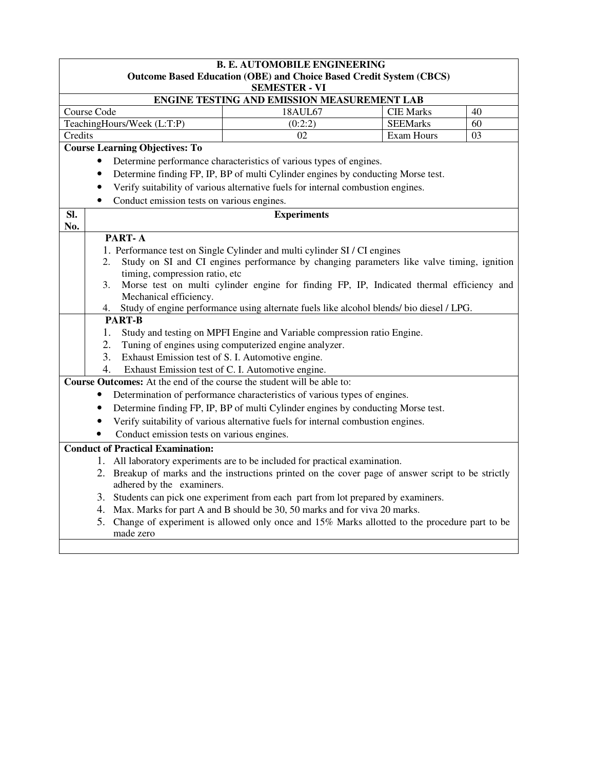|         | <b>B. E. AUTOMOBILE ENGINEERING</b><br><b>Outcome Based Education (OBE) and Choice Based Credit System (CBCS)</b>                 |                                                                                                    |                  |    |  |  |
|---------|-----------------------------------------------------------------------------------------------------------------------------------|----------------------------------------------------------------------------------------------------|------------------|----|--|--|
|         |                                                                                                                                   | <b>SEMESTER - VI</b>                                                                               |                  |    |  |  |
|         | ENGINE TESTING AND EMISSION MEASUREMENT LAB                                                                                       |                                                                                                    |                  |    |  |  |
|         | Course Code                                                                                                                       | 18AUL67                                                                                            | <b>CIE Marks</b> | 40 |  |  |
|         | TeachingHours/Week (L:T:P)                                                                                                        | (0:2:2)                                                                                            | <b>SEEMarks</b>  | 60 |  |  |
| Credits |                                                                                                                                   | 02                                                                                                 | Exam Hours       | 03 |  |  |
|         | <b>Course Learning Objectives: To</b>                                                                                             |                                                                                                    |                  |    |  |  |
|         | Determine performance characteristics of various types of engines.<br>$\bullet$                                                   |                                                                                                    |                  |    |  |  |
|         | $\bullet$                                                                                                                         | Determine finding FP, IP, BP of multi Cylinder engines by conducting Morse test.                   |                  |    |  |  |
|         | $\bullet$                                                                                                                         | Verify suitability of various alternative fuels for internal combustion engines.                   |                  |    |  |  |
|         | Conduct emission tests on various engines.<br>$\bullet$                                                                           |                                                                                                    |                  |    |  |  |
| SI.     |                                                                                                                                   | <b>Experiments</b>                                                                                 |                  |    |  |  |
| No.     |                                                                                                                                   |                                                                                                    |                  |    |  |  |
|         | PART-A                                                                                                                            |                                                                                                    |                  |    |  |  |
|         |                                                                                                                                   | 1. Performance test on Single Cylinder and multi cylinder SI / CI engines                          |                  |    |  |  |
|         | Study on SI and CI engines performance by changing parameters like valve timing, ignition<br>2.<br>timing, compression ratio, etc |                                                                                                    |                  |    |  |  |
|         | Morse test on multi cylinder engine for finding FP, IP, Indicated thermal efficiency and<br>3.                                    |                                                                                                    |                  |    |  |  |
|         | Mechanical efficiency.                                                                                                            |                                                                                                    |                  |    |  |  |
|         | 4.                                                                                                                                | Study of engine performance using alternate fuels like alcohol blends/ bio diesel / LPG.           |                  |    |  |  |
|         | <b>PART-B</b>                                                                                                                     |                                                                                                    |                  |    |  |  |
|         | 1.                                                                                                                                | Study and testing on MPFI Engine and Variable compression ratio Engine.                            |                  |    |  |  |
|         | 2.                                                                                                                                | Tuning of engines using computerized engine analyzer.                                              |                  |    |  |  |
|         | 3.<br>Exhaust Emission test of S. I. Automotive engine.                                                                           |                                                                                                    |                  |    |  |  |
|         | 4.                                                                                                                                | Exhaust Emission test of C. I. Automotive engine.                                                  |                  |    |  |  |
|         | Course Outcomes: At the end of the course the student will be able to:                                                            |                                                                                                    |                  |    |  |  |
|         |                                                                                                                                   | Determination of performance characteristics of various types of engines.                          |                  |    |  |  |
|         | $\bullet$                                                                                                                         | Determine finding FP, IP, BP of multi Cylinder engines by conducting Morse test.                   |                  |    |  |  |
|         |                                                                                                                                   | Verify suitability of various alternative fuels for internal combustion engines.                   |                  |    |  |  |
|         | Conduct emission tests on various engines.                                                                                        |                                                                                                    |                  |    |  |  |
|         | <b>Conduct of Practical Examination:</b>                                                                                          |                                                                                                    |                  |    |  |  |
|         |                                                                                                                                   | 1. All laboratory experiments are to be included for practical examination.                        |                  |    |  |  |
|         |                                                                                                                                   | 2. Breakup of marks and the instructions printed on the cover page of answer script to be strictly |                  |    |  |  |
|         | adhered by the examiners.                                                                                                         |                                                                                                    |                  |    |  |  |
|         |                                                                                                                                   | 3. Students can pick one experiment from each part from lot prepared by examiners.                 |                  |    |  |  |
|         |                                                                                                                                   | 4. Max. Marks for part A and B should be 30, 50 marks and for viva 20 marks.                       |                  |    |  |  |
|         | made zero                                                                                                                         | 5. Change of experiment is allowed only once and 15% Marks allotted to the procedure part to be    |                  |    |  |  |
|         |                                                                                                                                   |                                                                                                    |                  |    |  |  |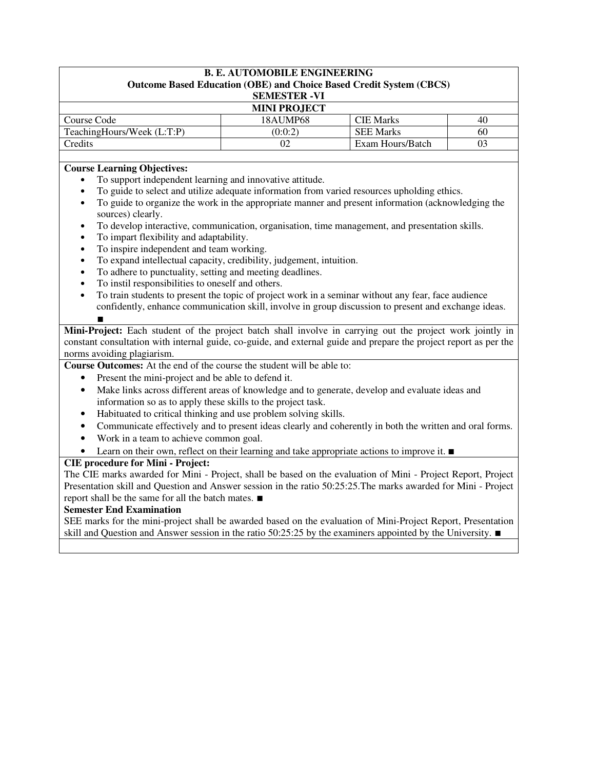| <b>B. E. AUTOMOBILE ENGINEERING</b><br><b>Outcome Based Education (OBE) and Choice Based Credit System (CBCS)</b> |          |                  |    |  |
|-------------------------------------------------------------------------------------------------------------------|----------|------------------|----|--|
| <b>SEMESTER -VI</b>                                                                                               |          |                  |    |  |
| <b>MINI PROJECT</b>                                                                                               |          |                  |    |  |
| Course Code                                                                                                       | 18AUMP68 | <b>CIE Marks</b> | 40 |  |
| TeachingHours/Week (L:T:P)                                                                                        | (0:0:2)  | <b>SEE Marks</b> | 60 |  |
| Credits                                                                                                           | 02       | Exam Hours/Batch | 03 |  |

## **Course Learning Objectives:**

- To support independent learning and innovative attitude.
- To guide to select and utilize adequate information from varied resources upholding ethics.
- To guide to organize the work in the appropriate manner and present information (acknowledging the sources) clearly.
- To develop interactive, communication, organisation, time management, and presentation skills.
- To impart flexibility and adaptability.
- To inspire independent and team working.
- To expand intellectual capacity, credibility, judgement, intuition.
- To adhere to punctuality, setting and meeting deadlines.
- To instil responsibilities to oneself and others.
- To train students to present the topic of project work in a seminar without any fear, face audience confidently, enhance communication skill, involve in group discussion to present and exchange ideas.

∎ **Mini-Project:** Each student of the project batch shall involve in carrying out the project work jointly in constant consultation with internal guide, co-guide, and external guide and prepare the project report as per the norms avoiding plagiarism.

- **Course Outcomes:** At the end of the course the student will be able to:
	- Present the mini-project and be able to defend it.
	- Make links across different areas of knowledge and to generate, develop and evaluate ideas and information so as to apply these skills to the project task.
	- Habituated to critical thinking and use problem solving skills.
	- Communicate effectively and to present ideas clearly and coherently in both the written and oral forms.
	- Work in a team to achieve common goal.
	- Learn on their own, reflect on their learning and take appropriate actions to improve it. ∎

## **CIE procedure for Mini - Project:**

The CIE marks awarded for Mini - Project, shall be based on the evaluation of Mini - Project Report, Project Presentation skill and Question and Answer session in the ratio 50:25:25.The marks awarded for Mini - Project report shall be the same for all the batch mates. ∎

### **Semester End Examination**

SEE marks for the mini-project shall be awarded based on the evaluation of Mini-Project Report, Presentation skill and Question and Answer session in the ratio 50:25:25 by the examiners appointed by the University. ■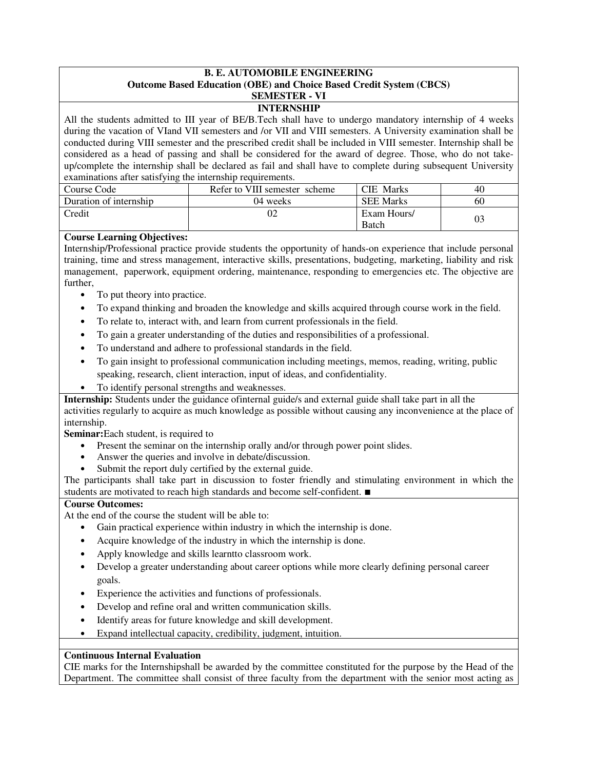### **B. E. AUTOMOBILE ENGINEERING Outcome Based Education (OBE) and Choice Based Credit System (CBCS) SEMESTER - VI**

# **INTERNSHIP**

All the students admitted to III year of BE/B.Tech shall have to undergo mandatory internship of 4 weeks during the vacation of VIand VII semesters and /or VII and VIII semesters. A University examination shall be conducted during VIII semester and the prescribed credit shall be included in VIII semester. Internship shall be considered as a head of passing and shall be considered for the award of degree. Those, who do not takeup/complete the internship shall be declared as fail and shall have to complete during subsequent University examinations after satisfying the internship requirements.

| ╴                      |                               |                             |                |
|------------------------|-------------------------------|-----------------------------|----------------|
| Course Code            | Refer to VIII semester scheme | <b>CIE</b> Marks            | 40             |
| Duration of internship | 04 weeks                      | <b>SEE Marks</b>            | 60             |
| Credit                 | 02                            | Exam Hours/<br><b>Batch</b> | 0 <sup>2</sup> |

## **Course Learning Objectives:**

Internship/Professional practice provide students the opportunity of hands-on experience that include personal training, time and stress management, interactive skills, presentations, budgeting, marketing, liability and risk management, paperwork, equipment ordering, maintenance, responding to emergencies etc. The objective are further,

- To put theory into practice.
- To expand thinking and broaden the knowledge and skills acquired through course work in the field.
- To relate to, interact with, and learn from current professionals in the field.
- To gain a greater understanding of the duties and responsibilities of a professional.
- To understand and adhere to professional standards in the field.
- To gain insight to professional communication including meetings, memos, reading, writing, public speaking, research, client interaction, input of ideas, and confidentiality.
- To identify personal strengths and weaknesses.

**Internship:** Students under the guidance of internal guide/s and external guide shall take part in all the activities regularly to acquire as much knowledge as possible without causing any inconvenience at the place of internship.

**Seminar:**Each student, is required to

- Present the seminar on the internship orally and/or through power point slides.
- Answer the queries and involve in debate/discussion.
- Submit the report duly certified by the external guide.

The participants shall take part in discussion to foster friendly and stimulating environment in which the students are motivated to reach high standards and become self-confident. ∎

## **Course Outcomes:**

At the end of the course the student will be able to:

- Gain practical experience within industry in which the internship is done.
- Acquire knowledge of the industry in which the internship is done.
- Apply knowledge and skills learntto classroom work.
- Develop a greater understanding about career options while more clearly defining personal career goals.
- Experience the activities and functions of professionals.
- Develop and refine oral and written communication skills.
- Identify areas for future knowledge and skill development.
- Expand intellectual capacity, credibility, judgment, intuition.

## **Continuous Internal Evaluation**

CIE marks for the Internshipshall be awarded by the committee constituted for the purpose by the Head of the Department. The committee shall consist of three faculty from the department with the senior most acting as

∎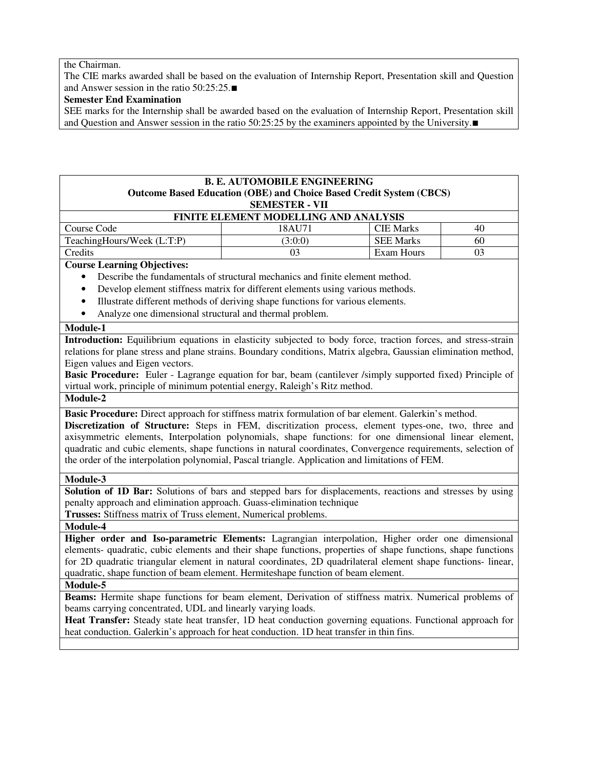the Chairman.

The CIE marks awarded shall be based on the evaluation of Internship Report, Presentation skill and Question and Answer session in the ratio 50:25:25.∎

## **Semester End Examination**

SEE marks for the Internship shall be awarded based on the evaluation of Internship Report, Presentation skill and Question and Answer session in the ratio 50:25:25 by the examiners appointed by the University.∎

## **B. E. AUTOMOBILE ENGINEERING Outcome Based Education (OBE) and Choice Based Credit System (CBCS) SEMESTER - VII**

| <b>FINITE ELEMENT MODELLING AND ANALYSIS</b> |        |                  |    |  |
|----------------------------------------------|--------|------------------|----|--|
| Course Code                                  | 18AU71 | <b>CIE Marks</b> | 40 |  |
| TeachingHours/Week (L:T:P)                   | 3:0:0  | <b>SEE Marks</b> | 60 |  |
| Credits                                      | 03     | Exam Hours       |    |  |

**Course Learning Objectives:** 

- Describe the fundamentals of structural mechanics and finite element method.
- Develop element stiffness matrix for different elements using various methods.
- Illustrate different methods of deriving shape functions for various elements.
- Analyze one dimensional structural and thermal problem.

## **Module-1**

**Introduction:** Equilibrium equations in elasticity subjected to body force, traction forces, and stress-strain relations for plane stress and plane strains. Boundary conditions, Matrix algebra, Gaussian elimination method, Eigen values and Eigen vectors.

**Basic Procedure:** Euler - Lagrange equation for bar, beam (cantilever /simply supported fixed) Principle of virtual work, principle of minimum potential energy, Raleigh's Ritz method.

**Module-2** 

**Basic Procedure:** Direct approach for stiffness matrix formulation of bar element. Galerkin's method.

**Discretization of Structure:** Steps in FEM, discritization process, element types-one, two, three and axisymmetric elements, Interpolation polynomials, shape functions: for one dimensional linear element, quadratic and cubic elements, shape functions in natural coordinates, Convergence requirements, selection of the order of the interpolation polynomial, Pascal triangle. Application and limitations of FEM.

### **Module-3**

**Solution of 1D Bar:** Solutions of bars and stepped bars for displacements, reactions and stresses by using penalty approach and elimination approach. Guass-elimination technique

**Trusses:** Stiffness matrix of Truss element, Numerical problems.

### **Module-4**

**Higher order and Iso-parametric Elements:** Lagrangian interpolation, Higher order one dimensional elements- quadratic, cubic elements and their shape functions, properties of shape functions, shape functions for 2D quadratic triangular element in natural coordinates, 2D quadrilateral element shape functions- linear, quadratic, shape function of beam element. Hermiteshape function of beam element.

### **Module-5**

**Beams:** Hermite shape functions for beam element, Derivation of stiffness matrix. Numerical problems of beams carrying concentrated, UDL and linearly varying loads.

**Heat Transfer:** Steady state heat transfer, 1D heat conduction governing equations. Functional approach for heat conduction. Galerkin's approach for heat conduction. 1D heat transfer in thin fins.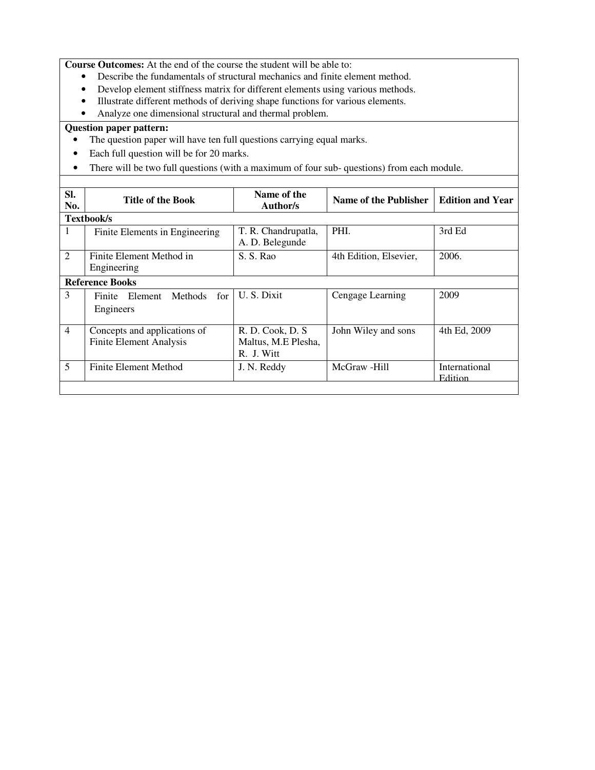**Course Outcomes:** At the end of the course the student will be able to:

- Describe the fundamentals of structural mechanics and finite element method.
- Develop element stiffness matrix for different elements using various methods.
- Illustrate different methods of deriving shape functions for various elements.
- Analyze one dimensional structural and thermal problem.

- The question paper will have ten full questions carrying equal marks.
- Each full question will be for 20 marks.
- There will be two full questions (with a maximum of four sub- questions) from each module.

| SI.<br>No.     | <b>Title of the Book</b>                                       | Name of the<br>Author/s                                | Name of the Publisher  | <b>Edition and Year</b>  |
|----------------|----------------------------------------------------------------|--------------------------------------------------------|------------------------|--------------------------|
|                | Textbook/s                                                     |                                                        |                        |                          |
| 1              | Finite Elements in Engineering                                 | T. R. Chandrupatla,<br>A. D. Belegunde                 | PHI.                   | 3rd Ed                   |
| 2              | Finite Element Method in<br>Engineering                        | S. S. Rao                                              | 4th Edition, Elsevier, | 2006.                    |
|                | <b>Reference Books</b>                                         |                                                        |                        |                          |
| 3              | for<br><b>Methods</b><br>Element<br>Finite<br>Engineers        | U.S. Dixit                                             | Cengage Learning       | 2009                     |
| $\overline{4}$ | Concepts and applications of<br><b>Finite Element Analysis</b> | R. D. Cook, D. S.<br>Maltus, M.E Plesha,<br>R. J. Witt | John Wiley and sons    | 4th Ed, 2009             |
| 5              | Finite Element Method                                          | J. N. Reddy                                            | McGraw -Hill           | International<br>Edition |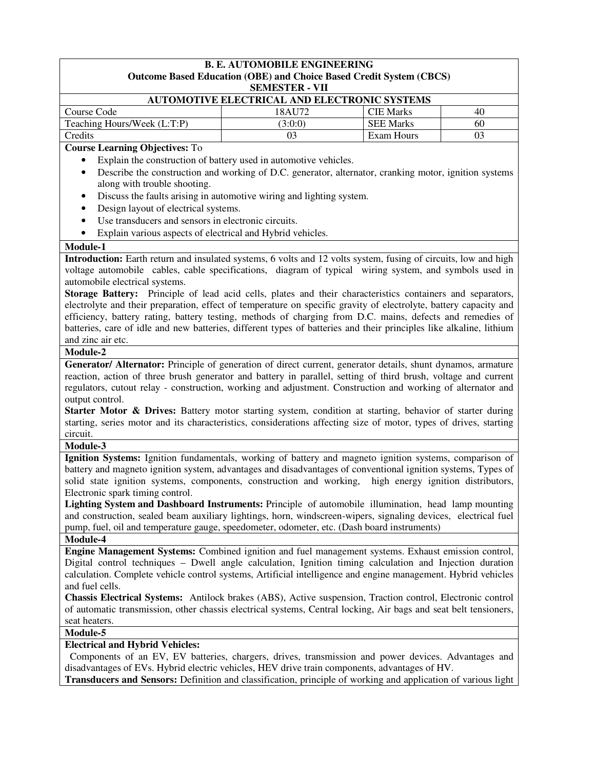| <b>B. E. AUTOMOBILE ENGINEERING</b><br><b>Outcome Based Education (OBE) and Choice Based Credit System (CBCS)</b>                                                                                                              |                                                                                                       |                  |    |  |  |  |
|--------------------------------------------------------------------------------------------------------------------------------------------------------------------------------------------------------------------------------|-------------------------------------------------------------------------------------------------------|------------------|----|--|--|--|
| <b>SEMESTER - VII</b>                                                                                                                                                                                                          |                                                                                                       |                  |    |  |  |  |
|                                                                                                                                                                                                                                | AUTOMOTIVE ELECTRICAL AND ELECTRONIC SYSTEMS                                                          |                  |    |  |  |  |
| Course Code                                                                                                                                                                                                                    | 18AU72                                                                                                | <b>CIE Marks</b> | 40 |  |  |  |
| Teaching Hours/Week (L:T:P)                                                                                                                                                                                                    | (3:0:0)                                                                                               | <b>SEE Marks</b> | 60 |  |  |  |
| Credits                                                                                                                                                                                                                        | 03                                                                                                    | Exam Hours       | 03 |  |  |  |
| <b>Course Learning Objectives: To</b>                                                                                                                                                                                          |                                                                                                       |                  |    |  |  |  |
|                                                                                                                                                                                                                                | Explain the construction of battery used in automotive vehicles.                                      |                  |    |  |  |  |
| $\bullet$                                                                                                                                                                                                                      | Describe the construction and working of D.C. generator, alternator, cranking motor, ignition systems |                  |    |  |  |  |
| along with trouble shooting.                                                                                                                                                                                                   |                                                                                                       |                  |    |  |  |  |
| $\bullet$                                                                                                                                                                                                                      | Discuss the faults arising in automotive wiring and lighting system.                                  |                  |    |  |  |  |
| Design layout of electrical systems.<br>٠                                                                                                                                                                                      |                                                                                                       |                  |    |  |  |  |
| Use transducers and sensors in electronic circuits.<br>$\bullet$                                                                                                                                                               |                                                                                                       |                  |    |  |  |  |
|                                                                                                                                                                                                                                |                                                                                                       |                  |    |  |  |  |
| Explain various aspects of electrical and Hybrid vehicles.<br>٠                                                                                                                                                                |                                                                                                       |                  |    |  |  |  |
| Module-1                                                                                                                                                                                                                       |                                                                                                       |                  |    |  |  |  |
| Introduction: Earth return and insulated systems, 6 volts and 12 volts system, fusing of circuits, low and high                                                                                                                |                                                                                                       |                  |    |  |  |  |
| voltage automobile cables, cable specifications, diagram of typical wiring system, and symbols used in                                                                                                                         |                                                                                                       |                  |    |  |  |  |
| automobile electrical systems.                                                                                                                                                                                                 |                                                                                                       |                  |    |  |  |  |
| Storage Battery: Principle of lead acid cells, plates and their characteristics containers and separators,                                                                                                                     |                                                                                                       |                  |    |  |  |  |
| electrolyte and their preparation, effect of temperature on specific gravity of electrolyte, battery capacity and                                                                                                              |                                                                                                       |                  |    |  |  |  |
| efficiency, battery rating, battery testing, methods of charging from D.C. mains, defects and remedies of                                                                                                                      |                                                                                                       |                  |    |  |  |  |
| batteries, care of idle and new batteries, different types of batteries and their principles like alkaline, lithium                                                                                                            |                                                                                                       |                  |    |  |  |  |
| and zinc air etc.                                                                                                                                                                                                              |                                                                                                       |                  |    |  |  |  |
| Module-2                                                                                                                                                                                                                       |                                                                                                       |                  |    |  |  |  |
| Generator/ Alternator: Principle of generation of direct current, generator details, shunt dynamos, armature                                                                                                                   |                                                                                                       |                  |    |  |  |  |
| reaction, action of three brush generator and battery in parallel, setting of third brush, voltage and current                                                                                                                 |                                                                                                       |                  |    |  |  |  |
| regulators, cutout relay - construction, working and adjustment. Construction and working of alternator and                                                                                                                    |                                                                                                       |                  |    |  |  |  |
| output control.                                                                                                                                                                                                                |                                                                                                       |                  |    |  |  |  |
| Starter Motor & Drives: Battery motor starting system, condition at starting, behavior of starter during                                                                                                                       |                                                                                                       |                  |    |  |  |  |
| starting, series motor and its characteristics, considerations affecting size of motor, types of drives, starting                                                                                                              |                                                                                                       |                  |    |  |  |  |
| circuit.                                                                                                                                                                                                                       |                                                                                                       |                  |    |  |  |  |
| Module-3                                                                                                                                                                                                                       |                                                                                                       |                  |    |  |  |  |
| Ignition Systems: Ignition fundamentals, working of battery and magneto ignition systems, comparison of                                                                                                                        |                                                                                                       |                  |    |  |  |  |
| battery and magneto ignition system, advantages and disadvantages of conventional ignition systems, Types of                                                                                                                   |                                                                                                       |                  |    |  |  |  |
| solid state ignition systems, components, construction and working, high energy ignition distributors,<br>Electronic spark timing control.                                                                                     |                                                                                                       |                  |    |  |  |  |
| Lighting System and Dashboard Instruments: Principle of automobile illumination, head lamp mounting                                                                                                                            |                                                                                                       |                  |    |  |  |  |
| and construction, sealed beam auxiliary lightings, horn, windscreen-wipers, signaling devices, electrical fuel                                                                                                                 |                                                                                                       |                  |    |  |  |  |
| pump, fuel, oil and temperature gauge, speedometer, odometer, etc. (Dash board instruments)                                                                                                                                    |                                                                                                       |                  |    |  |  |  |
| Module-4                                                                                                                                                                                                                       |                                                                                                       |                  |    |  |  |  |
| Engine Management Systems: Combined ignition and fuel management systems. Exhaust emission control,                                                                                                                            |                                                                                                       |                  |    |  |  |  |
|                                                                                                                                                                                                                                |                                                                                                       |                  |    |  |  |  |
| Digital control techniques - Dwell angle calculation, Ignition timing calculation and Injection duration<br>calculation. Complete vehicle control systems, Artificial intelligence and engine management. Hybrid vehicles      |                                                                                                       |                  |    |  |  |  |
| and fuel cells.                                                                                                                                                                                                                |                                                                                                       |                  |    |  |  |  |
|                                                                                                                                                                                                                                |                                                                                                       |                  |    |  |  |  |
| Chassis Electrical Systems: Antilock brakes (ABS), Active suspension, Traction control, Electronic control<br>of automatic transmission, other chassis electrical systems, Central locking, Air bags and seat belt tensioners, |                                                                                                       |                  |    |  |  |  |
| seat heaters.                                                                                                                                                                                                                  |                                                                                                       |                  |    |  |  |  |
| Module-5                                                                                                                                                                                                                       |                                                                                                       |                  |    |  |  |  |
| <b>Electrical and Hybrid Vehicles:</b>                                                                                                                                                                                         |                                                                                                       |                  |    |  |  |  |
| Components of an EV, EV batteries, chargers, drives, transmission and power devices. Advantages and                                                                                                                            |                                                                                                       |                  |    |  |  |  |
| disadvantages of EVs. Hybrid electric vehicles, HEV drive train components, advantages of HV.                                                                                                                                  |                                                                                                       |                  |    |  |  |  |
| Transducers and Sensors: Definition and classification, principle of working and application of various light                                                                                                                  |                                                                                                       |                  |    |  |  |  |
|                                                                                                                                                                                                                                |                                                                                                       |                  |    |  |  |  |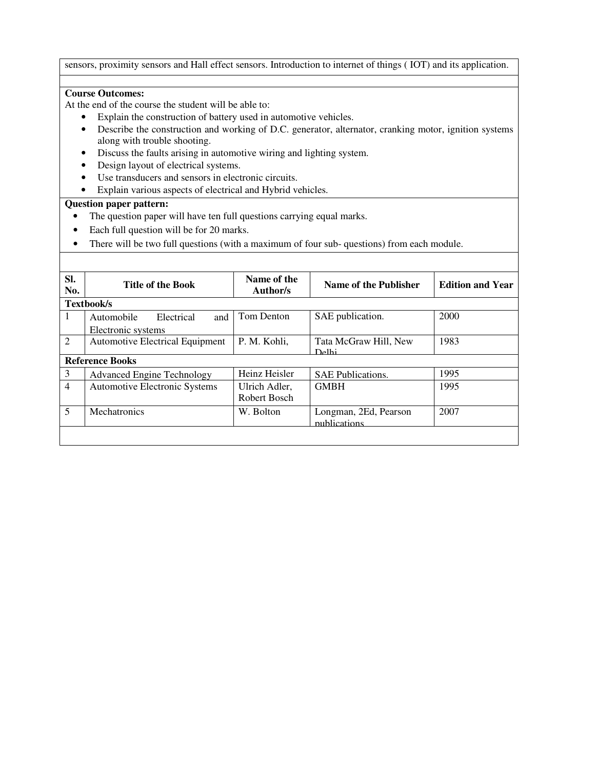sensors, proximity sensors and Hall effect sensors. Introduction to internet of things ( IOT) and its application.

## **Course Outcomes:**

At the end of the course the student will be able to:

- Explain the construction of battery used in automotive vehicles.
- Describe the construction and working of D.C. generator, alternator, cranking motor, ignition systems along with trouble shooting.
- Discuss the faults arising in automotive wiring and lighting system.
- Design layout of electrical systems.
- Use transducers and sensors in electronic circuits.
- Explain various aspects of electrical and Hybrid vehicles.

- The question paper will have ten full questions carrying equal marks.
- Each full question will be for 20 marks.
- There will be two full questions (with a maximum of four sub- questions) from each module.

| SI.<br>No.     | <b>Title of the Book</b>                              | Name of the<br>Author/s       | Name of the Publisher                 | <b>Edition and Year</b> |
|----------------|-------------------------------------------------------|-------------------------------|---------------------------------------|-------------------------|
|                | <b>Textbook/s</b>                                     |                               |                                       |                         |
| 1              | and<br>Automobile<br>Electrical<br>Electronic systems | Tom Denton                    | SAE publication.                      | 2000                    |
| $\mathfrak{2}$ | <b>Automotive Electrical Equipment</b>                | P. M. Kohli,                  | Tata McGraw Hill, New<br>Delhi        | 1983                    |
|                | <b>Reference Books</b>                                |                               |                                       |                         |
| 3              | <b>Advanced Engine Technology</b>                     | Heinz Heisler                 | <b>SAE Publications.</b>              | 1995                    |
| $\overline{4}$ | <b>Automotive Electronic Systems</b>                  | Ulrich Adler,<br>Robert Bosch | <b>GMBH</b>                           | 1995                    |
| 5              | Mechatronics                                          | W. Bolton                     | Longman, 2Ed, Pearson<br>publications | 2007                    |
|                |                                                       |                               |                                       |                         |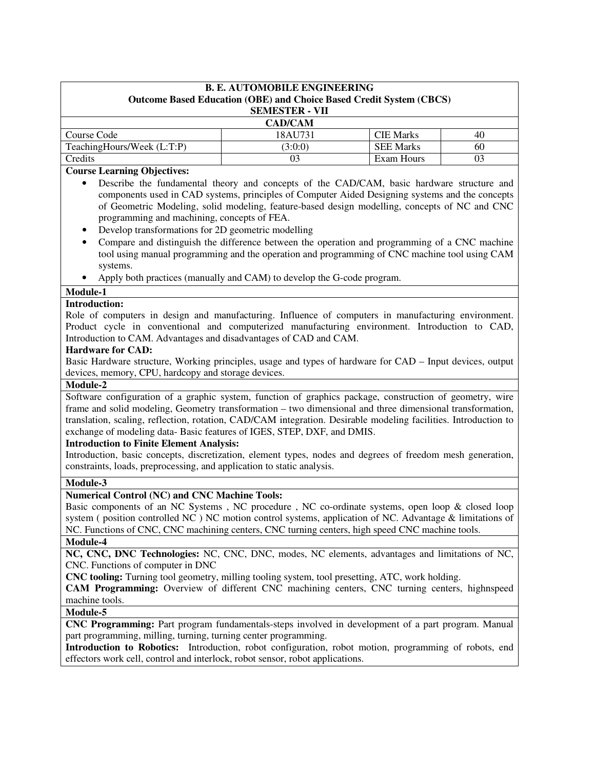| <b>B. E. AUTOMOBILE ENGINEERING</b><br><b>Outcome Based Education (OBE) and Choice Based Credit System (CBCS)</b><br><b>SEMESTER - VII</b> |         |                  |    |  |
|--------------------------------------------------------------------------------------------------------------------------------------------|---------|------------------|----|--|
| <b>CAD/CAM</b>                                                                                                                             |         |                  |    |  |
| Course Code                                                                                                                                | 18AU731 | <b>CIE</b> Marks | 40 |  |
| TeachingHours/Week (L:T:P)<br><b>SEE Marks</b><br>(3:0:0)<br>60                                                                            |         |                  |    |  |
| Credits                                                                                                                                    | 03      | Exam Hours       | 03 |  |

## **Course Learning Objectives:**

- Describe the fundamental theory and concepts of the CAD/CAM, basic hardware structure and components used in CAD systems, principles of Computer Aided Designing systems and the concepts of Geometric Modeling, solid modeling, feature-based design modelling, concepts of NC and CNC programming and machining, concepts of FEA.
- Develop transformations for 2D geometric modelling
- Compare and distinguish the difference between the operation and programming of a CNC machine tool using manual programming and the operation and programming of CNC machine tool using CAM systems.
- Apply both practices (manually and CAM) to develop the G-code program.

# **Module-1**

### **Introduction:**

Role of computers in design and manufacturing. Influence of computers in manufacturing environment. Product cycle in conventional and computerized manufacturing environment. Introduction to CAD, Introduction to CAM. Advantages and disadvantages of CAD and CAM.

#### **Hardware for CAD:**

Basic Hardware structure, Working principles, usage and types of hardware for CAD – Input devices, output devices, memory, CPU, hardcopy and storage devices.

#### **Module-2**

Software configuration of a graphic system, function of graphics package, construction of geometry, wire frame and solid modeling, Geometry transformation – two dimensional and three dimensional transformation, translation, scaling, reflection, rotation, CAD/CAM integration. Desirable modeling facilities. Introduction to exchange of modeling data- Basic features of IGES, STEP, DXF, and DMIS.

### **Introduction to Finite Element Analysis:**

Introduction, basic concepts, discretization, element types, nodes and degrees of freedom mesh generation, constraints, loads, preprocessing, and application to static analysis.

### **Module-3**

### **Numerical Control (NC) and CNC Machine Tools:**

Basic components of an NC Systems , NC procedure , NC co-ordinate systems, open loop & closed loop system ( position controlled NC ) NC motion control systems, application of NC. Advantage & limitations of NC. Functions of CNC, CNC machining centers, CNC turning centers, high speed CNC machine tools.

### **Module-4**

**NC, CNC, DNC Technologies:** NC, CNC, DNC, modes, NC elements, advantages and limitations of NC, CNC. Functions of computer in DNC

**CNC tooling:** Turning tool geometry, milling tooling system, tool presetting, ATC, work holding.

**CAM Programming:** Overview of different CNC machining centers, CNC turning centers, highnspeed machine tools.

### **Module-5**

**CNC Programming:** Part program fundamentals-steps involved in development of a part program. Manual part programming, milling, turning, turning center programming.

**Introduction to Robotics:** Introduction, robot configuration, robot motion, programming of robots, end effectors work cell, control and interlock, robot sensor, robot applications.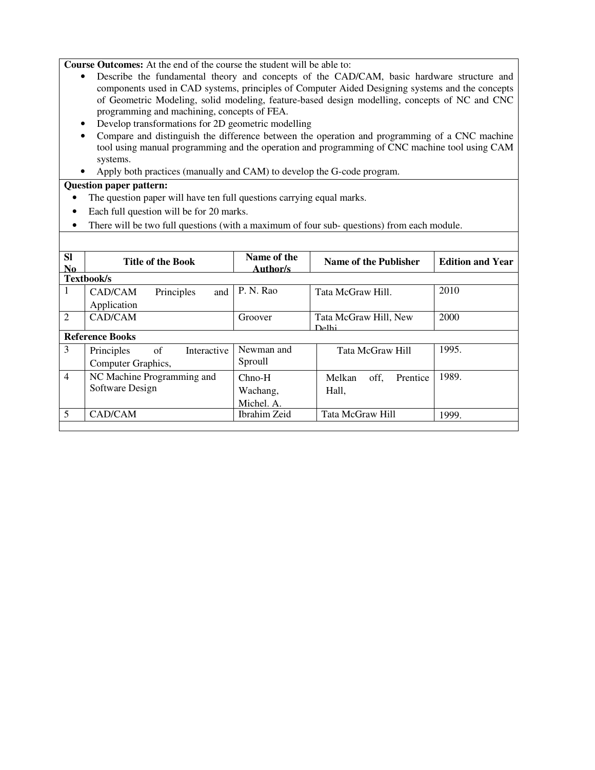**Course Outcomes:** At the end of the course the student will be able to:

- Describe the fundamental theory and concepts of the CAD/CAM, basic hardware structure and components used in CAD systems, principles of Computer Aided Designing systems and the concepts of Geometric Modeling, solid modeling, feature-based design modelling, concepts of NC and CNC programming and machining, concepts of FEA.
- Develop transformations for 2D geometric modelling
- Compare and distinguish the difference between the operation and programming of a CNC machine tool using manual programming and the operation and programming of CNC machine tool using CAM systems.
- Apply both practices (manually and CAM) to develop the G-code program.

- The question paper will have ten full questions carrying equal marks.
- Each full question will be for 20 marks.
- There will be two full questions (with a maximum of four sub- questions) from each module.

| <b>SI</b><br>N <sub>0</sub> | <b>Title of the Book</b>        | Name of the<br>Author/s | Name of the Publisher          | <b>Edition and Year</b> |
|-----------------------------|---------------------------------|-------------------------|--------------------------------|-------------------------|
|                             | Textbook/s                      |                         |                                |                         |
| 1                           | CAD/CAM<br>Principles<br>and    | P. N. Rao               | Tata McGraw Hill.              | 2010                    |
|                             | Application                     |                         |                                |                         |
| 2                           | CAD/CAM                         | Groover                 | Tata McGraw Hill, New<br>Delhi | 2000                    |
|                             | <b>Reference Books</b>          |                         |                                |                         |
| 3                           | of<br>Interactive<br>Principles | Newman and              | Tata McGraw Hill               | 1995.                   |
|                             | Computer Graphics,              | Sproull                 |                                |                         |
| $\overline{4}$              | NC Machine Programming and      | $Chno-H$                | off,<br>Melkan<br>Prentice     | 1989.                   |
|                             | Software Design                 | Wachang,                | Hall,                          |                         |
|                             |                                 | Michel. A.              |                                |                         |
| 5                           | CAD/CAM                         | Ibrahim Zeid            | Tata McGraw Hill               | 1999.                   |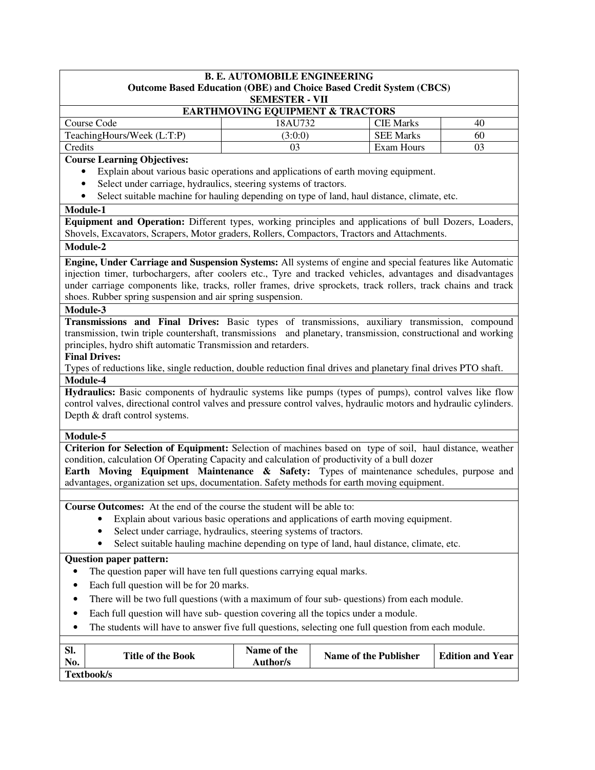| <b>B. E. AUTOMOBILE ENGINEERING</b>                                                                                                                                            |                                                        |                                                                                    |                         |  |
|--------------------------------------------------------------------------------------------------------------------------------------------------------------------------------|--------------------------------------------------------|------------------------------------------------------------------------------------|-------------------------|--|
| <b>Outcome Based Education (OBE) and Choice Based Credit System (CBCS)</b>                                                                                                     |                                                        |                                                                                    |                         |  |
|                                                                                                                                                                                | <b>SEMESTER - VII</b>                                  |                                                                                    |                         |  |
| Course Code                                                                                                                                                                    | <b>EARTHMOVING EQUIPMENT &amp; TRACTORS</b><br>18AU732 | <b>CIE Marks</b>                                                                   | 40                      |  |
| TeachingHours/Week (L:T:P)                                                                                                                                                     | (3:0:0)                                                | <b>SEE Marks</b>                                                                   | 60                      |  |
| Credits                                                                                                                                                                        | 03                                                     | Exam Hours                                                                         | 03                      |  |
| <b>Course Learning Objectives:</b>                                                                                                                                             |                                                        |                                                                                    |                         |  |
| Explain about various basic operations and applications of earth moving equipment.                                                                                             |                                                        |                                                                                    |                         |  |
| Select under carriage, hydraulics, steering systems of tractors.<br>$\bullet$                                                                                                  |                                                        |                                                                                    |                         |  |
| Select suitable machine for hauling depending on type of land, haul distance, climate, etc.<br>$\bullet$                                                                       |                                                        |                                                                                    |                         |  |
| Module-1                                                                                                                                                                       |                                                        |                                                                                    |                         |  |
| Equipment and Operation: Different types, working principles and applications of bull Dozers, Loaders,                                                                         |                                                        |                                                                                    |                         |  |
| Shovels, Excavators, Scrapers, Motor graders, Rollers, Compactors, Tractors and Attachments.                                                                                   |                                                        |                                                                                    |                         |  |
| Module-2                                                                                                                                                                       |                                                        |                                                                                    |                         |  |
| Engine, Under Carriage and Suspension Systems: All systems of engine and special features like Automatic                                                                       |                                                        |                                                                                    |                         |  |
| injection timer, turbochargers, after coolers etc., Tyre and tracked vehicles, advantages and disadvantages                                                                    |                                                        |                                                                                    |                         |  |
| under carriage components like, tracks, roller frames, drive sprockets, track rollers, track chains and track                                                                  |                                                        |                                                                                    |                         |  |
| shoes. Rubber spring suspension and air spring suspension.                                                                                                                     |                                                        |                                                                                    |                         |  |
| Module-3                                                                                                                                                                       |                                                        |                                                                                    |                         |  |
| Transmissions and Final Drives: Basic types of transmissions, auxiliary transmission, compound                                                                                 |                                                        |                                                                                    |                         |  |
| transmission, twin triple countershaft, transmissions and planetary, transmission, constructional and working<br>principles, hydro shift automatic Transmission and retarders. |                                                        |                                                                                    |                         |  |
| <b>Final Drives:</b>                                                                                                                                                           |                                                        |                                                                                    |                         |  |
| Types of reductions like, single reduction, double reduction final drives and planetary final drives PTO shaft.                                                                |                                                        |                                                                                    |                         |  |
| Module-4                                                                                                                                                                       |                                                        |                                                                                    |                         |  |
| Hydraulics: Basic components of hydraulic systems like pumps (types of pumps), control valves like flow                                                                        |                                                        |                                                                                    |                         |  |
| control valves, directional control valves and pressure control valves, hydraulic motors and hydraulic cylinders.                                                              |                                                        |                                                                                    |                         |  |
| Depth & draft control systems.                                                                                                                                                 |                                                        |                                                                                    |                         |  |
| Module-5                                                                                                                                                                       |                                                        |                                                                                    |                         |  |
| Criterion for Selection of Equipment: Selection of machines based on type of soil, haul distance, weather                                                                      |                                                        |                                                                                    |                         |  |
| condition, calculation Of Operating Capacity and calculation of productivity of a bull dozer                                                                                   |                                                        |                                                                                    |                         |  |
| Earth Moving Equipment Maintenance & Safety: Types of maintenance schedules, purpose and                                                                                       |                                                        |                                                                                    |                         |  |
| advantages, organization set ups, documentation. Safety methods for earth moving equipment.                                                                                    |                                                        |                                                                                    |                         |  |
|                                                                                                                                                                                |                                                        |                                                                                    |                         |  |
| Course Outcomes: At the end of the course the student will be able to:                                                                                                         |                                                        |                                                                                    |                         |  |
|                                                                                                                                                                                |                                                        | Explain about various basic operations and applications of earth moving equipment. |                         |  |
| Select under carriage, hydraulics, steering systems of tractors.                                                                                                               |                                                        |                                                                                    |                         |  |
| Select suitable hauling machine depending on type of land, haul distance, climate, etc.                                                                                        |                                                        |                                                                                    |                         |  |
| <b>Question paper pattern:</b>                                                                                                                                                 |                                                        |                                                                                    |                         |  |
| The question paper will have ten full questions carrying equal marks.                                                                                                          |                                                        |                                                                                    |                         |  |
| Each full question will be for 20 marks.                                                                                                                                       |                                                        |                                                                                    |                         |  |
| There will be two full questions (with a maximum of four sub-questions) from each module.                                                                                      |                                                        |                                                                                    |                         |  |
| Each full question will have sub- question covering all the topics under a module.                                                                                             |                                                        |                                                                                    |                         |  |
| The students will have to answer five full questions, selecting one full question from each module.                                                                            |                                                        |                                                                                    |                         |  |
|                                                                                                                                                                                |                                                        |                                                                                    |                         |  |
| Sl.<br><b>Title of the Book</b><br>No.                                                                                                                                         | Name of the<br>Author/s                                | <b>Name of the Publisher</b>                                                       | <b>Edition and Year</b> |  |

**Textbook/s**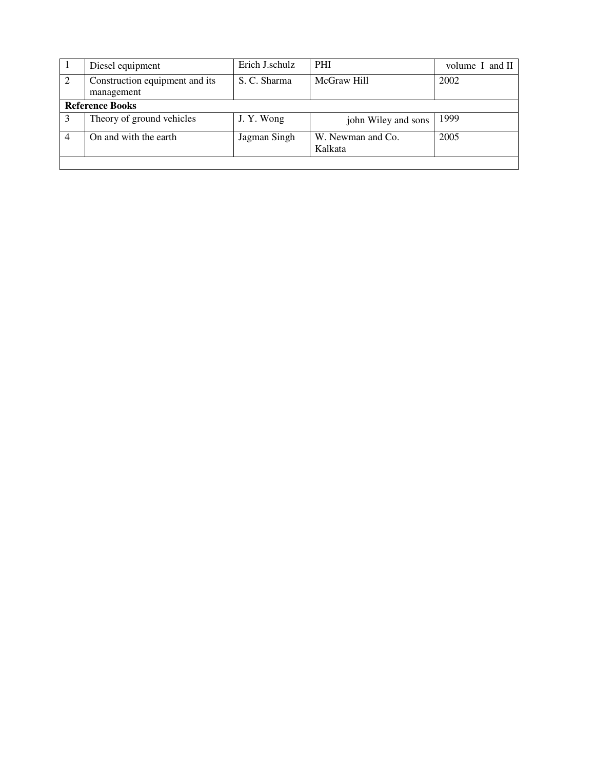|                | Diesel equipment               | Erich J.schulz | <b>PHI</b>          | volume $I$ and $II$ |
|----------------|--------------------------------|----------------|---------------------|---------------------|
| 2              | Construction equipment and its | S. C. Sharma   | McGraw Hill         | 2002                |
|                | management                     |                |                     |                     |
|                | <b>Reference Books</b>         |                |                     |                     |
|                | Theory of ground vehicles      | J. Y. Wong     | john Wiley and sons | 1999                |
| $\overline{4}$ | On and with the earth          | Jagman Singh   | W. Newman and Co.   | 2005                |
|                |                                |                | Kalkata             |                     |
|                |                                |                |                     |                     |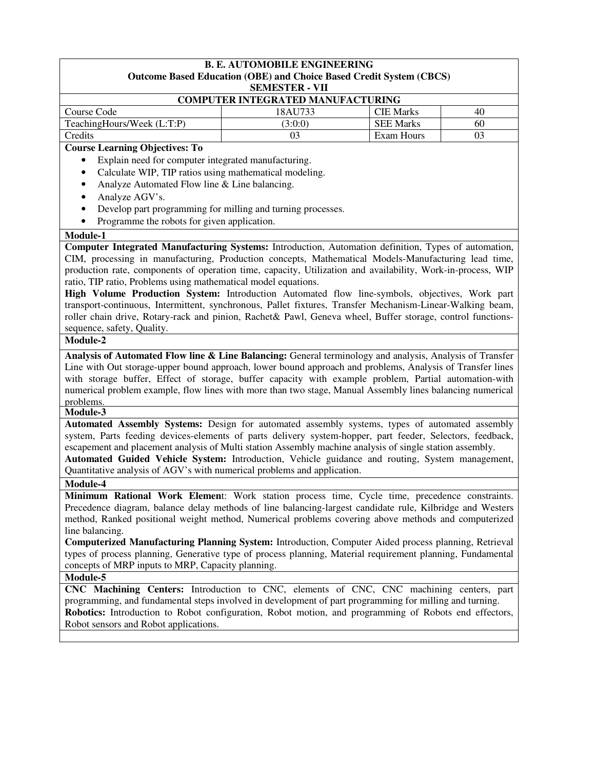|                                                                                                                                                                                                                                                                                                                                                                                                                                             | <b>B. E. AUTOMOBILE ENGINEERING</b>      |                  |    |  |
|---------------------------------------------------------------------------------------------------------------------------------------------------------------------------------------------------------------------------------------------------------------------------------------------------------------------------------------------------------------------------------------------------------------------------------------------|------------------------------------------|------------------|----|--|
| <b>Outcome Based Education (OBE) and Choice Based Credit System (CBCS)</b><br><b>SEMESTER - VII</b>                                                                                                                                                                                                                                                                                                                                         |                                          |                  |    |  |
|                                                                                                                                                                                                                                                                                                                                                                                                                                             | <b>COMPUTER INTEGRATED MANUFACTURING</b> |                  |    |  |
| Course Code                                                                                                                                                                                                                                                                                                                                                                                                                                 | 18AU733                                  | <b>CIE Marks</b> | 40 |  |
| TeachingHours/Week (L:T:P)                                                                                                                                                                                                                                                                                                                                                                                                                  | (3:0:0)                                  | <b>SEE Marks</b> | 60 |  |
| Credits                                                                                                                                                                                                                                                                                                                                                                                                                                     | 03                                       | Exam Hours       | 03 |  |
| <b>Course Learning Objectives: To</b>                                                                                                                                                                                                                                                                                                                                                                                                       |                                          |                  |    |  |
| Explain need for computer integrated manufacturing.<br>٠                                                                                                                                                                                                                                                                                                                                                                                    |                                          |                  |    |  |
| Calculate WIP, TIP ratios using mathematical modeling.<br>$\bullet$                                                                                                                                                                                                                                                                                                                                                                         |                                          |                  |    |  |
| Analyze Automated Flow line & Line balancing.<br>$\bullet$                                                                                                                                                                                                                                                                                                                                                                                  |                                          |                  |    |  |
| Analyze AGV's.<br>$\bullet$                                                                                                                                                                                                                                                                                                                                                                                                                 |                                          |                  |    |  |
| Develop part programming for milling and turning processes.<br>$\bullet$                                                                                                                                                                                                                                                                                                                                                                    |                                          |                  |    |  |
| Programme the robots for given application.<br>$\bullet$                                                                                                                                                                                                                                                                                                                                                                                    |                                          |                  |    |  |
| Module-1                                                                                                                                                                                                                                                                                                                                                                                                                                    |                                          |                  |    |  |
| Computer Integrated Manufacturing Systems: Introduction, Automation definition, Types of automation,                                                                                                                                                                                                                                                                                                                                        |                                          |                  |    |  |
| CIM, processing in manufacturing, Production concepts, Mathematical Models-Manufacturing lead time,                                                                                                                                                                                                                                                                                                                                         |                                          |                  |    |  |
| production rate, components of operation time, capacity, Utilization and availability, Work-in-process, WIP                                                                                                                                                                                                                                                                                                                                 |                                          |                  |    |  |
| ratio, TIP ratio, Problems using mathematical model equations.                                                                                                                                                                                                                                                                                                                                                                              |                                          |                  |    |  |
| High Volume Production System: Introduction Automated flow line-symbols, objectives, Work part                                                                                                                                                                                                                                                                                                                                              |                                          |                  |    |  |
| transport-continuous, Intermittent, synchronous, Pallet fixtures, Transfer Mechanism-Linear-Walking beam,                                                                                                                                                                                                                                                                                                                                   |                                          |                  |    |  |
| roller chain drive, Rotary-rack and pinion, Rachet& Pawl, Geneva wheel, Buffer storage, control functions-                                                                                                                                                                                                                                                                                                                                  |                                          |                  |    |  |
| sequence, safety, Quality.                                                                                                                                                                                                                                                                                                                                                                                                                  |                                          |                  |    |  |
| Module-2                                                                                                                                                                                                                                                                                                                                                                                                                                    |                                          |                  |    |  |
| Analysis of Automated Flow line & Line Balancing: General terminology and analysis, Analysis of Transfer<br>Line with Out storage-upper bound approach, lower bound approach and problems, Analysis of Transfer lines<br>with storage buffer, Effect of storage, buffer capacity with example problem, Partial automation-with<br>numerical problem example, flow lines with more than two stage, Manual Assembly lines balancing numerical |                                          |                  |    |  |
| problems.<br>Module-3                                                                                                                                                                                                                                                                                                                                                                                                                       |                                          |                  |    |  |
| Automated Assembly Systems: Design for automated assembly systems, types of automated assembly                                                                                                                                                                                                                                                                                                                                              |                                          |                  |    |  |
| system, Parts feeding devices-elements of parts delivery system-hopper, part feeder, Selectors, feedback,<br>escapement and placement analysis of Multi station Assembly machine analysis of single station assembly.<br>Automated Guided Vehicle System: Introduction, Vehicle guidance and routing, System management,<br>Quantitative analysis of AGV's with numerical problems and application.                                         |                                          |                  |    |  |
| Module-4                                                                                                                                                                                                                                                                                                                                                                                                                                    |                                          |                  |    |  |
| <b>Minimum Rational Work Element:</b> Work station process time, Cycle time, precedence constraints.                                                                                                                                                                                                                                                                                                                                        |                                          |                  |    |  |
| Precedence diagram, balance delay methods of line balancing-largest candidate rule, Kilbridge and Westers                                                                                                                                                                                                                                                                                                                                   |                                          |                  |    |  |
| method, Ranked positional weight method, Numerical problems covering above methods and computerized                                                                                                                                                                                                                                                                                                                                         |                                          |                  |    |  |
| line balancing.                                                                                                                                                                                                                                                                                                                                                                                                                             |                                          |                  |    |  |
| Computerized Manufacturing Planning System: Introduction, Computer Aided process planning, Retrieval                                                                                                                                                                                                                                                                                                                                        |                                          |                  |    |  |
| types of process planning, Generative type of process planning, Material requirement planning, Fundamental                                                                                                                                                                                                                                                                                                                                  |                                          |                  |    |  |
| concepts of MRP inputs to MRP, Capacity planning.                                                                                                                                                                                                                                                                                                                                                                                           |                                          |                  |    |  |
| Module-5                                                                                                                                                                                                                                                                                                                                                                                                                                    |                                          |                  |    |  |
| CNC Machining Centers: Introduction to CNC, elements of CNC, CNC machining centers, part                                                                                                                                                                                                                                                                                                                                                    |                                          |                  |    |  |
| programming, and fundamental steps involved in development of part programming for milling and turning.                                                                                                                                                                                                                                                                                                                                     |                                          |                  |    |  |
| Robotics: Introduction to Robot configuration, Robot motion, and programming of Robots end effectors,                                                                                                                                                                                                                                                                                                                                       |                                          |                  |    |  |
| Robot sensors and Robot applications.                                                                                                                                                                                                                                                                                                                                                                                                       |                                          |                  |    |  |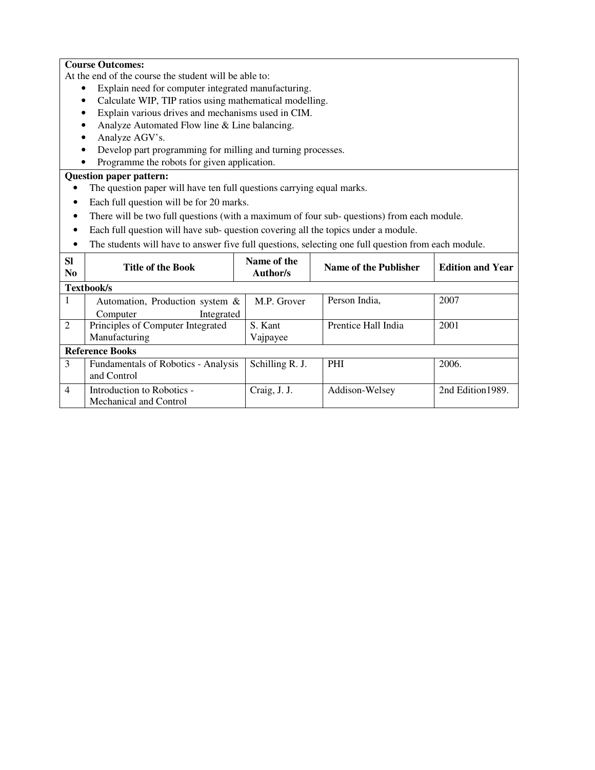### **Course Outcomes:**

At the end of the course the student will be able to:

- Explain need for computer integrated manufacturing.
- Calculate WIP, TIP ratios using mathematical modelling.
- Explain various drives and mechanisms used in CIM.
- Analyze Automated Flow line & Line balancing.
- Analyze AGV's.
- Develop part programming for milling and turning processes.
- Programme the robots for given application.

- The question paper will have ten full questions carrying equal marks.
- Each full question will be for 20 marks.
- There will be two full questions (with a maximum of four sub- questions) from each module.
- Each full question will have sub- question covering all the topics under a module.
- The students will have to answer five full questions, selecting one full question from each module.

| <b>SI</b><br>N <sub>0</sub> | <b>Title of the Book</b>            | Name of the<br>Author/s | Name of the Publisher | <b>Edition and Year</b> |
|-----------------------------|-------------------------------------|-------------------------|-----------------------|-------------------------|
|                             | Textbook/s                          |                         |                       |                         |
| 1                           | Automation, Production system $\&$  | M.P. Grover             | Person India,         | 2007                    |
|                             | Integrated<br>Computer              |                         |                       |                         |
| 2                           | Principles of Computer Integrated   | S. Kant                 | Prentice Hall India   | 2001                    |
|                             | Manufacturing                       | Vajpayee                |                       |                         |
|                             | <b>Reference Books</b>              |                         |                       |                         |
| 3                           | Fundamentals of Robotics - Analysis | Schilling R. J.         | <b>PHI</b>            | 2006.                   |
|                             | and Control                         |                         |                       |                         |
| $\overline{4}$              | Introduction to Robotics -          | Craig, J. J.            | Addison-Welsey        | 2nd Edition 1989.       |
|                             | Mechanical and Control              |                         |                       |                         |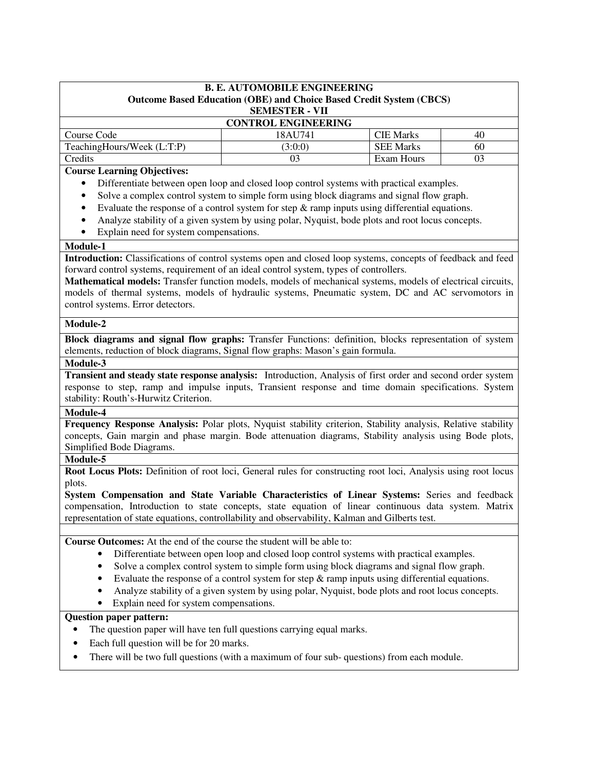| <b>B. E. AUTOMOBILE ENGINEERING</b><br><b>Outcome Based Education (OBE) and Choice Based Credit System (CBCS)</b> |         |                  |    |  |  |
|-------------------------------------------------------------------------------------------------------------------|---------|------------------|----|--|--|
| <b>SEMESTER - VII</b><br><b>CONTROL ENGINEERING</b>                                                               |         |                  |    |  |  |
| Course Code                                                                                                       | 18AU741 | <b>CIE Marks</b> | 40 |  |  |
| TeachingHours/Week (L:T:P)<br><b>SEE Marks</b><br>(3:0:0)<br>60                                                   |         |                  |    |  |  |
| <b>Credits</b>                                                                                                    | 03      | Exam Hours       | 03 |  |  |

## **Course Learning Objectives:**

- Differentiate between open loop and closed loop control systems with practical examples.
- Solve a complex control system to simple form using block diagrams and signal flow graph.
- Evaluate the response of a control system for step  $\&$  ramp inputs using differential equations.
- Analyze stability of a given system by using polar, Nyquist, bode plots and root locus concepts.
- Explain need for system compensations.

### **Module-1**

**Introduction:** Classifications of control systems open and closed loop systems, concepts of feedback and feed forward control systems, requirement of an ideal control system, types of controllers.

**Mathematical models:** Transfer function models, models of mechanical systems, models of electrical circuits, models of thermal systems, models of hydraulic systems, Pneumatic system, DC and AC servomotors in control systems. Error detectors.

#### **Module-2**

**Block diagrams and signal flow graphs:** Transfer Functions: definition, blocks representation of system elements, reduction of block diagrams, Signal flow graphs: Mason's gain formula.

#### **Module-3**

**Transient and steady state response analysis:** Introduction, Analysis of first order and second order system response to step, ramp and impulse inputs, Transient response and time domain specifications. System stability: Routh's-Hurwitz Criterion.

### **Module-4**

**Frequency Response Analysis:** Polar plots, Nyquist stability criterion, Stability analysis, Relative stability concepts, Gain margin and phase margin. Bode attenuation diagrams, Stability analysis using Bode plots, Simplified Bode Diagrams.

### **Module-5**

**Root Locus Plots:** Definition of root loci, General rules for constructing root loci, Analysis using root locus plots.

**System Compensation and State Variable Characteristics of Linear Systems:** Series and feedback compensation, Introduction to state concepts, state equation of linear continuous data system. Matrix representation of state equations, controllability and observability, Kalman and Gilberts test.

**Course Outcomes:** At the end of the course the student will be able to:

- Differentiate between open loop and closed loop control systems with practical examples.
- Solve a complex control system to simple form using block diagrams and signal flow graph.
- Evaluate the response of a control system for step  $\&$  ramp inputs using differential equations.
- Analyze stability of a given system by using polar, Nyquist, bode plots and root locus concepts.
- Explain need for system compensations.

- The question paper will have ten full questions carrying equal marks.
- Each full question will be for 20 marks.
- There will be two full questions (with a maximum of four sub- questions) from each module.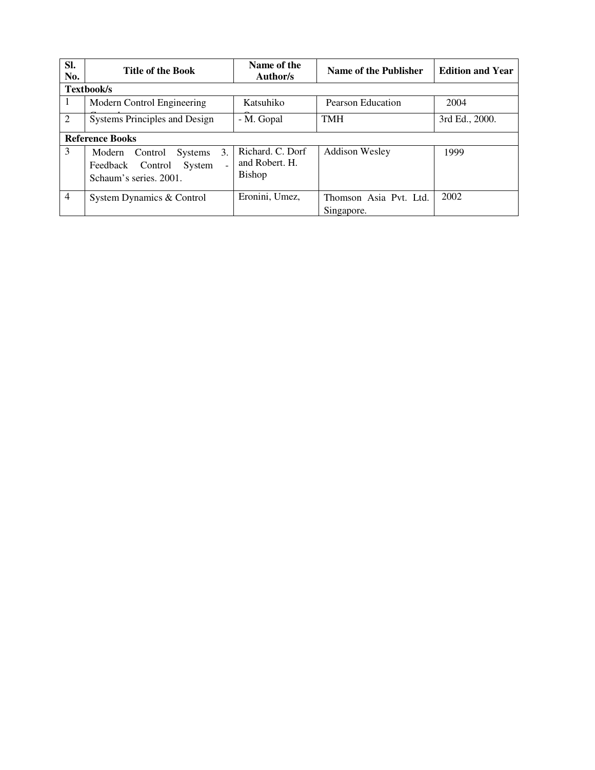| SI.<br>No.             | <b>Title of the Book</b>                                                                                            | Name of the<br>Author/s                      | Name of the Publisher                | <b>Edition and Year</b> |
|------------------------|---------------------------------------------------------------------------------------------------------------------|----------------------------------------------|--------------------------------------|-------------------------|
|                        | Textbook/s                                                                                                          |                                              |                                      |                         |
| 1                      | Modern Control Engineering                                                                                          | Katsuhiko                                    | Pearson Education                    | 2004                    |
| 2                      | <b>Systems Principles and Design</b>                                                                                | - M. Gopal                                   | <b>TMH</b>                           | 3rd Ed., 2000.          |
| <b>Reference Books</b> |                                                                                                                     |                                              |                                      |                         |
| 3                      | 3.<br>Control<br><b>Systems</b><br>Modern<br>System<br>Feedback Control<br>$\overline{a}$<br>Schaum's series, 2001. | Richard, C. Dorf<br>and Robert. H.<br>Bishop | <b>Addison Wesley</b>                | 1999                    |
| $\overline{4}$         | System Dynamics & Control                                                                                           | Eronini, Umez,                               | Thomson Asia Pvt. Ltd.<br>Singapore. | 2002                    |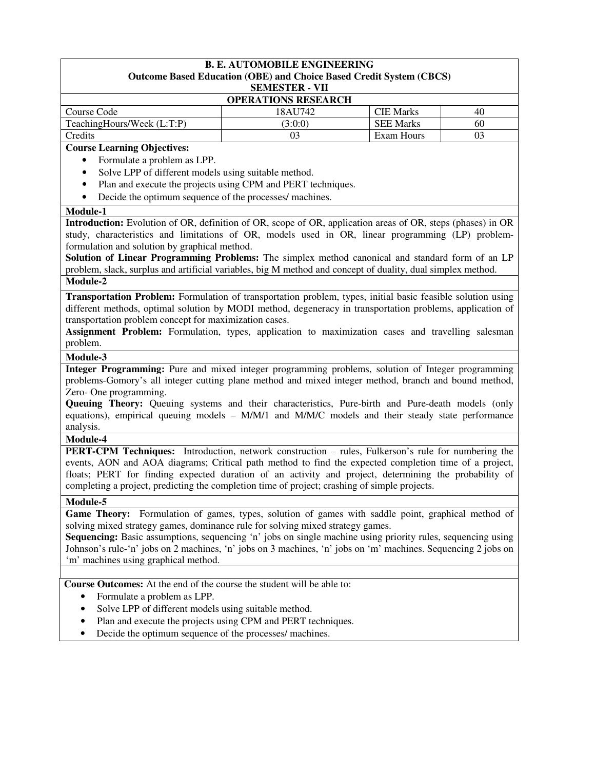|                                                                                                               | <b>B. E. AUTOMOBILE ENGINEERING</b>                          |                  |    |  |  |
|---------------------------------------------------------------------------------------------------------------|--------------------------------------------------------------|------------------|----|--|--|
| Outcome Based Education (OBE) and Choice Based Credit System (CBCS)<br><b>SEMESTER - VII</b>                  |                                                              |                  |    |  |  |
| <b>OPERATIONS RESEARCH</b>                                                                                    |                                                              |                  |    |  |  |
| Course Code                                                                                                   | 18AU742                                                      | <b>CIE Marks</b> | 40 |  |  |
| TeachingHours/Week (L:T:P)                                                                                    | (3:0:0)                                                      | <b>SEE Marks</b> | 60 |  |  |
| Credits                                                                                                       | 03                                                           | Exam Hours       | 03 |  |  |
| <b>Course Learning Objectives:</b>                                                                            |                                                              |                  |    |  |  |
| Formulate a problem as LPP.<br>$\bullet$                                                                      |                                                              |                  |    |  |  |
| Solve LPP of different models using suitable method.<br>$\bullet$                                             |                                                              |                  |    |  |  |
| $\bullet$                                                                                                     | Plan and execute the projects using CPM and PERT techniques. |                  |    |  |  |
| Decide the optimum sequence of the processes/ machines.<br>$\bullet$                                          |                                                              |                  |    |  |  |
| Module-1                                                                                                      |                                                              |                  |    |  |  |
| Introduction: Evolution of OR, definition of OR, scope of OR, application areas of OR, steps (phases) in OR   |                                                              |                  |    |  |  |
| study, characteristics and limitations of OR, models used in OR, linear programming (LP) problem-             |                                                              |                  |    |  |  |
| formulation and solution by graphical method.                                                                 |                                                              |                  |    |  |  |
| Solution of Linear Programming Problems: The simplex method canonical and standard form of an LP              |                                                              |                  |    |  |  |
| problem, slack, surplus and artificial variables, big M method and concept of duality, dual simplex method.   |                                                              |                  |    |  |  |
| Module-2                                                                                                      |                                                              |                  |    |  |  |
| Transportation Problem: Formulation of transportation problem, types, initial basic feasible solution using   |                                                              |                  |    |  |  |
| different methods, optimal solution by MODI method, degeneracy in transportation problems, application of     |                                                              |                  |    |  |  |
| transportation problem concept for maximization cases.                                                        |                                                              |                  |    |  |  |
| Assignment Problem: Formulation, types, application to maximization cases and travelling salesman             |                                                              |                  |    |  |  |
| problem.                                                                                                      |                                                              |                  |    |  |  |
| Module-3                                                                                                      |                                                              |                  |    |  |  |
| Integer Programming: Pure and mixed integer programming problems, solution of Integer programming             |                                                              |                  |    |  |  |
| problems-Gomory's all integer cutting plane method and mixed integer method, branch and bound method,         |                                                              |                  |    |  |  |
| Zero-One programming.                                                                                         |                                                              |                  |    |  |  |
| Queuing Theory: Queuing systems and their characteristics, Pure-birth and Pure-death models (only             |                                                              |                  |    |  |  |
| equations), empirical queuing models - M/M/1 and M/M/C models and their steady state performance              |                                                              |                  |    |  |  |
| analysis.                                                                                                     |                                                              |                  |    |  |  |
| Module-4                                                                                                      |                                                              |                  |    |  |  |
| <b>PERT-CPM Techniques:</b> Introduction, network construction – rules, Fulkerson's rule for numbering the    |                                                              |                  |    |  |  |
| events, AON and AOA diagrams; Critical path method to find the expected completion time of a project,         |                                                              |                  |    |  |  |
| floats; PERT for finding expected duration of an activity and project, determining the probability of         |                                                              |                  |    |  |  |
| completing a project, predicting the completion time of project; crashing of simple projects.                 |                                                              |                  |    |  |  |
| Module-5                                                                                                      |                                                              |                  |    |  |  |
| Game Theory: Formulation of games, types, solution of games with saddle point, graphical method of            |                                                              |                  |    |  |  |
| solving mixed strategy games, dominance rule for solving mixed strategy games.                                |                                                              |                  |    |  |  |
| Sequencing: Basic assumptions, sequencing 'n' jobs on single machine using priority rules, sequencing using   |                                                              |                  |    |  |  |
| Johnson's rule-'n' jobs on 2 machines, 'n' jobs on 3 machines, 'n' jobs on 'm' machines. Sequencing 2 jobs on |                                                              |                  |    |  |  |
| 'm' machines using graphical method.                                                                          |                                                              |                  |    |  |  |
|                                                                                                               |                                                              |                  |    |  |  |
| Course Outcomes: At the end of the course the student will be able to:                                        |                                                              |                  |    |  |  |
| Formulate a problem as LPP.<br>$\bullet$                                                                      |                                                              |                  |    |  |  |
| Solve LPP of different models using suitable method.<br>$\bullet$                                             |                                                              |                  |    |  |  |
| ٠                                                                                                             | Plan and execute the projects using CPM and PERT techniques. |                  |    |  |  |
|                                                                                                               |                                                              |                  |    |  |  |

• Decide the optimum sequence of the processes/ machines.

 $\overline{\phantom{a}}$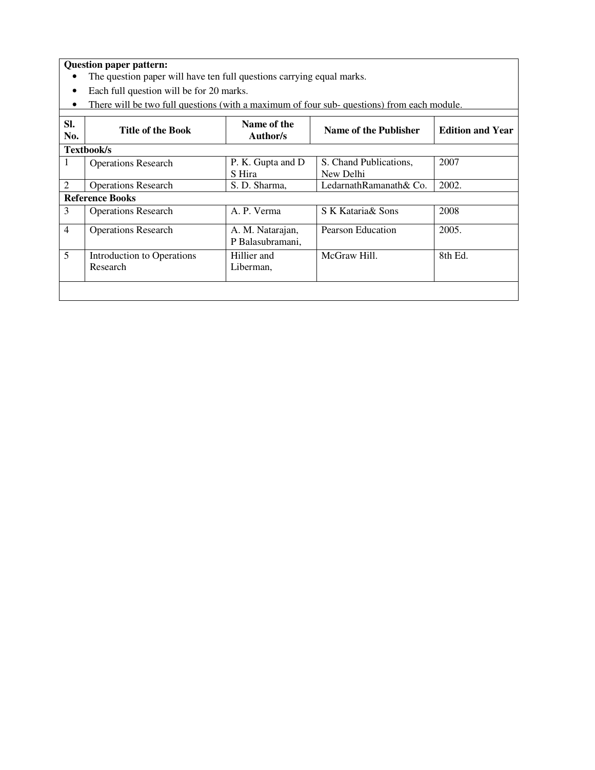- The question paper will have ten full questions carrying equal marks.
- Each full question will be for 20 marks.
- There will be two full questions (with a maximum of four sub-questions) from each module.

| SI.<br>No.     | <b>Title of the Book</b>               | Name of the<br>Author/s              | Name of the Publisher               | <b>Edition and Year</b> |
|----------------|----------------------------------------|--------------------------------------|-------------------------------------|-------------------------|
|                | Textbook/s                             |                                      |                                     |                         |
| 1              | <b>Operations Research</b>             | P. K. Gupta and D<br>S Hira          | S. Chand Publications,<br>New Delhi | 2007                    |
| 2              | <b>Operations Research</b>             | S. D. Sharma,                        | LedarnathRamanath& Co.              | 2002.                   |
|                | <b>Reference Books</b>                 |                                      |                                     |                         |
| 3              | <b>Operations Research</b>             | A. P. Verma                          | S K Kataria & Sons                  | 2008                    |
| $\overline{4}$ | <b>Operations Research</b>             | A. M. Natarajan,<br>P Balasubramani, | Pearson Education                   | 2005.                   |
| 5              | Introduction to Operations<br>Research | Hillier and<br>Liberman,             | McGraw Hill.                        | 8th Ed.                 |
|                |                                        |                                      |                                     |                         |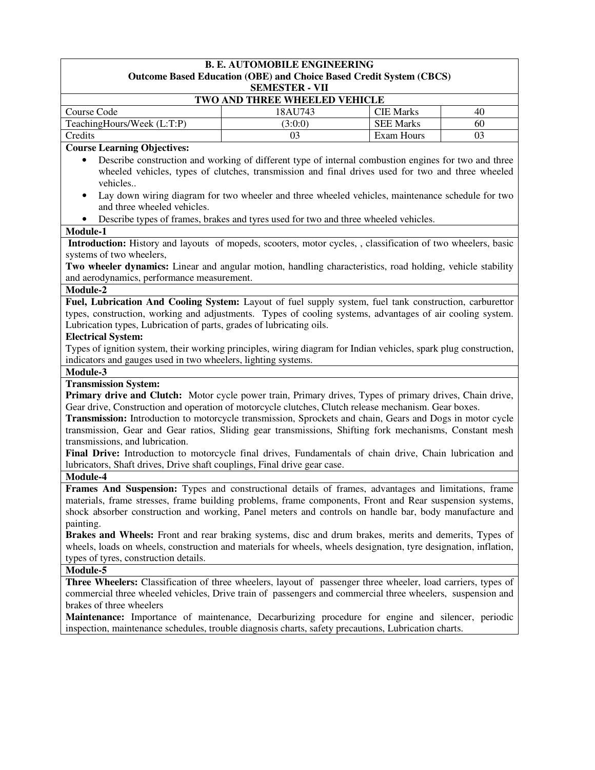| <b>B. E. AUTOMOBILE ENGINEERING</b>                                                                                                                                                                                        |                                                                                                                                                                                                           |                                      |          |  |  |
|----------------------------------------------------------------------------------------------------------------------------------------------------------------------------------------------------------------------------|-----------------------------------------------------------------------------------------------------------------------------------------------------------------------------------------------------------|--------------------------------------|----------|--|--|
|                                                                                                                                                                                                                            | <b>Outcome Based Education (OBE) and Choice Based Credit System (CBCS)</b>                                                                                                                                |                                      |          |  |  |
|                                                                                                                                                                                                                            | <b>SEMESTER - VII</b>                                                                                                                                                                                     |                                      |          |  |  |
|                                                                                                                                                                                                                            | TWO AND THREE WHEELED VEHICLE                                                                                                                                                                             |                                      |          |  |  |
| Course Code                                                                                                                                                                                                                | 18AU743                                                                                                                                                                                                   | <b>CIE Marks</b><br><b>SEE Marks</b> | 40<br>60 |  |  |
| TeachingHours/Week (L:T:P)<br>Credits                                                                                                                                                                                      | (3:0:0)<br>03                                                                                                                                                                                             | Exam Hours                           | 03       |  |  |
|                                                                                                                                                                                                                            |                                                                                                                                                                                                           |                                      |          |  |  |
| <b>Course Learning Objectives:</b>                                                                                                                                                                                         |                                                                                                                                                                                                           |                                      |          |  |  |
|                                                                                                                                                                                                                            | Describe construction and working of different type of internal combustion engines for two and three<br>wheeled vehicles, types of clutches, transmission and final drives used for two and three wheeled |                                      |          |  |  |
| vehicles                                                                                                                                                                                                                   |                                                                                                                                                                                                           |                                      |          |  |  |
| ٠                                                                                                                                                                                                                          | Lay down wiring diagram for two wheeler and three wheeled vehicles, maintenance schedule for two                                                                                                          |                                      |          |  |  |
| and three wheeled vehicles.                                                                                                                                                                                                |                                                                                                                                                                                                           |                                      |          |  |  |
|                                                                                                                                                                                                                            | Describe types of frames, brakes and tyres used for two and three wheeled vehicles.                                                                                                                       |                                      |          |  |  |
| Module-1                                                                                                                                                                                                                   |                                                                                                                                                                                                           |                                      |          |  |  |
| Introduction: History and layouts of mopeds, scooters, motor cycles, , classification of two wheelers, basic                                                                                                               |                                                                                                                                                                                                           |                                      |          |  |  |
| systems of two wheelers,                                                                                                                                                                                                   |                                                                                                                                                                                                           |                                      |          |  |  |
| Two wheeler dynamics: Linear and angular motion, handling characteristics, road holding, vehicle stability                                                                                                                 |                                                                                                                                                                                                           |                                      |          |  |  |
| and aerodynamics, performance measurement.                                                                                                                                                                                 |                                                                                                                                                                                                           |                                      |          |  |  |
| Module-2                                                                                                                                                                                                                   |                                                                                                                                                                                                           |                                      |          |  |  |
| Fuel, Lubrication And Cooling System: Layout of fuel supply system, fuel tank construction, carburettor                                                                                                                    |                                                                                                                                                                                                           |                                      |          |  |  |
| types, construction, working and adjustments. Types of cooling systems, advantages of air cooling system.                                                                                                                  |                                                                                                                                                                                                           |                                      |          |  |  |
| Lubrication types, Lubrication of parts, grades of lubricating oils.                                                                                                                                                       |                                                                                                                                                                                                           |                                      |          |  |  |
| <b>Electrical System:</b>                                                                                                                                                                                                  |                                                                                                                                                                                                           |                                      |          |  |  |
| Types of ignition system, their working principles, wiring diagram for Indian vehicles, spark plug construction,                                                                                                           |                                                                                                                                                                                                           |                                      |          |  |  |
| indicators and gauges used in two wheelers, lighting systems.                                                                                                                                                              |                                                                                                                                                                                                           |                                      |          |  |  |
| Module-3                                                                                                                                                                                                                   |                                                                                                                                                                                                           |                                      |          |  |  |
| <b>Transmission System:</b>                                                                                                                                                                                                |                                                                                                                                                                                                           |                                      |          |  |  |
| Primary drive and Clutch: Motor cycle power train, Primary drives, Types of primary drives, Chain drive,                                                                                                                   |                                                                                                                                                                                                           |                                      |          |  |  |
| Gear drive, Construction and operation of motorcycle clutches, Clutch release mechanism. Gear boxes.                                                                                                                       |                                                                                                                                                                                                           |                                      |          |  |  |
| Transmission: Introduction to motorcycle transmission, Sprockets and chain, Gears and Dogs in motor cycle                                                                                                                  |                                                                                                                                                                                                           |                                      |          |  |  |
| transmission, Gear and Gear ratios, Sliding gear transmissions, Shifting fork mechanisms, Constant mesh                                                                                                                    |                                                                                                                                                                                                           |                                      |          |  |  |
| transmissions, and lubrication.                                                                                                                                                                                            |                                                                                                                                                                                                           |                                      |          |  |  |
| Final Drive: Introduction to motorcycle final drives, Fundamentals of chain drive, Chain lubrication and                                                                                                                   |                                                                                                                                                                                                           |                                      |          |  |  |
| lubricators, Shaft drives, Drive shaft couplings, Final drive gear case.                                                                                                                                                   |                                                                                                                                                                                                           |                                      |          |  |  |
| Module-4                                                                                                                                                                                                                   |                                                                                                                                                                                                           |                                      |          |  |  |
| Frames And Suspension: Types and constructional details of frames, advantages and limitations, frame                                                                                                                       |                                                                                                                                                                                                           |                                      |          |  |  |
| materials, frame stresses, frame building problems, frame components, Front and Rear suspension systems,                                                                                                                   |                                                                                                                                                                                                           |                                      |          |  |  |
| shock absorber construction and working, Panel meters and controls on handle bar, body manufacture and                                                                                                                     |                                                                                                                                                                                                           |                                      |          |  |  |
| painting.                                                                                                                                                                                                                  |                                                                                                                                                                                                           |                                      |          |  |  |
| Brakes and Wheels: Front and rear braking systems, disc and drum brakes, merits and demerits, Types of                                                                                                                     |                                                                                                                                                                                                           |                                      |          |  |  |
| wheels, loads on wheels, construction and materials for wheels, wheels designation, tyre designation, inflation,                                                                                                           |                                                                                                                                                                                                           |                                      |          |  |  |
| types of tyres, construction details.                                                                                                                                                                                      |                                                                                                                                                                                                           |                                      |          |  |  |
| Module-5                                                                                                                                                                                                                   |                                                                                                                                                                                                           |                                      |          |  |  |
| Three Wheelers: Classification of three wheelers, layout of passenger three wheeler, load carriers, types of<br>commercial three wheeled vehicles, Drive train of passengers and commercial three wheelers, suspension and |                                                                                                                                                                                                           |                                      |          |  |  |
|                                                                                                                                                                                                                            |                                                                                                                                                                                                           |                                      |          |  |  |
| brakes of three wheelers                                                                                                                                                                                                   |                                                                                                                                                                                                           |                                      |          |  |  |
| <b>Maintenance:</b> Importance of maintenance, Decarburizing procedure for engine and silencer, periodic                                                                                                                   |                                                                                                                                                                                                           |                                      |          |  |  |
| inspection, maintenance schedules, trouble diagnosis charts, safety precautions, Lubrication charts.                                                                                                                       |                                                                                                                                                                                                           |                                      |          |  |  |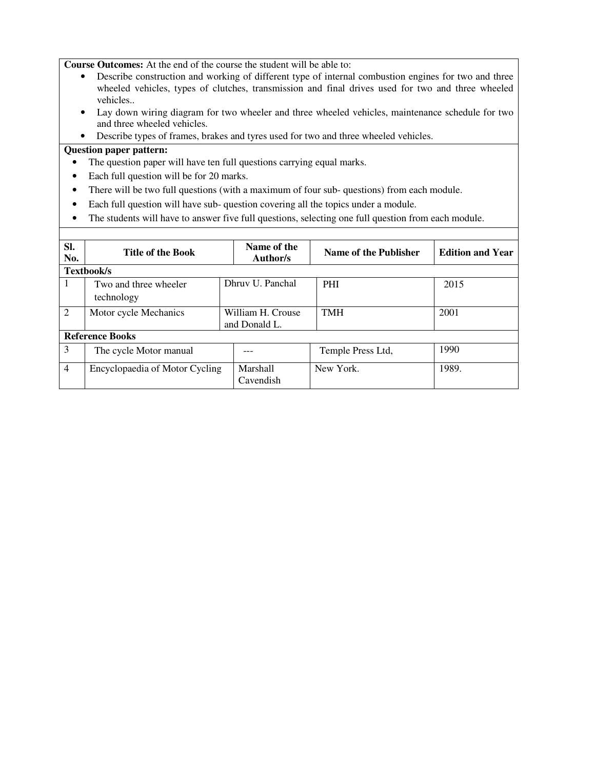**Course Outcomes:** At the end of the course the student will be able to:

- Describe construction and working of different type of internal combustion engines for two and three wheeled vehicles, types of clutches, transmission and final drives used for two and three wheeled vehicles..
- Lay down wiring diagram for two wheeler and three wheeled vehicles, maintenance schedule for two and three wheeled vehicles.
- Describe types of frames, brakes and tyres used for two and three wheeled vehicles.

- The question paper will have ten full questions carrying equal marks.
- Each full question will be for 20 marks.
- There will be two full questions (with a maximum of four sub- questions) from each module.
- Each full question will have sub- question covering all the topics under a module.
- The students will have to answer five full questions, selecting one full question from each module.

| SI.<br>No.     | <b>Title of the Book</b>            |  | Name of the<br>Author/s            | Name of the Publisher | <b>Edition and Year</b> |  |
|----------------|-------------------------------------|--|------------------------------------|-----------------------|-------------------------|--|
|                | Textbook/s                          |  |                                    |                       |                         |  |
| I.             | Two and three wheeler<br>technology |  | Dhruy U. Panchal                   | <b>PHI</b>            | 2015                    |  |
| $\overline{2}$ | Motor cycle Mechanics               |  | William H. Crouse<br>and Donald L. | <b>TMH</b>            | 2001                    |  |
|                | <b>Reference Books</b>              |  |                                    |                       |                         |  |
| 3              | The cycle Motor manual              |  |                                    | Temple Press Ltd,     | 1990                    |  |
| $\overline{4}$ | Encyclopaedia of Motor Cycling      |  | Marshall<br>Cavendish              | New York.             | 1989.                   |  |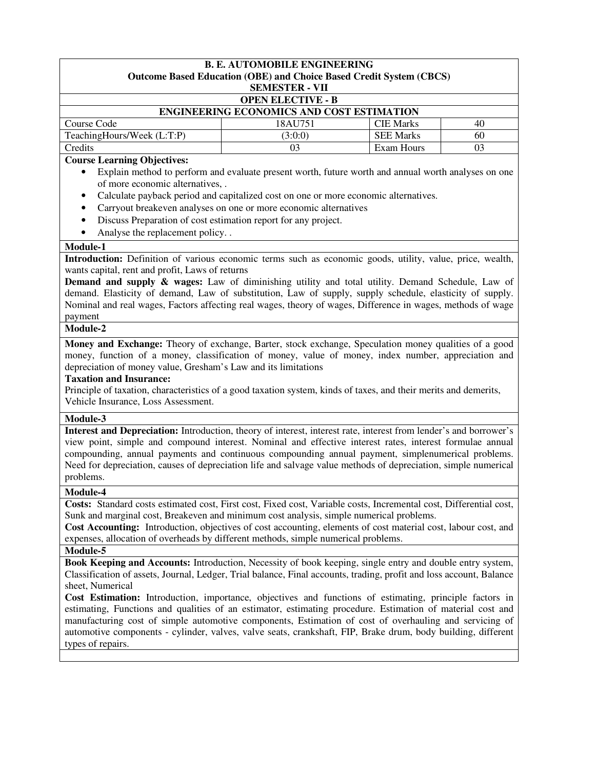| <b>OPEN ELECTIVE - B</b><br><b>ENGINEERING ECONOMICS AND COST ESTIMATION</b><br>Course Code<br>18AU751<br><b>CIE Marks</b><br>40<br>TeachingHours/Week (L:T:P)<br><b>SEE Marks</b><br>(3:0:0)<br>60<br>03<br>Exam Hours<br>Credits<br>03<br><b>Course Learning Objectives:</b><br>of more economic alternatives, .<br>Calculate payback period and capitalized cost on one or more economic alternatives.<br>٠<br>Carryout breakeven analyses on one or more economic alternatives<br>$\bullet$<br>Discuss Preparation of cost estimation report for any project.<br>$\bullet$<br>Analyse the replacement policy. .<br>Module-1<br>wants capital, rent and profit, Laws of returns<br>payment<br>Module-2<br>depreciation of money value, Gresham's Law and its limitations<br><b>Taxation and Insurance:</b><br>Principle of taxation, characteristics of a good taxation system, kinds of taxes, and their merits and demerits,<br>Vehicle Insurance, Loss Assessment.<br>Module-3<br>problems.<br>Module-4<br>Costs: Standard costs estimated cost, First cost, Fixed cost, Variable costs, Incremental cost, Differential cost,<br>Sunk and marginal cost, Breakeven and minimum cost analysis, simple numerical problems.<br>Cost Accounting: Introduction, objectives of cost accounting, elements of cost material cost, labour cost, and<br>expenses, allocation of overheads by different methods, simple numerical problems.<br>Module-5<br>Book Keeping and Accounts: Introduction, Necessity of book keeping, single entry and double entry system,<br>Classification of assets, Journal, Ledger, Trial balance, Final accounts, trading, profit and loss account, Balance<br>sheet, Numerical<br>Cost Estimation: Introduction, importance, objectives and functions of estimating, principle factors in<br>estimating, Functions and qualities of an estimator, estimating procedure. Estimation of material cost and<br>manufacturing cost of simple automotive components, Estimation of cost of overhauling and servicing of<br>automotive components - cylinder, valves, valve seats, crankshaft, FIP, Brake drum, body building, different | <b>B. E. AUTOMOBILE ENGINEERING</b><br><b>Outcome Based Education (OBE) and Choice Based Credit System (CBCS)</b>                                                                                                                                                                                                                                                                                                                                                                                                                                                                                                                                                                                                                                                          |  |  |  |  |  |
|---------------------------------------------------------------------------------------------------------------------------------------------------------------------------------------------------------------------------------------------------------------------------------------------------------------------------------------------------------------------------------------------------------------------------------------------------------------------------------------------------------------------------------------------------------------------------------------------------------------------------------------------------------------------------------------------------------------------------------------------------------------------------------------------------------------------------------------------------------------------------------------------------------------------------------------------------------------------------------------------------------------------------------------------------------------------------------------------------------------------------------------------------------------------------------------------------------------------------------------------------------------------------------------------------------------------------------------------------------------------------------------------------------------------------------------------------------------------------------------------------------------------------------------------------------------------------------------------------------------------------------------------------------------------------------------------------------------------------------------------------------------------------------------------------------------------------------------------------------------------------------------------------------------------------------------------------------------------------------------------------------------------------------------------------------------------------------------------------------------------------------------------------------------|----------------------------------------------------------------------------------------------------------------------------------------------------------------------------------------------------------------------------------------------------------------------------------------------------------------------------------------------------------------------------------------------------------------------------------------------------------------------------------------------------------------------------------------------------------------------------------------------------------------------------------------------------------------------------------------------------------------------------------------------------------------------------|--|--|--|--|--|
|                                                                                                                                                                                                                                                                                                                                                                                                                                                                                                                                                                                                                                                                                                                                                                                                                                                                                                                                                                                                                                                                                                                                                                                                                                                                                                                                                                                                                                                                                                                                                                                                                                                                                                                                                                                                                                                                                                                                                                                                                                                                                                                                                               | <b>SEMESTER - VII</b>                                                                                                                                                                                                                                                                                                                                                                                                                                                                                                                                                                                                                                                                                                                                                      |  |  |  |  |  |
|                                                                                                                                                                                                                                                                                                                                                                                                                                                                                                                                                                                                                                                                                                                                                                                                                                                                                                                                                                                                                                                                                                                                                                                                                                                                                                                                                                                                                                                                                                                                                                                                                                                                                                                                                                                                                                                                                                                                                                                                                                                                                                                                                               |                                                                                                                                                                                                                                                                                                                                                                                                                                                                                                                                                                                                                                                                                                                                                                            |  |  |  |  |  |
|                                                                                                                                                                                                                                                                                                                                                                                                                                                                                                                                                                                                                                                                                                                                                                                                                                                                                                                                                                                                                                                                                                                                                                                                                                                                                                                                                                                                                                                                                                                                                                                                                                                                                                                                                                                                                                                                                                                                                                                                                                                                                                                                                               |                                                                                                                                                                                                                                                                                                                                                                                                                                                                                                                                                                                                                                                                                                                                                                            |  |  |  |  |  |
|                                                                                                                                                                                                                                                                                                                                                                                                                                                                                                                                                                                                                                                                                                                                                                                                                                                                                                                                                                                                                                                                                                                                                                                                                                                                                                                                                                                                                                                                                                                                                                                                                                                                                                                                                                                                                                                                                                                                                                                                                                                                                                                                                               |                                                                                                                                                                                                                                                                                                                                                                                                                                                                                                                                                                                                                                                                                                                                                                            |  |  |  |  |  |
|                                                                                                                                                                                                                                                                                                                                                                                                                                                                                                                                                                                                                                                                                                                                                                                                                                                                                                                                                                                                                                                                                                                                                                                                                                                                                                                                                                                                                                                                                                                                                                                                                                                                                                                                                                                                                                                                                                                                                                                                                                                                                                                                                               |                                                                                                                                                                                                                                                                                                                                                                                                                                                                                                                                                                                                                                                                                                                                                                            |  |  |  |  |  |
|                                                                                                                                                                                                                                                                                                                                                                                                                                                                                                                                                                                                                                                                                                                                                                                                                                                                                                                                                                                                                                                                                                                                                                                                                                                                                                                                                                                                                                                                                                                                                                                                                                                                                                                                                                                                                                                                                                                                                                                                                                                                                                                                                               |                                                                                                                                                                                                                                                                                                                                                                                                                                                                                                                                                                                                                                                                                                                                                                            |  |  |  |  |  |
|                                                                                                                                                                                                                                                                                                                                                                                                                                                                                                                                                                                                                                                                                                                                                                                                                                                                                                                                                                                                                                                                                                                                                                                                                                                                                                                                                                                                                                                                                                                                                                                                                                                                                                                                                                                                                                                                                                                                                                                                                                                                                                                                                               | Explain method to perform and evaluate present worth, future worth and annual worth analyses on one<br>Introduction: Definition of various economic terms such as economic goods, utility, value, price, wealth,<br><b>Demand and supply &amp; wages:</b> Law of diminishing utility and total utility. Demand Schedule, Law of<br>demand. Elasticity of demand, Law of substitution, Law of supply, supply schedule, elasticity of supply.<br>Nominal and real wages, Factors affecting real wages, theory of wages, Difference in wages, methods of wage<br>Money and Exchange: Theory of exchange, Barter, stock exchange, Speculation money qualities of a good<br>money, function of a money, classification of money, value of money, index number, appreciation and |  |  |  |  |  |
|                                                                                                                                                                                                                                                                                                                                                                                                                                                                                                                                                                                                                                                                                                                                                                                                                                                                                                                                                                                                                                                                                                                                                                                                                                                                                                                                                                                                                                                                                                                                                                                                                                                                                                                                                                                                                                                                                                                                                                                                                                                                                                                                                               |                                                                                                                                                                                                                                                                                                                                                                                                                                                                                                                                                                                                                                                                                                                                                                            |  |  |  |  |  |
|                                                                                                                                                                                                                                                                                                                                                                                                                                                                                                                                                                                                                                                                                                                                                                                                                                                                                                                                                                                                                                                                                                                                                                                                                                                                                                                                                                                                                                                                                                                                                                                                                                                                                                                                                                                                                                                                                                                                                                                                                                                                                                                                                               | Interest and Depreciation: Introduction, theory of interest, interest rate, interest from lender's and borrower's<br>view point, simple and compound interest. Nominal and effective interest rates, interest formulae annual<br>compounding, annual payments and continuous compounding annual payment, simplenumerical problems.<br>Need for depreciation, causes of depreciation life and salvage value methods of depreciation, simple numerical                                                                                                                                                                                                                                                                                                                       |  |  |  |  |  |
|                                                                                                                                                                                                                                                                                                                                                                                                                                                                                                                                                                                                                                                                                                                                                                                                                                                                                                                                                                                                                                                                                                                                                                                                                                                                                                                                                                                                                                                                                                                                                                                                                                                                                                                                                                                                                                                                                                                                                                                                                                                                                                                                                               |                                                                                                                                                                                                                                                                                                                                                                                                                                                                                                                                                                                                                                                                                                                                                                            |  |  |  |  |  |
| types of repairs.                                                                                                                                                                                                                                                                                                                                                                                                                                                                                                                                                                                                                                                                                                                                                                                                                                                                                                                                                                                                                                                                                                                                                                                                                                                                                                                                                                                                                                                                                                                                                                                                                                                                                                                                                                                                                                                                                                                                                                                                                                                                                                                                             |                                                                                                                                                                                                                                                                                                                                                                                                                                                                                                                                                                                                                                                                                                                                                                            |  |  |  |  |  |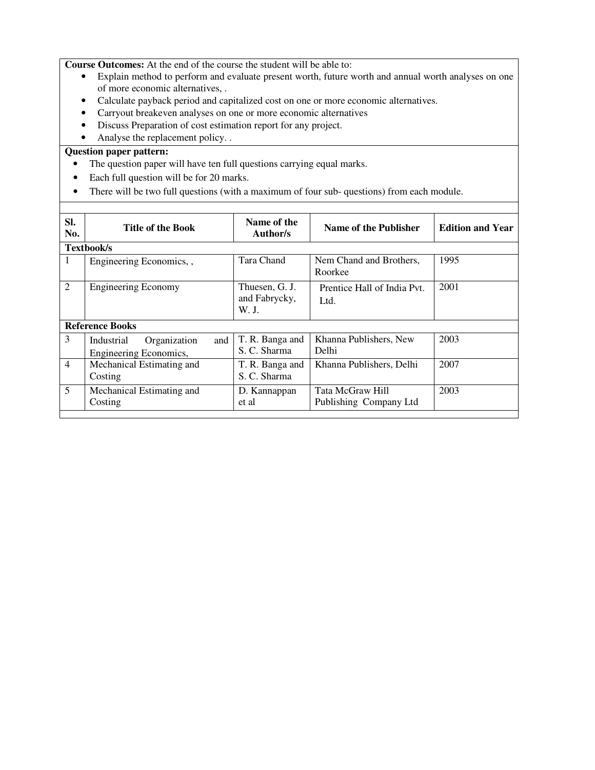**Course Outcomes:** At the end of the course the student will be able to:

- Explain method to perform and evaluate present worth, future worth and annual worth analyses on one of more economic alternatives, .
- Calculate payback period and capitalized cost on one or more economic alternatives.
- Carryout breakeven analyses on one or more economic alternatives
- Discuss Preparation of cost estimation report for any project.
- Analyse the replacement policy. .

- The question paper will have ten full questions carrying equal marks.
- Each full question will be for 20 marks.
- There will be two full questions (with a maximum of four sub-questions) from each module.

| SI.<br>No.     | <b>Title of the Book</b>                                    | Name of the<br>Author/s                  | Name of the Publisher                      | <b>Edition and Year</b> |  |  |
|----------------|-------------------------------------------------------------|------------------------------------------|--------------------------------------------|-------------------------|--|--|
|                | Textbook/s                                                  |                                          |                                            |                         |  |  |
| 1              | Engineering Economics,,                                     | Tara Chand                               | Nem Chand and Brothers,<br>Roorkee         | 1995                    |  |  |
| $\overline{2}$ | <b>Engineering Economy</b>                                  | Thuesen, G. J.<br>and Fabrycky,<br>W. J. | Prentice Hall of India Pvt.<br>Ltd.        | 2001                    |  |  |
|                | <b>Reference Books</b>                                      |                                          |                                            |                         |  |  |
| 3              | Organization<br>and<br>Industrial<br>Engineering Economics, | T. R. Banga and<br>S. C. Sharma          | Khanna Publishers, New<br>Delhi            | 2003                    |  |  |
| $\overline{4}$ | Mechanical Estimating and<br>Costing                        | T. R. Banga and<br>S. C. Sharma          | Khanna Publishers, Delhi                   | 2007                    |  |  |
| 5              | Mechanical Estimating and<br>Costing                        | D. Kannappan<br>et al                    | Tata McGraw Hill<br>Publishing Company Ltd | 2003                    |  |  |
|                |                                                             |                                          |                                            |                         |  |  |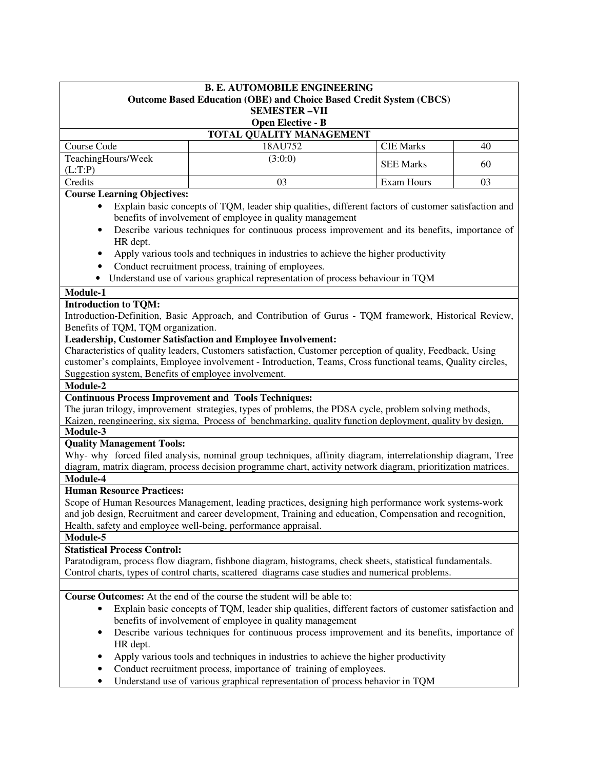| <b>B. E. AUTOMOBILE ENGINEERING</b><br><b>Outcome Based Education (OBE) and Choice Based Credit System (CBCS)</b><br><b>SEMESTER-VII</b><br><b>Open Elective - B</b>                                                                                 |                                                                                                                                                                                                                                                                                                                                                                                                                                                                                                                                                                                                                                                                                                                                                                                                                                                             |                  |    |  |  |
|------------------------------------------------------------------------------------------------------------------------------------------------------------------------------------------------------------------------------------------------------|-------------------------------------------------------------------------------------------------------------------------------------------------------------------------------------------------------------------------------------------------------------------------------------------------------------------------------------------------------------------------------------------------------------------------------------------------------------------------------------------------------------------------------------------------------------------------------------------------------------------------------------------------------------------------------------------------------------------------------------------------------------------------------------------------------------------------------------------------------------|------------------|----|--|--|
| TOTAL QUALITY MANAGEMENT                                                                                                                                                                                                                             |                                                                                                                                                                                                                                                                                                                                                                                                                                                                                                                                                                                                                                                                                                                                                                                                                                                             |                  |    |  |  |
| Course Code                                                                                                                                                                                                                                          | 18AU752                                                                                                                                                                                                                                                                                                                                                                                                                                                                                                                                                                                                                                                                                                                                                                                                                                                     | <b>CIE Marks</b> | 40 |  |  |
| TeachingHours/Week<br>(L:T:P)                                                                                                                                                                                                                        | (3:0:0)                                                                                                                                                                                                                                                                                                                                                                                                                                                                                                                                                                                                                                                                                                                                                                                                                                                     | <b>SEE Marks</b> | 60 |  |  |
| Credits                                                                                                                                                                                                                                              | 03                                                                                                                                                                                                                                                                                                                                                                                                                                                                                                                                                                                                                                                                                                                                                                                                                                                          | Exam Hours       | 03 |  |  |
| <b>Course Learning Objectives:</b>                                                                                                                                                                                                                   |                                                                                                                                                                                                                                                                                                                                                                                                                                                                                                                                                                                                                                                                                                                                                                                                                                                             |                  |    |  |  |
| $\bullet$<br>٠<br>HR dept.<br>٠<br>٠<br>$\bullet$                                                                                                                                                                                                    | Explain basic concepts of TQM, leader ship qualities, different factors of customer satisfaction and<br>benefits of involvement of employee in quality management<br>Describe various techniques for continuous process improvement and its benefits, importance of<br>Apply various tools and techniques in industries to achieve the higher productivity<br>Conduct recruitment process, training of employees.<br>Understand use of various graphical representation of process behaviour in TQM                                                                                                                                                                                                                                                                                                                                                         |                  |    |  |  |
| Module-1                                                                                                                                                                                                                                             |                                                                                                                                                                                                                                                                                                                                                                                                                                                                                                                                                                                                                                                                                                                                                                                                                                                             |                  |    |  |  |
| <b>Introduction to TQM:</b><br>Benefits of TQM, TQM organization.<br>Suggestion system, Benefits of employee involvement.<br>Module-2<br><b>Continuous Process Improvement and Tools Techniques:</b><br>Module-3<br><b>Quality Management Tools:</b> | Introduction-Definition, Basic Approach, and Contribution of Gurus - TQM framework, Historical Review,<br>Leadership, Customer Satisfaction and Employee Involvement:<br>Characteristics of quality leaders, Customers satisfaction, Customer perception of quality, Feedback, Using<br>customer's complaints, Employee involvement - Introduction, Teams, Cross functional teams, Quality circles,<br>The juran trilogy, improvement strategies, types of problems, the PDSA cycle, problem solving methods,<br>Kaizen, reengineering, six sigma, Process of benchmarking, quality function deployment, quality by design,<br>Why- why forced filed analysis, nominal group techniques, affinity diagram, interrelationship diagram, Tree<br>diagram, matrix diagram, process decision programme chart, activity network diagram, prioritization matrices. |                  |    |  |  |
| Module-4<br><b>Human Resource Practices:</b><br>Module-5<br><b>Statistical Process Control:</b>                                                                                                                                                      | Scope of Human Resources Management, leading practices, designing high performance work systems-work<br>and job design, Recruitment and career development, Training and education, Compensation and recognition,<br>Health, safety and employee well-being, performance appraisal.<br>Paratodigram, process flow diagram, fishbone diagram, histograms, check sheets, statistical fundamentals.<br>Control charts, types of control charts, scattered diagrams case studies and numerical problems.                                                                                                                                                                                                                                                                                                                                                        |                  |    |  |  |
| $\bullet$<br>٠<br>HR dept.<br>$\bullet$<br>٠<br>$\bullet$                                                                                                                                                                                            | Course Outcomes: At the end of the course the student will be able to:<br>Explain basic concepts of TQM, leader ship qualities, different factors of customer satisfaction and<br>benefits of involvement of employee in quality management<br>Describe various techniques for continuous process improvement and its benefits, importance of<br>Apply various tools and techniques in industries to achieve the higher productivity<br>Conduct recruitment process, importance of training of employees.<br>Understand use of various graphical representation of process behavior in TQM                                                                                                                                                                                                                                                                  |                  |    |  |  |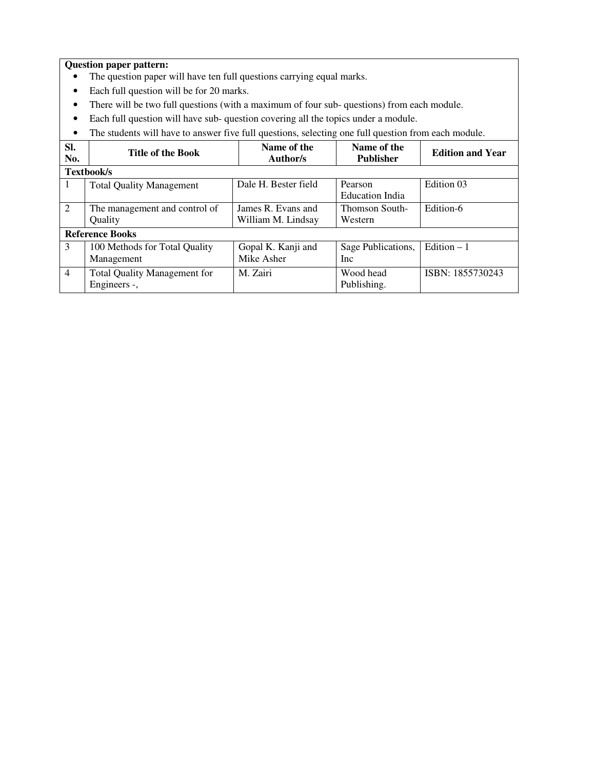- The question paper will have ten full questions carrying equal marks.
- Each full question will be for 20 marks.
- There will be two full questions (with a maximum of four sub- questions) from each module.
- Each full question will have sub- question covering all the topics under a module.
- The students will have to answer five full questions, selecting one full question from each module.

| SI.<br>No.     | <b>Title of the Book</b>                            | Name of the<br>Author/s                  | Name of the<br><b>Publisher</b>   | <b>Edition and Year</b> |  |
|----------------|-----------------------------------------------------|------------------------------------------|-----------------------------------|-------------------------|--|
|                | <b>Textbook/s</b>                                   |                                          |                                   |                         |  |
| Ι.             | <b>Total Quality Management</b>                     | Dale H. Bester field                     | Pearson<br><b>Education India</b> | Edition 03              |  |
| 2              | The management and control of<br>Quality            | James R. Evans and<br>William M. Lindsay | <b>Thomson South-</b><br>Western  | Edition-6               |  |
|                | <b>Reference Books</b>                              |                                          |                                   |                         |  |
| 3              | 100 Methods for Total Quality<br>Management         | Gopal K. Kanji and<br>Mike Asher         | Sage Publications,<br><b>Inc</b>  | Edition $-1$            |  |
| $\overline{4}$ | <b>Total Quality Management for</b><br>Engineers -, | M. Zairi                                 | Wood head<br>Publishing.          | ISBN: 1855730243        |  |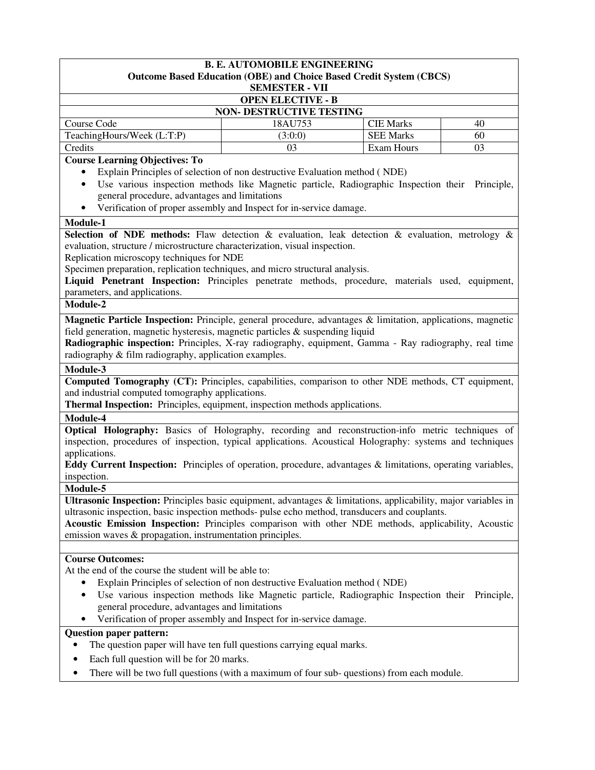| <b>B. E. AUTOMOBILE ENGINEERING</b><br><b>Outcome Based Education (OBE) and Choice Based Credit System (CBCS)</b>                                                                                                                                                                                                                                                                    |                                                                                                                                                                    |                  |            |  |
|--------------------------------------------------------------------------------------------------------------------------------------------------------------------------------------------------------------------------------------------------------------------------------------------------------------------------------------------------------------------------------------|--------------------------------------------------------------------------------------------------------------------------------------------------------------------|------------------|------------|--|
| <b>SEMESTER - VII</b>                                                                                                                                                                                                                                                                                                                                                                |                                                                                                                                                                    |                  |            |  |
|                                                                                                                                                                                                                                                                                                                                                                                      | <b>OPEN ELECTIVE - B</b>                                                                                                                                           |                  |            |  |
|                                                                                                                                                                                                                                                                                                                                                                                      | <b>NON- DESTRUCTIVE TESTING</b>                                                                                                                                    |                  |            |  |
| Course Code                                                                                                                                                                                                                                                                                                                                                                          | 18AU753                                                                                                                                                            | <b>CIE Marks</b> | 40         |  |
| TeachingHours/Week (L:T:P)                                                                                                                                                                                                                                                                                                                                                           | (3:0:0)                                                                                                                                                            | <b>SEE Marks</b> | 60         |  |
| Credits                                                                                                                                                                                                                                                                                                                                                                              | 03                                                                                                                                                                 | Exam Hours       | 03         |  |
| <b>Course Learning Objectives: To</b>                                                                                                                                                                                                                                                                                                                                                |                                                                                                                                                                    |                  |            |  |
|                                                                                                                                                                                                                                                                                                                                                                                      | Explain Principles of selection of non destructive Evaluation method (NDE)<br>Use various inspection methods like Magnetic particle, Radiographic Inspection their |                  |            |  |
| ٠<br>general procedure, advantages and limitations                                                                                                                                                                                                                                                                                                                                   |                                                                                                                                                                    |                  | Principle, |  |
|                                                                                                                                                                                                                                                                                                                                                                                      | Verification of proper assembly and Inspect for in-service damage.                                                                                                 |                  |            |  |
|                                                                                                                                                                                                                                                                                                                                                                                      |                                                                                                                                                                    |                  |            |  |
| Module-1<br><b>Selection of NDE methods:</b> Flaw detection & evaluation, leak detection & evaluation, metrology &                                                                                                                                                                                                                                                                   |                                                                                                                                                                    |                  |            |  |
| evaluation, structure / microstructure characterization, visual inspection.                                                                                                                                                                                                                                                                                                          |                                                                                                                                                                    |                  |            |  |
| Replication microscopy techniques for NDE                                                                                                                                                                                                                                                                                                                                            |                                                                                                                                                                    |                  |            |  |
| Specimen preparation, replication techniques, and micro structural analysis.                                                                                                                                                                                                                                                                                                         |                                                                                                                                                                    |                  |            |  |
| Liquid Penetrant Inspection: Principles penetrate methods, procedure, materials used, equipment,                                                                                                                                                                                                                                                                                     |                                                                                                                                                                    |                  |            |  |
| parameters, and applications.                                                                                                                                                                                                                                                                                                                                                        |                                                                                                                                                                    |                  |            |  |
| Module-2                                                                                                                                                                                                                                                                                                                                                                             |                                                                                                                                                                    |                  |            |  |
| Magnetic Particle Inspection: Principle, general procedure, advantages & limitation, applications, magnetic<br>field generation, magnetic hysteresis, magnetic particles & suspending liquid<br>Radiographic inspection: Principles, X-ray radiography, equipment, Gamma - Ray radiography, real time<br>radiography & film radiography, application examples.                       |                                                                                                                                                                    |                  |            |  |
| Module-3                                                                                                                                                                                                                                                                                                                                                                             |                                                                                                                                                                    |                  |            |  |
| Computed Tomography (CT): Principles, capabilities, comparison to other NDE methods, CT equipment,<br>and industrial computed tomography applications.<br>Thermal Inspection: Principles, equipment, inspection methods applications.                                                                                                                                                |                                                                                                                                                                    |                  |            |  |
| Module-4                                                                                                                                                                                                                                                                                                                                                                             |                                                                                                                                                                    |                  |            |  |
| <b>Optical Holography:</b> Basics of Holography, recording and reconstruction-info metric techniques of                                                                                                                                                                                                                                                                              |                                                                                                                                                                    |                  |            |  |
| inspection, procedures of inspection, typical applications. Acoustical Holography: systems and techniques                                                                                                                                                                                                                                                                            |                                                                                                                                                                    |                  |            |  |
| applications.                                                                                                                                                                                                                                                                                                                                                                        |                                                                                                                                                                    |                  |            |  |
| <b>Eddy Current Inspection:</b> Principles of operation, procedure, advantages & limitations, operating variables,                                                                                                                                                                                                                                                                   |                                                                                                                                                                    |                  |            |  |
| inspection.                                                                                                                                                                                                                                                                                                                                                                          |                                                                                                                                                                    |                  |            |  |
| Module-5                                                                                                                                                                                                                                                                                                                                                                             |                                                                                                                                                                    |                  |            |  |
| Ultrasonic Inspection: Principles basic equipment, advantages & limitations, applicability, major variables in<br>ultrasonic inspection, basic inspection methods- pulse echo method, transducers and couplants.<br>Acoustic Emission Inspection: Principles comparison with other NDE methods, applicability, Acoustic<br>emission waves & propagation, instrumentation principles. |                                                                                                                                                                    |                  |            |  |
|                                                                                                                                                                                                                                                                                                                                                                                      |                                                                                                                                                                    |                  |            |  |
| <b>Course Outcomes:</b>                                                                                                                                                                                                                                                                                                                                                              |                                                                                                                                                                    |                  |            |  |
| At the end of the course the student will be able to:                                                                                                                                                                                                                                                                                                                                |                                                                                                                                                                    |                  |            |  |
| Explain Principles of selection of non destructive Evaluation method (NDE)                                                                                                                                                                                                                                                                                                           |                                                                                                                                                                    |                  |            |  |
| $\bullet$<br>general procedure, advantages and limitations                                                                                                                                                                                                                                                                                                                           | Use various inspection methods like Magnetic particle, Radiographic Inspection their Principle,                                                                    |                  |            |  |
|                                                                                                                                                                                                                                                                                                                                                                                      | Verification of proper assembly and Inspect for in-service damage.                                                                                                 |                  |            |  |
| <b>Question paper pattern:</b>                                                                                                                                                                                                                                                                                                                                                       |                                                                                                                                                                    |                  |            |  |
|                                                                                                                                                                                                                                                                                                                                                                                      | The question paper will have ten full questions carrying equal marks.                                                                                              |                  |            |  |
| Each full question will be for 20 marks.<br>$\bullet$                                                                                                                                                                                                                                                                                                                                |                                                                                                                                                                    |                  |            |  |
| ٠                                                                                                                                                                                                                                                                                                                                                                                    | There will be two full questions (with a maximum of four sub- questions) from each module.                                                                         |                  |            |  |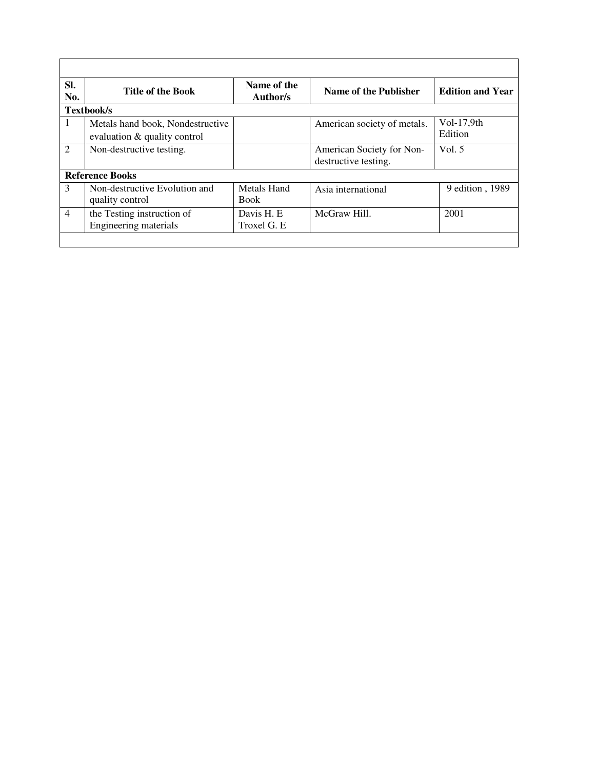| SI.<br>No.     | <b>Title of the Book</b>                                         | Name of the<br>Author/s    | Name of the Publisher                             | <b>Edition and Year</b> |
|----------------|------------------------------------------------------------------|----------------------------|---------------------------------------------------|-------------------------|
|                | Textbook/s                                                       |                            |                                                   |                         |
| $\mathbf{1}$   | Metals hand book, Nondestructive<br>evaluation & quality control |                            | American society of metals.                       | $Vol-17,9th$<br>Edition |
| 2              | Non-destructive testing.                                         |                            | American Society for Non-<br>destructive testing. | Vol. $5$                |
|                | <b>Reference Books</b>                                           |                            |                                                   |                         |
| 3              | Non-destructive Evolution and<br>quality control                 | Metals Hand<br><b>Book</b> | Asia international                                | 9 edition, 1989         |
| $\overline{4}$ | the Testing instruction of<br>Engineering materials              | Davis H. E.<br>Troxel G. E | McGraw Hill.                                      | 2001                    |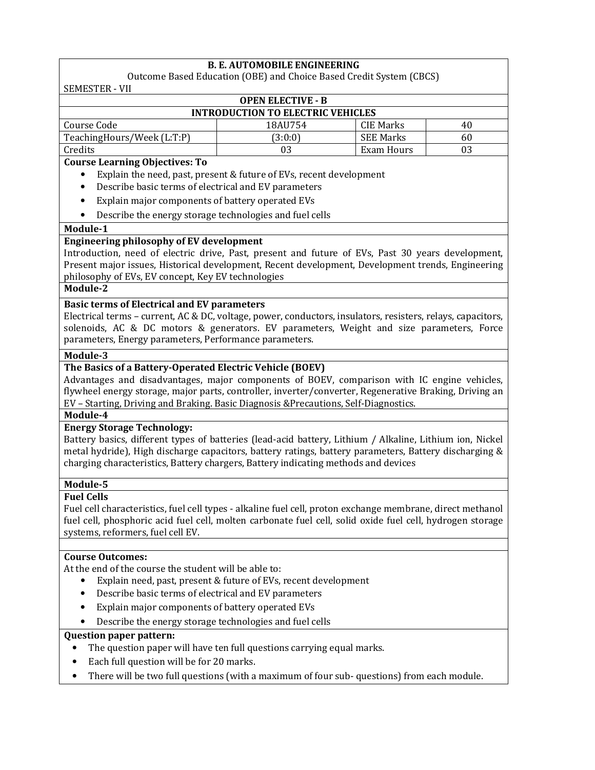# **B. E. AUTOMOBILE ENGINEERING**

Outcome Based Education (OBE) and Choice Based Credit System (CBCS) SEMESTER - VII

| <b>OPEN ELECTIVE - B</b>                 |         |            |    |  |  |
|------------------------------------------|---------|------------|----|--|--|
| <b>INTRODUCTION TO ELECTRIC VEHICLES</b> |         |            |    |  |  |
| Course Code                              | 18AU754 | CIE Marks  | 40 |  |  |
| TeachingHours/Week (L:T:P)               | (3:0:0) | SEE Marks  | 60 |  |  |
| Credits                                  | 03      | Exam Hours | 03 |  |  |
|                                          |         |            |    |  |  |

### **Course Learning Objectives: To**

- Explain the need, past, present & future of EVs, recent development
- Describe basic terms of electrical and EV parameters
- Explain major components of battery operated EVs
- Describe the energy storage technologies and fuel cells

### **Module-1**

## **Engineering philosophy of EV development**

Introduction, need of electric drive, Past, present and future of EVs, Past 30 years development, Present major issues, Historical development, Recent development, Development trends, Engineering philosophy of EVs, EV concept, Key EV technologies

## **Module-2**

## **Basic terms of Electrical and EV parameters**

Electrical terms – current, AC & DC, voltage, power, conductors, insulators, resisters, relays, capacitors, solenoids, AC & DC motors & generators. EV parameters, Weight and size parameters, Force parameters, Energy parameters, Performance parameters.

## **Module-3**

## **The Basics of a Battery-Operated Electric Vehicle (BOEV)**

Advantages and disadvantages, major components of BOEV, comparison with IC engine vehicles, flywheel energy storage, major parts, controller, inverter/converter, Regenerative Braking, Driving an EV – Starting, Driving and Braking. Basic Diagnosis &Precautions, Self-Diagnostics.

#### **Module-4**

## **Energy Storage Technology:**

Battery basics, different types of batteries (lead-acid battery, Lithium / Alkaline, Lithium ion, Nickel metal hydride), High discharge capacitors, battery ratings, battery parameters, Battery discharging & charging characteristics, Battery chargers, Battery indicating methods and devices

# **Module-5**

## **Fuel Cells**

Fuel cell characteristics, fuel cell types - alkaline fuel cell, proton exchange membrane, direct methanol fuel cell, phosphoric acid fuel cell, molten carbonate fuel cell, solid oxide fuel cell, hydrogen storage systems, reformers, fuel cell EV.

## **Course Outcomes:**

At the end of the course the student will be able to:

- Explain need, past, present & future of EVs, recent development
- Describe basic terms of electrical and EV parameters
- Explain major components of battery operated EVs
- Describe the energy storage technologies and fuel cells

- The question paper will have ten full questions carrying equal marks.
- Each full question will be for 20 marks.
- There will be two full questions (with a maximum of four sub- questions) from each module.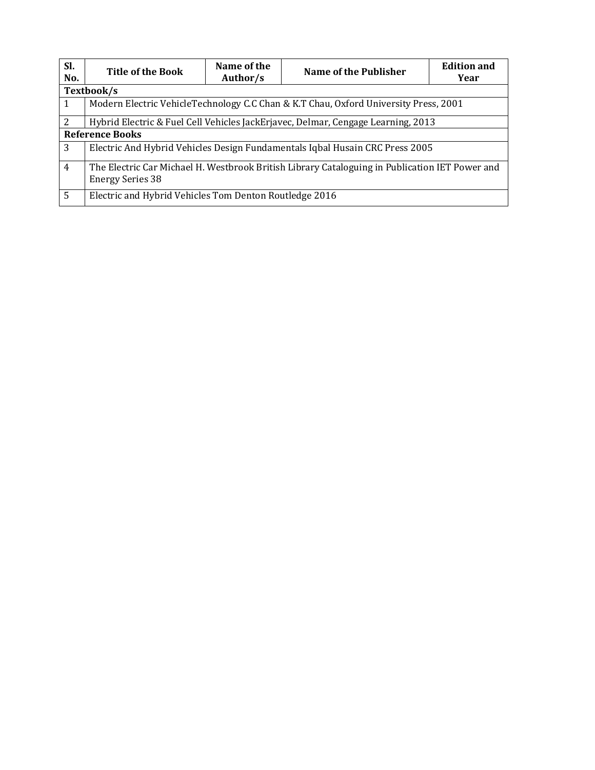| Sl.<br>No.     | <b>Title of the Book</b>                                                                                                  | Name of the<br>Author/s | Name of the Publisher                                                            | <b>Edition and</b><br>Year |  |
|----------------|---------------------------------------------------------------------------------------------------------------------------|-------------------------|----------------------------------------------------------------------------------|----------------------------|--|
|                | Textbook/s                                                                                                                |                         |                                                                                  |                            |  |
|                | Modern Electric VehicleTechnology C.C Chan & K.T Chau, Oxford University Press, 2001                                      |                         |                                                                                  |                            |  |
| 2              |                                                                                                                           |                         | Hybrid Electric & Fuel Cell Vehicles JackErjavec, Delmar, Cengage Learning, 2013 |                            |  |
|                | <b>Reference Books</b>                                                                                                    |                         |                                                                                  |                            |  |
| 3              | Electric And Hybrid Vehicles Design Fundamentals Iqbal Husain CRC Press 2005                                              |                         |                                                                                  |                            |  |
| $\overline{4}$ | The Electric Car Michael H. Westbrook British Library Cataloguing in Publication IET Power and<br><b>Energy Series 38</b> |                         |                                                                                  |                            |  |
| 5              | Electric and Hybrid Vehicles Tom Denton Routledge 2016                                                                    |                         |                                                                                  |                            |  |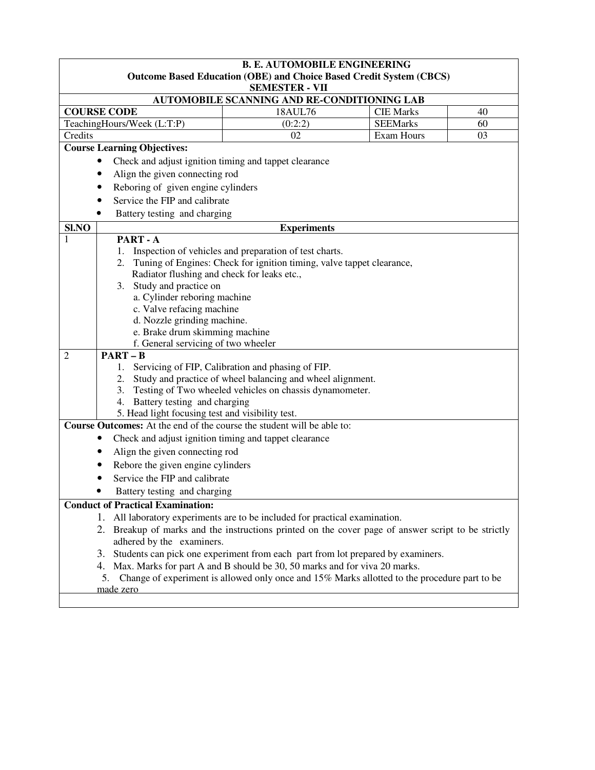| <b>B. E. AUTOMOBILE ENGINEERING</b>                                                                                                                                                                                            |                                                                                                                                 |                  |    |  |  |  |
|--------------------------------------------------------------------------------------------------------------------------------------------------------------------------------------------------------------------------------|---------------------------------------------------------------------------------------------------------------------------------|------------------|----|--|--|--|
|                                                                                                                                                                                                                                | <b>Outcome Based Education (OBE) and Choice Based Credit System (CBCS)</b><br><b>SEMESTER - VII</b>                             |                  |    |  |  |  |
|                                                                                                                                                                                                                                | AUTOMOBILE SCANNING AND RE-CONDITIONING LAB                                                                                     |                  |    |  |  |  |
| <b>COURSE CODE</b>                                                                                                                                                                                                             | 18AUL76                                                                                                                         | <b>CIE Marks</b> | 40 |  |  |  |
| TeachingHours/Week (L:T:P)                                                                                                                                                                                                     | (0:2:2)                                                                                                                         | <b>SEEMarks</b>  | 60 |  |  |  |
| Credits                                                                                                                                                                                                                        | 02                                                                                                                              | Exam Hours       | 03 |  |  |  |
| <b>Course Learning Objectives:</b>                                                                                                                                                                                             |                                                                                                                                 |                  |    |  |  |  |
|                                                                                                                                                                                                                                | Check and adjust ignition timing and tappet clearance                                                                           |                  |    |  |  |  |
|                                                                                                                                                                                                                                | Align the given connecting rod                                                                                                  |                  |    |  |  |  |
| Reboring of given engine cylinders                                                                                                                                                                                             |                                                                                                                                 |                  |    |  |  |  |
| Service the FIP and calibrate                                                                                                                                                                                                  |                                                                                                                                 |                  |    |  |  |  |
| Battery testing and charging                                                                                                                                                                                                   |                                                                                                                                 |                  |    |  |  |  |
| Sl.NO                                                                                                                                                                                                                          | <b>Experiments</b>                                                                                                              |                  |    |  |  |  |
| PART-A<br>1                                                                                                                                                                                                                    |                                                                                                                                 |                  |    |  |  |  |
| 1.                                                                                                                                                                                                                             | Inspection of vehicles and preparation of test charts.                                                                          |                  |    |  |  |  |
| 2.                                                                                                                                                                                                                             | Tuning of Engines: Check for ignition timing, valve tappet clearance,                                                           |                  |    |  |  |  |
| Radiator flushing and check for leaks etc.,                                                                                                                                                                                    |                                                                                                                                 |                  |    |  |  |  |
| 3. Study and practice on<br>a. Cylinder reboring machine                                                                                                                                                                       |                                                                                                                                 |                  |    |  |  |  |
| c. Valve refacing machine                                                                                                                                                                                                      |                                                                                                                                 |                  |    |  |  |  |
| d. Nozzle grinding machine.                                                                                                                                                                                                    |                                                                                                                                 |                  |    |  |  |  |
| e. Brake drum skimming machine                                                                                                                                                                                                 |                                                                                                                                 |                  |    |  |  |  |
| f. General servicing of two wheeler                                                                                                                                                                                            |                                                                                                                                 |                  |    |  |  |  |
| $PART - B$<br>2                                                                                                                                                                                                                |                                                                                                                                 |                  |    |  |  |  |
| 1.                                                                                                                                                                                                                             | Servicing of FIP, Calibration and phasing of FIP.                                                                               |                  |    |  |  |  |
| 2.                                                                                                                                                                                                                             | Study and practice of wheel balancing and wheel alignment.                                                                      |                  |    |  |  |  |
| 3.                                                                                                                                                                                                                             | Testing of Two wheeled vehicles on chassis dynamometer.                                                                         |                  |    |  |  |  |
| Battery testing and charging<br>4.                                                                                                                                                                                             |                                                                                                                                 |                  |    |  |  |  |
| 5. Head light focusing test and visibility test.<br>Course Outcomes: At the end of the course the student will be able to:                                                                                                     |                                                                                                                                 |                  |    |  |  |  |
|                                                                                                                                                                                                                                |                                                                                                                                 |                  |    |  |  |  |
|                                                                                                                                                                                                                                | Check and adjust ignition timing and tappet clearance                                                                           |                  |    |  |  |  |
| Align the given connecting rod                                                                                                                                                                                                 |                                                                                                                                 |                  |    |  |  |  |
| Rebore the given engine cylinders                                                                                                                                                                                              |                                                                                                                                 |                  |    |  |  |  |
| Service the FIP and calibrate                                                                                                                                                                                                  |                                                                                                                                 |                  |    |  |  |  |
| Battery testing and charging                                                                                                                                                                                                   |                                                                                                                                 |                  |    |  |  |  |
| <b>Conduct of Practical Examination:</b>                                                                                                                                                                                       |                                                                                                                                 |                  |    |  |  |  |
|                                                                                                                                                                                                                                | 1. All laboratory experiments are to be included for practical examination.                                                     |                  |    |  |  |  |
|                                                                                                                                                                                                                                | 2. Breakup of marks and the instructions printed on the cover page of answer script to be strictly<br>adhered by the examiners. |                  |    |  |  |  |
|                                                                                                                                                                                                                                | 3. Students can pick one experiment from each part from lot prepared by examiners.                                              |                  |    |  |  |  |
| 4. Max. Marks for part A and B should be 30, 50 marks and for viva 20 marks.                                                                                                                                                   |                                                                                                                                 |                  |    |  |  |  |
|                                                                                                                                                                                                                                | 5. Change of experiment is allowed only once and 15% Marks allotted to the procedure part to be                                 |                  |    |  |  |  |
| made zero de la contrada de la contrada de la contrada de la contrada de la contrada de la contrada de la contrada de la contrada de la contrada de la contrada de la contrada de la contrada de la contrada de la contrada de |                                                                                                                                 |                  |    |  |  |  |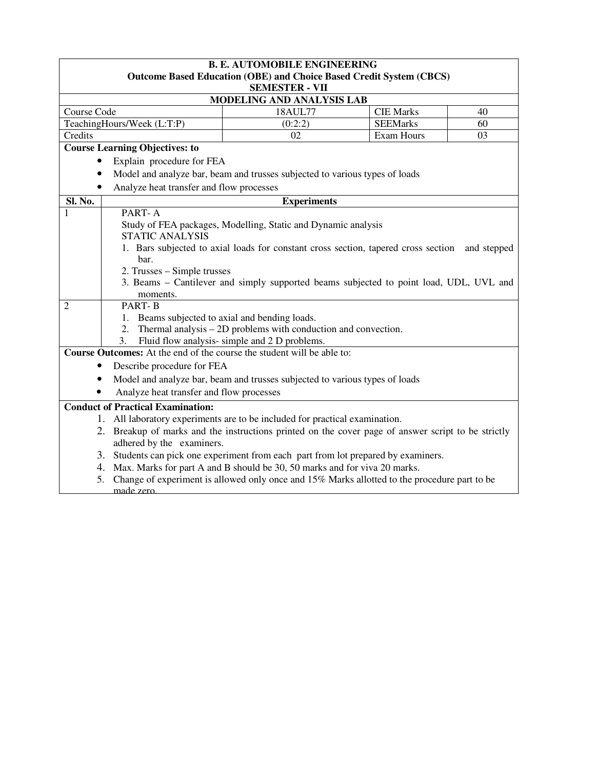|                | <b>B. E. AUTOMOBILE ENGINEERING</b>                                                                 |                                                                                              |                   |                |  |  |
|----------------|-----------------------------------------------------------------------------------------------------|----------------------------------------------------------------------------------------------|-------------------|----------------|--|--|
|                | <b>Outcome Based Education (OBE) and Choice Based Credit System (CBCS)</b><br><b>SEMESTER - VII</b> |                                                                                              |                   |                |  |  |
|                |                                                                                                     | MODELING AND ANALYSIS LAB                                                                    |                   |                |  |  |
| Course Code    |                                                                                                     | 18AUL77                                                                                      | <b>CIE Marks</b>  | 40             |  |  |
|                | TeachingHours/Week (L:T:P)                                                                          | (0:2:2)                                                                                      | <b>SEEMarks</b>   | 60             |  |  |
| Credits        |                                                                                                     | 02                                                                                           | <b>Exam Hours</b> | 0 <sub>3</sub> |  |  |
|                | <b>Course Learning Objectives: to</b>                                                               |                                                                                              |                   |                |  |  |
|                | Explain procedure for FEA                                                                           |                                                                                              |                   |                |  |  |
|                |                                                                                                     | Model and analyze bar, beam and trusses subjected to various types of loads                  |                   |                |  |  |
|                | Analyze heat transfer and flow processes                                                            |                                                                                              |                   |                |  |  |
| Sl. No.        |                                                                                                     | <b>Experiments</b>                                                                           |                   |                |  |  |
| 1              | PART-A                                                                                              |                                                                                              |                   |                |  |  |
|                |                                                                                                     | Study of FEA packages, Modelling, Static and Dynamic analysis                                |                   |                |  |  |
|                | <b>STATIC ANALYSIS</b>                                                                              |                                                                                              |                   |                |  |  |
|                |                                                                                                     | 1. Bars subjected to axial loads for constant cross section, tapered cross section           |                   | and stepped    |  |  |
|                | bar.                                                                                                |                                                                                              |                   |                |  |  |
|                | 2. Trusses – Simple trusses                                                                         |                                                                                              |                   |                |  |  |
|                |                                                                                                     | 3. Beams – Cantilever and simply supported beams subjected to point load, UDL, UVL and       |                   |                |  |  |
|                | moments.                                                                                            |                                                                                              |                   |                |  |  |
| $\overline{c}$ | <b>PART-B</b>                                                                                       |                                                                                              |                   |                |  |  |
|                | 1. Beams subjected to axial and bending loads.                                                      |                                                                                              |                   |                |  |  |
|                | 2.                                                                                                  | Thermal analysis – 2D problems with conduction and convection.                               |                   |                |  |  |
|                | 3.                                                                                                  | Fluid flow analysis- simple and 2 D problems.                                                |                   |                |  |  |
|                |                                                                                                     | Course Outcomes: At the end of the course the student will be able to:                       |                   |                |  |  |
|                | Describe procedure for FEA                                                                          |                                                                                              |                   |                |  |  |
|                |                                                                                                     | Model and analyze bar, beam and trusses subjected to various types of loads                  |                   |                |  |  |
|                | Analyze heat transfer and flow processes                                                            |                                                                                              |                   |                |  |  |
|                | <b>Conduct of Practical Examination:</b>                                                            |                                                                                              |                   |                |  |  |
|                | 1. All laboratory experiments are to be included for practical examination.                         |                                                                                              |                   |                |  |  |
|                | 2. Breakup of marks and the instructions printed on the cover page of answer script to be strictly  |                                                                                              |                   |                |  |  |
|                | adhered by the examiners.                                                                           |                                                                                              |                   |                |  |  |
|                |                                                                                                     | 3. Students can pick one experiment from each part from lot prepared by examiners.           |                   |                |  |  |
|                |                                                                                                     | 4. Max. Marks for part A and B should be 30, 50 marks and for viva 20 marks.                 |                   |                |  |  |
| 5.             |                                                                                                     | Change of experiment is allowed only once and 15% Marks allotted to the procedure part to be |                   |                |  |  |
|                | made zero                                                                                           |                                                                                              |                   |                |  |  |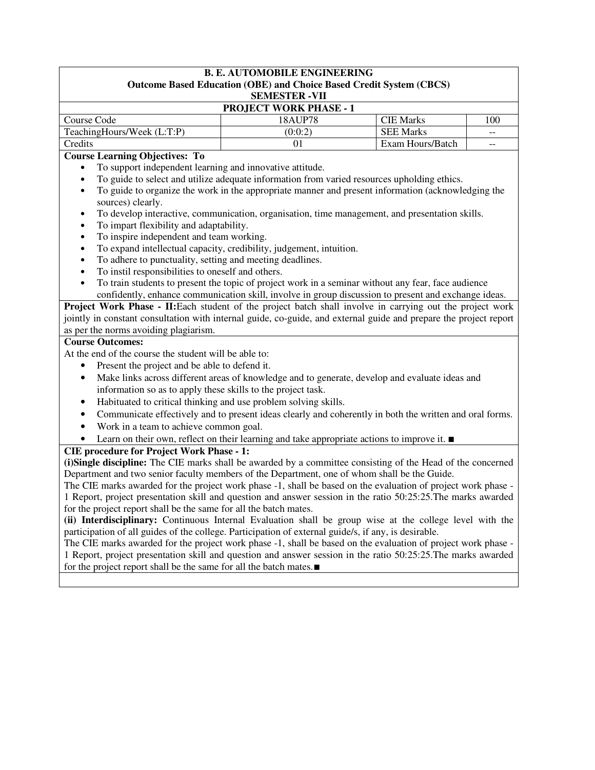#### **B. E. AUTOMOBILE ENGINEERING Outcome Based Education (OBE) and Choice Based Credit System (CBCS) SEMESTER -VII**

| 012111120 1 121N = 1 11       |         |                  |            |  |  |
|-------------------------------|---------|------------------|------------|--|--|
| <b>PROJECT WORK PHASE - 1</b> |         |                  |            |  |  |
| Course Code                   | 18AUP78 | <b>CIE Marks</b> | $100^{-1}$ |  |  |
| TeachingHours/Week (L:T:P)    | (0:0:2) | <b>SEE Marks</b> | $-$        |  |  |
| Credits                       |         | Exam Hours/Batch | $- -$      |  |  |

## **Course Learning Objectives: To**

- To support independent learning and innovative attitude.
- To guide to select and utilize adequate information from varied resources upholding ethics.
- To guide to organize the work in the appropriate manner and present information (acknowledging the sources) clearly.
- To develop interactive, communication, organisation, time management, and presentation skills.
- To impart flexibility and adaptability.
- To inspire independent and team working.
- To expand intellectual capacity, credibility, judgement, intuition.
- To adhere to punctuality, setting and meeting deadlines.
- To instil responsibilities to oneself and others.
- To train students to present the topic of project work in a seminar without any fear, face audience confidently, enhance communication skill, involve in group discussion to present and exchange ideas.

**Project Work Phase - II:**Each student of the project batch shall involve in carrying out the project work jointly in constant consultation with internal guide, co-guide, and external guide and prepare the project report as per the norms avoiding plagiarism.

### **Course Outcomes:**

At the end of the course the student will be able to:

- Present the project and be able to defend it.
- Make links across different areas of knowledge and to generate, develop and evaluate ideas and information so as to apply these skills to the project task.
- Habituated to critical thinking and use problem solving skills.
- Communicate effectively and to present ideas clearly and coherently in both the written and oral forms.
- Work in a team to achieve common goal.
- Learn on their own, reflect on their learning and take appropriate actions to improve it. ■

## **CIE procedure for Project Work Phase - 1:**

**(i)Single discipline:** The CIE marks shall be awarded by a committee consisting of the Head of the concerned Department and two senior faculty members of the Department, one of whom shall be the Guide.

The CIE marks awarded for the project work phase -1, shall be based on the evaluation of project work phase - 1 Report, project presentation skill and question and answer session in the ratio 50:25:25.The marks awarded for the project report shall be the same for all the batch mates.

**(ii) Interdisciplinary:** Continuous Internal Evaluation shall be group wise at the college level with the participation of all guides of the college. Participation of external guide/s, if any, is desirable.

The CIE marks awarded for the project work phase -1, shall be based on the evaluation of project work phase - 1 Report, project presentation skill and question and answer session in the ratio 50:25:25.The marks awarded for the project report shall be the same for all the batch mates.∎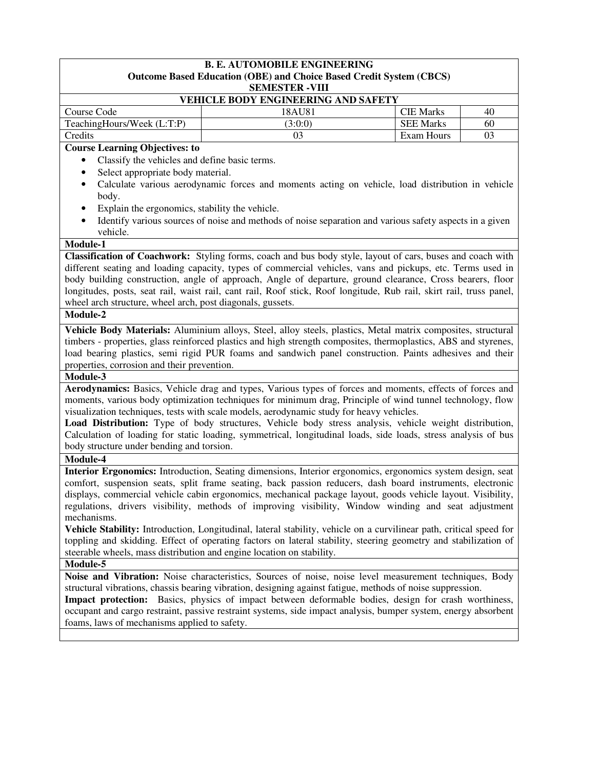| <b>B. E. AUTOMOBILE ENGINEERING</b><br>Outcome Based Education (OBE) and Choice Based Credit System (CBCS)<br><b>SEMESTER -VIII</b> |                                                                                                                                                                                                                      |                  |    |  |  |
|-------------------------------------------------------------------------------------------------------------------------------------|----------------------------------------------------------------------------------------------------------------------------------------------------------------------------------------------------------------------|------------------|----|--|--|
| VEHICLE BODY ENGINEERING AND SAFETY                                                                                                 |                                                                                                                                                                                                                      |                  |    |  |  |
| Course Code                                                                                                                         | 18AU81                                                                                                                                                                                                               | <b>CIE Marks</b> | 40 |  |  |
| TeachingHours/Week (L:T:P)                                                                                                          | (3:0:0)                                                                                                                                                                                                              | <b>SEE Marks</b> | 60 |  |  |
| Credits                                                                                                                             | 03                                                                                                                                                                                                                   | Exam Hours       | 03 |  |  |
| <b>Course Learning Objectives: to</b>                                                                                               |                                                                                                                                                                                                                      |                  |    |  |  |
| Classify the vehicles and define basic terms.<br>$\bullet$                                                                          |                                                                                                                                                                                                                      |                  |    |  |  |
| Select appropriate body material.<br>$\bullet$                                                                                      |                                                                                                                                                                                                                      |                  |    |  |  |
| $\bullet$<br>body.                                                                                                                  | Calculate various aerodynamic forces and moments acting on vehicle, load distribution in vehicle                                                                                                                     |                  |    |  |  |
| Explain the ergonomics, stability the vehicle.<br>$\bullet$                                                                         |                                                                                                                                                                                                                      |                  |    |  |  |
| $\bullet$<br>vehicle.                                                                                                               | Identify various sources of noise and methods of noise separation and various safety aspects in a given                                                                                                              |                  |    |  |  |
| Module-1                                                                                                                            |                                                                                                                                                                                                                      |                  |    |  |  |
|                                                                                                                                     | Classification of Coachwork: Styling forms, coach and bus body style, layout of cars, buses and coach with                                                                                                           |                  |    |  |  |
|                                                                                                                                     | different seating and loading capacity, types of commercial vehicles, vans and pickups, etc. Terms used in                                                                                                           |                  |    |  |  |
|                                                                                                                                     | body building construction, angle of approach, Angle of departure, ground clearance, Cross bearers, floor                                                                                                            |                  |    |  |  |
|                                                                                                                                     | longitudes, posts, seat rail, waist rail, cant rail, Roof stick, Roof longitude, Rub rail, skirt rail, truss panel,                                                                                                  |                  |    |  |  |
| wheel arch structure, wheel arch, post diagonals, gussets.                                                                          |                                                                                                                                                                                                                      |                  |    |  |  |
| Module-2                                                                                                                            |                                                                                                                                                                                                                      |                  |    |  |  |
|                                                                                                                                     | Vehicle Body Materials: Aluminium alloys, Steel, alloy steels, plastics, Metal matrix composites, structural                                                                                                         |                  |    |  |  |
|                                                                                                                                     | timbers - properties, glass reinforced plastics and high strength composites, thermoplastics, ABS and styrenes,                                                                                                      |                  |    |  |  |
|                                                                                                                                     | load bearing plastics, semi rigid PUR foams and sandwich panel construction. Paints adhesives and their                                                                                                              |                  |    |  |  |
| properties, corrosion and their prevention.                                                                                         |                                                                                                                                                                                                                      |                  |    |  |  |
| Module-3                                                                                                                            |                                                                                                                                                                                                                      |                  |    |  |  |
|                                                                                                                                     | Aerodynamics: Basics, Vehicle drag and types, Various types of forces and moments, effects of forces and                                                                                                             |                  |    |  |  |
|                                                                                                                                     | moments, various body optimization techniques for minimum drag, Principle of wind tunnel technology, flow                                                                                                            |                  |    |  |  |
|                                                                                                                                     | visualization techniques, tests with scale models, aerodynamic study for heavy vehicles.                                                                                                                             |                  |    |  |  |
|                                                                                                                                     | Load Distribution: Type of body structures, Vehicle body stress analysis, vehicle weight distribution,                                                                                                               |                  |    |  |  |
|                                                                                                                                     | Calculation of loading for static loading, symmetrical, longitudinal loads, side loads, stress analysis of bus                                                                                                       |                  |    |  |  |
| body structure under bending and torsion.                                                                                           |                                                                                                                                                                                                                      |                  |    |  |  |
| Module-4                                                                                                                            |                                                                                                                                                                                                                      |                  |    |  |  |
|                                                                                                                                     | Interior Ergonomics: Introduction, Seating dimensions, Interior ergonomics, ergonomics system design, seat                                                                                                           |                  |    |  |  |
|                                                                                                                                     | comfort, suspension seats, split frame seating, back passion reducers, dash board instruments, electronic                                                                                                            |                  |    |  |  |
|                                                                                                                                     | displays, commercial vehicle cabin ergonomics, mechanical package layout, goods vehicle layout. Visibility,                                                                                                          |                  |    |  |  |
|                                                                                                                                     | regulations, drivers visibility, methods of improving visibility, Window winding and seat adjustment                                                                                                                 |                  |    |  |  |
| mechanisms.                                                                                                                         |                                                                                                                                                                                                                      |                  |    |  |  |
|                                                                                                                                     | Vehicle Stability: Introduction, Longitudinal, lateral stability, vehicle on a curvilinear path, critical speed for                                                                                                  |                  |    |  |  |
|                                                                                                                                     | toppling and skidding. Effect of operating factors on lateral stability, steering geometry and stabilization of                                                                                                      |                  |    |  |  |
| steerable wheels, mass distribution and engine location on stability.                                                               |                                                                                                                                                                                                                      |                  |    |  |  |
| <b>Module-5</b>                                                                                                                     |                                                                                                                                                                                                                      |                  |    |  |  |
|                                                                                                                                     | Noise and Vibration: Noise characteristics, Sources of noise, noise level measurement techniques, Body<br>structural vibrations, chassis bearing vibration, designing against fatigue, methods of noise suppression. |                  |    |  |  |
|                                                                                                                                     | Impact protection: Basics, physics of impact between deformable bodies, design for crash worthiness,                                                                                                                 |                  |    |  |  |
|                                                                                                                                     | occupant and cargo restraint, passive restraint systems, side impact analysis, bumper system, energy absorbent                                                                                                       |                  |    |  |  |
| foams, laws of mechanisms applied to safety.                                                                                        |                                                                                                                                                                                                                      |                  |    |  |  |
|                                                                                                                                     |                                                                                                                                                                                                                      |                  |    |  |  |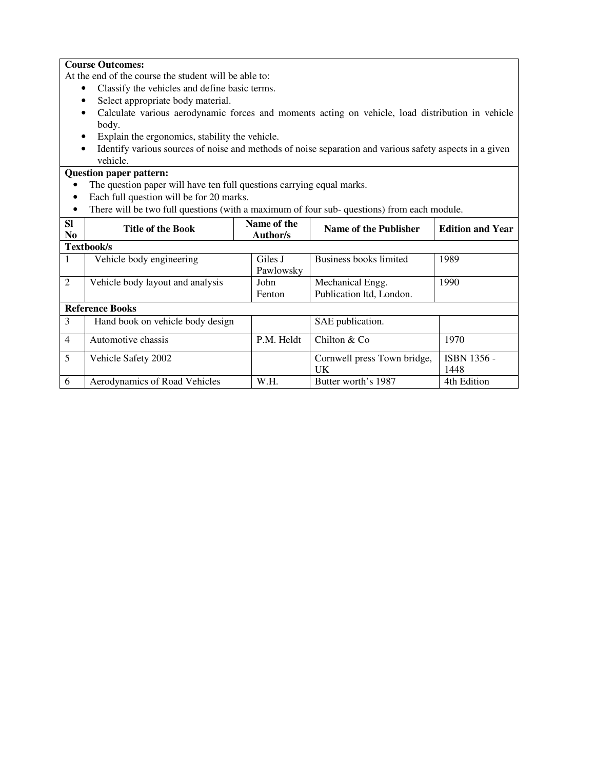## **Course Outcomes:**

At the end of the course the student will be able to:

- Classify the vehicles and define basic terms.
- Select appropriate body material.
- Calculate various aerodynamic forces and moments acting on vehicle, load distribution in vehicle body.
- Explain the ergonomics, stability the vehicle.
- Identify various sources of noise and methods of noise separation and various safety aspects in a given vehicle.

## **Question paper pattern:**

- The question paper will have ten full questions carrying equal marks.
- Each full question will be for 20 marks.
- There will be two full questions (with a maximum of four sub- questions) from each module.

| <b>Sl</b><br>N <sub>0</sub> | <b>Title of the Book</b>         | Name of the<br>Author/s | Name of the Publisher                        | <b>Edition and Year</b>    |
|-----------------------------|----------------------------------|-------------------------|----------------------------------------------|----------------------------|
|                             | <b>Textbook/s</b>                |                         |                                              |                            |
| 1                           | Vehicle body engineering         | Giles J<br>Pawlowsky    | Business books limited                       | 1989                       |
| 2                           | Vehicle body layout and analysis | John<br>Fenton          | Mechanical Engg.<br>Publication ltd, London. | 1990                       |
|                             | <b>Reference Books</b>           |                         |                                              |                            |
| 3                           | Hand book on vehicle body design |                         | SAE publication.                             |                            |
| $\overline{4}$              | Automotive chassis               | P.M. Heldt              | Chilton & Co.                                | 1970                       |
| 5                           | Vehicle Safety 2002              |                         | Cornwell press Town bridge,<br>UK            | <b>ISBN 1356 -</b><br>1448 |
| 6                           | Aerodynamics of Road Vehicles    | W.H.                    | Butter worth's 1987                          | 4th Edition                |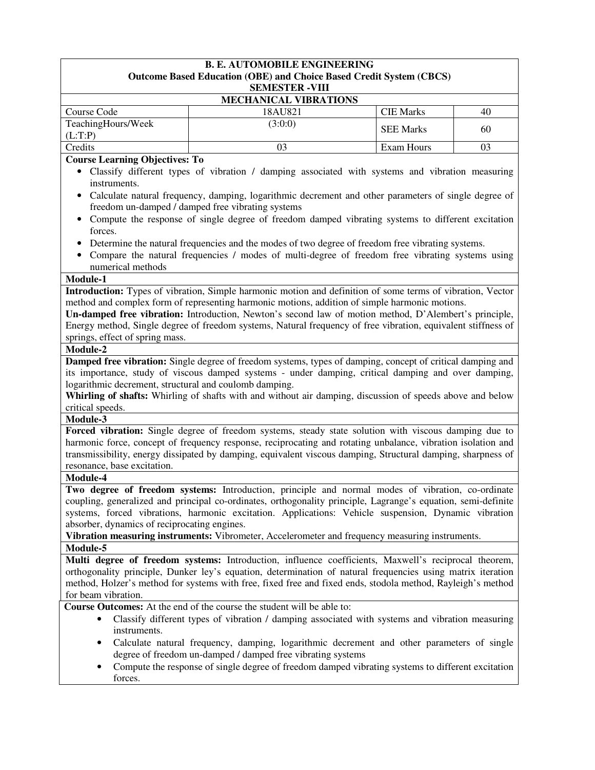|                                                        | <b>B. E. AUTOMOBILE ENGINEERING</b><br><b>Outcome Based Education (OBE) and Choice Based Credit System (CBCS)</b>                                         |                   |    |
|--------------------------------------------------------|-----------------------------------------------------------------------------------------------------------------------------------------------------------|-------------------|----|
|                                                        | <b>SEMESTER - VIII</b>                                                                                                                                    |                   |    |
|                                                        | <b>MECHANICAL VIBRATIONS</b>                                                                                                                              |                   |    |
| Course Code                                            | 18AU821                                                                                                                                                   | <b>CIE Marks</b>  | 40 |
| TeachingHours/Week                                     | (3:0:0)                                                                                                                                                   |                   |    |
| (L:T:P)                                                |                                                                                                                                                           | <b>SEE Marks</b>  | 60 |
| Credits                                                | 03                                                                                                                                                        | <b>Exam Hours</b> | 03 |
| <b>Course Learning Objectives: To</b>                  |                                                                                                                                                           |                   |    |
|                                                        | • Classify different types of vibration / damping associated with systems and vibration measuring                                                         |                   |    |
| instruments.                                           |                                                                                                                                                           |                   |    |
|                                                        | Calculate natural frequency, damping, logarithmic decrement and other parameters of single degree of                                                      |                   |    |
|                                                        | freedom un-damped / damped free vibrating systems                                                                                                         |                   |    |
|                                                        | Compute the response of single degree of freedom damped vibrating systems to different excitation                                                         |                   |    |
| forces.                                                |                                                                                                                                                           |                   |    |
|                                                        | Determine the natural frequencies and the modes of two degree of freedom free vibrating systems.                                                          |                   |    |
| numerical methods                                      | Compare the natural frequencies / modes of multi-degree of freedom free vibrating systems using                                                           |                   |    |
| <b>Module-1</b>                                        |                                                                                                                                                           |                   |    |
|                                                        | Introduction: Types of vibration, Simple harmonic motion and definition of some terms of vibration, Vector                                                |                   |    |
|                                                        | method and complex form of representing harmonic motions, addition of simple harmonic motions.                                                            |                   |    |
|                                                        | Un-damped free vibration: Introduction, Newton's second law of motion method, D'Alembert's principle,                                                     |                   |    |
|                                                        | Energy method, Single degree of freedom systems, Natural frequency of free vibration, equivalent stiffness of                                             |                   |    |
| springs, effect of spring mass.                        |                                                                                                                                                           |                   |    |
| Module-2                                               |                                                                                                                                                           |                   |    |
|                                                        | Damped free vibration: Single degree of freedom systems, types of damping, concept of critical damping and                                                |                   |    |
|                                                        | its importance, study of viscous damped systems - under damping, critical damping and over damping,                                                       |                   |    |
| logarithmic decrement, structural and coulomb damping. |                                                                                                                                                           |                   |    |
|                                                        | Whirling of shafts: Whirling of shafts with and without air damping, discussion of speeds above and below                                                 |                   |    |
| critical speeds.<br>Module-3                           |                                                                                                                                                           |                   |    |
|                                                        | Forced vibration: Single degree of freedom systems, steady state solution with viscous damping due to                                                     |                   |    |
|                                                        | harmonic force, concept of frequency response, reciprocating and rotating unbalance, vibration isolation and                                              |                   |    |
|                                                        | transmissibility, energy dissipated by damping, equivalent viscous damping, Structural damping, sharpness of                                              |                   |    |
| resonance, base excitation.                            |                                                                                                                                                           |                   |    |
| Module-4                                               |                                                                                                                                                           |                   |    |
|                                                        | Two degree of freedom systems: Introduction, principle and normal modes of vibration, co-ordinate                                                         |                   |    |
|                                                        | coupling, generalized and principal co-ordinates, orthogonality principle, Lagrange's equation, semi-definite                                             |                   |    |
|                                                        | systems, forced vibrations, harmonic excitation. Applications: Vehicle suspension, Dynamic vibration                                                      |                   |    |
| absorber, dynamics of reciprocating engines.           |                                                                                                                                                           |                   |    |
|                                                        | Vibration measuring instruments: Vibrometer, Accelerometer and frequency measuring instruments.                                                           |                   |    |
| Module-5                                               |                                                                                                                                                           |                   |    |
|                                                        | Multi degree of freedom systems: Introduction, influence coefficients, Maxwell's reciprocal theorem,                                                      |                   |    |
|                                                        | orthogonality principle, Dunker ley's equation, determination of natural frequencies using matrix iteration                                               |                   |    |
|                                                        | method, Holzer's method for systems with free, fixed free and fixed ends, stodola method, Rayleigh's method                                               |                   |    |
| for beam vibration.                                    |                                                                                                                                                           |                   |    |
|                                                        | Course Outcomes: At the end of the course the student will be able to:                                                                                    |                   |    |
|                                                        | Classify different types of vibration / damping associated with systems and vibration measuring                                                           |                   |    |
| instruments.                                           |                                                                                                                                                           |                   |    |
| $\bullet$                                              | Calculate natural frequency, damping, logarithmic decrement and other parameters of single<br>degree of freedom un-damped / damped free vibrating systems |                   |    |
| $\bullet$                                              | Compute the response of single degree of freedom damped vibrating systems to different excitation                                                         |                   |    |
|                                                        |                                                                                                                                                           |                   |    |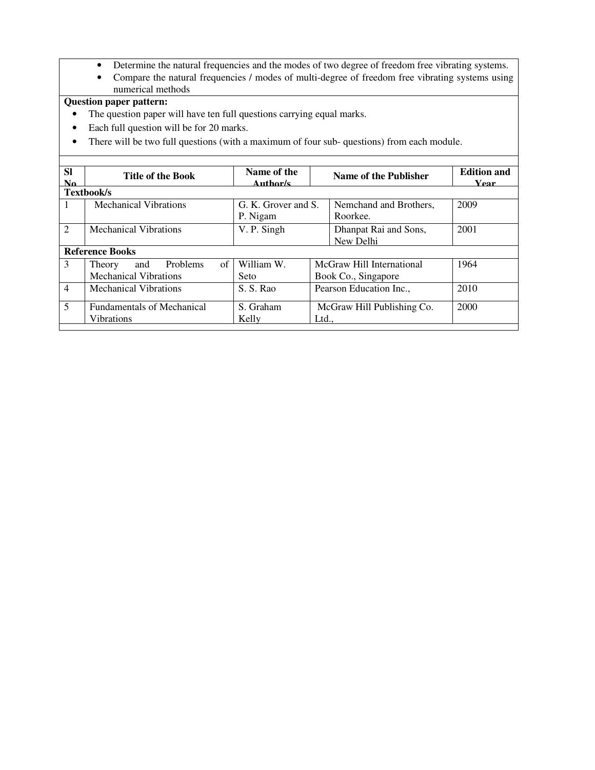- Determine the natural frequencies and the modes of two degree of freedom free vibrating systems.
- Compare the natural frequencies / modes of multi-degree of freedom free vibrating systems using numerical methods

## **Question paper pattern:**

- The question paper will have ten full questions carrying equal marks.
- Each full question will be for 20 marks.
- There will be two full questions (with a maximum of four sub- questions) from each module.

| <b>SI</b><br>N <sub>0</sub> | <b>Title of the Book</b>          | Name of the<br>Author/s | Name of the Publisher      | <b>Edition and</b><br><b>Year</b> |
|-----------------------------|-----------------------------------|-------------------------|----------------------------|-----------------------------------|
|                             | <b>Textbook/s</b>                 |                         |                            |                                   |
|                             | <b>Mechanical Vibrations</b>      | G. K. Grover and S.     | Nemchand and Brothers,     | 2009                              |
|                             |                                   | P. Nigam                | Roorkee.                   |                                   |
| $\mathfrak{D}$              | <b>Mechanical Vibrations</b>      | V. P. Singh             | Dhanpat Rai and Sons,      | 2001                              |
|                             |                                   |                         | New Delhi                  |                                   |
|                             | <b>Reference Books</b>            |                         |                            |                                   |
| 3                           | of<br>Problems<br>and<br>Theory   | William W.              | McGraw Hill International  | 1964                              |
|                             | <b>Mechanical Vibrations</b>      | Seto                    | Book Co., Singapore        |                                   |
| $\overline{4}$              | <b>Mechanical Vibrations</b>      | S. S. Rao               | Pearson Education Inc.,    | 2010                              |
| 5                           | <b>Fundamentals of Mechanical</b> | S. Graham               | McGraw Hill Publishing Co. | 2000                              |
|                             | <b>Vibrations</b>                 | Kelly                   | Ltd                        |                                   |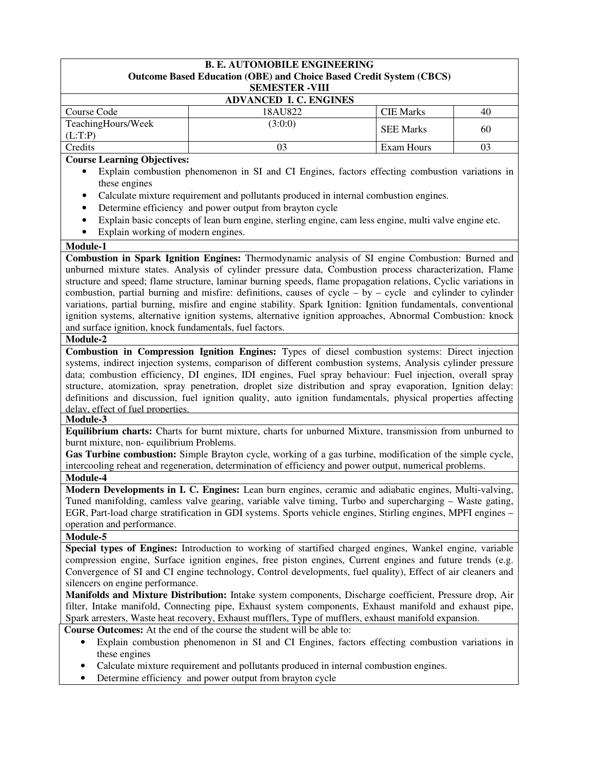| <b>B. E. AUTOMOBILE ENGINEERING</b><br><b>Outcome Based Education (OBE) and Choice Based Credit System (CBCS)</b>                               |                                                                                                                                                                                                                      |                  |                                                                                       |  |  |  |  |
|-------------------------------------------------------------------------------------------------------------------------------------------------|----------------------------------------------------------------------------------------------------------------------------------------------------------------------------------------------------------------------|------------------|---------------------------------------------------------------------------------------|--|--|--|--|
|                                                                                                                                                 | <b>SEMESTER -VIII</b>                                                                                                                                                                                                |                  |                                                                                       |  |  |  |  |
|                                                                                                                                                 | <b>ADVANCED I. C. ENGINES</b>                                                                                                                                                                                        |                  |                                                                                       |  |  |  |  |
| Course Code                                                                                                                                     | 18AU822                                                                                                                                                                                                              | <b>CIE Marks</b> | 40                                                                                    |  |  |  |  |
| TeachingHours/Week                                                                                                                              | (3:0:0)                                                                                                                                                                                                              |                  |                                                                                       |  |  |  |  |
| (L:T:P)                                                                                                                                         |                                                                                                                                                                                                                      | <b>SEE Marks</b> | 60                                                                                    |  |  |  |  |
| Credits                                                                                                                                         | 03                                                                                                                                                                                                                   | Exam Hours       | 03                                                                                    |  |  |  |  |
| <b>Course Learning Objectives:</b>                                                                                                              |                                                                                                                                                                                                                      |                  |                                                                                       |  |  |  |  |
| $\bullet$<br>these engines                                                                                                                      | Explain combustion phenomenon in SI and CI Engines, factors effecting combustion variations in                                                                                                                       |                  |                                                                                       |  |  |  |  |
|                                                                                                                                                 | Calculate mixture requirement and pollutants produced in internal combustion engines.                                                                                                                                |                  |                                                                                       |  |  |  |  |
| $\bullet$                                                                                                                                       | Determine efficiency and power output from brayton cycle                                                                                                                                                             |                  |                                                                                       |  |  |  |  |
| $\bullet$                                                                                                                                       | Explain basic concepts of lean burn engine, sterling engine, cam less engine, multi valve engine etc.                                                                                                                |                  |                                                                                       |  |  |  |  |
| Explain working of modern engines.                                                                                                              |                                                                                                                                                                                                                      |                  |                                                                                       |  |  |  |  |
| Module-1                                                                                                                                        |                                                                                                                                                                                                                      |                  |                                                                                       |  |  |  |  |
|                                                                                                                                                 | Combustion in Spark Ignition Engines: Thermodynamic analysis of SI engine Combustion: Burned and                                                                                                                     |                  |                                                                                       |  |  |  |  |
|                                                                                                                                                 | unburned mixture states. Analysis of cylinder pressure data, Combustion process characterization, Flame                                                                                                              |                  |                                                                                       |  |  |  |  |
|                                                                                                                                                 | structure and speed; flame structure, laminar burning speeds, flame propagation relations, Cyclic variations in                                                                                                      |                  |                                                                                       |  |  |  |  |
|                                                                                                                                                 | combustion, partial burning and misfire: definitions, causes of cycle – by – cycle and cylinder to cylinder                                                                                                          |                  |                                                                                       |  |  |  |  |
|                                                                                                                                                 | variations, partial burning, misfire and engine stability. Spark Ignition: Ignition fundamentals, conventional                                                                                                       |                  |                                                                                       |  |  |  |  |
|                                                                                                                                                 | ignition systems, alternative ignition systems, alternative ignition approaches, Abnormal Combustion: knock                                                                                                          |                  |                                                                                       |  |  |  |  |
| and surface ignition, knock fundamentals, fuel factors.                                                                                         |                                                                                                                                                                                                                      |                  |                                                                                       |  |  |  |  |
| Module-2                                                                                                                                        |                                                                                                                                                                                                                      |                  |                                                                                       |  |  |  |  |
|                                                                                                                                                 | Combustion in Compression Ignition Engines: Types of diesel combustion systems: Direct injection                                                                                                                     |                  |                                                                                       |  |  |  |  |
|                                                                                                                                                 | systems, indirect injection systems, comparison of different combustion systems, Analysis cylinder pressure                                                                                                          |                  |                                                                                       |  |  |  |  |
|                                                                                                                                                 | data; combustion efficiency, DI engines, IDI engines, Fuel spray behaviour: Fuel injection, overall spray                                                                                                            |                  |                                                                                       |  |  |  |  |
|                                                                                                                                                 | structure, atomization, spray penetration, droplet size distribution and spray evaporation, Ignition delay:                                                                                                          |                  |                                                                                       |  |  |  |  |
|                                                                                                                                                 | definitions and discussion, fuel ignition quality, auto ignition fundamentals, physical properties affecting                                                                                                         |                  |                                                                                       |  |  |  |  |
| delay, effect of fuel properties.                                                                                                               |                                                                                                                                                                                                                      |                  |                                                                                       |  |  |  |  |
| Module-3                                                                                                                                        |                                                                                                                                                                                                                      |                  |                                                                                       |  |  |  |  |
|                                                                                                                                                 | Equilibrium charts: Charts for burnt mixture, charts for unburned Mixture, transmission from unburned to                                                                                                             |                  |                                                                                       |  |  |  |  |
| burnt mixture, non-equilibrium Problems.                                                                                                        |                                                                                                                                                                                                                      |                  |                                                                                       |  |  |  |  |
|                                                                                                                                                 | Gas Turbine combustion: Simple Brayton cycle, working of a gas turbine, modification of the simple cycle,<br>intercooling reheat and regeneration, determination of efficiency and power output, numerical problems. |                  |                                                                                       |  |  |  |  |
| Module-4                                                                                                                                        |                                                                                                                                                                                                                      |                  |                                                                                       |  |  |  |  |
|                                                                                                                                                 | Modern Developments in I. C. Engines: Lean burn engines, ceramic and adiabatic engines, Multi-valving,                                                                                                               |                  |                                                                                       |  |  |  |  |
|                                                                                                                                                 | Tuned manifolding, camless valve gearing, variable valve timing, Turbo and supercharging – Waste gating,                                                                                                             |                  |                                                                                       |  |  |  |  |
|                                                                                                                                                 | EGR, Part-load charge stratification in GDI systems. Sports vehicle engines, Stirling engines, MPFI engines -                                                                                                        |                  |                                                                                       |  |  |  |  |
| operation and performance.                                                                                                                      |                                                                                                                                                                                                                      |                  |                                                                                       |  |  |  |  |
| Module-5                                                                                                                                        |                                                                                                                                                                                                                      |                  |                                                                                       |  |  |  |  |
|                                                                                                                                                 | Special types of Engines: Introduction to working of startified charged engines, Wankel engine, variable                                                                                                             |                  |                                                                                       |  |  |  |  |
|                                                                                                                                                 | compression engine, Surface ignition engines, free piston engines, Current engines and future trends (e.g.                                                                                                           |                  |                                                                                       |  |  |  |  |
|                                                                                                                                                 |                                                                                                                                                                                                                      |                  |                                                                                       |  |  |  |  |
| Convergence of SI and CI engine technology, Control developments, fuel quality), Effect of air cleaners and<br>silencers on engine performance. |                                                                                                                                                                                                                      |                  |                                                                                       |  |  |  |  |
| Manifolds and Mixture Distribution: Intake system components, Discharge coefficient, Pressure drop, Air                                         |                                                                                                                                                                                                                      |                  |                                                                                       |  |  |  |  |
| filter, Intake manifold, Connecting pipe, Exhaust system components, Exhaust manifold and exhaust pipe,                                         |                                                                                                                                                                                                                      |                  |                                                                                       |  |  |  |  |
| Spark arresters, Waste heat recovery, Exhaust mufflers, Type of mufflers, exhaust manifold expansion.                                           |                                                                                                                                                                                                                      |                  |                                                                                       |  |  |  |  |
| Course Outcomes: At the end of the course the student will be able to:                                                                          |                                                                                                                                                                                                                      |                  |                                                                                       |  |  |  |  |
| Explain combustion phenomenon in SI and CI Engines, factors effecting combustion variations in                                                  |                                                                                                                                                                                                                      |                  |                                                                                       |  |  |  |  |
| these engines                                                                                                                                   |                                                                                                                                                                                                                      |                  |                                                                                       |  |  |  |  |
|                                                                                                                                                 |                                                                                                                                                                                                                      |                  |                                                                                       |  |  |  |  |
| ٠                                                                                                                                               |                                                                                                                                                                                                                      |                  | Calculate mixture requirement and pollutants produced in internal combustion engines. |  |  |  |  |
|                                                                                                                                                 | Determine efficiency and power output from brayton cycle                                                                                                                                                             |                  |                                                                                       |  |  |  |  |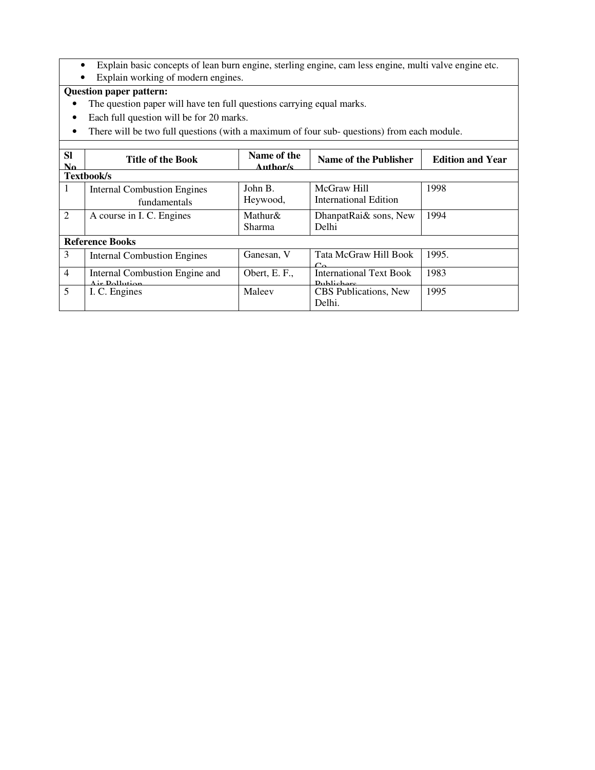- Explain basic concepts of lean burn engine, sterling engine, cam less engine, multi valve engine etc.
- Explain working of modern engines.

# **Question paper pattern:**

- The question paper will have ten full questions carrying equal marks.
- Each full question will be for 20 marks.
- There will be two full questions (with a maximum of four sub- questions) from each module.

| <b>SI</b><br>$\mathbf{N}\mathbf{a}$ | <b>Title of the Book</b>           | Name of the<br>Author/s | Name of the Publisher                           | <b>Edition and Year</b> |
|-------------------------------------|------------------------------------|-------------------------|-------------------------------------------------|-------------------------|
|                                     | Textbook/s                         |                         |                                                 |                         |
| 1                                   | <b>Internal Combustion Engines</b> | John B.                 | McGraw Hill                                     | 1998                    |
|                                     | fundamentals                       | Heywood,                | <b>International Edition</b>                    |                         |
| $\overline{2}$                      | A course in I. C. Engines          | Mathur $\&$             | DhanpatRai& sons, New                           | 1994                    |
|                                     |                                    | <b>Sharma</b>           | Delhi                                           |                         |
|                                     | <b>Reference Books</b>             |                         |                                                 |                         |
| 3                                   | <b>Internal Combustion Engines</b> | Ganesan, V              | Tata McGraw Hill Book<br>$\mathcal{C}_{\Omega}$ | 1995.                   |
| $\overline{4}$                      | Internal Combustion Engine and     | Obert, E. F.,           | <b>International Text Book</b>                  | 1983                    |
|                                     | Air Dollution                      |                         | Dublishers                                      |                         |
| 5                                   | I. C. Engines                      | Maleev                  | CBS Publications, New                           | 1995                    |
|                                     |                                    |                         | Delhi.                                          |                         |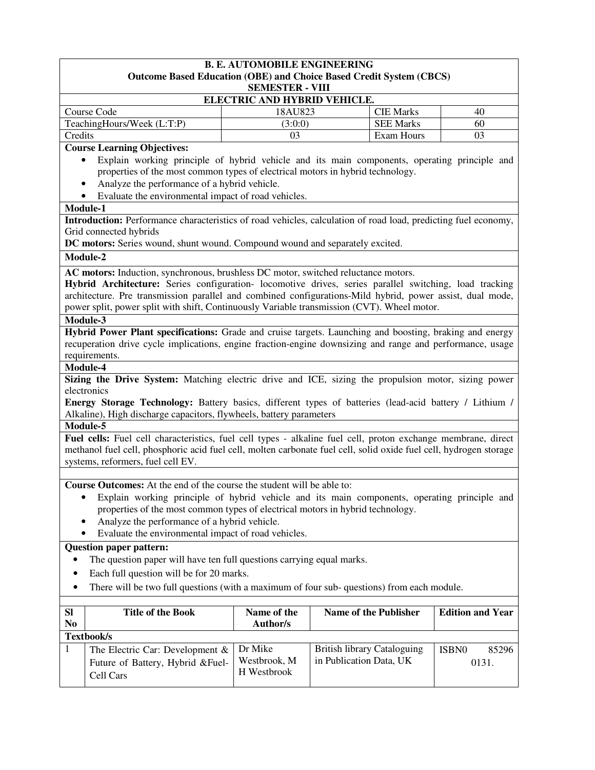| <b>B. E. AUTOMOBILE ENGINEERING</b><br><b>Outcome Based Education (OBE) and Choice Based Credit System (CBCS)</b><br><b>SEMESTER - VIII</b>                                                                                                                                                                                                                                                                          |                                |                                                                                              |                         |  |
|----------------------------------------------------------------------------------------------------------------------------------------------------------------------------------------------------------------------------------------------------------------------------------------------------------------------------------------------------------------------------------------------------------------------|--------------------------------|----------------------------------------------------------------------------------------------|-------------------------|--|
|                                                                                                                                                                                                                                                                                                                                                                                                                      | ELECTRIC AND HYBRID VEHICLE.   |                                                                                              |                         |  |
| Course Code                                                                                                                                                                                                                                                                                                                                                                                                          | 18AU823                        | <b>CIE Marks</b>                                                                             | 40                      |  |
| TeachingHours/Week (L:T:P)                                                                                                                                                                                                                                                                                                                                                                                           | (3:0:0)                        | <b>SEE Marks</b>                                                                             | 60                      |  |
| Credits                                                                                                                                                                                                                                                                                                                                                                                                              | 03                             | Exam Hours                                                                                   | 03                      |  |
| <b>Course Learning Objectives:</b>                                                                                                                                                                                                                                                                                                                                                                                   |                                |                                                                                              |                         |  |
| properties of the most common types of electrical motors in hybrid technology.<br>Analyze the performance of a hybrid vehicle.<br>Evaluate the environmental impact of road vehicles.                                                                                                                                                                                                                                |                                | Explain working principle of hybrid vehicle and its main components, operating principle and |                         |  |
| Module-1                                                                                                                                                                                                                                                                                                                                                                                                             |                                |                                                                                              |                         |  |
| Introduction: Performance characteristics of road vehicles, calculation of road load, predicting fuel economy,<br>Grid connected hybrids<br>DC motors: Series wound, shunt wound. Compound wound and separately excited.                                                                                                                                                                                             |                                |                                                                                              |                         |  |
| Module-2                                                                                                                                                                                                                                                                                                                                                                                                             |                                |                                                                                              |                         |  |
| AC motors: Induction, synchronous, brushless DC motor, switched reluctance motors.<br>Hybrid Architecture: Series configuration- locomotive drives, series parallel switching, load tracking<br>architecture. Pre transmission parallel and combined configurations-Mild hybrid, power assist, dual mode,<br>power split, power split with shift, Continuously Variable transmission (CVT). Wheel motor.<br>Module-3 |                                |                                                                                              |                         |  |
| Hybrid Power Plant specifications: Grade and cruise targets. Launching and boosting, braking and energy<br>recuperation drive cycle implications, engine fraction-engine downsizing and range and performance, usage<br>requirements.<br>Module-4                                                                                                                                                                    |                                |                                                                                              |                         |  |
| Sizing the Drive System: Matching electric drive and ICE, sizing the propulsion motor, sizing power                                                                                                                                                                                                                                                                                                                  |                                |                                                                                              |                         |  |
| electronics                                                                                                                                                                                                                                                                                                                                                                                                          |                                |                                                                                              |                         |  |
| Energy Storage Technology: Battery basics, different types of batteries (lead-acid battery / Lithium /                                                                                                                                                                                                                                                                                                               |                                |                                                                                              |                         |  |
| Alkaline), High discharge capacitors, flywheels, battery parameters                                                                                                                                                                                                                                                                                                                                                  |                                |                                                                                              |                         |  |
| Module-5                                                                                                                                                                                                                                                                                                                                                                                                             |                                |                                                                                              |                         |  |
| Fuel cells: Fuel cell characteristics, fuel cell types - alkaline fuel cell, proton exchange membrane, direct<br>methanol fuel cell, phosphoric acid fuel cell, molten carbonate fuel cell, solid oxide fuel cell, hydrogen storage<br>systems, reformers, fuel cell EV.                                                                                                                                             |                                |                                                                                              |                         |  |
| Course Outcomes: At the end of the course the student will be able to:                                                                                                                                                                                                                                                                                                                                               |                                |                                                                                              |                         |  |
| properties of the most common types of electrical motors in hybrid technology.<br>Analyze the performance of a hybrid vehicle.<br>Evaluate the environmental impact of road vehicles.                                                                                                                                                                                                                                |                                | Explain working principle of hybrid vehicle and its main components, operating principle and |                         |  |
| <b>Question paper pattern:</b>                                                                                                                                                                                                                                                                                                                                                                                       |                                |                                                                                              |                         |  |
| The question paper will have ten full questions carrying equal marks.                                                                                                                                                                                                                                                                                                                                                |                                |                                                                                              |                         |  |
| Each full question will be for 20 marks.<br>٠                                                                                                                                                                                                                                                                                                                                                                        |                                |                                                                                              |                         |  |
| There will be two full questions (with a maximum of four sub-questions) from each module.<br>٠                                                                                                                                                                                                                                                                                                                       |                                |                                                                                              |                         |  |
|                                                                                                                                                                                                                                                                                                                                                                                                                      |                                |                                                                                              |                         |  |
| <b>Title of the Book</b><br><b>SI</b><br>N <sub>0</sub>                                                                                                                                                                                                                                                                                                                                                              | Name of the<br><b>Author/s</b> | <b>Name of the Publisher</b>                                                                 | <b>Edition and Year</b> |  |

| Textbook/s                                     |                             |                                    |       |       |  |  |
|------------------------------------------------|-----------------------------|------------------------------------|-------|-------|--|--|
| The Electric Car: Development $\&$   Dr Mike   |                             | <b>British library Cataloguing</b> | ISBN0 | 85296 |  |  |
| Future of Battery, Hybrid & Fuel-<br>Cell Cars | Westbrook, M<br>H Westbrook | in Publication Data, UK            |       | 0131. |  |  |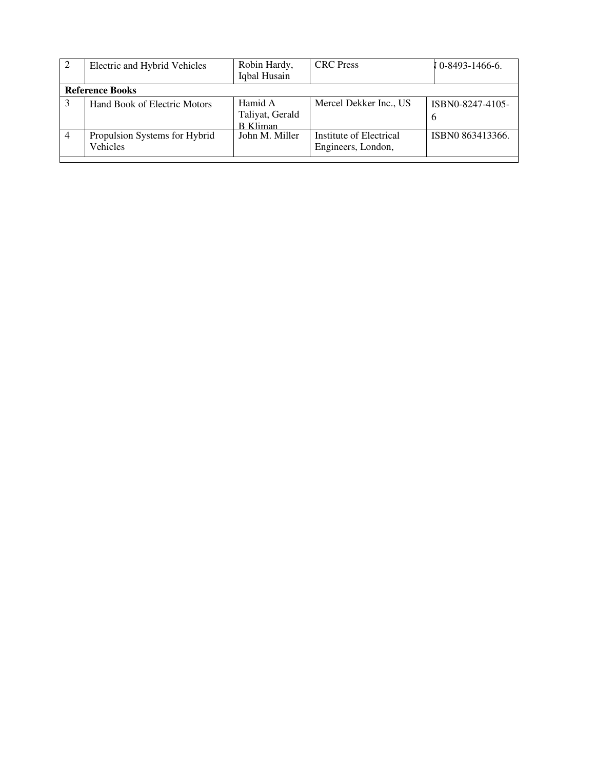| -2                     | Electric and Hybrid Vehicles              | Robin Hardy,<br>Iqbal Husain                  | <b>CRC</b> Press                              | $\sqrt{0.8493}$ -1466-6. |  |  |  |
|------------------------|-------------------------------------------|-----------------------------------------------|-----------------------------------------------|--------------------------|--|--|--|
| <b>Reference Books</b> |                                           |                                               |                                               |                          |  |  |  |
|                        | <b>Hand Book of Electric Motors</b>       | Hamid A<br>Taliyat, Gerald<br><b>B</b> Kliman | Mercel Dekker Inc., US                        | ISBN0-8247-4105-<br>6    |  |  |  |
| $\overline{4}$         | Propulsion Systems for Hybrid<br>Vehicles | John M. Miller                                | Institute of Electrical<br>Engineers, London, | ISBN0 863413366.         |  |  |  |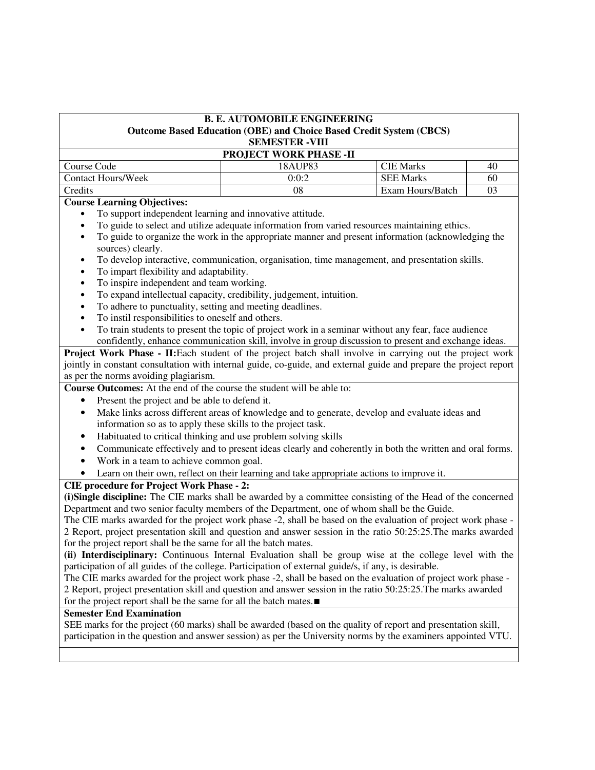| <b>B. E. AUTOMOBILE ENGINEERING</b><br>Outcome Based Education (OBE) and Choice Based Credit System (CBCS)<br><b>SEMESTER -VIII</b> |         |                  |    |  |  |  |  |
|-------------------------------------------------------------------------------------------------------------------------------------|---------|------------------|----|--|--|--|--|
| <b>PROJECT WORK PHASE -II</b>                                                                                                       |         |                  |    |  |  |  |  |
| Course Code                                                                                                                         | 18AUP83 | <b>CIE Marks</b> | 40 |  |  |  |  |
| <b>Contact Hours/Week</b>                                                                                                           | 0:0:2   | <b>SEE Marks</b> | 60 |  |  |  |  |
| Credits                                                                                                                             | 08      | Exam Hours/Batch |    |  |  |  |  |

#### **Course Learning Objectives:**

- To support independent learning and innovative attitude.
- To guide to select and utilize adequate information from varied resources maintaining ethics.
- To guide to organize the work in the appropriate manner and present information (acknowledging the sources) clearly.
- To develop interactive, communication, organisation, time management, and presentation skills.
- To impart flexibility and adaptability.
- To inspire independent and team working.
- To expand intellectual capacity, credibility, judgement, intuition.
- To adhere to punctuality, setting and meeting deadlines.
- To instil responsibilities to oneself and others.
- To train students to present the topic of project work in a seminar without any fear, face audience confidently, enhance communication skill, involve in group discussion to present and exchange ideas.

**Project Work Phase - II:**Each student of the project batch shall involve in carrying out the project work jointly in constant consultation with internal guide, co-guide, and external guide and prepare the project report as per the norms avoiding plagiarism.

**Course Outcomes:** At the end of the course the student will be able to:

- Present the project and be able to defend it.
- Make links across different areas of knowledge and to generate, develop and evaluate ideas and information so as to apply these skills to the project task.
- Habituated to critical thinking and use problem solving skills
- Communicate effectively and to present ideas clearly and coherently in both the written and oral forms.
- Work in a team to achieve common goal.
- Learn on their own, reflect on their learning and take appropriate actions to improve it.

#### **CIE procedure for Project Work Phase - 2:**

**(i)Single discipline:** The CIE marks shall be awarded by a committee consisting of the Head of the concerned Department and two senior faculty members of the Department, one of whom shall be the Guide.

The CIE marks awarded for the project work phase -2, shall be based on the evaluation of project work phase - 2 Report, project presentation skill and question and answer session in the ratio 50:25:25.The marks awarded for the project report shall be the same for all the batch mates.

**(ii) Interdisciplinary:** Continuous Internal Evaluation shall be group wise at the college level with the participation of all guides of the college. Participation of external guide/s, if any, is desirable.

The CIE marks awarded for the project work phase -2, shall be based on the evaluation of project work phase - 2 Report, project presentation skill and question and answer session in the ratio 50:25:25.The marks awarded for the project report shall be the same for all the batch mates.∎

#### **Semester End Examination**

SEE marks for the project (60 marks) shall be awarded (based on the quality of report and presentation skill, participation in the question and answer session) as per the University norms by the examiners appointed VTU.